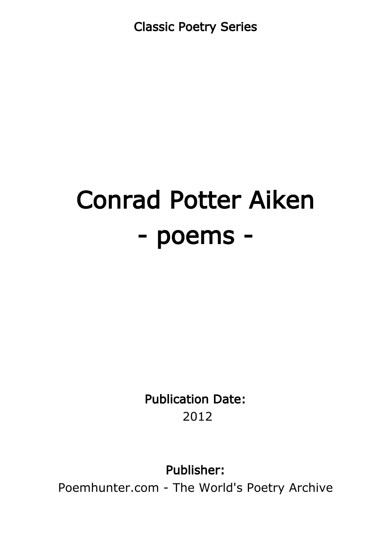Classic Poetry Series

# Conrad Potter Aiken - poems -

Publication Date: 2012

Publisher:

Poemhunter.com - The World's Poetry Archive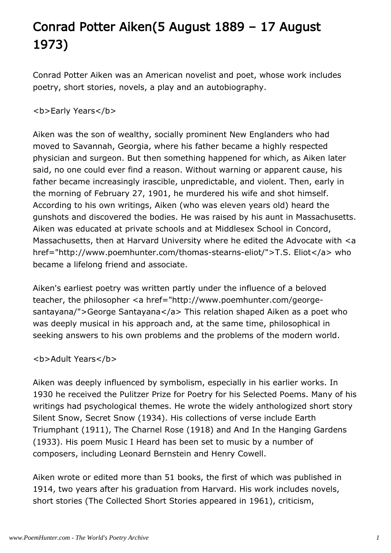# Conrad Potter Aiken(5 August 1889 – 17 August 1973)

Conrad Potter Aiken was an American novelist and poet, whose work includes poetry, short stories, novels, a play and an autobiography.

<b>Early Years</b>

Aiken was the son of wealthy, socially prominent New Englanders who had moved to Savannah, Georgia, where his father became a highly respected physician and surgeon. But then something happened for which, as Aiken later said, no one could ever find a reason. Without warning or apparent cause, his father became increasingly irascible, unpredictable, and violent. Then, early in the morning of February 27, 1901, he murdered his wife and shot himself. According to his own writings, Aiken (who was eleven years old) heard the gunshots and discovered the bodies. He was raised by his aunt in Massachusetts. Aiken was educated at private schools and at Middlesex School in Concord, Massachusetts, then at Harvard University where he edited the Advocate with <a href="http://www.poemhunter.com/thomas-stearns-eliot/">T.S. Eliot</a> who became a lifelong friend and associate.

Aiken's earliest poetry was written partly under the influence of a beloved teacher, the philosopher <a href="http://www.poemhunter.com/georgesantayana/">George Santayana</a> This relation shaped Aiken as a poet who was deeply musical in his approach and, at the same time, philosophical in seeking answers to his own problems and the problems of the modern world.

**<b>Adult Years</b>** 

Aiken was deeply influenced by symbolism, especially in his earlier works. In 1930 he received the Pulitzer Prize for Poetry for his Selected Poems. Many of his writings had psychological themes. He wrote the widely anthologized short story Silent Snow, Secret Snow (1934). His collections of verse include Earth Triumphant (1911), The Charnel Rose (1918) and And In the Hanging Gardens (1933). His poem Music I Heard has been set to music by a number of composers, including Leonard Bernstein and Henry Cowell.

Aiken wrote or edited more than 51 books, the first of which was published in 1914, two years after his graduation from Harvard. His work includes novels, short stories (The Collected Short Stories appeared in 1961), criticism,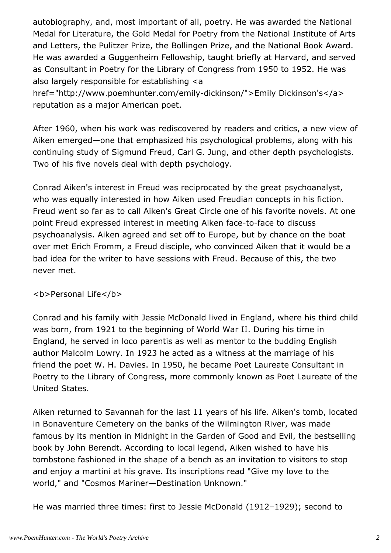autobiography, and, most important of all, poetry. He was awarded the National Medal for Literature, the Gold Medal for Poetry from the National Institute of Arts and Letters, the Pulitzer Prize, the Bollingen Prize, and the National Book Award. He was awarded a Guggenheim Fellowship, taught briefly at Harvard, and served as Consultant in Poetry for the Library of Congress from 1950 to 1952. He was also largely responsible for establishing <a

href="http://www.poemhunter.com/emily-dickinson/">Emily Dickinson's</a> reputation as a major American poet.

After 1960, when his work was rediscovered by readers and critics, a new view of Aiken emerged—one that emphasized his psychological problems, along with his continuing study of Sigmund Freud, Carl G. Jung, and other depth psychologists. Two of his five novels deal with depth psychology.

Conrad Aiken's interest in Freud was reciprocated by the great psychoanalyst, who was equally interested in how Aiken used Freudian concepts in his fiction. Freud went so far as to call Aiken's Great Circle one of his favorite novels. At one point Freud expressed interest in meeting Aiken face-to-face to discuss psychoanalysis. Aiken agreed and set off to Europe, but by chance on the boat over met Erich Fromm, a Freud disciple, who convinced Aiken that it would be a bad idea for the writer to have sessions with Freud. Because of this, the two never met.

#### <b>Personal Life</b>

Conrad and his family with Jessie McDonald lived in England, where his third child was born, from 1921 to the beginning of World War II. During his time in England, he served in loco parentis as well as mentor to the budding English author Malcolm Lowry. In 1923 he acted as a witness at the marriage of his friend the poet W. H. Davies. In 1950, he became Poet Laureate Consultant in Poetry to the Library of Congress, more commonly known as Poet Laureate of the United States.

Aiken returned to Savannah for the last 11 years of his life. Aiken's tomb, located in Bonaventure Cemetery on the banks of the Wilmington River, was made famous by its mention in Midnight in the Garden of Good and Evil, the bestselling book by John Berendt. According to local legend, Aiken wished to have his tombstone fashioned in the shape of a bench as an invitation to visitors to stop and enjoy a martini at his grave. Its inscriptions read "Give my love to the world," and "Cosmos Mariner—Destination Unknown."

He was married three times: first to Jessie McDonald (1912–1929); second to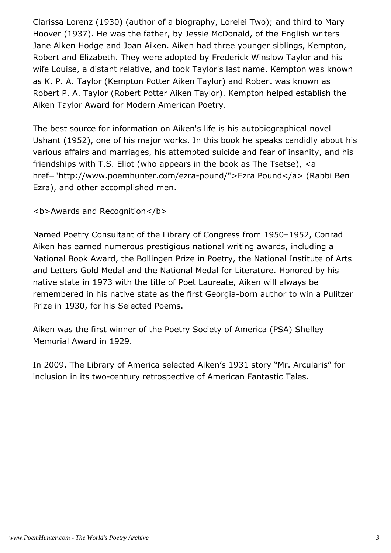Clarissa Lorenz (1930) (author of a biography, Lorelei Two); and third to Mary Hoover (1937). He was the father, by Jessie McDonald, of the English writers Jane Aiken Hodge and Joan Aiken. Aiken had three younger siblings, Kempton, Robert and Elizabeth. They were adopted by Frederick Winslow Taylor and his wife Louise, a distant relative, and took Taylor's last name. Kempton was known as K. P. A. Taylor (Kempton Potter Aiken Taylor) and Robert was known as Robert P. A. Taylor (Robert Potter Aiken Taylor). Kempton helped establish the Aiken Taylor Award for Modern American Poetry.

The best source for information on Aiken's life is his autobiographical novel Ushant (1952), one of his major works. In this book he speaks candidly about his various affairs and marriages, his attempted suicide and fear of insanity, and his friendships with T.S. Eliot (who appears in the book as The Tsetse), <a href="http://www.poemhunter.com/ezra-pound/">Ezra Pound</a> (Rabbi Ben Ezra), and other accomplished men.

<b>Awards and Recognition</b>

Named Poetry Consultant of the Library of Congress from 1950–1952, Conrad Aiken has earned numerous prestigious national writing awards, including a National Book Award, the Bollingen Prize in Poetry, the National Institute of Arts and Letters Gold Medal and the National Medal for Literature. Honored by his native state in 1973 with the title of Poet Laureate, Aiken will always be remembered in his native state as the first Georgia-born author to win a Pulitzer Prize in 1930, for his Selected Poems.

Aiken was the first winner of the Poetry Society of America (PSA) Shelley Memorial Award in 1929.

In 2009, The Library of America selected Aiken's 1931 story "Mr. Arcularis" for inclusion in its two-century retrospective of American Fantastic Tales.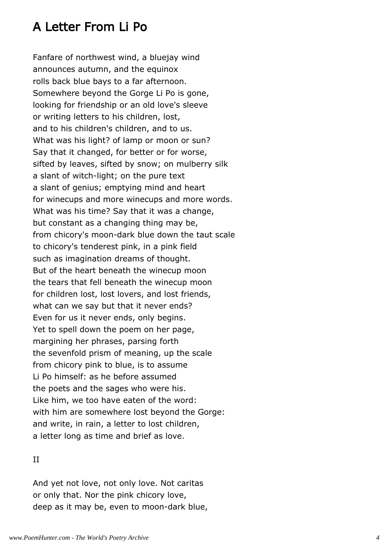# A Letter From Li Po

Fanfare of northwest wind, a bluejay wind announces autumn, and the equinox rolls back blue bays to a far afternoon. Somewhere beyond the Gorge Li Po is gone, looking for friendship or an old love's sleeve or writing letters to his children, lost, and to his children's children, and to us. What was his light? of lamp or moon or sun? Say that it changed, for better or for worse, sifted by leaves, sifted by snow; on mulberry silk a slant of witch-light; on the pure text a slant of genius; emptying mind and heart for winecups and more winecups and more words. What was his time? Say that it was a change, but constant as a changing thing may be, from chicory's moon-dark blue down the taut scale to chicory's tenderest pink, in a pink field such as imagination dreams of thought. But of the heart beneath the winecup moon the tears that fell beneath the winecup moon for children lost, lost lovers, and lost friends, what can we say but that it never ends? Even for us it never ends, only begins. Yet to spell down the poem on her page, margining her phrases, parsing forth the sevenfold prism of meaning, up the scale from chicory pink to blue, is to assume Li Po himself: as he before assumed the poets and the sages who were his. Like him, we too have eaten of the word: with him are somewhere lost beyond the Gorge: and write, in rain, a letter to lost children, a letter long as time and brief as love.

#### II

And yet not love, not only love. Not caritas or only that. Nor the pink chicory love, deep as it may be, even to moon-dark blue,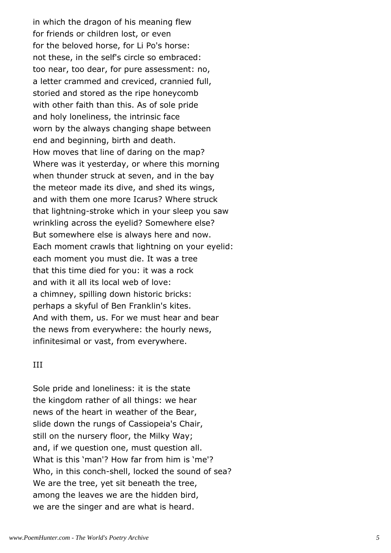in which the dragon of his meaning flew for friends or children lost, or even for the beloved horse, for Li Po's horse: not these, in the self's circle so embraced: too near, too dear, for pure assessment: no, a letter crammed and creviced, crannied full, storied and stored as the ripe honeycomb with other faith than this. As of sole pride and holy loneliness, the intrinsic face worn by the always changing shape between end and beginning, birth and death. How moves that line of daring on the map? Where was it yesterday, or where this morning when thunder struck at seven, and in the bay the meteor made its dive, and shed its wings, and with them one more Icarus? Where struck that lightning-stroke which in your sleep you saw wrinkling across the eyelid? Somewhere else? But somewhere else is always here and now. Each moment crawls that lightning on your eyelid: each moment you must die. It was a tree that this time died for you: it was a rock and with it all its local web of love: a chimney, spilling down historic bricks: perhaps a skyful of Ben Franklin's kites. And with them, us. For we must hear and bear the news from everywhere: the hourly news, infinitesimal or vast, from everywhere.

#### III

Sole pride and loneliness: it is the state the kingdom rather of all things: we hear news of the heart in weather of the Bear, slide down the rungs of Cassiopeia's Chair, still on the nursery floor, the Milky Way; and, if we question one, must question all. What is this 'man'? How far from him is 'me'? Who, in this conch-shell, locked the sound of sea? We are the tree, yet sit beneath the tree, among the leaves we are the hidden bird, we are the singer and are what is heard.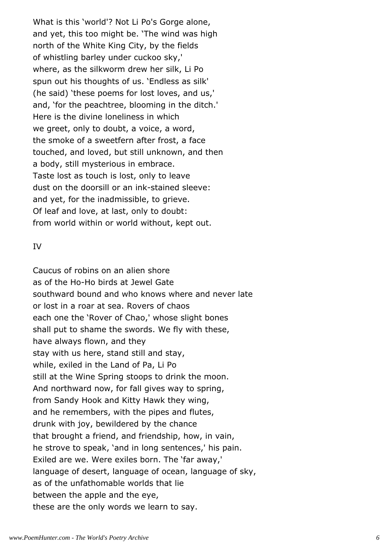What is this 'world'? Not Li Po's Gorge alone, and yet, this too might be. 'The wind was high north of the White King City, by the fields of whistling barley under cuckoo sky,' where, as the silkworm drew her silk, Li Po spun out his thoughts of us. 'Endless as silk' (he said) 'these poems for lost loves, and us,' and, 'for the peachtree, blooming in the ditch.' Here is the divine loneliness in which we greet, only to doubt, a voice, a word, the smoke of a sweetfern after frost, a face touched, and loved, but still unknown, and then a body, still mysterious in embrace. Taste lost as touch is lost, only to leave dust on the doorsill or an ink-stained sleeve: and yet, for the inadmissible, to grieve. Of leaf and love, at last, only to doubt: from world within or world without, kept out.

#### IV

Caucus of robins on an alien shore as of the Ho-Ho birds at Jewel Gate southward bound and who knows where and never late or lost in a roar at sea. Rovers of chaos each one the 'Rover of Chao,' whose slight bones shall put to shame the swords. We fly with these, have always flown, and they stay with us here, stand still and stay, while, exiled in the Land of Pa, Li Po still at the Wine Spring stoops to drink the moon. And northward now, for fall gives way to spring, from Sandy Hook and Kitty Hawk they wing, and he remembers, with the pipes and flutes, drunk with joy, bewildered by the chance that brought a friend, and friendship, how, in vain, he strove to speak, 'and in long sentences,' his pain. Exiled are we. Were exiles born. The 'far away,' language of desert, language of ocean, language of sky, as of the unfathomable worlds that lie between the apple and the eye, these are the only words we learn to say.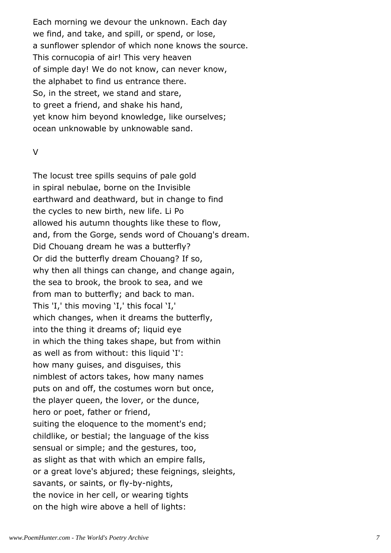Each morning we devour the unknown. Each day we find, and take, and spill, or spend, or lose, a sunflower splendor of which none knows the source. This cornucopia of air! This very heaven of simple day! We do not know, can never know, the alphabet to find us entrance there. So, in the street, we stand and stare, to greet a friend, and shake his hand, yet know him beyond knowledge, like ourselves; ocean unknowable by unknowable sand.

#### V

The locust tree spills sequins of pale gold in spiral nebulae, borne on the Invisible earthward and deathward, but in change to find the cycles to new birth, new life. Li Po allowed his autumn thoughts like these to flow, and, from the Gorge, sends word of Chouang's dream. Did Chouang dream he was a butterfly? Or did the butterfly dream Chouang? If so, why then all things can change, and change again, the sea to brook, the brook to sea, and we from man to butterfly; and back to man. This 'I,' this moving 'I,' this focal 'I,' which changes, when it dreams the butterfly, into the thing it dreams of; liquid eye in which the thing takes shape, but from within as well as from without: this liquid 'I': how many guises, and disguises, this nimblest of actors takes, how many names puts on and off, the costumes worn but once, the player queen, the lover, or the dunce, hero or poet, father or friend, suiting the eloquence to the moment's end; childlike, or bestial; the language of the kiss sensual or simple; and the gestures, too, as slight as that with which an empire falls, or a great love's abjured; these feignings, sleights, savants, or saints, or fly-by-nights, the novice in her cell, or wearing tights on the high wire above a hell of lights: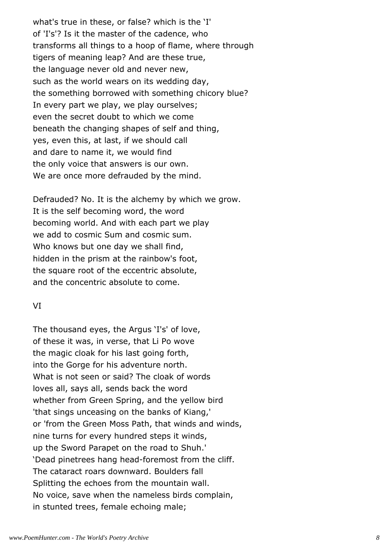what's true in these, or false? which is the 'I' of 'I's'? Is it the master of the cadence, who transforms all things to a hoop of flame, where through tigers of meaning leap? And are these true, the language never old and never new, such as the world wears on its wedding day, the something borrowed with something chicory blue? In every part we play, we play ourselves; even the secret doubt to which we come beneath the changing shapes of self and thing, yes, even this, at last, if we should call and dare to name it, we would find the only voice that answers is our own. We are once more defrauded by the mind.

Defrauded? No. It is the alchemy by which we grow. It is the self becoming word, the word becoming world. And with each part we play we add to cosmic Sum and cosmic sum. Who knows but one day we shall find, hidden in the prism at the rainbow's foot, the square root of the eccentric absolute, and the concentric absolute to come.

#### VI

The thousand eyes, the Argus 'I's' of love, of these it was, in verse, that Li Po wove the magic cloak for his last going forth, into the Gorge for his adventure north. What is not seen or said? The cloak of words loves all, says all, sends back the word whether from Green Spring, and the yellow bird 'that sings unceasing on the banks of Kiang,' or 'from the Green Moss Path, that winds and winds, nine turns for every hundred steps it winds, up the Sword Parapet on the road to Shuh.' 'Dead pinetrees hang head-foremost from the cliff. The cataract roars downward. Boulders fall Splitting the echoes from the mountain wall. No voice, save when the nameless birds complain, in stunted trees, female echoing male;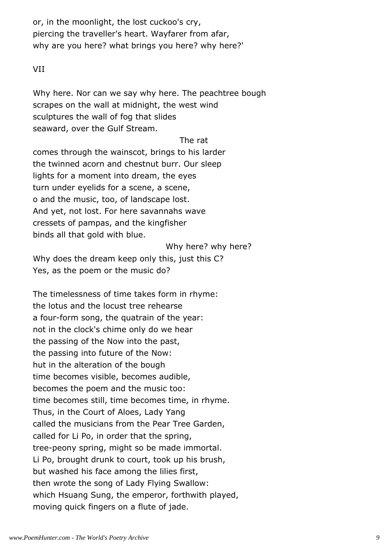or, in the moonlight, the lost cuckoo's cry, piercing the traveller's heart. Wayfarer from afar, why are you here? what brings you here? why here?'

#### VII

Why here. Nor can we say why here. The peachtree bough scrapes on the wall at midnight, the west wind sculptures the wall of fog that slides seaward, over the Gulf Stream.

The rat

comes through the wainscot, brings to his larder the twinned acorn and chestnut burr. Our sleep lights for a moment into dream, the eyes turn under eyelids for a scene, a scene, o and the music, too, of landscape lost. And yet, not lost. For here savannahs wave cressets of pampas, and the kingfisher binds all that gold with blue.

Why here? why here?

Why does the dream keep only this, just this C? Yes, as the poem or the music do?

The timelessness of time takes form in rhyme: the lotus and the locust tree rehearse a four-form song, the quatrain of the year: not in the clock's chime only do we hear the passing of the Now into the past, the passing into future of the Now: hut in the alteration of the bough time becomes visible, becomes audible, becomes the poem and the music too: time becomes still, time becomes time, in rhyme. Thus, in the Court of Aloes, Lady Yang called the musicians from the Pear Tree Garden, called for Li Po, in order that the spring, tree-peony spring, might so be made immortal. Li Po, brought drunk to court, took up his brush, but washed his face among the lilies first, then wrote the song of Lady Flying Swallow: which Hsuang Sung, the emperor, forthwith played, moving quick fingers on a flute of jade.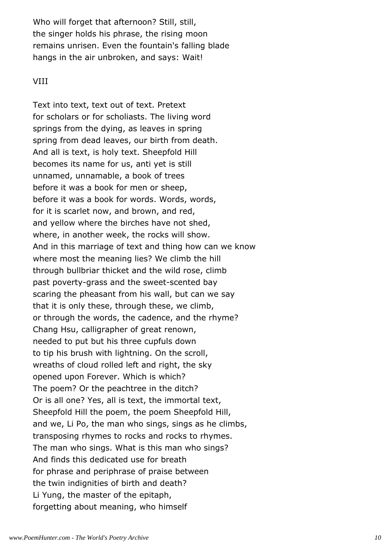Who will forget that afternoon? Still, still, the singer holds his phrase, the rising moon remains unrisen. Even the fountain's falling blade hangs in the air unbroken, and says: Wait!

#### VIII

Text into text, text out of text. Pretext for scholars or for scholiasts. The living word springs from the dying, as leaves in spring spring from dead leaves, our birth from death. And all is text, is holy text. Sheepfold Hill becomes its name for us, anti yet is still unnamed, unnamable, a book of trees before it was a book for men or sheep, before it was a book for words. Words, words, for it is scarlet now, and brown, and red, and yellow where the birches have not shed, where, in another week, the rocks will show. And in this marriage of text and thing how can we know where most the meaning lies? We climb the hill through bullbriar thicket and the wild rose, climb past poverty-grass and the sweet-scented bay scaring the pheasant from his wall, but can we say that it is only these, through these, we climb, or through the words, the cadence, and the rhyme? Chang Hsu, calligrapher of great renown, needed to put but his three cupfuls down to tip his brush with lightning. On the scroll, wreaths of cloud rolled left and right, the sky opened upon Forever. Which is which? The poem? Or the peachtree in the ditch? Or is all one? Yes, all is text, the immortal text, Sheepfold Hill the poem, the poem Sheepfold Hill, and we, Li Po, the man who sings, sings as he climbs, transposing rhymes to rocks and rocks to rhymes. The man who sings. What is this man who sings? And finds this dedicated use for breath for phrase and periphrase of praise between the twin indignities of birth and death? Li Yung, the master of the epitaph, forgetting about meaning, who himself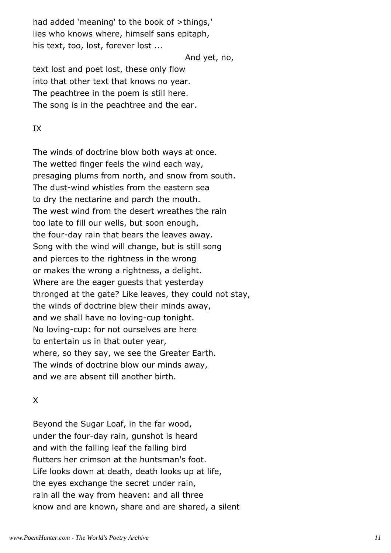had added 'meaning' to the book of >things,' lies who knows where, himself sans epitaph, his text, too, lost, forever lost ...

And yet, no,

text lost and poet lost, these only flow into that other text that knows no year. The peachtree in the poem is still here. The song is in the peachtree and the ear.

#### IX

The winds of doctrine blow both ways at once. The wetted finger feels the wind each way, presaging plums from north, and snow from south. The dust-wind whistles from the eastern sea to dry the nectarine and parch the mouth. The west wind from the desert wreathes the rain too late to fill our wells, but soon enough, the four-day rain that bears the leaves away. Song with the wind will change, but is still song and pierces to the rightness in the wrong or makes the wrong a rightness, a delight. Where are the eager guests that yesterday thronged at the gate? Like leaves, they could not stay, the winds of doctrine blew their minds away, and we shall have no loving-cup tonight. No loving-cup: for not ourselves are here to entertain us in that outer year, where, so they say, we see the Greater Earth. The winds of doctrine blow our minds away, and we are absent till another birth.

#### X

Beyond the Sugar Loaf, in the far wood, under the four-day rain, gunshot is heard and with the falling leaf the falling bird flutters her crimson at the huntsman's foot. Life looks down at death, death looks up at life, the eyes exchange the secret under rain, rain all the way from heaven: and all three know and are known, share and are shared, a silent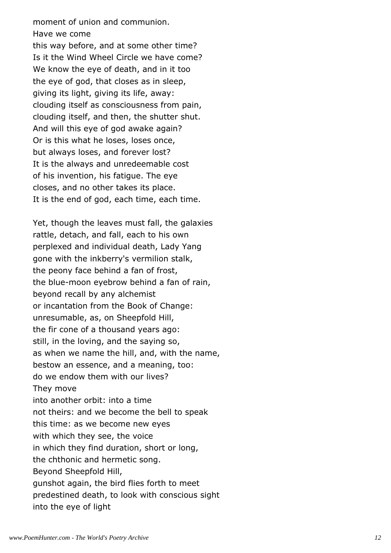moment of union and communion. Have we come this way before, and at some other time? Is it the Wind Wheel Circle we have come? We know the eye of death, and in it too the eye of god, that closes as in sleep, giving its light, giving its life, away: clouding itself as consciousness from pain, clouding itself, and then, the shutter shut. And will this eye of god awake again? Or is this what he loses, loses once, but always loses, and forever lost? It is the always and unredeemable cost of his invention, his fatigue. The eye closes, and no other takes its place. It is the end of god, each time, each time.

Yet, though the leaves must fall, the galaxies rattle, detach, and fall, each to his own perplexed and individual death, Lady Yang gone with the inkberry's vermilion stalk, the peony face behind a fan of frost, the blue-moon eyebrow behind a fan of rain, beyond recall by any alchemist or incantation from the Book of Change: unresumable, as, on Sheepfold Hill, the fir cone of a thousand years ago: still, in the loving, and the saying so, as when we name the hill, and, with the name, bestow an essence, and a meaning, too: do we endow them with our lives? They move into another orbit: into a time not theirs: and we become the bell to speak this time: as we become new eyes with which they see, the voice in which they find duration, short or long, the chthonic and hermetic song. Beyond Sheepfold Hill, gunshot again, the bird flies forth to meet predestined death, to look with conscious sight into the eye of light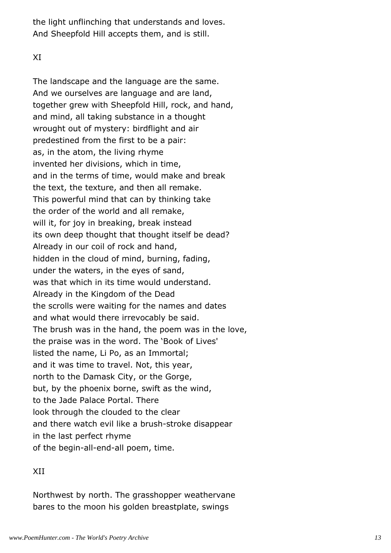the light unflinching that understands and loves. And Sheepfold Hill accepts them, and is still.

XI

The landscape and the language are the same. And we ourselves are language and are land, together grew with Sheepfold Hill, rock, and hand, and mind, all taking substance in a thought wrought out of mystery: birdflight and air predestined from the first to be a pair: as, in the atom, the living rhyme invented her divisions, which in time, and in the terms of time, would make and break the text, the texture, and then all remake. This powerful mind that can by thinking take the order of the world and all remake, will it, for joy in breaking, break instead its own deep thought that thought itself be dead? Already in our coil of rock and hand, hidden in the cloud of mind, burning, fading, under the waters, in the eyes of sand, was that which in its time would understand. Already in the Kingdom of the Dead the scrolls were waiting for the names and dates and what would there irrevocably be said. The brush was in the hand, the poem was in the love, the praise was in the word. The 'Book of Lives' listed the name, Li Po, as an Immortal; and it was time to travel. Not, this year, north to the Damask City, or the Gorge, but, by the phoenix borne, swift as the wind, to the Jade Palace Portal. There look through the clouded to the clear and there watch evil like a brush-stroke disappear in the last perfect rhyme of the begin-all-end-all poem, time.

### XII

Northwest by north. The grasshopper weathervane bares to the moon his golden breastplate, swings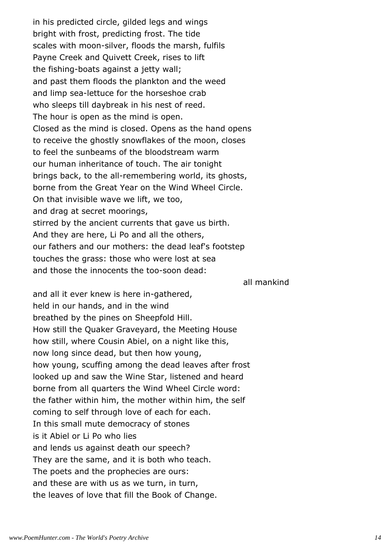in his predicted circle, gilded legs and wings bright with frost, predicting frost. The tide scales with moon-silver, floods the marsh, fulfils Payne Creek and Quivett Creek, rises to lift the fishing-boats against a jetty wall; and past them floods the plankton and the weed and limp sea-lettuce for the horseshoe crab who sleeps till daybreak in his nest of reed. The hour is open as the mind is open. Closed as the mind is closed. Opens as the hand opens to receive the ghostly snowflakes of the moon, closes to feel the sunbeams of the bloodstream warm our human inheritance of touch. The air tonight brings back, to the all-remembering world, its ghosts, borne from the Great Year on the Wind Wheel Circle. On that invisible wave we lift, we too, and drag at secret moorings, stirred by the ancient currents that gave us birth. And they are here, Li Po and all the others, our fathers and our mothers: the dead leaf's footstep touches the grass: those who were lost at sea and those the innocents the too-soon dead:

all mankind

and all it ever knew is here in-gathered, held in our hands, and in the wind breathed by the pines on Sheepfold Hill. How still the Quaker Graveyard, the Meeting House how still, where Cousin Abiel, on a night like this, now long since dead, but then how young, how young, scuffing among the dead leaves after frost looked up and saw the Wine Star, listened and heard borne from all quarters the Wind Wheel Circle word: the father within him, the mother within him, the self coming to self through love of each for each. In this small mute democracy of stones is it Abiel or Li Po who lies and lends us against death our speech? They are the same, and it is both who teach. The poets and the prophecies are ours: and these are with us as we turn, in turn, the leaves of love that fill the Book of Change.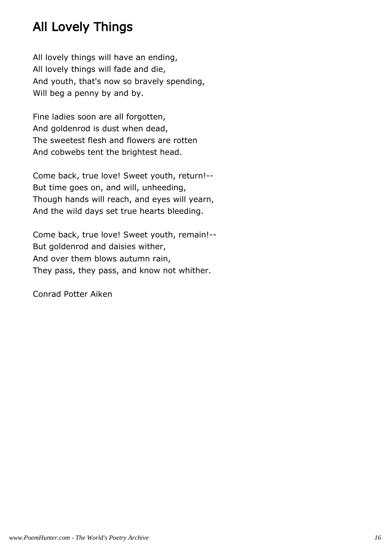# All Lovely Things

All lovely things will have an ending, All lovely things will fade and die, And youth, that's now so bravely spending, Will beg a penny by and by.

Fine ladies soon are all forgotten, And goldenrod is dust when dead, The sweetest flesh and flowers are rotten And cobwebs tent the brightest head.

Come back, true love! Sweet youth, return!-- But time goes on, and will, unheeding, Though hands will reach, and eyes will yearn, And the wild days set true hearts bleeding.

Come back, true love! Sweet youth, remain!-- But goldenrod and daisies wither, And over them blows autumn rain, They pass, they pass, and know not whither.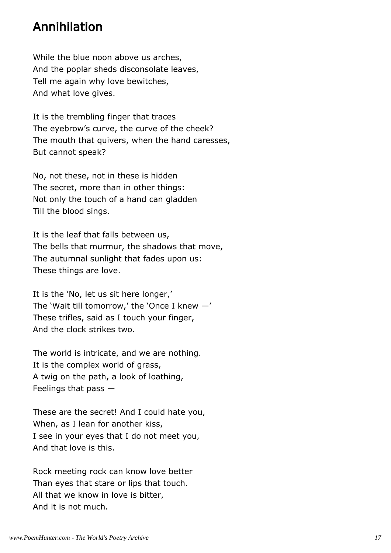### Annihilation

While the blue noon above us arches, And the poplar sheds disconsolate leaves, Tell me again why love bewitches, And what love gives.

It is the trembling finger that traces The eyebrow's curve, the curve of the cheek? The mouth that quivers, when the hand caresses, But cannot speak?

No, not these, not in these is hidden The secret, more than in other things: Not only the touch of a hand can gladden Till the blood sings.

It is the leaf that falls between us, The bells that murmur, the shadows that move, The autumnal sunlight that fades upon us: These things are love.

It is the 'No, let us sit here longer,' The 'Wait till tomorrow,' the 'Once I knew  $-$ ' These trifles, said as I touch your finger, And the clock strikes two.

The world is intricate, and we are nothing. It is the complex world of grass, A twig on the path, a look of loathing, Feelings that pass —

These are the secret! And I could hate you, When, as I lean for another kiss, I see in your eyes that I do not meet you, And that love is this.

Rock meeting rock can know love better Than eyes that stare or lips that touch. All that we know in love is bitter, And it is not much.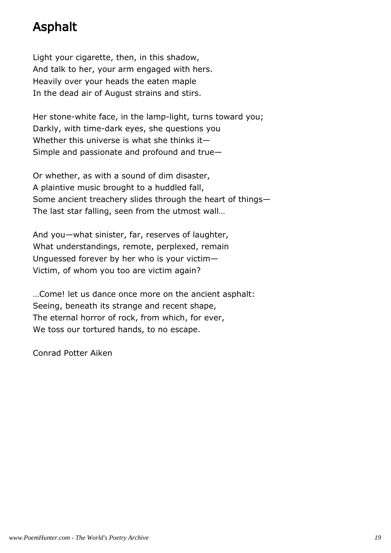# Asphalt

Light your cigarette, then, in this shadow, And talk to her, your arm engaged with hers. Heavily over your heads the eaten maple In the dead air of August strains and stirs.

Her stone-white face, in the lamp-light, turns toward you; Darkly, with time-dark eyes, she questions you Whether this universe is what she thinks it— Simple and passionate and profound and true—

Or whether, as with a sound of dim disaster, A plaintive music brought to a huddled fall, Some ancient treachery slides through the heart of things— The last star falling, seen from the utmost wall…

And you—what sinister, far, reserves of laughter, What understandings, remote, perplexed, remain Unguessed forever by her who is your victim— Victim, of whom you too are victim again?

…Come! let us dance once more on the ancient asphalt: Seeing, beneath its strange and recent shape, The eternal horror of rock, from which, for ever, We toss our tortured hands, to no escape.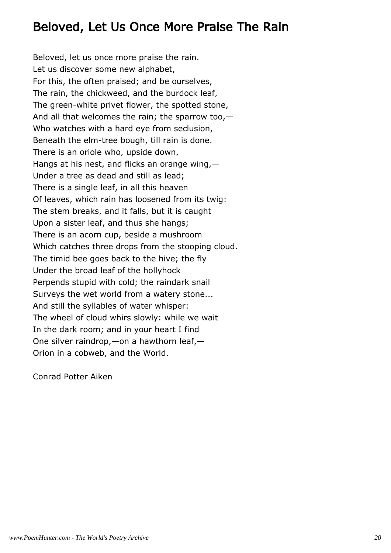# Beloved, Let Us Once More Praise The Rain

Beloved, let us once more praise the rain. Let us discover some new alphabet, For this, the often praised; and be ourselves, The rain, the chickweed, and the burdock leaf, The green-white privet flower, the spotted stone, And all that welcomes the rain; the sparrow too, $-$ Who watches with a hard eye from seclusion, Beneath the elm-tree bough, till rain is done. There is an oriole who, upside down, Hangs at his nest, and flicks an orange wing,— Under a tree as dead and still as lead; There is a single leaf, in all this heaven Of leaves, which rain has loosened from its twig: The stem breaks, and it falls, but it is caught Upon a sister leaf, and thus she hangs; There is an acorn cup, beside a mushroom Which catches three drops from the stooping cloud. The timid bee goes back to the hive; the fly Under the broad leaf of the hollyhock Perpends stupid with cold; the raindark snail Surveys the wet world from a watery stone... And still the syllables of water whisper: The wheel of cloud whirs slowly: while we wait In the dark room; and in your heart I find One silver raindrop,—on a hawthorn leaf,— Orion in a cobweb, and the World.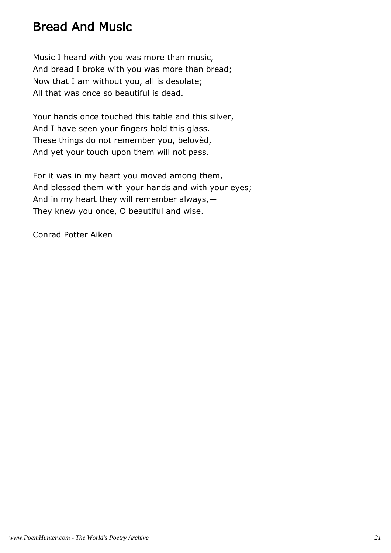# Bread And Music

Music I heard with you was more than music, And bread I broke with you was more than bread; Now that I am without you, all is desolate; All that was once so beautiful is dead.

Your hands once touched this table and this silver, And I have seen your fingers hold this glass. These things do not remember you, belovèd, And yet your touch upon them will not pass.

For it was in my heart you moved among them, And blessed them with your hands and with your eyes; And in my heart they will remember always,— They knew you once, O beautiful and wise.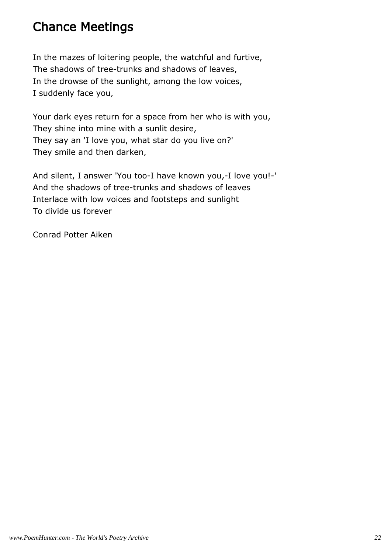# Chance Meetings

In the mazes of loitering people, the watchful and furtive, The shadows of tree-trunks and shadows of leaves, In the drowse of the sunlight, among the low voices, I suddenly face you,

Your dark eyes return for a space from her who is with you, They shine into mine with a sunlit desire, They say an 'I love you, what star do you live on?' They smile and then darken,

And silent, I answer 'You too-I have known you,-I love you!-' And the shadows of tree-trunks and shadows of leaves Interlace with low voices and footsteps and sunlight To divide us forever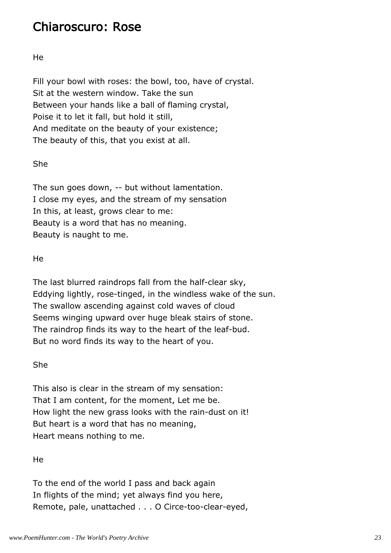# Chiaroscuro: Rose

### He

Fill your bowl with roses: the bowl, too, have of crystal. Sit at the western window. Take the sun Between your hands like a ball of flaming crystal, Poise it to let it fall, but hold it still, And meditate on the beauty of your existence; The beauty of this, that you exist at all.

#### She

The sun goes down, -- but without lamentation. I close my eyes, and the stream of my sensation In this, at least, grows clear to me: Beauty is a word that has no meaning. Beauty is naught to me.

#### He

The last blurred raindrops fall from the half-clear sky, Eddying lightly, rose-tinged, in the windless wake of the sun. The swallow ascending against cold waves of cloud Seems winging upward over huge bleak stairs of stone. The raindrop finds its way to the heart of the leaf-bud. But no word finds its way to the heart of you.

#### She

This also is clear in the stream of my sensation: That I am content, for the moment, Let me be. How light the new grass looks with the rain-dust on it! But heart is a word that has no meaning, Heart means nothing to me.

He

To the end of the world I pass and back again In flights of the mind; yet always find you here, Remote, pale, unattached . . . O Circe-too-clear-eyed,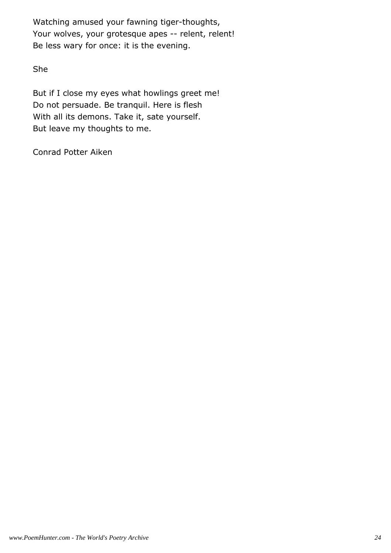Watching amused your fawning tiger-thoughts, Your wolves, your grotesque apes -- relent, relent! Be less wary for once: it is the evening.

She

But if I close my eyes what howlings greet me! Do not persuade. Be tranquil. Here is flesh With all its demons. Take it, sate yourself. But leave my thoughts to me.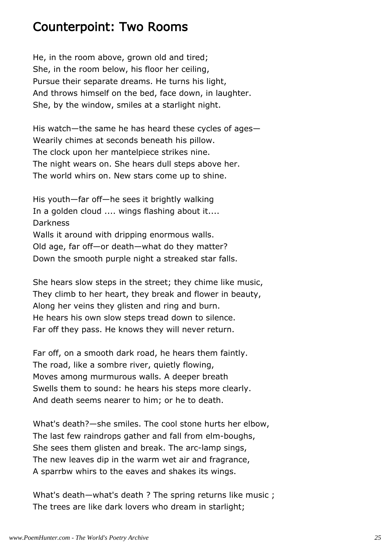### Counterpoint: Two Rooms

He, in the room above, grown old and tired; She, in the room below, his floor her ceiling, Pursue their separate dreams. He turns his light, And throws himself on the bed, face down, in laughter. She, by the window, smiles at a starlight night.

His watch—the same he has heard these cycles of ages— Wearily chimes at seconds beneath his pillow. The clock upon her mantelpiece strikes nine. The night wears on. She hears dull steps above her. The world whirs on. New stars come up to shine.

His youth—far off—he sees it brightly walking In a golden cloud .... wings flashing about it.... **Darkness** Walls it around with dripping enormous walls. Old age, far off—or death—what do they matter? Down the smooth purple night a streaked star falls.

She hears slow steps in the street; they chime like music, They climb to her heart, they break and flower in beauty, Along her veins they glisten and ring and burn. He hears his own slow steps tread down to silence. Far off they pass. He knows they will never return.

Far off, on a smooth dark road, he hears them faintly. The road, like a sombre river, quietly flowing, Moves among murmurous walls. A deeper breath Swells them to sound: he hears his steps more clearly. And death seems nearer to him; or he to death.

What's death?—she smiles. The cool stone hurts her elbow, The last few raindrops gather and fall from elm-boughs, She sees them glisten and break. The arc-lamp sings, The new leaves dip in the warm wet air and fragrance, A sparrbw whirs to the eaves and shakes its wings.

What's death—what's death ? The spring returns like music ; The trees are like dark lovers who dream in starlight;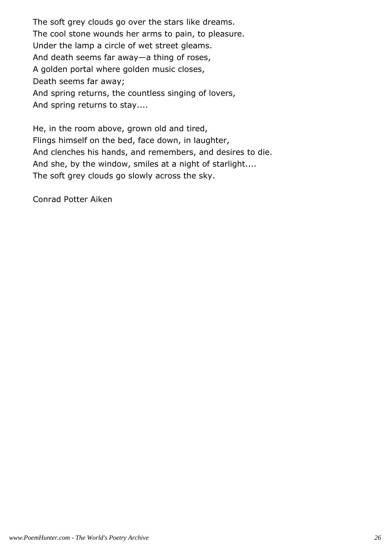The soft grey clouds go over the stars like dreams. The cool stone wounds her arms to pain, to pleasure. Under the lamp a circle of wet street gleams. And death seems far away—a thing of roses, A golden portal where golden music closes, Death seems far away; And spring returns, the countless singing of lovers, And spring returns to stay....

He, in the room above, grown old and tired, Flings himself on the bed, face down, in laughter, And clenches his hands, and remembers, and desires to die. And she, by the window, smiles at a night of starlight.... The soft grey clouds go slowly across the sky.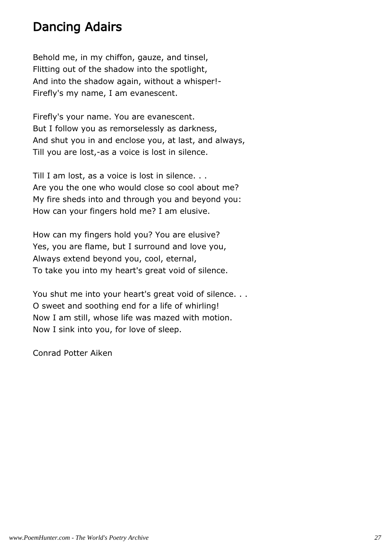### Dancing Adairs

Behold me, in my chiffon, gauze, and tinsel, Flitting out of the shadow into the spotlight, And into the shadow again, without a whisper!- Firefly's my name, I am evanescent.

Firefly's your name. You are evanescent. But I follow you as remorselessly as darkness, And shut you in and enclose you, at last, and always, Till you are lost,-as a voice is lost in silence.

Till I am lost, as a voice is lost in silence. . . Are you the one who would close so cool about me? My fire sheds into and through you and beyond you: How can your fingers hold me? I am elusive.

How can my fingers hold you? You are elusive? Yes, you are flame, but I surround and love you, Always extend beyond you, cool, eternal, To take you into my heart's great void of silence.

You shut me into your heart's great void of silence. . . O sweet and soothing end for a life of whirling! Now I am still, whose life was mazed with motion. Now I sink into you, for love of sleep.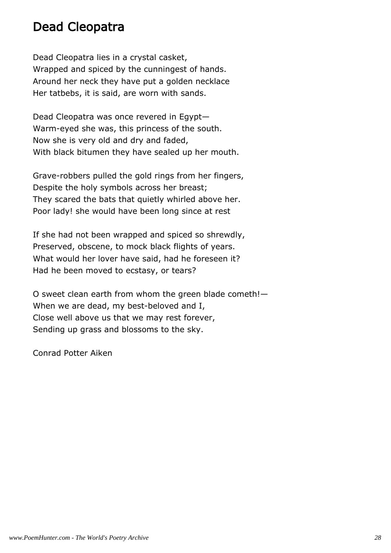### Dead Cleopatra

Dead Cleopatra lies in a crystal casket, Wrapped and spiced by the cunningest of hands. Around her neck they have put a golden necklace Her tatbebs, it is said, are worn with sands.

Dead Cleopatra was once revered in Egypt— Warm-eyed she was, this princess of the south. Now she is very old and dry and faded, With black bitumen they have sealed up her mouth.

Grave-robbers pulled the gold rings from her fingers, Despite the holy symbols across her breast; They scared the bats that quietly whirled above her. Poor lady! she would have been long since at rest

If she had not been wrapped and spiced so shrewdly, Preserved, obscene, to mock black flights of years. What would her lover have said, had he foreseen it? Had he been moved to ecstasy, or tears?

O sweet clean earth from whom the green blade cometh!— When we are dead, my best-beloved and I, Close well above us that we may rest forever, Sending up grass and blossoms to the sky.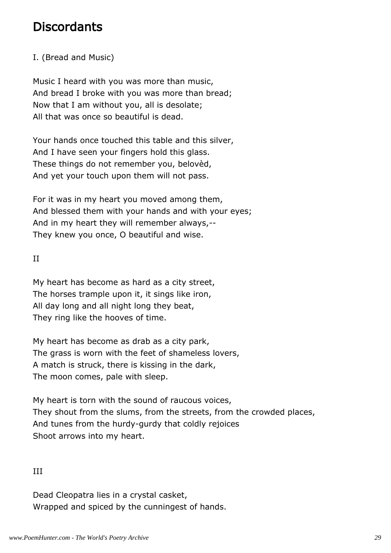# **Discordants**

#### I. (Bread and Music)

Music I heard with you was more than music, And bread I broke with you was more than bread; Now that I am without you, all is desolate; All that was once so beautiful is dead.

Your hands once touched this table and this silver, And I have seen your fingers hold this glass. These things do not remember you, belovèd, And yet your touch upon them will not pass.

For it was in my heart you moved among them, And blessed them with your hands and with your eyes; And in my heart they will remember always,-- They knew you once, O beautiful and wise.

#### II

My heart has become as hard as a city street, The horses trample upon it, it sings like iron, All day long and all night long they beat, They ring like the hooves of time.

My heart has become as drab as a city park, The grass is worn with the feet of shameless lovers, A match is struck, there is kissing in the dark, The moon comes, pale with sleep.

My heart is torn with the sound of raucous voices, They shout from the slums, from the streets, from the crowded places, And tunes from the hurdy-gurdy that coldly rejoices Shoot arrows into my heart.

#### III

Dead Cleopatra lies in a crystal casket, Wrapped and spiced by the cunningest of hands.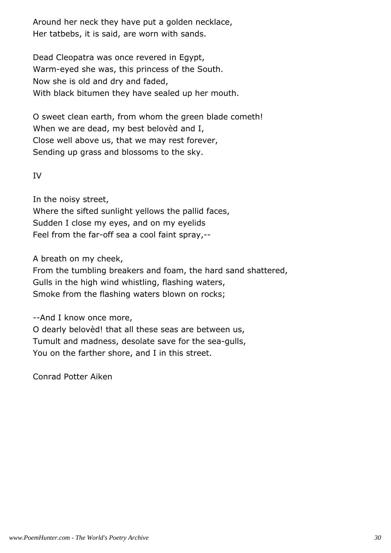Around her neck they have put a golden necklace, Her tatbebs, it is said, are worn with sands.

Dead Cleopatra was once revered in Egypt, Warm-eyed she was, this princess of the South. Now she is old and dry and faded, With black bitumen they have sealed up her mouth.

O sweet clean earth, from whom the green blade cometh! When we are dead, my best belovèd and I, Close well above us, that we may rest forever, Sending up grass and blossoms to the sky.

IV

In the noisy street,

Where the sifted sunlight yellows the pallid faces, Sudden I close my eyes, and on my eyelids Feel from the far-off sea a cool faint spray,--

A breath on my cheek,

From the tumbling breakers and foam, the hard sand shattered, Gulls in the high wind whistling, flashing waters, Smoke from the flashing waters blown on rocks;

--And I know once more,

O dearly belovèd! that all these seas are between us, Tumult and madness, desolate save for the sea-gulls, You on the farther shore, and I in this street.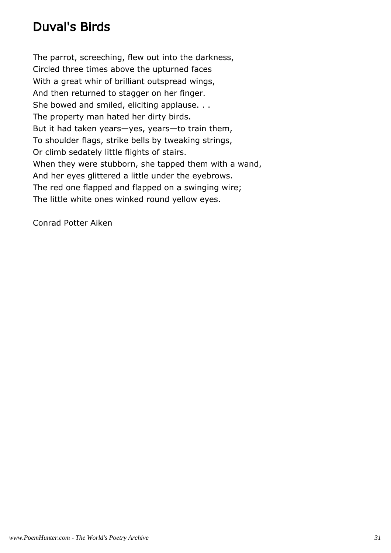# Duval's Birds

The parrot, screeching, flew out into the darkness, Circled three times above the upturned faces With a great whir of brilliant outspread wings, And then returned to stagger on her finger. She bowed and smiled, eliciting applause. . . The property man hated her dirty birds. But it had taken years—yes, years—to train them, To shoulder flags, strike bells by tweaking strings, Or climb sedately little flights of stairs. When they were stubborn, she tapped them with a wand, And her eyes glittered a little under the eyebrows. The red one flapped and flapped on a swinging wire; The little white ones winked round yellow eyes.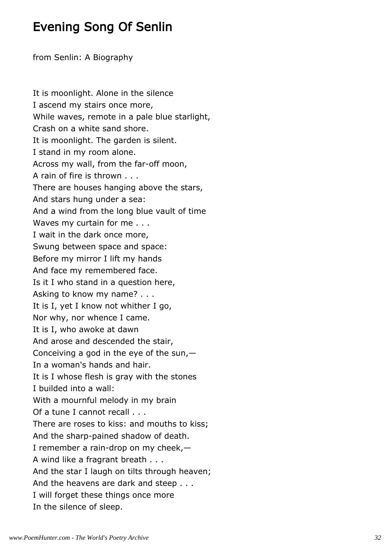### Evening Song Of Senlin

from Senlin: A Biography

It is moonlight. Alone in the silence I ascend my stairs once more, While waves, remote in a pale blue starlight, Crash on a white sand shore. It is moonlight. The garden is silent. I stand in my room alone. Across my wall, from the far-off moon, A rain of fire is thrown . . . There are houses hanging above the stars, And stars hung under a sea: And a wind from the long blue vault of time Waves my curtain for me . . . I wait in the dark once more, Swung between space and space: Before my mirror I lift my hands And face my remembered face. Is it I who stand in a question here, Asking to know my name? . . . It is I, yet I know not whither I go, Nor why, nor whence I came. It is I, who awoke at dawn And arose and descended the stair, Conceiving a god in the eye of the sun, $-$ In a woman's hands and hair. It is I whose flesh is gray with the stones I builded into a wall: With a mournful melody in my brain Of a tune I cannot recall . . . There are roses to kiss: and mouths to kiss; And the sharp-pained shadow of death. I remember a rain-drop on my cheek,— A wind like a fragrant breath . . . And the star I laugh on tilts through heaven; And the heavens are dark and steep . . . I will forget these things once more In the silence of sleep.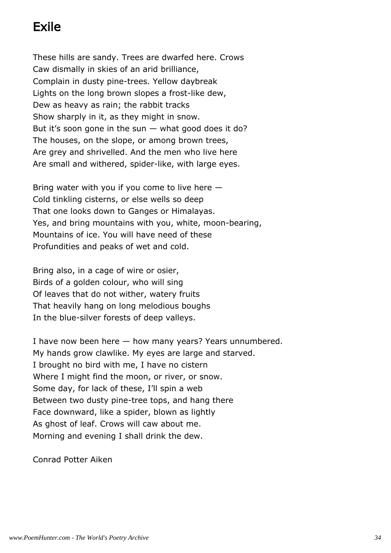# Exile

These hills are sandy. Trees are dwarfed here. Crows Caw dismally in skies of an arid brilliance, Complain in dusty pine-trees. Yellow daybreak Lights on the long brown slopes a frost-like dew, Dew as heavy as rain; the rabbit tracks Show sharply in it, as they might in snow. But it's soon gone in the sun  $-$  what good does it do? The houses, on the slope, or among brown trees, Are grey and shrivelled. And the men who live here Are small and withered, spider-like, with large eyes.

Bring water with you if you come to live here — Cold tinkling cisterns, or else wells so deep That one looks down to Ganges or Himalayas. Yes, and bring mountains with you, white, moon-bearing, Mountains of ice. You will have need of these Profundities and peaks of wet and cold.

Bring also, in a cage of wire or osier, Birds of a golden colour, who will sing Of leaves that do not wither, watery fruits That heavily hang on long melodious boughs In the blue-silver forests of deep valleys.

I have now been here — how many years? Years unnumbered. My hands grow clawlike. My eyes are large and starved. I brought no bird with me, I have no cistern Where I might find the moon, or river, or snow. Some day, for lack of these, I'll spin a web Between two dusty pine-tree tops, and hang there Face downward, like a spider, blown as lightly As ghost of leaf. Crows will caw about me. Morning and evening I shall drink the dew.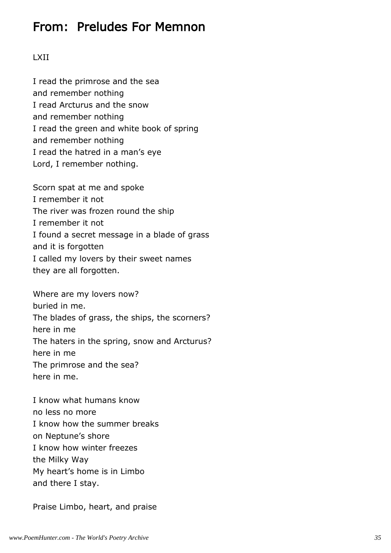### From: Preludes For Memnon

#### LXII

I read the primrose and the sea and remember nothing I read Arcturus and the snow and remember nothing I read the green and white book of spring and remember nothing I read the hatred in a man's eye Lord, I remember nothing.

Scorn spat at me and spoke I remember it not The river was frozen round the ship I remember it not I found a secret message in a blade of grass and it is forgotten I called my lovers by their sweet names they are all forgotten.

Where are my lovers now? buried in me. The blades of grass, the ships, the scorners? here in me The haters in the spring, snow and Arcturus? here in me The primrose and the sea? here in me.

I know what humans know no less no more I know how the summer breaks on Neptune's shore I know how winter freezes the Milky Way My heart's home is in Limbo and there I stay.

Praise Limbo, heart, and praise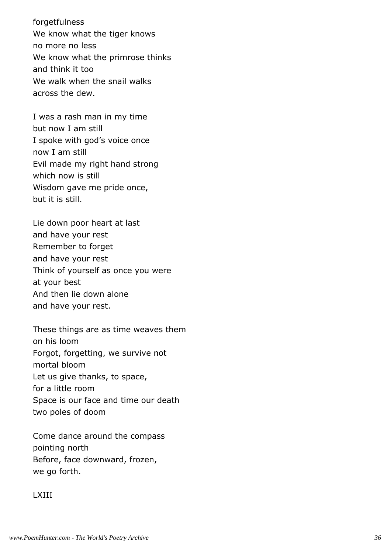forgetfulness We know what the tiger knows no more no less We know what the primrose thinks and think it too We walk when the snail walks across the dew.

I was a rash man in my time but now I am still I spoke with god's voice once now I am still Evil made my right hand strong which now is still Wisdom gave me pride once, but it is still.

Lie down poor heart at last and have your rest Remember to forget and have your rest Think of yourself as once you were at your best And then lie down alone and have your rest.

These things are as time weaves them on his loom Forgot, forgetting, we survive not mortal bloom Let us give thanks, to space, for a little room Space is our face and time our death two poles of doom

Come dance around the compass pointing north Before, face downward, frozen, we go forth.

#### LXIII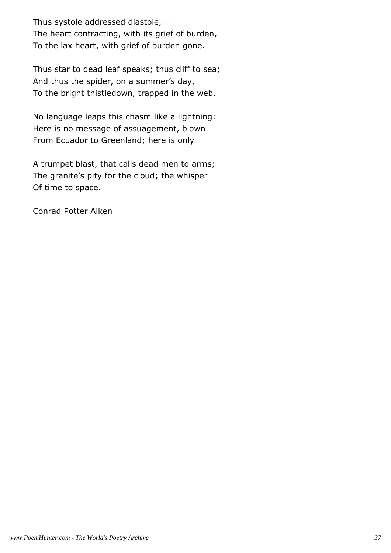Thus systole addressed diastole,— The heart contracting, with its grief of burden, To the lax heart, with grief of burden gone.

Thus star to dead leaf speaks; thus cliff to sea; And thus the spider, on a summer's day, To the bright thistledown, trapped in the web.

No language leaps this chasm like a lightning: Here is no message of assuagement, blown From Ecuador to Greenland; here is only

A trumpet blast, that calls dead men to arms; The granite's pity for the cloud; the whisper Of time to space.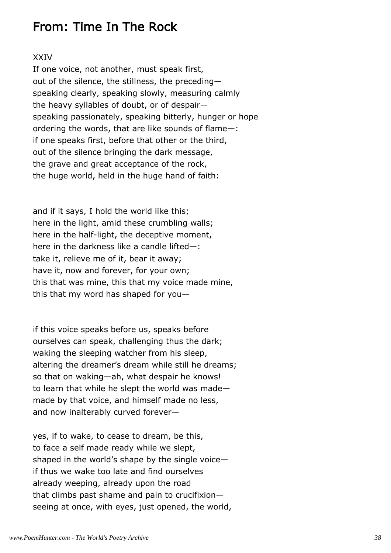### From: Time In The Rock

#### XXIV

If one voice, not another, must speak first, out of the silence, the stillness, the preceding speaking clearly, speaking slowly, measuring calmly the heavy syllables of doubt, or of despair speaking passionately, speaking bitterly, hunger or hope ordering the words, that are like sounds of flame—: if one speaks first, before that other or the third, out of the silence bringing the dark message, the grave and great acceptance of the rock, the huge world, held in the huge hand of faith:

and if it says, I hold the world like this; here in the light, amid these crumbling walls; here in the half-light, the deceptive moment, here in the darkness like a candle lifted—: take it, relieve me of it, bear it away; have it, now and forever, for your own; this that was mine, this that my voice made mine, this that my word has shaped for you—

if this voice speaks before us, speaks before ourselves can speak, challenging thus the dark; waking the sleeping watcher from his sleep, altering the dreamer's dream while still he dreams; so that on waking—ah, what despair he knows! to learn that while he slept the world was made made by that voice, and himself made no less, and now inalterably curved forever—

yes, if to wake, to cease to dream, be this, to face a self made ready while we slept, shaped in the world's shape by the single voice if thus we wake too late and find ourselves already weeping, already upon the road that climbs past shame and pain to crucifixion seeing at once, with eyes, just opened, the world,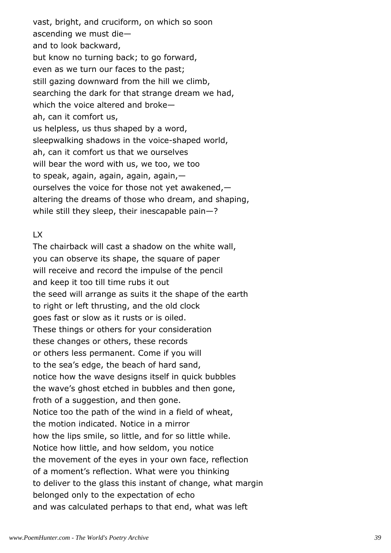vast, bright, and cruciform, on which so soon ascending we must die and to look backward, but know no turning back; to go forward, even as we turn our faces to the past; still gazing downward from the hill we climb, searching the dark for that strange dream we had, which the voice altered and broke ah, can it comfort us, us helpless, us thus shaped by a word, sleepwalking shadows in the voice-shaped world, ah, can it comfort us that we ourselves will bear the word with us, we too, we too to speak, again, again, again, again, ourselves the voice for those not yet awakened, altering the dreams of those who dream, and shaping, while still they sleep, their inescapable pain—?

#### LX

The chairback will cast a shadow on the white wall, you can observe its shape, the square of paper will receive and record the impulse of the pencil and keep it too till time rubs it out the seed will arrange as suits it the shape of the earth to right or left thrusting, and the old clock goes fast or slow as it rusts or is oiled. These things or others for your consideration these changes or others, these records or others less permanent. Come if you will to the sea's edge, the beach of hard sand, notice how the wave designs itself in quick bubbles the wave's ghost etched in bubbles and then gone, froth of a suggestion, and then gone. Notice too the path of the wind in a field of wheat, the motion indicated. Notice in a mirror how the lips smile, so little, and for so little while. Notice how little, and how seldom, you notice the movement of the eyes in your own face, reflection of a moment's reflection. What were you thinking to deliver to the glass this instant of change, what margin belonged only to the expectation of echo and was calculated perhaps to that end, what was left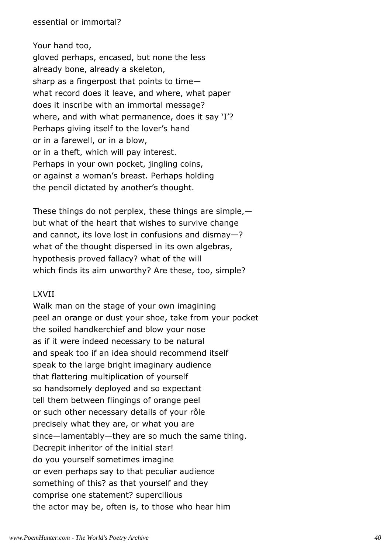#### Your hand too,

gloved perhaps, encased, but none the less already bone, already a skeleton, sharp as a fingerpost that points to time what record does it leave, and where, what paper does it inscribe with an immortal message? where, and with what permanence, does it say 'I'? Perhaps giving itself to the lover's hand or in a farewell, or in a blow, or in a theft, which will pay interest. Perhaps in your own pocket, jingling coins, or against a woman's breast. Perhaps holding the pencil dictated by another's thought.

These things do not perplex, these things are simple, but what of the heart that wishes to survive change and cannot, its love lost in confusions and dismay—? what of the thought dispersed in its own algebras, hypothesis proved fallacy? what of the will which finds its aim unworthy? Are these, too, simple?

#### LXVII

Walk man on the stage of your own imagining peel an orange or dust your shoe, take from your pocket the soiled handkerchief and blow your nose as if it were indeed necessary to be natural and speak too if an idea should recommend itself speak to the large bright imaginary audience that flattering multiplication of yourself so handsomely deployed and so expectant tell them between flingings of orange peel or such other necessary details of your rôle precisely what they are, or what you are since—lamentably—they are so much the same thing. Decrepit inheritor of the initial star! do you yourself sometimes imagine or even perhaps say to that peculiar audience something of this? as that yourself and they comprise one statement? supercilious the actor may be, often is, to those who hear him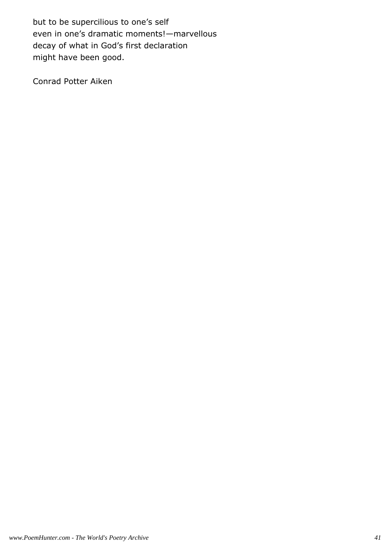but to be supercilious to one's self even in one's dramatic moments!—marvellous decay of what in God's first declaration might have been good.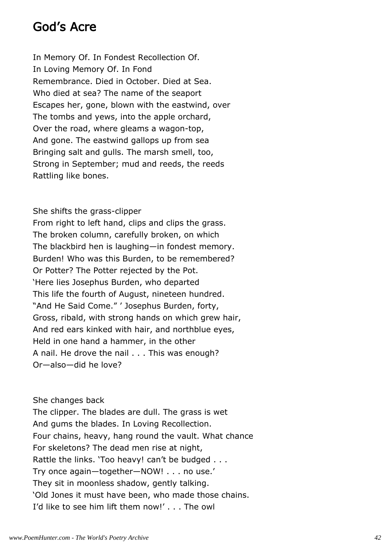### God's Acre

In Memory Of. In Fondest Recollection Of. In Loving Memory Of. In Fond Remembrance. Died in October. Died at Sea. Who died at sea? The name of the seaport Escapes her, gone, blown with the eastwind, over The tombs and yews, into the apple orchard, Over the road, where gleams a wagon-top, And gone. The eastwind gallops up from sea Bringing salt and gulls. The marsh smell, too, Strong in September; mud and reeds, the reeds Rattling like bones.

She shifts the grass-clipper

From right to left hand, clips and clips the grass. The broken column, carefully broken, on which The blackbird hen is laughing—in fondest memory. Burden! Who was this Burden, to be remembered? Or Potter? The Potter rejected by the Pot. 'Here lies Josephus Burden, who departed This life the fourth of August, nineteen hundred. "And He Said Come." ' Josephus Burden, forty, Gross, ribald, with strong hands on which grew hair, And red ears kinked with hair, and northblue eyes, Held in one hand a hammer, in the other A nail. He drove the nail . . . This was enough? Or—also—did he love?

She changes back The clipper. The blades are dull. The grass is wet And gums the blades. In Loving Recollection. Four chains, heavy, hang round the vault. What chance For skeletons? The dead men rise at night, Rattle the links. 'Too heavy! can't be budged . . . Try once again—together—NOW! . . . no use.' They sit in moonless shadow, gently talking. 'Old Jones it must have been, who made those chains. I'd like to see him lift them now!' . . . The owl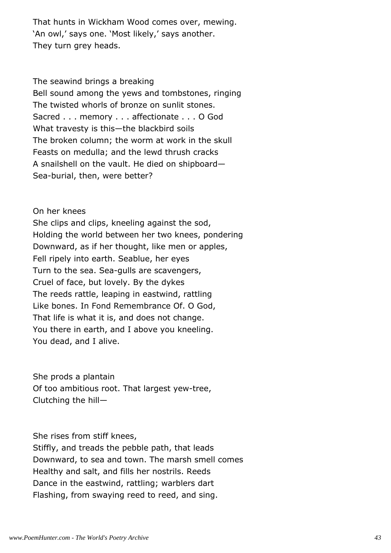That hunts in Wickham Wood comes over, mewing. 'An owl,' says one. 'Most likely,' says another. They turn grey heads.

The seawind brings a breaking Bell sound among the yews and tombstones, ringing The twisted whorls of bronze on sunlit stones. Sacred . . . memory . . . affectionate . . . O God What travesty is this—the blackbird soils The broken column; the worm at work in the skull Feasts on medulla; and the lewd thrush cracks A snailshell on the vault. He died on shipboard— Sea-burial, then, were better?

On her knees She clips and clips, kneeling against the sod, Holding the world between her two knees, pondering Downward, as if her thought, like men or apples, Fell ripely into earth. Seablue, her eyes Turn to the sea. Sea-gulls are scavengers, Cruel of face, but lovely. By the dykes The reeds rattle, leaping in eastwind, rattling Like bones. In Fond Remembrance Of. O God, That life is what it is, and does not change. You there in earth, and I above you kneeling. You dead, and I alive.

She prods a plantain Of too ambitious root. That largest yew-tree, Clutching the hill—

She rises from stiff knees,

Stiffly, and treads the pebble path, that leads Downward, to sea and town. The marsh smell comes Healthy and salt, and fills her nostrils. Reeds Dance in the eastwind, rattling; warblers dart Flashing, from swaying reed to reed, and sing.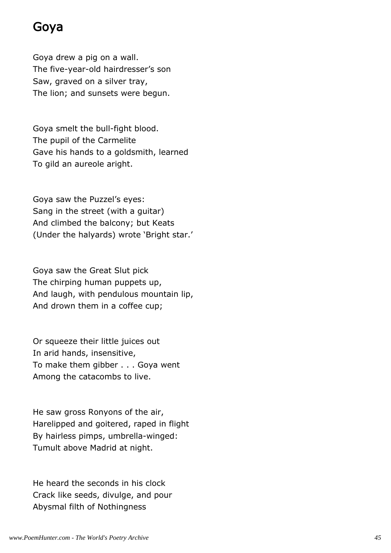### Goya

Goya drew a pig on a wall. The five-year-old hairdresser's son Saw, graved on a silver tray, The lion; and sunsets were begun.

Goya smelt the bull-fight blood. The pupil of the Carmelite Gave his hands to a goldsmith, learned To gild an aureole aright.

Goya saw the Puzzel's eyes: Sang in the street (with a guitar) And climbed the balcony; but Keats (Under the halyards) wrote 'Bright star.'

Goya saw the Great Slut pick The chirping human puppets up, And laugh, with pendulous mountain lip, And drown them in a coffee cup;

Or squeeze their little juices out In arid hands, insensitive, To make them gibber . . . Goya went Among the catacombs to live.

He saw gross Ronyons of the air, Harelipped and goitered, raped in flight By hairless pimps, umbrella-winged: Tumult above Madrid at night.

He heard the seconds in his clock Crack like seeds, divulge, and pour Abysmal filth of Nothingness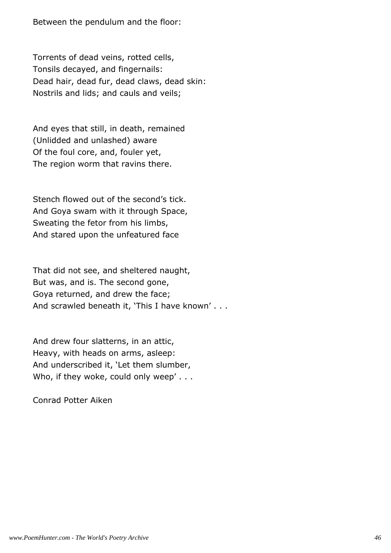Between the pendulum and the floor:

Torrents of dead veins, rotted cells, Tonsils decayed, and fingernails: Dead hair, dead fur, dead claws, dead skin: Nostrils and lids; and cauls and veils;

And eyes that still, in death, remained (Unlidded and unlashed) aware Of the foul core, and, fouler yet, The region worm that ravins there.

Stench flowed out of the second's tick. And Goya swam with it through Space, Sweating the fetor from his limbs, And stared upon the unfeatured face

That did not see, and sheltered naught, But was, and is. The second gone, Goya returned, and drew the face; And scrawled beneath it, 'This I have known' . . .

And drew four slatterns, in an attic, Heavy, with heads on arms, asleep: And underscribed it, 'Let them slumber, Who, if they woke, could only weep' . . .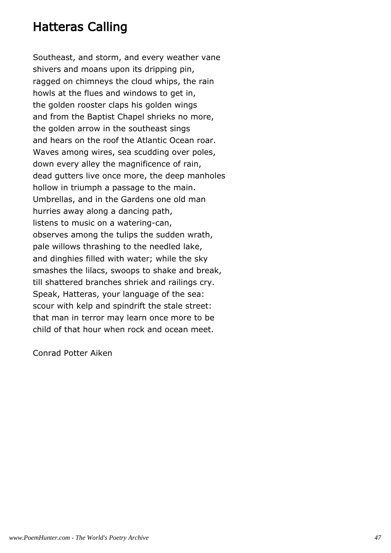### Hatteras Calling

Southeast, and storm, and every weather vane shivers and moans upon its dripping pin, ragged on chimneys the cloud whips, the rain howls at the flues and windows to get in, the golden rooster claps his golden wings and from the Baptist Chapel shrieks no more, the golden arrow in the southeast sings and hears on the roof the Atlantic Ocean roar. Waves among wires, sea scudding over poles, down every alley the magnificence of rain, dead gutters live once more, the deep manholes hollow in triumph a passage to the main. Umbrellas, and in the Gardens one old man hurries away along a dancing path, listens to music on a watering-can, observes among the tulips the sudden wrath, pale willows thrashing to the needled lake, and dinghies filled with water; while the sky smashes the lilacs, swoops to shake and break, till shattered branches shriek and railings cry. Speak, Hatteras, your language of the sea: scour with kelp and spindrift the stale street: that man in terror may learn once more to be child of that hour when rock and ocean meet.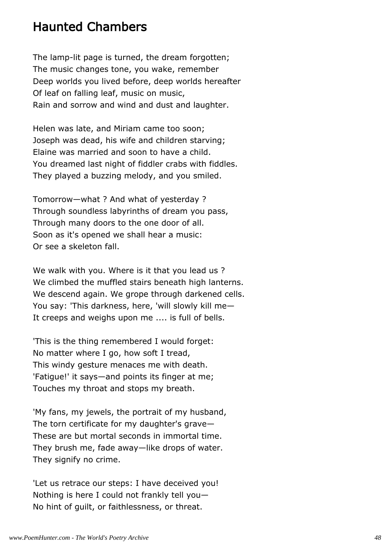### Haunted Chambers

The lamp-lit page is turned, the dream forgotten; The music changes tone, you wake, remember Deep worlds you lived before, deep worlds hereafter Of leaf on falling leaf, music on music, Rain and sorrow and wind and dust and laughter.

Helen was late, and Miriam came too soon; Joseph was dead, his wife and children starving; Elaine was married and soon to have a child. You dreamed last night of fiddler crabs with fiddles. They played a buzzing melody, and you smiled.

Tomorrow—what ? And what of yesterday ? Through soundless labyrinths of dream you pass, Through many doors to the one door of all. Soon as it's opened we shall hear a music: Or see a skeleton fall.

We walk with you. Where is it that you lead us ? We climbed the muffled stairs beneath high lanterns. We descend again. We grope through darkened cells. You say: 'This darkness, here, 'will slowly kill me— It creeps and weighs upon me .... is full of bells.

'This is the thing remembered I would forget: No matter where I go, how soft I tread, This windy gesture menaces me with death. 'Fatigue!' it says—and points its finger at me; Touches my throat and stops my breath.

'My fans, my jewels, the portrait of my husband, The torn certificate for my daughter's grave— These are but mortal seconds in immortal time. They brush me, fade away—like drops of water. They signify no crime.

'Let us retrace our steps: I have deceived you! Nothing is here I could not frankly tell you— No hint of guilt, or faithlessness, or threat.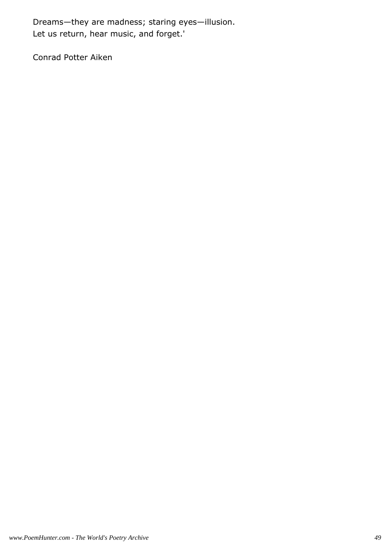Dreams—they are madness; staring eyes—illusion. Let us return, hear music, and forget.'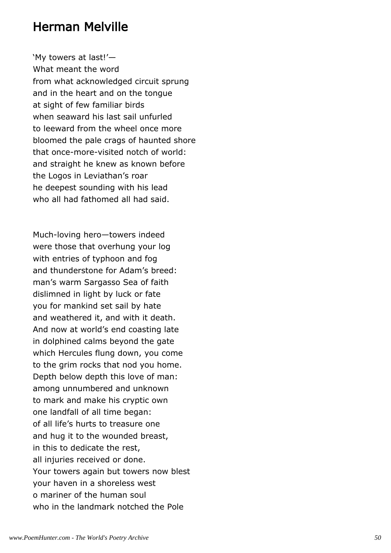### Herman Melville

'My towers at last!'— What meant the word from what acknowledged circuit sprung and in the heart and on the tongue at sight of few familiar birds when seaward his last sail unfurled to leeward from the wheel once more bloomed the pale crags of haunted shore that once-more-visited notch of world: and straight he knew as known before the Logos in Leviathan's roar he deepest sounding with his lead who all had fathomed all had said.

Much-loving hero—towers indeed were those that overhung your log with entries of typhoon and fog and thunderstone for Adam's breed: man's warm Sargasso Sea of faith dislimned in light by luck or fate you for mankind set sail by hate and weathered it, and with it death. And now at world's end coasting late in dolphined calms beyond the gate which Hercules flung down, you come to the grim rocks that nod you home. Depth below depth this love of man: among unnumbered and unknown to mark and make his cryptic own one landfall of all time began: of all life's hurts to treasure one and hug it to the wounded breast, in this to dedicate the rest, all injuries received or done. Your towers again but towers now blest your haven in a shoreless west o mariner of the human soul who in the landmark notched the Pole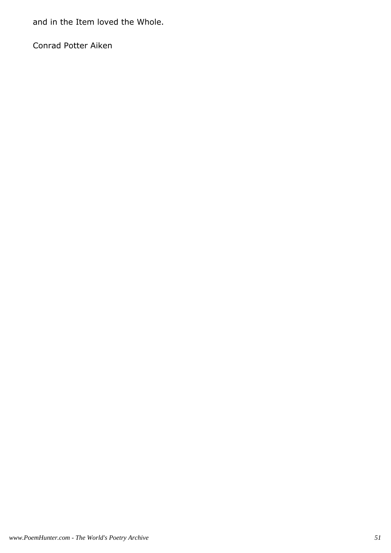and in the Item loved the Whole.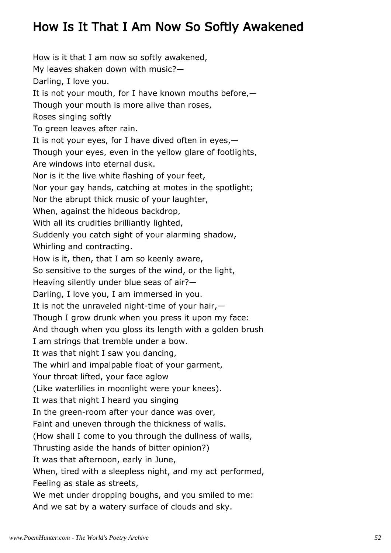## How Is It That I Am Now So Softly Awakened

How is it that I am now so softly awakened, My leaves shaken down with music?— Darling, I love you. It is not your mouth, for I have known mouths before,— Though your mouth is more alive than roses, Roses singing softly To green leaves after rain. It is not your eyes, for I have dived often in eyes,— Though your eyes, even in the yellow glare of footlights, Are windows into eternal dusk. Nor is it the live white flashing of your feet, Nor your gay hands, catching at motes in the spotlight; Nor the abrupt thick music of your laughter, When, against the hideous backdrop, With all its crudities brilliantly lighted, Suddenly you catch sight of your alarming shadow, Whirling and contracting. How is it, then, that I am so keenly aware, So sensitive to the surges of the wind, or the light, Heaving silently under blue seas of air?— Darling, I love you, I am immersed in you. It is not the unraveled night-time of your hair, $-$ Though I grow drunk when you press it upon my face: And though when you gloss its length with a golden brush I am strings that tremble under a bow. It was that night I saw you dancing, The whirl and impalpable float of your garment, Your throat lifted, your face aglow (Like waterlilies in moonlight were your knees). It was that night I heard you singing In the green-room after your dance was over, Faint and uneven through the thickness of walls. (How shall I come to you through the dullness of walls, Thrusting aside the hands of bitter opinion?) It was that afternoon, early in June, When, tired with a sleepless night, and my act performed, Feeling as stale as streets, We met under dropping boughs, and you smiled to me: And we sat by a watery surface of clouds and sky.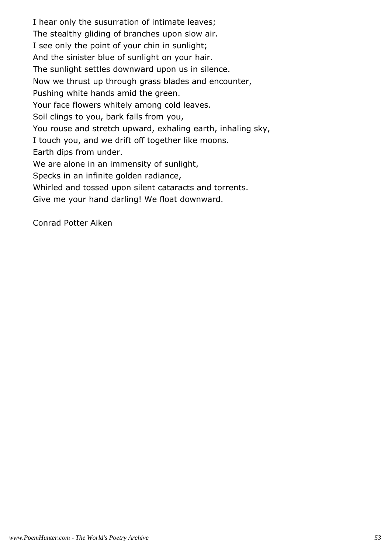I hear only the susurration of intimate leaves; The stealthy gliding of branches upon slow air. I see only the point of your chin in sunlight; And the sinister blue of sunlight on your hair. The sunlight settles downward upon us in silence. Now we thrust up through grass blades and encounter, Pushing white hands amid the green. Your face flowers whitely among cold leaves. Soil clings to you, bark falls from you, You rouse and stretch upward, exhaling earth, inhaling sky, I touch you, and we drift off together like moons. Earth dips from under. We are alone in an immensity of sunlight, Specks in an infinite golden radiance, Whirled and tossed upon silent cataracts and torrents. Give me your hand darling! We float downward.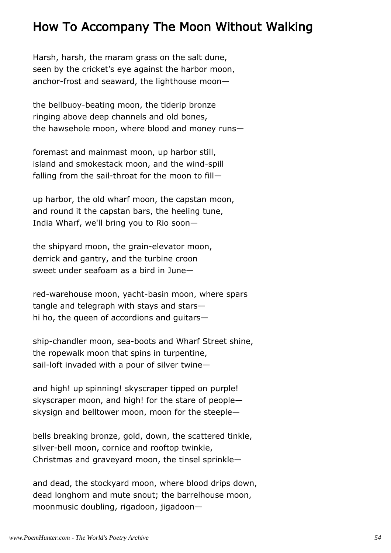### How To Accompany The Moon Without Walking

Harsh, harsh, the maram grass on the salt dune, seen by the cricket's eye against the harbor moon, anchor-frost and seaward, the lighthouse moon—

the bellbuoy-beating moon, the tiderip bronze ringing above deep channels and old bones, the hawsehole moon, where blood and money runs—

foremast and mainmast moon, up harbor still, island and smokestack moon, and the wind-spill falling from the sail-throat for the moon to fill—

up harbor, the old wharf moon, the capstan moon, and round it the capstan bars, the heeling tune, India Wharf, we'll bring you to Rio soon—

the shipyard moon, the grain-elevator moon, derrick and gantry, and the turbine croon sweet under seafoam as a bird in June—

red-warehouse moon, yacht-basin moon, where spars tangle and telegraph with stays and stars hi ho, the queen of accordions and guitars—

ship-chandler moon, sea-boots and Wharf Street shine, the ropewalk moon that spins in turpentine, sail-loft invaded with a pour of silver twine—

and high! up spinning! skyscraper tipped on purple! skyscraper moon, and high! for the stare of people skysign and belltower moon, moon for the steeple—

bells breaking bronze, gold, down, the scattered tinkle, silver-bell moon, cornice and rooftop twinkle, Christmas and graveyard moon, the tinsel sprinkle—

and dead, the stockyard moon, where blood drips down, dead longhorn and mute snout; the barrelhouse moon, moonmusic doubling, rigadoon, jigadoon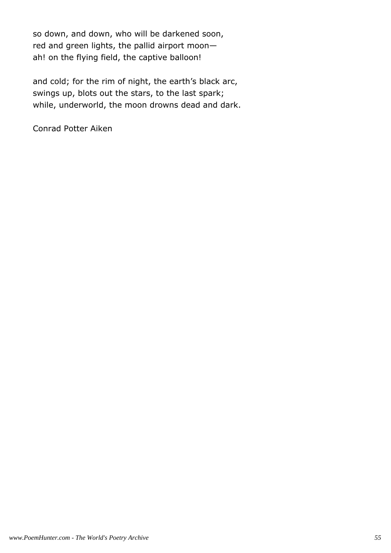so down, and down, who will be darkened soon, red and green lights, the pallid airport moon ah! on the flying field, the captive balloon!

and cold; for the rim of night, the earth's black arc, swings up, blots out the stars, to the last spark; while, underworld, the moon drowns dead and dark.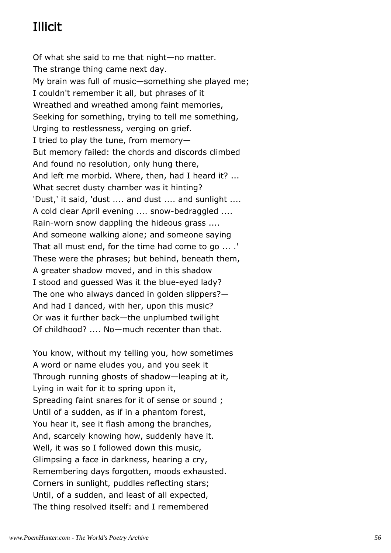## Illicit

Of what she said to me that night—no matter. The strange thing came next day. My brain was full of music—something she played me; I couldn't remember it all, but phrases of it Wreathed and wreathed among faint memories, Seeking for something, trying to tell me something, Urging to restlessness, verging on grief. I tried to play the tune, from memory— But memory failed: the chords and discords climbed And found no resolution, only hung there, And left me morbid. Where, then, had I heard it? ... What secret dusty chamber was it hinting? 'Dust,' it said, 'dust .... and dust .... and sunlight .... A cold clear April evening .... snow-bedraggled .... Rain-worn snow dappling the hideous grass .... And someone walking alone; and someone saying That all must end, for the time had come to go ... .' These were the phrases; but behind, beneath them, A greater shadow moved, and in this shadow I stood and guessed Was it the blue-eyed lady? The one who always danced in golden slippers?— And had I danced, with her, upon this music? Or was it further back—the unplumbed twilight Of childhood? .... No—much recenter than that.

You know, without my telling you, how sometimes A word or name eludes you, and you seek it Through running ghosts of shadow—leaping at it, Lying in wait for it to spring upon it, Spreading faint snares for it of sense or sound ; Until of a sudden, as if in a phantom forest, You hear it, see it flash among the branches, And, scarcely knowing how, suddenly have it. Well, it was so I followed down this music, Glimpsing a face in darkness, hearing a cry, Remembering days forgotten, moods exhausted. Corners in sunlight, puddles reflecting stars; Until, of a sudden, and least of all expected, The thing resolved itself: and I remembered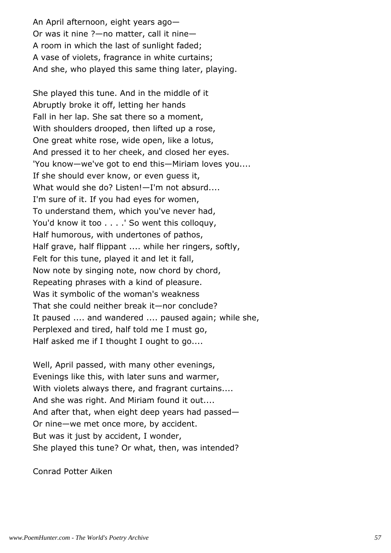An April afternoon, eight years ago— Or was it nine ?—no matter, call it nine— A room in which the last of sunlight faded; A vase of violets, fragrance in white curtains; And she, who played this same thing later, playing.

She played this tune. And in the middle of it Abruptly broke it off, letting her hands Fall in her lap. She sat there so a moment, With shoulders drooped, then lifted up a rose, One great white rose, wide open, like a lotus, And pressed it to her cheek, and closed her eyes. 'You know—we've got to end this—Miriam loves you.... If she should ever know, or even guess it, What would she do? Listen!—I'm not absurd.... I'm sure of it. If you had eyes for women, To understand them, which you've never had, You'd know it too . . . .' So went this colloquy, Half humorous, with undertones of pathos, Half grave, half flippant .... while her ringers, softly, Felt for this tune, played it and let it fall, Now note by singing note, now chord by chord, Repeating phrases with a kind of pleasure. Was it symbolic of the woman's weakness That she could neither break it—nor conclude? It paused .... and wandered .... paused again; while she, Perplexed and tired, half told me I must go, Half asked me if I thought I ought to go....

Well, April passed, with many other evenings, Evenings like this, with later suns and warmer, With violets always there, and fragrant curtains.... And she was right. And Miriam found it out.... And after that, when eight deep years had passed— Or nine—we met once more, by accident. But was it just by accident, I wonder, She played this tune? Or what, then, was intended?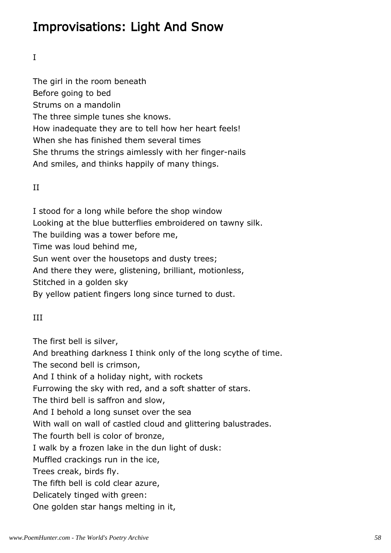#### I

The girl in the room beneath Before going to bed Strums on a mandolin The three simple tunes she knows. How inadequate they are to tell how her heart feels! When she has finished them several times She thrums the strings aimlessly with her finger-nails And smiles, and thinks happily of many things.

#### II

I stood for a long while before the shop window Looking at the blue butterflies embroidered on tawny silk. The building was a tower before me, Time was loud behind me, Sun went over the housetops and dusty trees; And there they were, glistening, brilliant, motionless, Stitched in a golden sky By yellow patient fingers long since turned to dust.

#### III

The first bell is silver,

And breathing darkness I think only of the long scythe of time. The second bell is crimson, And I think of a holiday night, with rockets Furrowing the sky with red, and a soft shatter of stars. The third bell is saffron and slow, And I behold a long sunset over the sea With wall on wall of castled cloud and glittering balustrades. The fourth bell is color of bronze, I walk by a frozen lake in the dun light of dusk: Muffled crackings run in the ice, Trees creak, birds fly. The fifth bell is cold clear azure, Delicately tinged with green: One golden star hangs melting in it,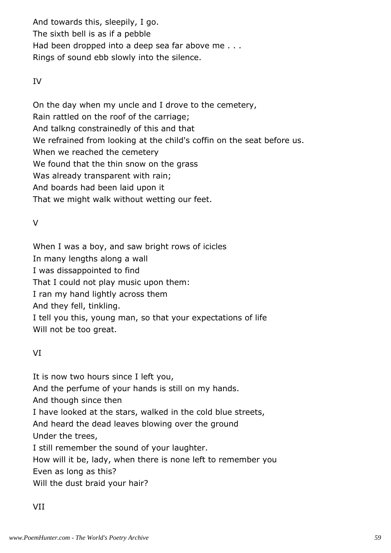And towards this, sleepily, I go. The sixth bell is as if a pebble Had been dropped into a deep sea far above me . . . Rings of sound ebb slowly into the silence.

IV

On the day when my uncle and I drove to the cemetery, Rain rattled on the roof of the carriage; And talkng constrainedly of this and that We refrained from looking at the child's coffin on the seat before us. When we reached the cemetery We found that the thin snow on the grass Was already transparent with rain; And boards had been laid upon it That we might walk without wetting our feet.

V

When I was a boy, and saw bright rows of icicles In many lengths along a wall I was dissappointed to find That I could not play music upon them: I ran my hand lightly across them And they fell, tinkling. I tell you this, young man, so that your expectations of life Will not be too great.

VI

It is now two hours since I left you, And the perfume of your hands is still on my hands. And though since then I have looked at the stars, walked in the cold blue streets, And heard the dead leaves blowing over the ground Under the trees, I still remember the sound of your laughter. How will it be, lady, when there is none left to remember you Even as long as this? Will the dust braid your hair?

VII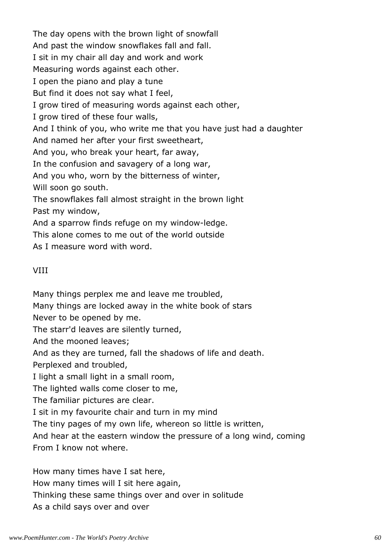The day opens with the brown light of snowfall And past the window snowflakes fall and fall. I sit in my chair all day and work and work Measuring words against each other. I open the piano and play a tune But find it does not say what I feel, I grow tired of measuring words against each other, I grow tired of these four walls, And I think of you, who write me that you have just had a daughter And named her after your first sweetheart, And you, who break your heart, far away, In the confusion and savagery of a long war, And you who, worn by the bitterness of winter, Will soon go south. The snowflakes fall almost straight in the brown light Past my window, And a sparrow finds refuge on my window-ledge. This alone comes to me out of the world outside

As I measure word with word.

### VIII

Many things perplex me and leave me troubled,

Many things are locked away in the white book of stars

Never to be opened by me.

The starr'd leaves are silently turned,

And the mooned leaves;

And as they are turned, fall the shadows of life and death.

Perplexed and troubled,

I light a small light in a small room,

The lighted walls come closer to me,

The familiar pictures are clear.

I sit in my favourite chair and turn in my mind

The tiny pages of my own life, whereon so little is written,

And hear at the eastern window the pressure of a long wind, coming From I know not where.

How many times have I sat here, How many times will I sit here again, Thinking these same things over and over in solitude As a child says over and over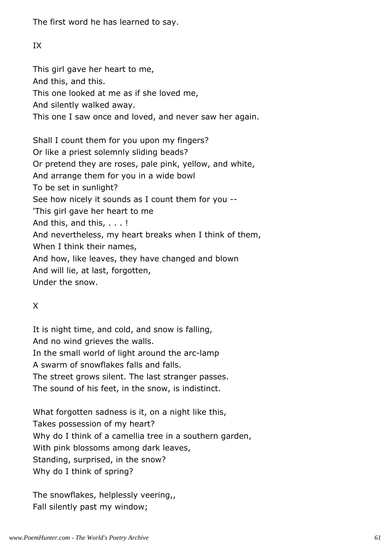The first word he has learned to say.

IX

This girl gave her heart to me, And this, and this. This one looked at me as if she loved me, And silently walked away. This one I saw once and loved, and never saw her again.

Shall I count them for you upon my fingers? Or like a priest solemnly sliding beads? Or pretend they are roses, pale pink, yellow, and white, And arrange them for you in a wide bowl To be set in sunlight? See how nicely it sounds as I count them for you -- 'This girl gave her heart to me And this, and this, . . . ! And nevertheless, my heart breaks when I think of them, When I think their names, And how, like leaves, they have changed and blown And will lie, at last, forgotten, Under the snow.

### X

It is night time, and cold, and snow is falling, And no wind grieves the walls. In the small world of light around the arc-lamp A swarm of snowflakes falls and falls. The street grows silent. The last stranger passes. The sound of his feet, in the snow, is indistinct.

What forgotten sadness is it, on a night like this, Takes possession of my heart? Why do I think of a camellia tree in a southern garden, With pink blossoms among dark leaves, Standing, surprised, in the snow? Why do I think of spring?

The snowflakes, helplessly veering,, Fall silently past my window;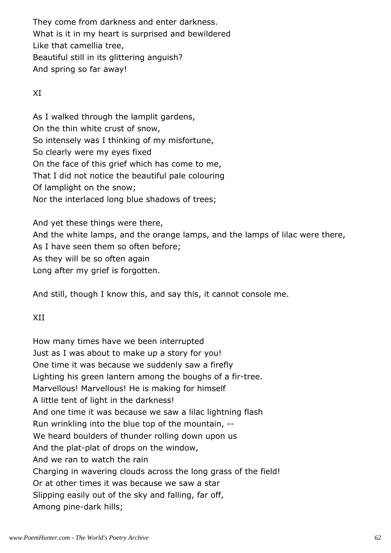They come from darkness and enter darkness. What is it in my heart is surprised and bewildered Like that camellia tree, Beautiful still in its glittering anguish? And spring so far away!

### XI

As I walked through the lamplit gardens, On the thin white crust of snow, So intensely was I thinking of my misfortune, So clearly were my eyes fixed On the face of this grief which has come to me, That I did not notice the beautiful pale colouring Of lamplight on the snow; Nor the interlaced long blue shadows of trees;

And yet these things were there, And the white lamps, and the orange lamps, and the lamps of lilac were there, As I have seen them so often before; As they will be so often again Long after my grief is forgotten.

And still, though I know this, and say this, it cannot console me.

#### XII

How many times have we been interrupted Just as I was about to make up a story for you! One time it was because we suddenly saw a firefly Lighting his green lantern among the boughs of a fir-tree. Marvellous! Marvellous! He is making for himself A little tent of light in the darkness! And one time it was because we saw a lilac lightning flash Run wrinkling into the blue top of the mountain, -- We heard boulders of thunder rolling down upon us And the plat-plat of drops on the window, And we ran to watch the rain Charging in wavering clouds across the long grass of the field! Or at other times it was because we saw a star Slipping easily out of the sky and falling, far off, Among pine-dark hills;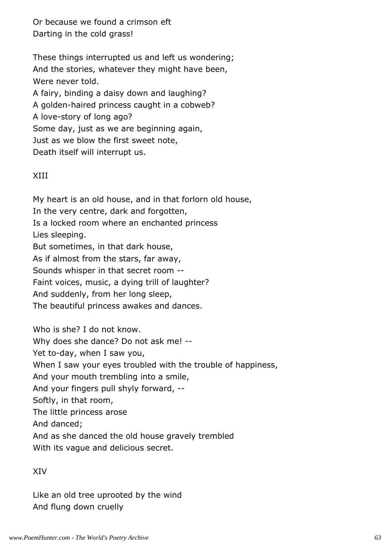Or because we found a crimson eft Darting in the cold grass!

These things interrupted us and left us wondering; And the stories, whatever they might have been, Were never told. A fairy, binding a daisy down and laughing? A golden-haired princess caught in a cobweb? A love-story of long ago? Some day, just as we are beginning again, Just as we blow the first sweet note, Death itself will interrupt us.

#### XIII

My heart is an old house, and in that forlorn old house, In the very centre, dark and forgotten, Is a locked room where an enchanted princess Lies sleeping. But sometimes, in that dark house, As if almost from the stars, far away, Sounds whisper in that secret room -- Faint voices, music, a dying trill of laughter? And suddenly, from her long sleep, The beautiful princess awakes and dances.

Who is she? I do not know. Why does she dance? Do not ask me! -- Yet to-day, when I saw you, When I saw your eyes troubled with the trouble of happiness, And your mouth trembling into a smile, And your fingers pull shyly forward, -- Softly, in that room, The little princess arose And danced; And as she danced the old house gravely trembled With its vague and delicious secret.

#### XIV

Like an old tree uprooted by the wind And flung down cruelly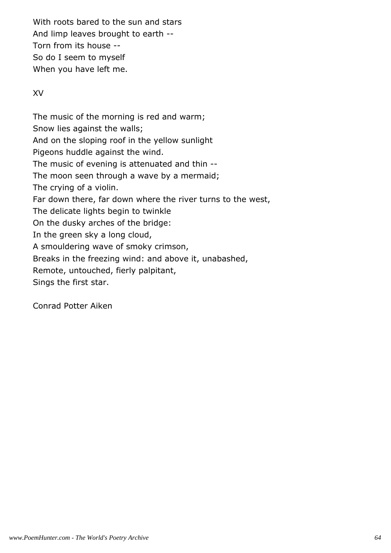With roots bared to the sun and stars And limp leaves brought to earth -- Torn from its house -- So do I seem to myself When you have left me.

#### XV

The music of the morning is red and warm; Snow lies against the walls; And on the sloping roof in the yellow sunlight Pigeons huddle against the wind. The music of evening is attenuated and thin -- The moon seen through a wave by a mermaid; The crying of a violin. Far down there, far down where the river turns to the west, The delicate lights begin to twinkle On the dusky arches of the bridge: In the green sky a long cloud, A smouldering wave of smoky crimson, Breaks in the freezing wind: and above it, unabashed, Remote, untouched, fierly palpitant, Sings the first star.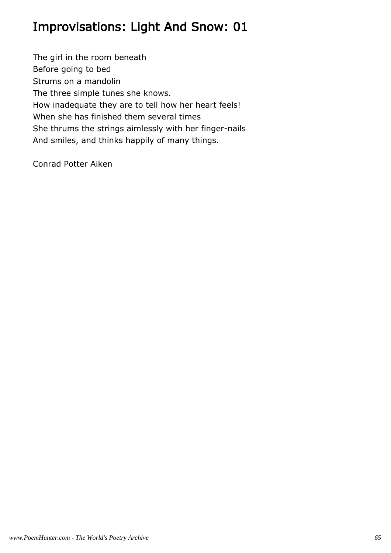The girl in the room beneath Before going to bed Strums on a mandolin The three simple tunes she knows. How inadequate they are to tell how her heart feels! When she has finished them several times She thrums the strings aimlessly with her finger-nails And smiles, and thinks happily of many things.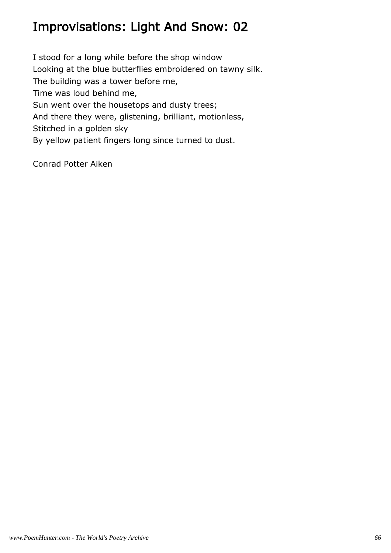I stood for a long while before the shop window Looking at the blue butterflies embroidered on tawny silk. The building was a tower before me, Time was loud behind me, Sun went over the housetops and dusty trees; And there they were, glistening, brilliant, motionless, Stitched in a golden sky By yellow patient fingers long since turned to dust.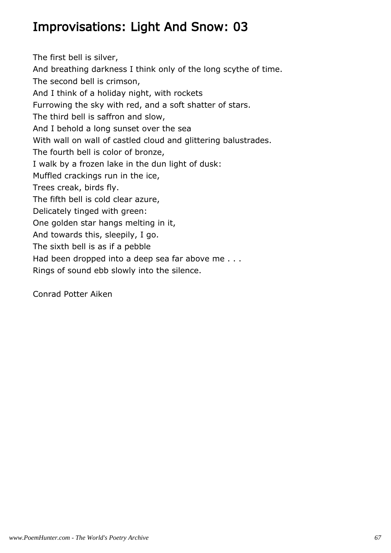The first bell is silver, And breathing darkness I think only of the long scythe of time. The second bell is crimson, And I think of a holiday night, with rockets Furrowing the sky with red, and a soft shatter of stars. The third bell is saffron and slow, And I behold a long sunset over the sea With wall on wall of castled cloud and glittering balustrades. The fourth bell is color of bronze, I walk by a frozen lake in the dun light of dusk: Muffled crackings run in the ice, Trees creak, birds fly. The fifth bell is cold clear azure, Delicately tinged with green: One golden star hangs melting in it, And towards this, sleepily, I go. The sixth bell is as if a pebble Had been dropped into a deep sea far above me . . . Rings of sound ebb slowly into the silence.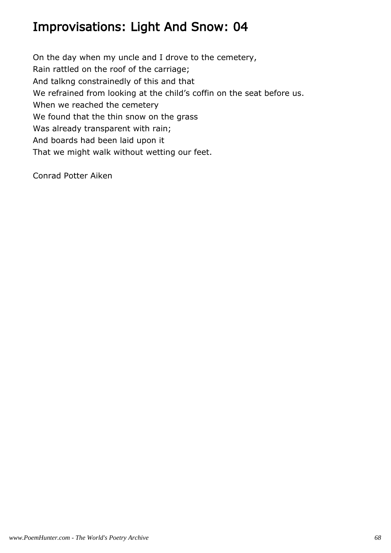On the day when my uncle and I drove to the cemetery, Rain rattled on the roof of the carriage; And talkng constrainedly of this and that We refrained from looking at the child's coffin on the seat before us. When we reached the cemetery We found that the thin snow on the grass Was already transparent with rain; And boards had been laid upon it That we might walk without wetting our feet.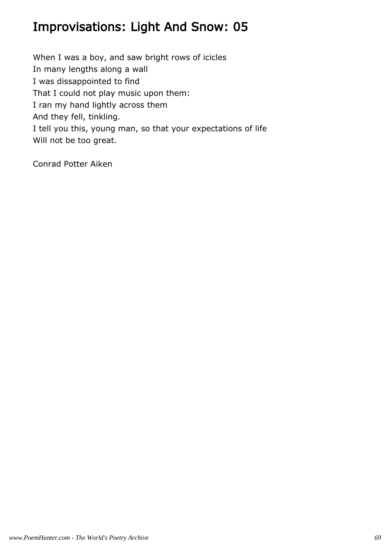When I was a boy, and saw bright rows of icicles In many lengths along a wall I was dissappointed to find That I could not play music upon them: I ran my hand lightly across them And they fell, tinkling. I tell you this, young man, so that your expectations of life Will not be too great.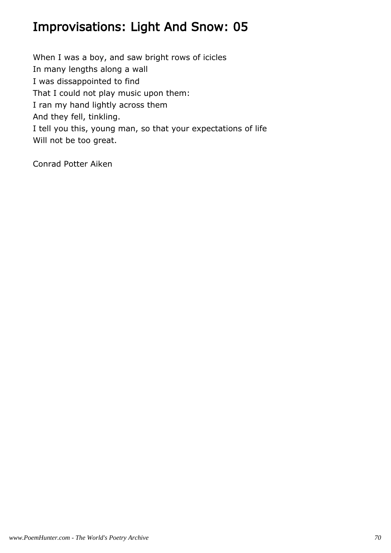When I was a boy, and saw bright rows of icicles In many lengths along a wall I was dissappointed to find That I could not play music upon them: I ran my hand lightly across them And they fell, tinkling. I tell you this, young man, so that your expectations of life Will not be too great.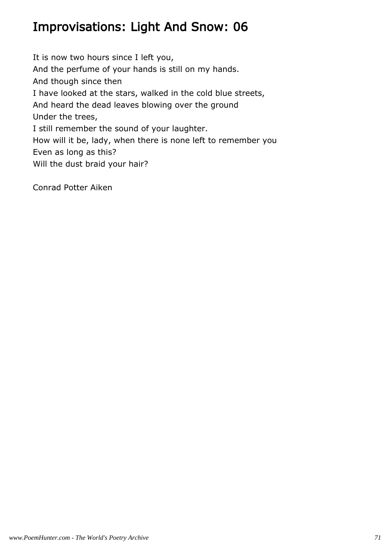It is now two hours since I left you, And the perfume of your hands is still on my hands. And though since then I have looked at the stars, walked in the cold blue streets, And heard the dead leaves blowing over the ground Under the trees, I still remember the sound of your laughter. How will it be, lady, when there is none left to remember you Even as long as this? Will the dust braid your hair?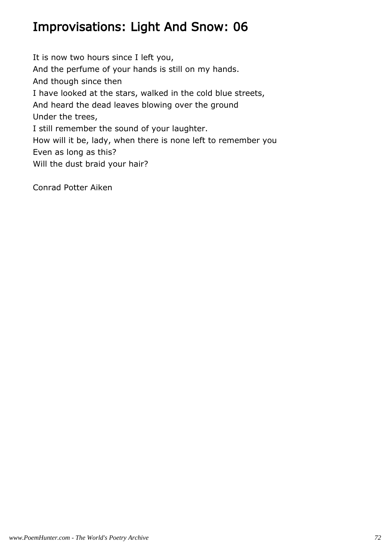It is now two hours since I left you, And the perfume of your hands is still on my hands. And though since then I have looked at the stars, walked in the cold blue streets, And heard the dead leaves blowing over the ground Under the trees, I still remember the sound of your laughter. How will it be, lady, when there is none left to remember you Even as long as this? Will the dust braid your hair?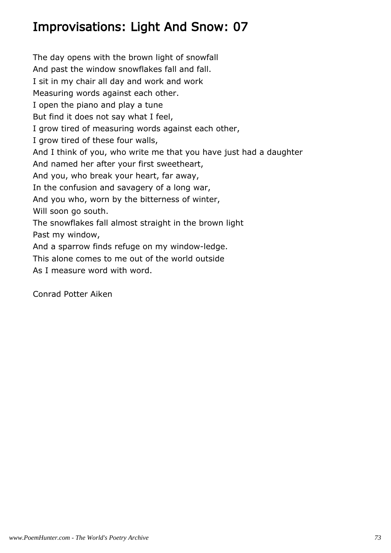The day opens with the brown light of snowfall And past the window snowflakes fall and fall. I sit in my chair all day and work and work Measuring words against each other. I open the piano and play a tune But find it does not say what I feel, I grow tired of measuring words against each other, I grow tired of these four walls, And I think of you, who write me that you have just had a daughter And named her after your first sweetheart, And you, who break your heart, far away, In the confusion and savagery of a long war, And you who, worn by the bitterness of winter, Will soon go south. The snowflakes fall almost straight in the brown light Past my window, And a sparrow finds refuge on my window-ledge. This alone comes to me out of the world outside As I measure word with word.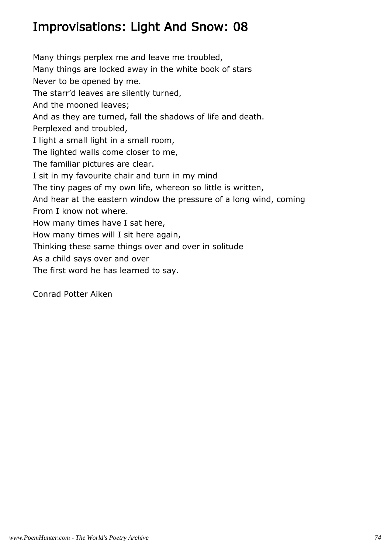Many things perplex me and leave me troubled, Many things are locked away in the white book of stars Never to be opened by me. The starr'd leaves are silently turned, And the mooned leaves; And as they are turned, fall the shadows of life and death. Perplexed and troubled, I light a small light in a small room, The lighted walls come closer to me, The familiar pictures are clear. I sit in my favourite chair and turn in my mind The tiny pages of my own life, whereon so little is written, And hear at the eastern window the pressure of a long wind, coming From I know not where. How many times have I sat here, How many times will I sit here again, Thinking these same things over and over in solitude As a child says over and over The first word he has learned to say.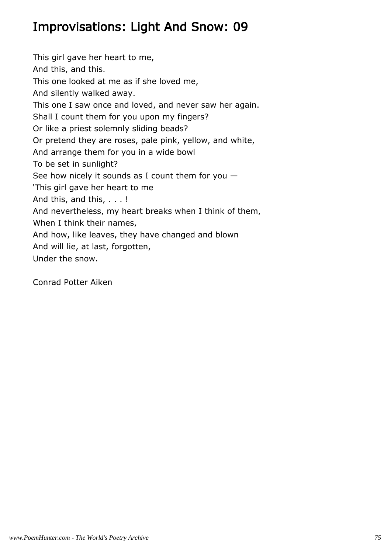This girl gave her heart to me, And this, and this. This one looked at me as if she loved me, And silently walked away. This one I saw once and loved, and never saw her again. Shall I count them for you upon my fingers? Or like a priest solemnly sliding beads? Or pretend they are roses, pale pink, yellow, and white, And arrange them for you in a wide bowl To be set in sunlight? See how nicely it sounds as I count them for you  $-$ 'This girl gave her heart to me And this, and this, . . . ! And nevertheless, my heart breaks when I think of them, When I think their names, And how, like leaves, they have changed and blown And will lie, at last, forgotten, Under the snow.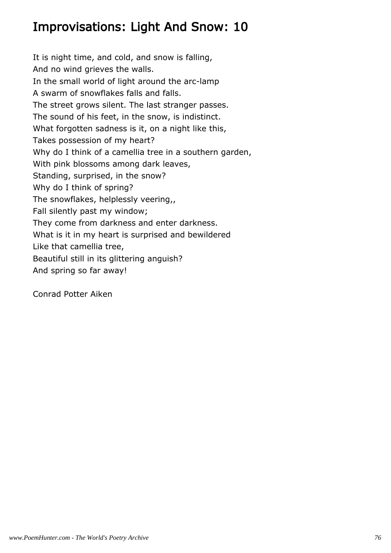It is night time, and cold, and snow is falling, And no wind grieves the walls. In the small world of light around the arc-lamp A swarm of snowflakes falls and falls. The street grows silent. The last stranger passes. The sound of his feet, in the snow, is indistinct. What forgotten sadness is it, on a night like this, Takes possession of my heart? Why do I think of a camellia tree in a southern garden, With pink blossoms among dark leaves, Standing, surprised, in the snow? Why do I think of spring? The snowflakes, helplessly veering,, Fall silently past my window; They come from darkness and enter darkness. What is it in my heart is surprised and bewildered Like that camellia tree, Beautiful still in its glittering anguish? And spring so far away!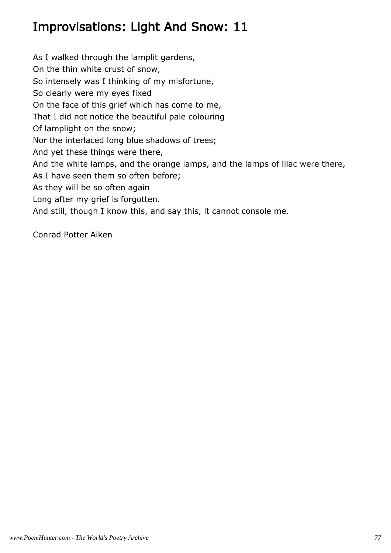As I walked through the lamplit gardens, On the thin white crust of snow, So intensely was I thinking of my misfortune, So clearly were my eyes fixed On the face of this grief which has come to me, That I did not notice the beautiful pale colouring Of lamplight on the snow; Nor the interlaced long blue shadows of trees; And yet these things were there, And the white lamps, and the orange lamps, and the lamps of lilac were there, As I have seen them so often before; As they will be so often again Long after my grief is forgotten. And still, though I know this, and say this, it cannot console me.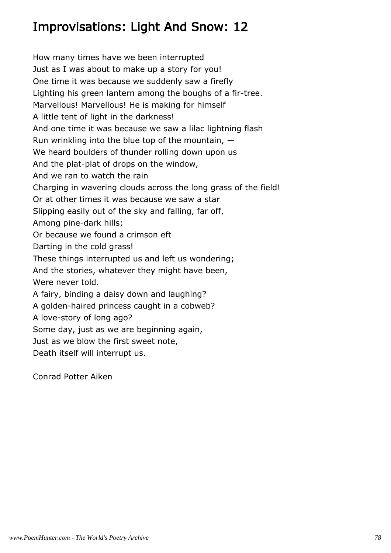How many times have we been interrupted Just as I was about to make up a story for you! One time it was because we suddenly saw a firefly Lighting his green lantern among the boughs of a fir-tree. Marvellous! Marvellous! He is making for himself A little tent of light in the darkness! And one time it was because we saw a lilac lightning flash Run wrinkling into the blue top of the mountain,  $-$ We heard boulders of thunder rolling down upon us And the plat-plat of drops on the window, And we ran to watch the rain Charging in wavering clouds across the long grass of the field! Or at other times it was because we saw a star Slipping easily out of the sky and falling, far off, Among pine-dark hills; Or because we found a crimson eft Darting in the cold grass! These things interrupted us and left us wondering; And the stories, whatever they might have been, Were never told. A fairy, binding a daisy down and laughing? A golden-haired princess caught in a cobweb? A love-story of long ago? Some day, just as we are beginning again, Just as we blow the first sweet note, Death itself will interrupt us.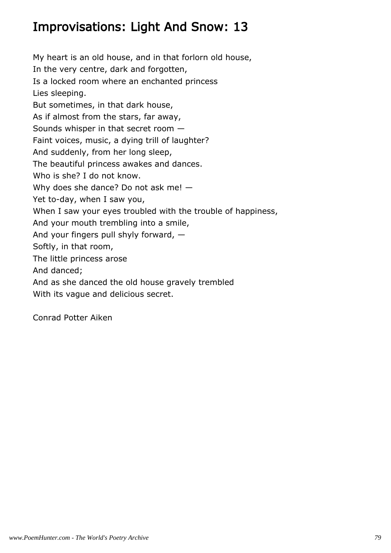My heart is an old house, and in that forlorn old house, In the very centre, dark and forgotten, Is a locked room where an enchanted princess Lies sleeping. But sometimes, in that dark house, As if almost from the stars, far away, Sounds whisper in that secret room — Faint voices, music, a dying trill of laughter? And suddenly, from her long sleep, The beautiful princess awakes and dances. Who is she? I do not know. Why does she dance? Do not ask me! — Yet to-day, when I saw you, When I saw your eyes troubled with the trouble of happiness, And your mouth trembling into a smile, And your fingers pull shyly forward, — Softly, in that room, The little princess arose And danced; And as she danced the old house gravely trembled With its vague and delicious secret.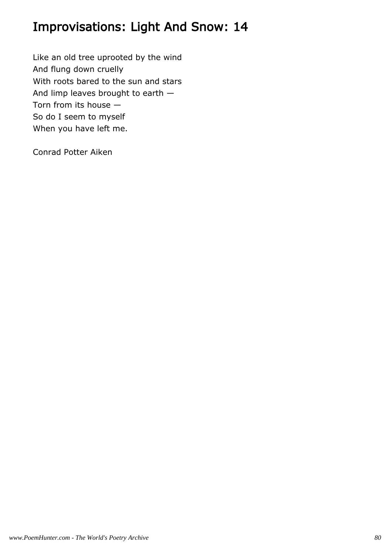Like an old tree uprooted by the wind And flung down cruelly With roots bared to the sun and stars And limp leaves brought to earth — Torn from its house — So do I seem to myself When you have left me.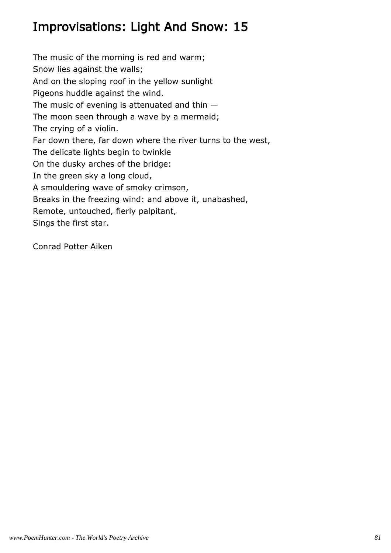The music of the morning is red and warm; Snow lies against the walls; And on the sloping roof in the yellow sunlight Pigeons huddle against the wind. The music of evening is attenuated and thin  $-$ The moon seen through a wave by a mermaid; The crying of a violin. Far down there, far down where the river turns to the west, The delicate lights begin to twinkle On the dusky arches of the bridge: In the green sky a long cloud, A smouldering wave of smoky crimson, Breaks in the freezing wind: and above it, unabashed, Remote, untouched, fierly palpitant, Sings the first star.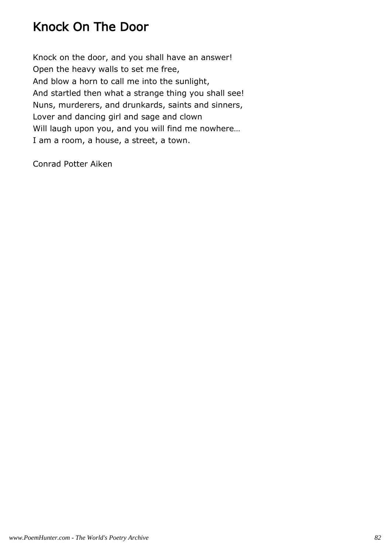# Knock On The Door

Knock on the door, and you shall have an answer! Open the heavy walls to set me free, And blow a horn to call me into the sunlight, And startled then what a strange thing you shall see! Nuns, murderers, and drunkards, saints and sinners, Lover and dancing girl and sage and clown Will laugh upon you, and you will find me nowhere… I am a room, a house, a street, a town.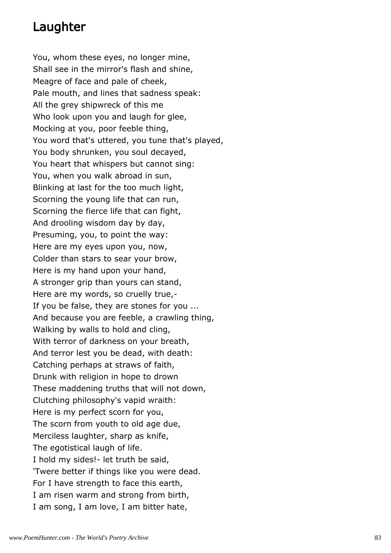#### Laughter

You, whom these eyes, no longer mine, Shall see in the mirror's flash and shine, Meagre of face and pale of cheek, Pale mouth, and lines that sadness speak: All the grey shipwreck of this me Who look upon you and laugh for glee, Mocking at you, poor feeble thing, You word that's uttered, you tune that's played, You body shrunken, you soul decayed, You heart that whispers but cannot sing: You, when you walk abroad in sun, Blinking at last for the too much light, Scorning the young life that can run, Scorning the fierce life that can fight, And drooling wisdom day by day, Presuming, you, to point the way: Here are my eyes upon you, now, Colder than stars to sear your brow, Here is my hand upon your hand, A stronger grip than yours can stand, Here are my words, so cruelly true,- If you be false, they are stones for you ... And because you are feeble, a crawling thing, Walking by walls to hold and cling, With terror of darkness on your breath, And terror lest you be dead, with death: Catching perhaps at straws of faith, Drunk with religion in hope to drown These maddening truths that will not down, Clutching philosophy's vapid wraith: Here is my perfect scorn for you, The scorn from youth to old age due, Merciless laughter, sharp as knife, The egotistical laugh of life. I hold my sides!- let truth be said, 'Twere better if things like you were dead. For I have strength to face this earth, I am risen warm and strong from birth, I am song, I am love, I am bitter hate,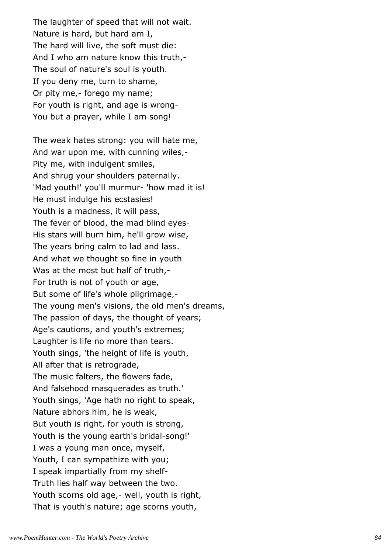The laughter of speed that will not wait. Nature is hard, but hard am I, The hard will live, the soft must die: And I who am nature know this truth,- The soul of nature's soul is youth. If you deny me, turn to shame, Or pity me,- forego my name; For youth is right, and age is wrong-You but a prayer, while I am song!

The weak hates strong: you will hate me, And war upon me, with cunning wiles,- Pity me, with indulgent smiles, And shrug your shoulders paternally. 'Mad youth!' you'll murmur- 'how mad it is! He must indulge his ecstasies! Youth is a madness, it will pass, The fever of blood, the mad blind eyes-His stars will burn him, he'll grow wise, The years bring calm to lad and lass. And what we thought so fine in youth Was at the most but half of truth,-For truth is not of youth or age, But some of life's whole pilgrimage,- The young men's visions, the old men's dreams, The passion of days, the thought of years; Age's cautions, and youth's extremes; Laughter is life no more than tears. Youth sings, 'the height of life is youth, All after that is retrograde, The music falters, the flowers fade, And falsehood masquerades as truth.' Youth sings, 'Age hath no right to speak, Nature abhors him, he is weak, But youth is right, for youth is strong, Youth is the young earth's bridal-song!' I was a young man once, myself, Youth, I can sympathize with you; I speak impartially from my shelf-Truth lies half way between the two. Youth scorns old age,- well, youth is right, That is youth's nature; age scorns youth,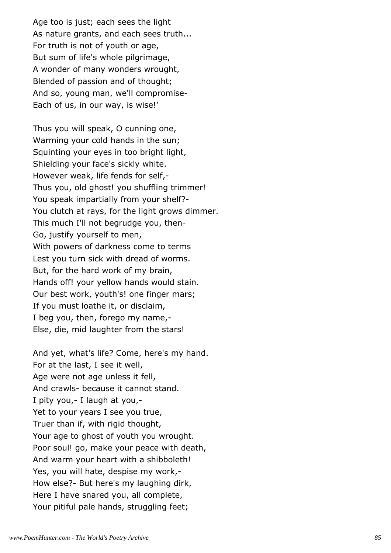Age too is just; each sees the light As nature grants, and each sees truth... For truth is not of youth or age, But sum of life's whole pilgrimage, A wonder of many wonders wrought, Blended of passion and of thought; And so, young man, we'll compromise-Each of us, in our way, is wise!'

Thus you will speak, O cunning one, Warming your cold hands in the sun; Squinting your eyes in too bright light, Shielding your face's sickly white. However weak, life fends for self,- Thus you, old ghost! you shuffling trimmer! You speak impartially from your shelf?- You clutch at rays, for the light grows dimmer. This much I'll not begrudge you, then-Go, justify yourself to men, With powers of darkness come to terms Lest you turn sick with dread of worms. But, for the hard work of my brain, Hands off! your yellow hands would stain. Our best work, youth's! one finger mars; If you must loathe it, or disclaim, I beg you, then, forego my name,- Else, die, mid laughter from the stars!

And yet, what's life? Come, here's my hand. For at the last, I see it well, Age were not age unless it fell, And crawls- because it cannot stand. I pity you,- I laugh at you,- Yet to your years I see you true, Truer than if, with rigid thought, Your age to ghost of youth you wrought. Poor soul! go, make your peace with death, And warm your heart with a shibboleth! Yes, you will hate, despise my work,- How else?- But here's my laughing dirk, Here I have snared you, all complete, Your pitiful pale hands, struggling feet;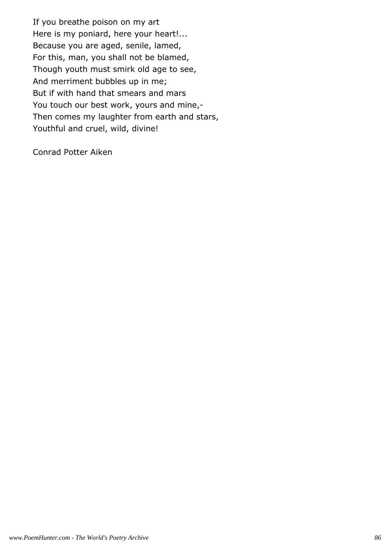If you breathe poison on my art Here is my poniard, here your heart!... Because you are aged, senile, lamed, For this, man, you shall not be blamed, Though youth must smirk old age to see, And merriment bubbles up in me; But if with hand that smears and mars You touch our best work, yours and mine,-Then comes my laughter from earth and stars, Youthful and cruel, wild, divine!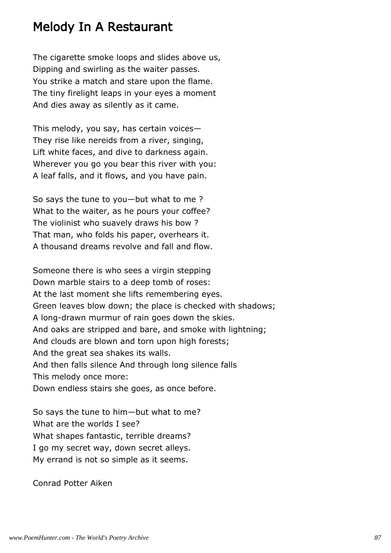#### Melody In A Restaurant

The cigarette smoke loops and slides above us, Dipping and swirling as the waiter passes. You strike a match and stare upon the flame. The tiny firelight leaps in your eyes a moment And dies away as silently as it came.

This melody, you say, has certain voices— They rise like nereids from a river, singing, Lift white faces, and dive to darkness again. Wherever you go you bear this river with you: A leaf falls, and it flows, and you have pain.

So says the tune to you—but what to me ? What to the waiter, as he pours your coffee? The violinist who suavely draws his bow ? That man, who folds his paper, overhears it. A thousand dreams revolve and fall and flow.

Someone there is who sees a virgin stepping Down marble stairs to a deep tomb of roses: At the last moment she lifts remembering eyes. Green leaves blow down; the place is checked with shadows; A long-drawn murmur of rain goes down the skies. And oaks are stripped and bare, and smoke with lightning; And clouds are blown and torn upon high forests; And the great sea shakes its walls. And then falls silence And through long silence falls This melody once more: Down endless stairs she goes, as once before.

So says the tune to him—but what to me? What are the worlds I see? What shapes fantastic, terrible dreams? I go my secret way, down secret alleys. My errand is not so simple as it seems.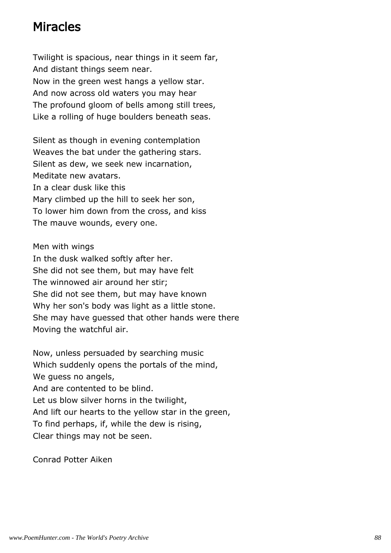### Miracles

Twilight is spacious, near things in it seem far, And distant things seem near. Now in the green west hangs a yellow star. And now across old waters you may hear The profound gloom of bells among still trees, Like a rolling of huge boulders beneath seas.

Silent as though in evening contemplation Weaves the bat under the gathering stars. Silent as dew, we seek new incarnation, Meditate new avatars. In a clear dusk like this Mary climbed up the hill to seek her son, To lower him down from the cross, and kiss The mauve wounds, every one.

Men with wings

In the dusk walked softly after her. She did not see them, but may have felt The winnowed air around her stir; She did not see them, but may have known Why her son's body was light as a little stone. She may have guessed that other hands were there Moving the watchful air.

Now, unless persuaded by searching music Which suddenly opens the portals of the mind, We quess no angels, And are contented to be blind. Let us blow silver horns in the twilight, And lift our hearts to the yellow star in the green, To find perhaps, if, while the dew is rising, Clear things may not be seen.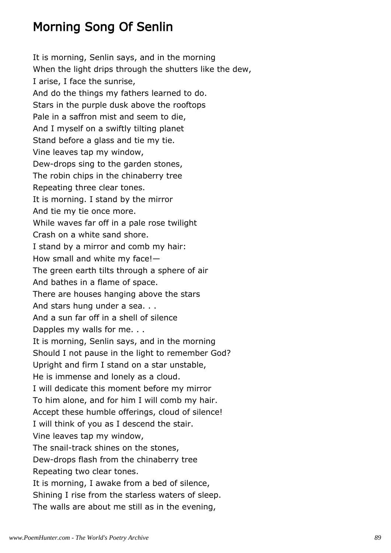## Morning Song Of Senlin

It is morning, Senlin says, and in the morning When the light drips through the shutters like the dew, I arise, I face the sunrise, And do the things my fathers learned to do. Stars in the purple dusk above the rooftops Pale in a saffron mist and seem to die, And I myself on a swiftly tilting planet Stand before a glass and tie my tie. Vine leaves tap my window, Dew-drops sing to the garden stones, The robin chips in the chinaberry tree Repeating three clear tones. It is morning. I stand by the mirror And tie my tie once more. While waves far off in a pale rose twilight Crash on a white sand shore. I stand by a mirror and comb my hair: How small and white my face!— The green earth tilts through a sphere of air And bathes in a flame of space. There are houses hanging above the stars And stars hung under a sea... And a sun far off in a shell of silence Dapples my walls for me. . . It is morning, Senlin says, and in the morning Should I not pause in the light to remember God? Upright and firm I stand on a star unstable, He is immense and lonely as a cloud. I will dedicate this moment before my mirror To him alone, and for him I will comb my hair. Accept these humble offerings, cloud of silence! I will think of you as I descend the stair. Vine leaves tap my window, The snail-track shines on the stones, Dew-drops flash from the chinaberry tree Repeating two clear tones. It is morning, I awake from a bed of silence, Shining I rise from the starless waters of sleep. The walls are about me still as in the evening,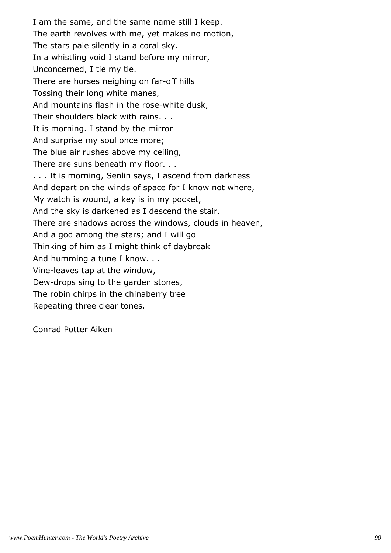I am the same, and the same name still I keep. The earth revolves with me, yet makes no motion, The stars pale silently in a coral sky. In a whistling void I stand before my mirror, Unconcerned, I tie my tie. There are horses neighing on far-off hills Tossing their long white manes, And mountains flash in the rose-white dusk, Their shoulders black with rains. . . It is morning. I stand by the mirror And surprise my soul once more; The blue air rushes above my ceiling, There are suns beneath my floor. . . . . . It is morning, Senlin says, I ascend from darkness And depart on the winds of space for I know not where, My watch is wound, a key is in my pocket, And the sky is darkened as I descend the stair. There are shadows across the windows, clouds in heaven, And a god among the stars; and I will go Thinking of him as I might think of daybreak And humming a tune I know. . . Vine-leaves tap at the window, Dew-drops sing to the garden stones, The robin chirps in the chinaberry tree Repeating three clear tones.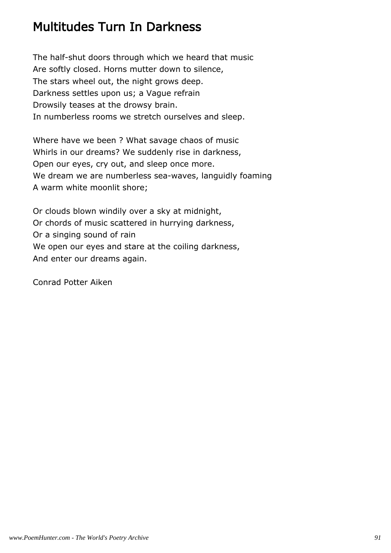### Multitudes Turn In Darkness

The half-shut doors through which we heard that music Are softly closed. Horns mutter down to silence, The stars wheel out, the night grows deep. Darkness settles upon us; a Vague refrain Drowsily teases at the drowsy brain. In numberless rooms we stretch ourselves and sleep.

Where have we been ? What savage chaos of music Whirls in our dreams? We suddenly rise in darkness, Open our eyes, cry out, and sleep once more. We dream we are numberless sea-waves, languidly foaming A warm white moonlit shore;

Or clouds blown windily over a sky at midnight, Or chords of music scattered in hurrying darkness, Or a singing sound of rain We open our eyes and stare at the coiling darkness, And enter our dreams again.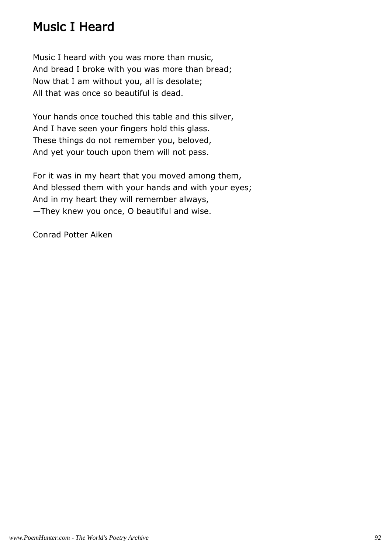### Music I Heard

Music I heard with you was more than music, And bread I broke with you was more than bread; Now that I am without you, all is desolate; All that was once so beautiful is dead.

Your hands once touched this table and this silver, And I have seen your fingers hold this glass. These things do not remember you, beloved, And yet your touch upon them will not pass.

For it was in my heart that you moved among them, And blessed them with your hands and with your eyes; And in my heart they will remember always, —They knew you once, O beautiful and wise.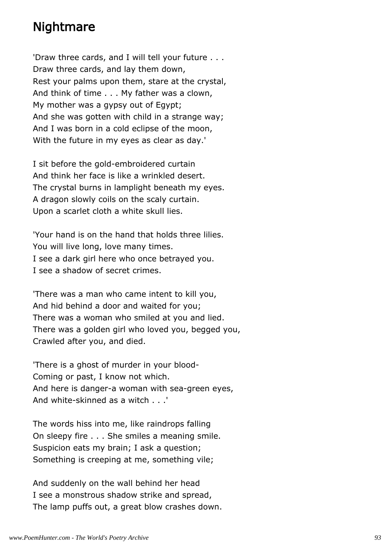#### Nightmare

'Draw three cards, and I will tell your future . . . Draw three cards, and lay them down, Rest your palms upon them, stare at the crystal, And think of time . . . My father was a clown, My mother was a gypsy out of Egypt; And she was gotten with child in a strange way; And I was born in a cold eclipse of the moon, With the future in my eyes as clear as day.'

I sit before the gold-embroidered curtain And think her face is like a wrinkled desert. The crystal burns in lamplight beneath my eyes. A dragon slowly coils on the scaly curtain. Upon a scarlet cloth a white skull lies.

'Your hand is on the hand that holds three lilies. You will live long, love many times. I see a dark girl here who once betrayed you. I see a shadow of secret crimes.

'There was a man who came intent to kill you, And hid behind a door and waited for you; There was a woman who smiled at you and lied. There was a golden girl who loved you, begged you, Crawled after you, and died.

'There is a ghost of murder in your blood-Coming or past, I know not which. And here is danger-a woman with sea-green eyes, And white-skinned as a witch . . .'

The words hiss into me, like raindrops falling On sleepy fire . . . She smiles a meaning smile. Suspicion eats my brain; I ask a question; Something is creeping at me, something vile;

And suddenly on the wall behind her head I see a monstrous shadow strike and spread, The lamp puffs out, a great blow crashes down.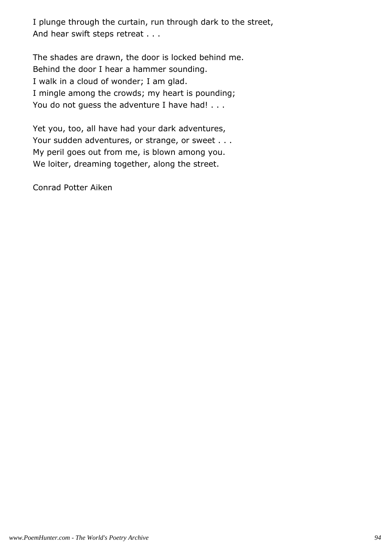I plunge through the curtain, run through dark to the street, And hear swift steps retreat . . .

The shades are drawn, the door is locked behind me. Behind the door I hear a hammer sounding. I walk in a cloud of wonder; I am glad. I mingle among the crowds; my heart is pounding; You do not guess the adventure I have had! . . .

Yet you, too, all have had your dark adventures, Your sudden adventures, or strange, or sweet . . . My peril goes out from me, is blown among you. We loiter, dreaming together, along the street.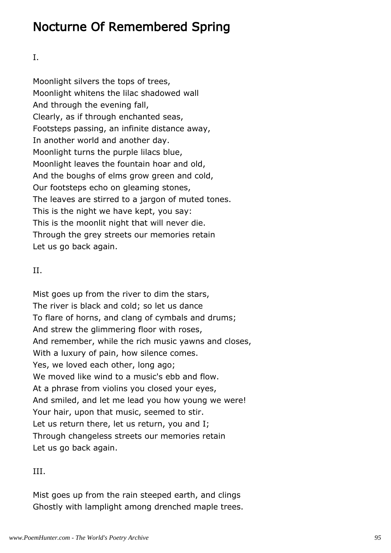### Nocturne Of Remembered Spring

#### I.

Moonlight silvers the tops of trees, Moonlight whitens the lilac shadowed wall And through the evening fall, Clearly, as if through enchanted seas, Footsteps passing, an infinite distance away, In another world and another day. Moonlight turns the purple lilacs blue, Moonlight leaves the fountain hoar and old, And the boughs of elms grow green and cold, Our footsteps echo on gleaming stones, The leaves are stirred to a jargon of muted tones. This is the night we have kept, you say: This is the moonlit night that will never die. Through the grey streets our memories retain Let us go back again.

#### II.

Mist goes up from the river to dim the stars, The river is black and cold; so let us dance To flare of horns, and clang of cymbals and drums; And strew the glimmering floor with roses, And remember, while the rich music yawns and closes, With a luxury of pain, how silence comes. Yes, we loved each other, long ago; We moved like wind to a music's ebb and flow. At a phrase from violins you closed your eyes, And smiled, and let me lead you how young we were! Your hair, upon that music, seemed to stir. Let us return there, let us return, you and I; Through changeless streets our memories retain Let us go back again.

#### III.

Mist goes up from the rain steeped earth, and clings Ghostly with lamplight among drenched maple trees.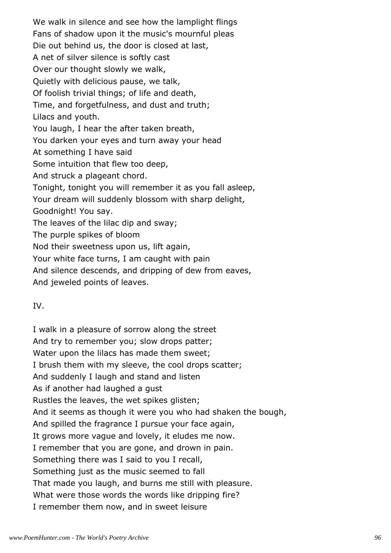We walk in silence and see how the lamplight flings Fans of shadow upon it the music's mournful pleas Die out behind us, the door is closed at last, A net of silver silence is softly cast Over our thought slowly we walk, Quietly with delicious pause, we talk, Of foolish trivial things; of life and death, Time, and forgetfulness, and dust and truth; Lilacs and youth. You laugh, I hear the after taken breath, You darken your eyes and turn away your head At something I have said Some intuition that flew too deep, And struck a plageant chord. Tonight, tonight you will remember it as you fall asleep, Your dream will suddenly blossom with sharp delight, Goodnight! You say. The leaves of the lilac dip and sway; The purple spikes of bloom Nod their sweetness upon us, lift again, Your white face turns, I am caught with pain And silence descends, and dripping of dew from eaves, And jeweled points of leaves.

#### IV.

I walk in a pleasure of sorrow along the street And try to remember you; slow drops patter; Water upon the lilacs has made them sweet; I brush them with my sleeve, the cool drops scatter; And suddenly I laugh and stand and listen As if another had laughed a gust Rustles the leaves, the wet spikes glisten; And it seems as though it were you who had shaken the bough, And spilled the fragrance I pursue your face again, It grows more vague and lovely, it eludes me now. I remember that you are gone, and drown in pain. Something there was I said to you I recall, Something just as the music seemed to fall That made you laugh, and burns me still with pleasure. What were those words the words like dripping fire? I remember them now, and in sweet leisure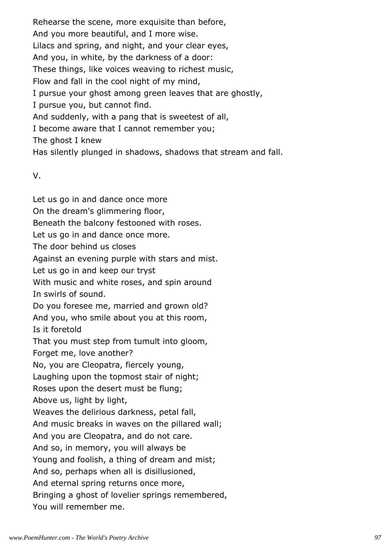Rehearse the scene, more exquisite than before, And you more beautiful, and I more wise. Lilacs and spring, and night, and your clear eyes, And you, in white, by the darkness of a door: These things, like voices weaving to richest music, Flow and fall in the cool night of my mind, I pursue your ghost among green leaves that are ghostly, I pursue you, but cannot find. And suddenly, with a pang that is sweetest of all, I become aware that I cannot remember you; The ghost I knew Has silently plunged in shadows, shadows that stream and fall.

V.

Let us go in and dance once more On the dream's glimmering floor, Beneath the balcony festooned with roses. Let us go in and dance once more. The door behind us closes Against an evening purple with stars and mist. Let us go in and keep our tryst With music and white roses, and spin around In swirls of sound. Do you foresee me, married and grown old? And you, who smile about you at this room, Is it foretold That you must step from tumult into gloom, Forget me, love another? No, you are Cleopatra, fiercely young, Laughing upon the topmost stair of night; Roses upon the desert must be flung; Above us, light by light, Weaves the delirious darkness, petal fall, And music breaks in waves on the pillared wall; And you are Cleopatra, and do not care. And so, in memory, you will always be Young and foolish, a thing of dream and mist; And so, perhaps when all is disillusioned, And eternal spring returns once more, Bringing a ghost of lovelier springs remembered, You will remember me.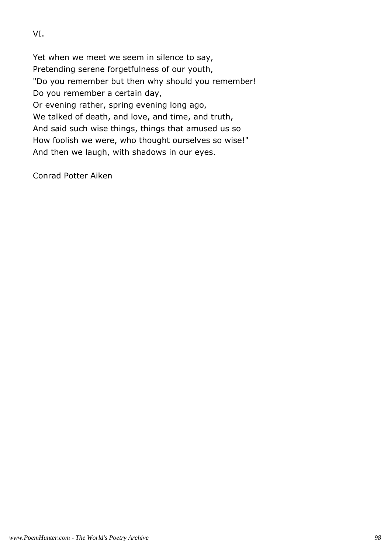Yet when we meet we seem in silence to say, Pretending serene forgetfulness of our youth, "Do you remember but then why should you remember! Do you remember a certain day, Or evening rather, spring evening long ago, We talked of death, and love, and time, and truth, And said such wise things, things that amused us so How foolish we were, who thought ourselves so wise!" And then we laugh, with shadows in our eyes.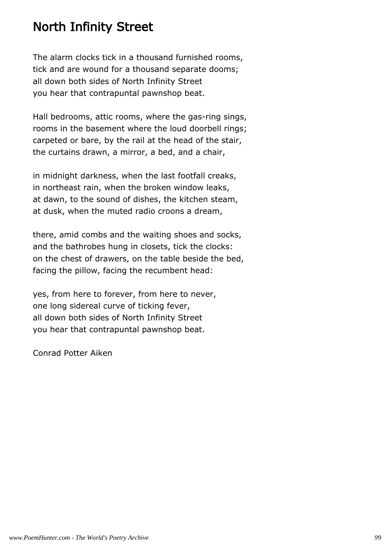### North Infinity Street

The alarm clocks tick in a thousand furnished rooms, tick and are wound for a thousand separate dooms; all down both sides of North Infinity Street you hear that contrapuntal pawnshop beat.

Hall bedrooms, attic rooms, where the gas-ring sings, rooms in the basement where the loud doorbell rings; carpeted or bare, by the rail at the head of the stair, the curtains drawn, a mirror, a bed, and a chair,

in midnight darkness, when the last footfall creaks, in northeast rain, when the broken window leaks, at dawn, to the sound of dishes, the kitchen steam, at dusk, when the muted radio croons a dream,

there, amid combs and the waiting shoes and socks, and the bathrobes hung in closets, tick the clocks: on the chest of drawers, on the table beside the bed, facing the pillow, facing the recumbent head:

yes, from here to forever, from here to never, one long sidereal curve of ticking fever, all down both sides of North Infinity Street you hear that contrapuntal pawnshop beat.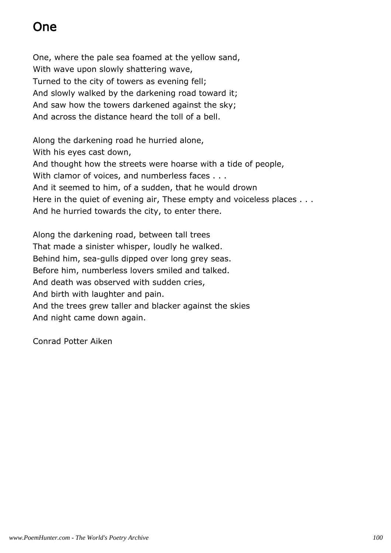# One

One, where the pale sea foamed at the yellow sand, With wave upon slowly shattering wave, Turned to the city of towers as evening fell; And slowly walked by the darkening road toward it; And saw how the towers darkened against the sky; And across the distance heard the toll of a bell.

Along the darkening road he hurried alone,

With his eyes cast down,

And thought how the streets were hoarse with a tide of people,

With clamor of voices, and numberless faces . . .

And it seemed to him, of a sudden, that he would drown

Here in the quiet of evening air, These empty and voiceless places . . .

And he hurried towards the city, to enter there.

Along the darkening road, between tall trees That made a sinister whisper, loudly he walked. Behind him, sea-gulls dipped over long grey seas. Before him, numberless lovers smiled and talked. And death was observed with sudden cries, And birth with laughter and pain. And the trees grew taller and blacker against the skies And night came down again.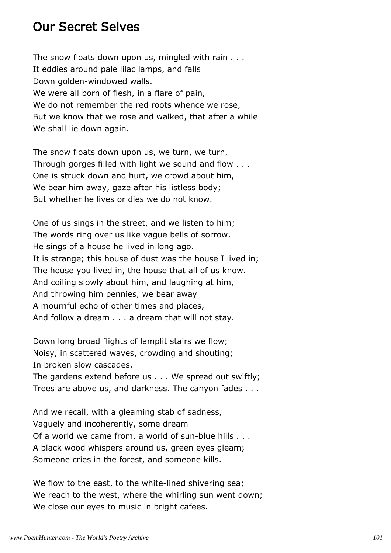#### Our Secret Selves

The snow floats down upon us, mingled with rain . . . It eddies around pale lilac lamps, and falls Down golden-windowed walls. We were all born of flesh, in a flare of pain, We do not remember the red roots whence we rose, But we know that we rose and walked, that after a while We shall lie down again.

The snow floats down upon us, we turn, we turn, Through gorges filled with light we sound and flow . . . One is struck down and hurt, we crowd about him, We bear him away, gaze after his listless body; But whether he lives or dies we do not know.

One of us sings in the street, and we listen to him; The words ring over us like vague bells of sorrow. He sings of a house he lived in long ago. It is strange; this house of dust was the house I lived in; The house you lived in, the house that all of us know. And coiling slowly about him, and laughing at him, And throwing him pennies, we bear away A mournful echo of other times and places, And follow a dream . . . a dream that will not stay.

Down long broad flights of lamplit stairs we flow; Noisy, in scattered waves, crowding and shouting; In broken slow cascades. The gardens extend before us . . . We spread out swiftly;

Trees are above us, and darkness. The canyon fades . . .

And we recall, with a gleaming stab of sadness, Vaguely and incoherently, some dream Of a world we came from, a world of sun-blue hills . . . A black wood whispers around us, green eyes gleam; Someone cries in the forest, and someone kills.

We flow to the east, to the white-lined shivering sea; We reach to the west, where the whirling sun went down; We close our eyes to music in bright cafees.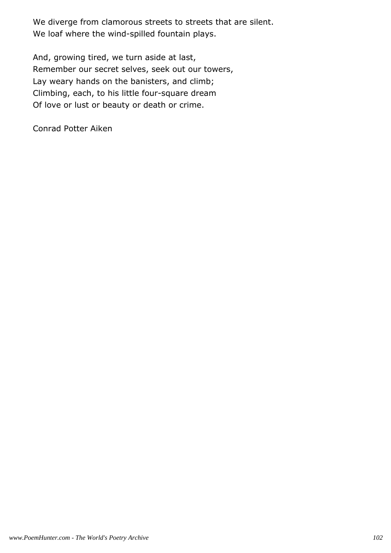We diverge from clamorous streets to streets that are silent. We loaf where the wind-spilled fountain plays.

And, growing tired, we turn aside at last, Remember our secret selves, seek out our towers, Lay weary hands on the banisters, and climb; Climbing, each, to his little four-square dream Of love or lust or beauty or death or crime.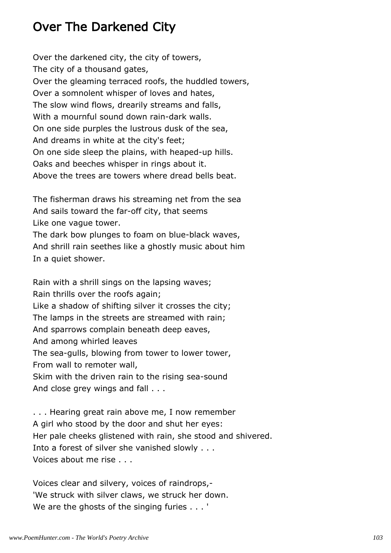### Over The Darkened City

Over the darkened city, the city of towers, The city of a thousand gates, Over the gleaming terraced roofs, the huddled towers, Over a somnolent whisper of loves and hates, The slow wind flows, drearily streams and falls, With a mournful sound down rain-dark walls. On one side purples the lustrous dusk of the sea, And dreams in white at the city's feet; On one side sleep the plains, with heaped-up hills. Oaks and beeches whisper in rings about it. Above the trees are towers where dread bells beat.

The fisherman draws his streaming net from the sea And sails toward the far-off city, that seems Like one vague tower.

The dark bow plunges to foam on blue-black waves, And shrill rain seethes like a ghostly music about him In a quiet shower.

Rain with a shrill sings on the lapsing waves; Rain thrills over the roofs again; Like a shadow of shifting silver it crosses the city; The lamps in the streets are streamed with rain; And sparrows complain beneath deep eaves, And among whirled leaves The sea-gulls, blowing from tower to lower tower, From wall to remoter wall, Skim with the driven rain to the rising sea-sound And close grey wings and fall . . .

. . . Hearing great rain above me, I now remember A girl who stood by the door and shut her eyes: Her pale cheeks glistened with rain, she stood and shivered. Into a forest of silver she vanished slowly . . . Voices about me rise . . .

Voices clear and silvery, voices of raindrops,- 'We struck with silver claws, we struck her down. We are the ghosts of the singing furies . . . '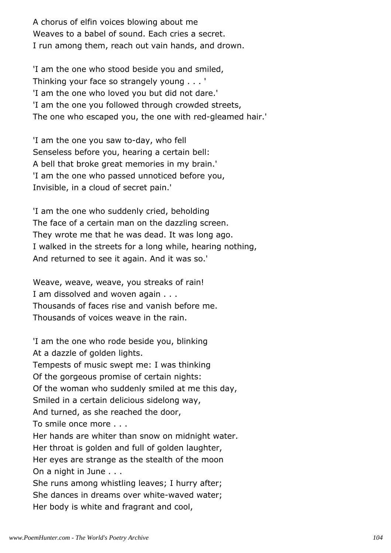A chorus of elfin voices blowing about me Weaves to a babel of sound. Each cries a secret. I run among them, reach out vain hands, and drown.

'I am the one who stood beside you and smiled, Thinking your face so strangely young . . . ' 'I am the one who loved you but did not dare.' 'I am the one you followed through crowded streets, The one who escaped you, the one with red-gleamed hair.'

'I am the one you saw to-day, who fell Senseless before you, hearing a certain bell: A bell that broke great memories in my brain.' 'I am the one who passed unnoticed before you, Invisible, in a cloud of secret pain.'

'I am the one who suddenly cried, beholding The face of a certain man on the dazzling screen. They wrote me that he was dead. It was long ago. I walked in the streets for a long while, hearing nothing, And returned to see it again. And it was so.'

Weave, weave, weave, you streaks of rain! I am dissolved and woven again . . . Thousands of faces rise and vanish before me. Thousands of voices weave in the rain.

'I am the one who rode beside you, blinking At a dazzle of golden lights. Tempests of music swept me: I was thinking Of the gorgeous promise of certain nights: Of the woman who suddenly smiled at me this day, Smiled in a certain delicious sidelong way, And turned, as she reached the door, To smile once more . . . Her hands are whiter than snow on midnight water. Her throat is golden and full of golden laughter, Her eyes are strange as the stealth of the moon On a night in June . . . She runs among whistling leaves; I hurry after; She dances in dreams over white-waved water; Her body is white and fragrant and cool,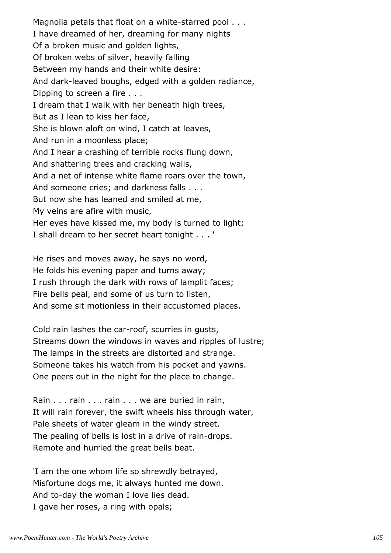Magnolia petals that float on a white-starred pool . . . I have dreamed of her, dreaming for many nights Of a broken music and golden lights, Of broken webs of silver, heavily falling Between my hands and their white desire: And dark-leaved boughs, edged with a golden radiance, Dipping to screen a fire . . . I dream that I walk with her beneath high trees, But as I lean to kiss her face, She is blown aloft on wind, I catch at leaves, And run in a moonless place; And I hear a crashing of terrible rocks flung down, And shattering trees and cracking walls, And a net of intense white flame roars over the town, And someone cries; and darkness falls . . . But now she has leaned and smiled at me, My veins are afire with music, Her eyes have kissed me, my body is turned to light; I shall dream to her secret heart tonight . . . '

He rises and moves away, he says no word, He folds his evening paper and turns away; I rush through the dark with rows of lamplit faces; Fire bells peal, and some of us turn to listen, And some sit motionless in their accustomed places.

Cold rain lashes the car-roof, scurries in gusts, Streams down the windows in waves and ripples of lustre; The lamps in the streets are distorted and strange. Someone takes his watch from his pocket and yawns. One peers out in the night for the place to change.

Rain . . . rain . . . rain . . . we are buried in rain, It will rain forever, the swift wheels hiss through water, Pale sheets of water gleam in the windy street. The pealing of bells is lost in a drive of rain-drops. Remote and hurried the great bells beat.

'I am the one whom life so shrewdly betrayed, Misfortune dogs me, it always hunted me down. And to-day the woman I love lies dead. I gave her roses, a ring with opals;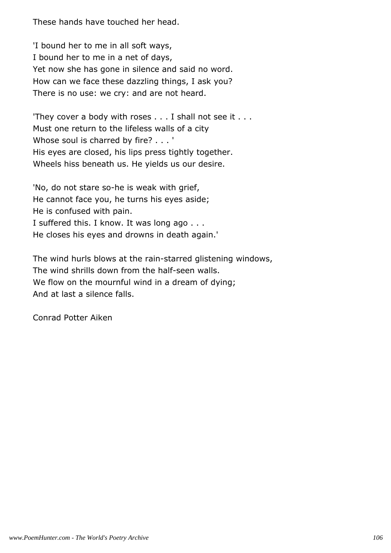These hands have touched her head.

'I bound her to me in all soft ways, I bound her to me in a net of days, Yet now she has gone in silence and said no word. How can we face these dazzling things, I ask you? There is no use: we cry: and are not heard.

'They cover a body with roses . . . I shall not see it . . . Must one return to the lifeless walls of a city Whose soul is charred by fire? . . . ' His eyes are closed, his lips press tightly together. Wheels hiss beneath us. He yields us our desire.

'No, do not stare so-he is weak with grief, He cannot face you, he turns his eyes aside; He is confused with pain. I suffered this. I know. It was long ago . . . He closes his eyes and drowns in death again.'

The wind hurls blows at the rain-starred glistening windows, The wind shrills down from the half-seen walls. We flow on the mournful wind in a dream of dying; And at last a silence falls.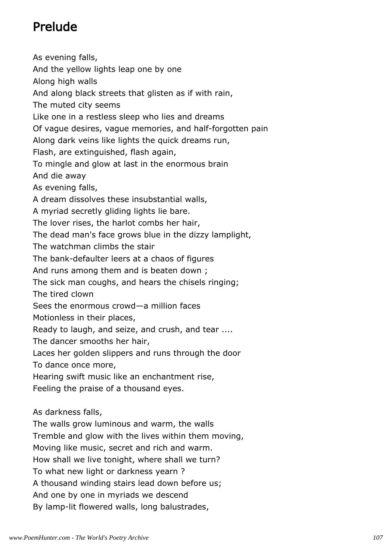# Prelude

As evening falls, And the yellow lights leap one by one Along high walls And along black streets that glisten as if with rain, The muted city seems Like one in a restless sleep who lies and dreams Of vague desires, vague memories, and half-forgotten pain Along dark veins like lights the quick dreams run, Flash, are extinguished, flash again, To mingle and glow at last in the enormous brain And die away As evening falls, A dream dissolves these insubstantial walls, A myriad secretly gliding lights lie bare. The lover rises, the harlot combs her hair, The dead man's face grows blue in the dizzy lamplight, The watchman climbs the stair The bank-defaulter leers at a chaos of figures And runs among them and is beaten down ; The sick man coughs, and hears the chisels ringing; The tired clown Sees the enormous crowd—a million faces Motionless in their places, Ready to laugh, and seize, and crush, and tear .... The dancer smooths her hair, Laces her golden slippers and runs through the door To dance once more, Hearing swift music like an enchantment rise, Feeling the praise of a thousand eyes. As darkness falls, The walls grow luminous and warm, the walls Tremble and glow with the lives within them moving, Moving like music, secret and rich and warm. How shall we live tonight, where shall we turn? To what new light or darkness yearn ? A thousand winding stairs lead down before us;

And one by one in myriads we descend By lamp-lit flowered walls, long balustrades,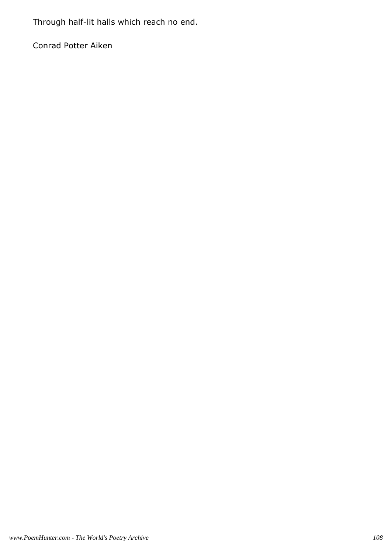Through half-lit halls which reach no end.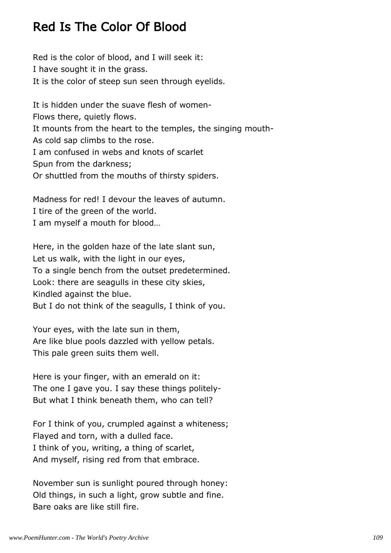## Red Is The Color Of Blood

Red is the color of blood, and I will seek it: I have sought it in the grass. It is the color of steep sun seen through eyelids.

It is hidden under the suave flesh of women-Flows there, quietly flows. It mounts from the heart to the temples, the singing mouth-As cold sap climbs to the rose. I am confused in webs and knots of scarlet Spun from the darkness; Or shuttled from the mouths of thirsty spiders.

Madness for red! I devour the leaves of autumn. I tire of the green of the world. I am myself a mouth for blood…

Here, in the golden haze of the late slant sun, Let us walk, with the light in our eyes, To a single bench from the outset predetermined. Look: there are seagulls in these city skies, Kindled against the blue. But I do not think of the seagulls, I think of you.

Your eyes, with the late sun in them, Are like blue pools dazzled with yellow petals. This pale green suits them well.

Here is your finger, with an emerald on it: The one I gave you. I say these things politely-But what I think beneath them, who can tell?

For I think of you, crumpled against a whiteness; Flayed and torn, with a dulled face. I think of you, writing, a thing of scarlet, And myself, rising red from that embrace.

November sun is sunlight poured through honey: Old things, in such a light, grow subtle and fine. Bare oaks are like still fire.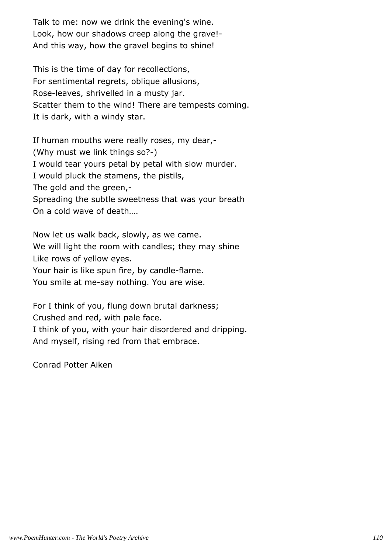Talk to me: now we drink the evening's wine. Look, how our shadows creep along the grave!- And this way, how the gravel begins to shine!

This is the time of day for recollections, For sentimental regrets, oblique allusions, Rose-leaves, shrivelled in a musty jar. Scatter them to the wind! There are tempests coming. It is dark, with a windy star.

If human mouths were really roses, my dear,- (Why must we link things so?-) I would tear yours petal by petal with slow murder. I would pluck the stamens, the pistils, The gold and the green,- Spreading the subtle sweetness that was your breath On a cold wave of death….

Now let us walk back, slowly, as we came. We will light the room with candles; they may shine Like rows of yellow eyes. Your hair is like spun fire, by candle-flame. You smile at me-say nothing. You are wise.

For I think of you, flung down brutal darkness; Crushed and red, with pale face. I think of you, with your hair disordered and dripping. And myself, rising red from that embrace.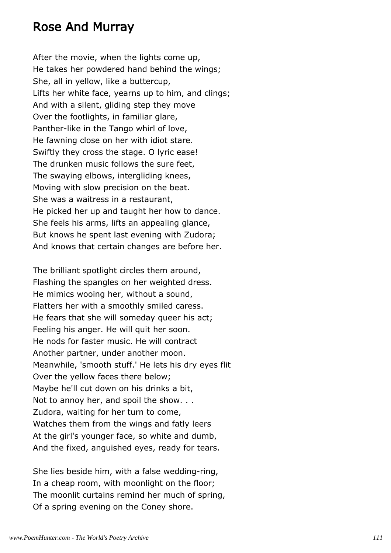### Rose And Murray

After the movie, when the lights come up, He takes her powdered hand behind the wings; She, all in yellow, like a buttercup, Lifts her white face, yearns up to him, and clings; And with a silent, gliding step they move Over the footlights, in familiar glare, Panther-like in the Tango whirl of love, He fawning close on her with idiot stare. Swiftly they cross the stage. O lyric ease! The drunken music follows the sure feet, The swaying elbows, intergliding knees, Moving with slow precision on the beat. She was a waitress in a restaurant, He picked her up and taught her how to dance. She feels his arms, lifts an appealing glance, But knows he spent last evening with Zudora; And knows that certain changes are before her.

The brilliant spotlight circles them around, Flashing the spangles on her weighted dress. He mimics wooing her, without a sound, Flatters her with a smoothly smiled caress. He fears that she will someday queer his act; Feeling his anger. He will quit her soon. He nods for faster music. He will contract Another partner, under another moon. Meanwhile, 'smooth stuff.' He lets his dry eyes flit Over the yellow faces there below; Maybe he'll cut down on his drinks a bit, Not to annoy her, and spoil the show. . . Zudora, waiting for her turn to come, Watches them from the wings and fatly leers At the girl's younger face, so white and dumb, And the fixed, anguished eyes, ready for tears.

She lies beside him, with a false wedding-ring, In a cheap room, with moonlight on the floor; The moonlit curtains remind her much of spring, Of a spring evening on the Coney shore.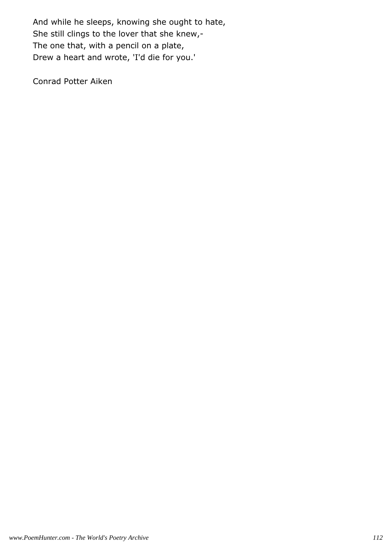And while he sleeps, knowing she ought to hate, She still clings to the lover that she knew,- The one that, with a pencil on a plate, Drew a heart and wrote, 'I'd die for you.'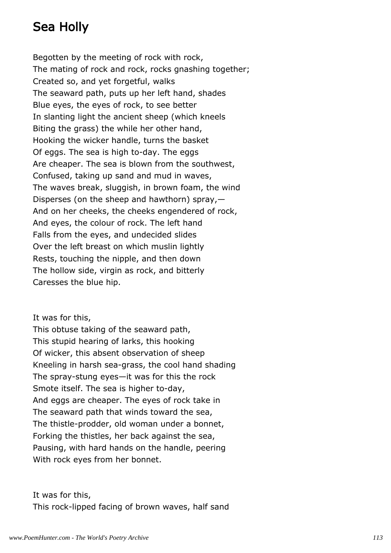# Sea Holly

Begotten by the meeting of rock with rock, The mating of rock and rock, rocks gnashing together; Created so, and yet forgetful, walks The seaward path, puts up her left hand, shades Blue eyes, the eyes of rock, to see better In slanting light the ancient sheep (which kneels Biting the grass) the while her other hand, Hooking the wicker handle, turns the basket Of eggs. The sea is high to-day. The eggs Are cheaper. The sea is blown from the southwest, Confused, taking up sand and mud in waves, The waves break, sluggish, in brown foam, the wind Disperses (on the sheep and hawthorn) spray,— And on her cheeks, the cheeks engendered of rock, And eyes, the colour of rock. The left hand Falls from the eyes, and undecided slides Over the left breast on which muslin lightly Rests, touching the nipple, and then down The hollow side, virgin as rock, and bitterly Caresses the blue hip.

It was for this,

This obtuse taking of the seaward path, This stupid hearing of larks, this hooking Of wicker, this absent observation of sheep Kneeling in harsh sea-grass, the cool hand shading The spray-stung eyes—it was for this the rock Smote itself. The sea is higher to-day, And eggs are cheaper. The eyes of rock take in The seaward path that winds toward the sea, The thistle-prodder, old woman under a bonnet, Forking the thistles, her back against the sea, Pausing, with hard hands on the handle, peering With rock eyes from her bonnet.

It was for this, This rock-lipped facing of brown waves, half sand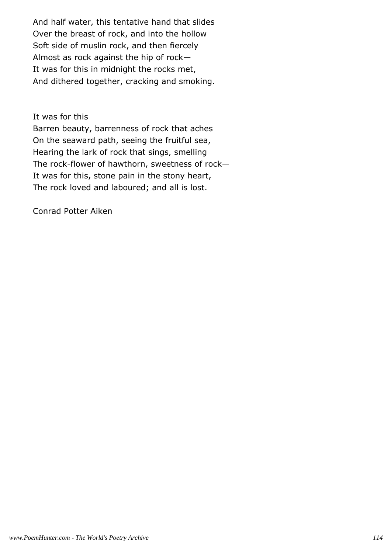And half water, this tentative hand that slides Over the breast of rock, and into the hollow Soft side of muslin rock, and then fiercely Almost as rock against the hip of rock— It was for this in midnight the rocks met, And dithered together, cracking and smoking.

It was for this

Barren beauty, barrenness of rock that aches On the seaward path, seeing the fruitful sea, Hearing the lark of rock that sings, smelling The rock-flower of hawthorn, sweetness of rock— It was for this, stone pain in the stony heart, The rock loved and laboured; and all is lost.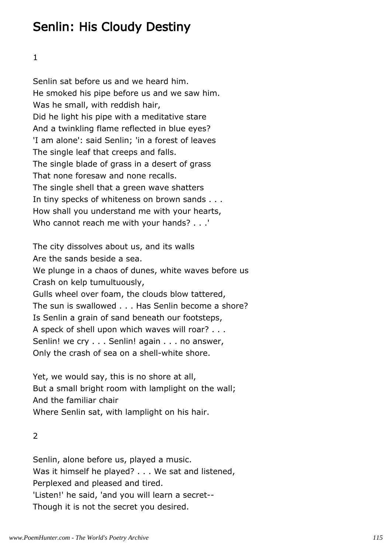## Senlin: His Cloudy Destiny

#### 1

Senlin sat before us and we heard him. He smoked his pipe before us and we saw him. Was he small, with reddish hair, Did he light his pipe with a meditative stare And a twinkling flame reflected in blue eyes? 'I am alone': said Senlin; 'in a forest of leaves The single leaf that creeps and falls. The single blade of grass in a desert of grass That none foresaw and none recalls. The single shell that a green wave shatters In tiny specks of whiteness on brown sands . . . How shall you understand me with your hearts, Who cannot reach me with your hands? . . .'

The city dissolves about us, and its walls Are the sands beside a sea. We plunge in a chaos of dunes, white waves before us Crash on kelp tumultuously, Gulls wheel over foam, the clouds blow tattered, The sun is swallowed . . . Has Senlin become a shore? Is Senlin a grain of sand beneath our footsteps, A speck of shell upon which waves will roar? . . . Senlin! we cry . . . Senlin! again . . . no answer, Only the crash of sea on a shell-white shore.

Yet, we would say, this is no shore at all, But a small bright room with lamplight on the wall; And the familiar chair Where Senlin sat, with lamplight on his hair.

#### $\overline{2}$

Senlin, alone before us, played a music. Was it himself he played? . . . We sat and listened, Perplexed and pleased and tired. 'Listen!' he said, 'and you will learn a secret-- Though it is not the secret you desired.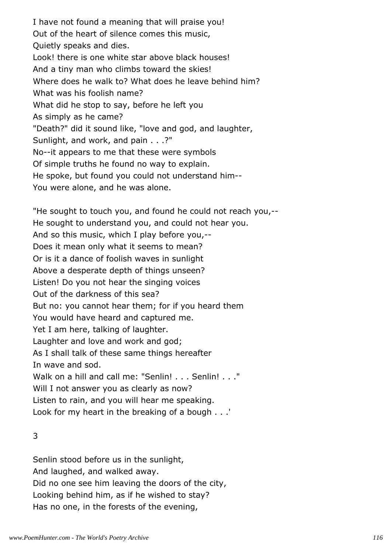I have not found a meaning that will praise you! Out of the heart of silence comes this music, Quietly speaks and dies. Look! there is one white star above black houses! And a tiny man who climbs toward the skies! Where does he walk to? What does he leave behind him? What was his foolish name? What did he stop to say, before he left you As simply as he came? "Death?" did it sound like, "love and god, and laughter, Sunlight, and work, and pain . . .?" No--it appears to me that these were symbols Of simple truths he found no way to explain. He spoke, but found you could not understand him-- You were alone, and he was alone.

"He sought to touch you, and found he could not reach you,-- He sought to understand you, and could not hear you. And so this music, which I play before you,-- Does it mean only what it seems to mean? Or is it a dance of foolish waves in sunlight Above a desperate depth of things unseen? Listen! Do you not hear the singing voices Out of the darkness of this sea? But no: you cannot hear them; for if you heard them You would have heard and captured me. Yet I am here, talking of laughter. Laughter and love and work and god; As I shall talk of these same things hereafter In wave and sod. Walk on a hill and call me: "Senlin! . . . Senlin! . . ." Will I not answer you as clearly as now? Listen to rain, and you will hear me speaking. Look for my heart in the breaking of a bough . . .'

### 3

Senlin stood before us in the sunlight, And laughed, and walked away. Did no one see him leaving the doors of the city, Looking behind him, as if he wished to stay? Has no one, in the forests of the evening,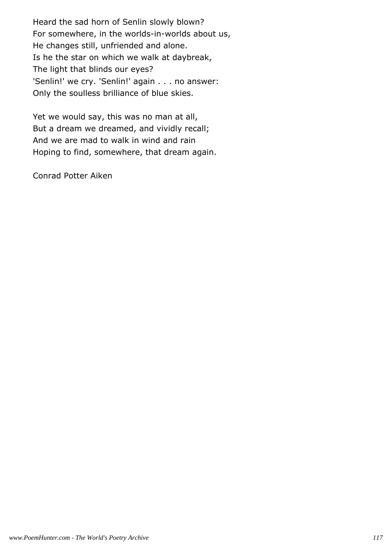Heard the sad horn of Senlin slowly blown? For somewhere, in the worlds-in-worlds about us, He changes still, unfriended and alone. Is he the star on which we walk at daybreak, The light that blinds our eyes? 'Senlin!' we cry. 'Senlin!' again . . . no answer: Only the soulless brilliance of blue skies.

Yet we would say, this was no man at all, But a dream we dreamed, and vividly recall; And we are mad to walk in wind and rain Hoping to find, somewhere, that dream again.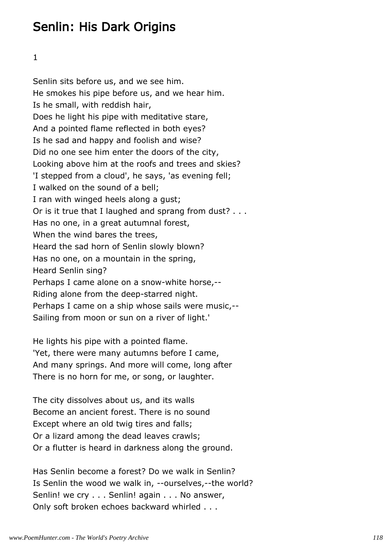## Senlin: His Dark Origins

#### 1

Senlin sits before us, and we see him. He smokes his pipe before us, and we hear him. Is he small, with reddish hair, Does he light his pipe with meditative stare, And a pointed flame reflected in both eyes? Is he sad and happy and foolish and wise? Did no one see him enter the doors of the city, Looking above him at the roofs and trees and skies? 'I stepped from a cloud', he says, 'as evening fell; I walked on the sound of a bell; I ran with winged heels along a gust; Or is it true that I laughed and sprang from dust? . . . Has no one, in a great autumnal forest, When the wind bares the trees, Heard the sad horn of Senlin slowly blown? Has no one, on a mountain in the spring, Heard Senlin sing? Perhaps I came alone on a snow-white horse,-- Riding alone from the deep-starred night. Perhaps I came on a ship whose sails were music,-- Sailing from moon or sun on a river of light.'

He lights his pipe with a pointed flame. 'Yet, there were many autumns before I came, And many springs. And more will come, long after There is no horn for me, or song, or laughter.

The city dissolves about us, and its walls Become an ancient forest. There is no sound Except where an old twig tires and falls; Or a lizard among the dead leaves crawls; Or a flutter is heard in darkness along the ground.

Has Senlin become a forest? Do we walk in Senlin? Is Senlin the wood we walk in, --ourselves,--the world? Senlin! we cry . . . Senlin! again . . . No answer, Only soft broken echoes backward whirled . . .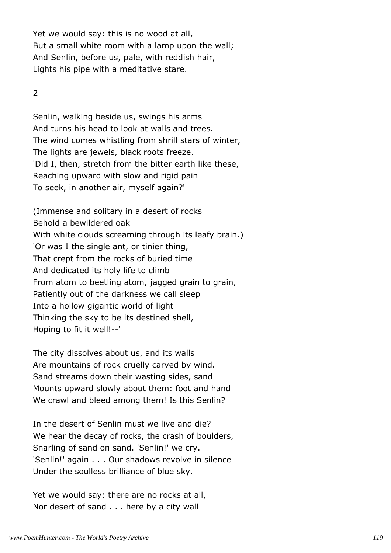Yet we would say: this is no wood at all, But a small white room with a lamp upon the wall; And Senlin, before us, pale, with reddish hair, Lights his pipe with a meditative stare.

#### 2

Senlin, walking beside us, swings his arms And turns his head to look at walls and trees. The wind comes whistling from shrill stars of winter, The lights are jewels, black roots freeze. 'Did I, then, stretch from the bitter earth like these, Reaching upward with slow and rigid pain To seek, in another air, myself again?'

(Immense and solitary in a desert of rocks Behold a bewildered oak With white clouds screaming through its leafy brain.) 'Or was I the single ant, or tinier thing, That crept from the rocks of buried time And dedicated its holy life to climb From atom to beetling atom, jagged grain to grain, Patiently out of the darkness we call sleep Into a hollow gigantic world of light Thinking the sky to be its destined shell, Hoping to fit it well!--'

The city dissolves about us, and its walls Are mountains of rock cruelly carved by wind. Sand streams down their wasting sides, sand Mounts upward slowly about them: foot and hand We crawl and bleed among them! Is this Senlin?

In the desert of Senlin must we live and die? We hear the decay of rocks, the crash of boulders, Snarling of sand on sand. 'Senlin!' we cry. 'Senlin!' again . . . Our shadows revolve in silence Under the soulless brilliance of blue sky.

Yet we would say: there are no rocks at all, Nor desert of sand . . . here by a city wall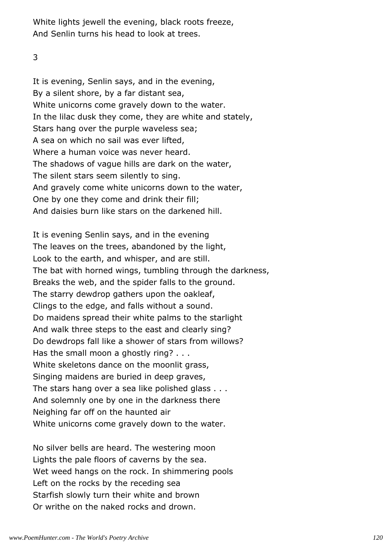White lights jewell the evening, black roots freeze, And Senlin turns his head to look at trees.

#### 3

It is evening, Senlin says, and in the evening, By a silent shore, by a far distant sea, White unicorns come gravely down to the water. In the lilac dusk they come, they are white and stately, Stars hang over the purple waveless sea; A sea on which no sail was ever lifted, Where a human voice was never heard. The shadows of vague hills are dark on the water, The silent stars seem silently to sing. And gravely come white unicorns down to the water, One by one they come and drink their fill; And daisies burn like stars on the darkened hill.

It is evening Senlin says, and in the evening The leaves on the trees, abandoned by the light, Look to the earth, and whisper, and are still. The bat with horned wings, tumbling through the darkness, Breaks the web, and the spider falls to the ground. The starry dewdrop gathers upon the oakleaf, Clings to the edge, and falls without a sound. Do maidens spread their white palms to the starlight And walk three steps to the east and clearly sing? Do dewdrops fall like a shower of stars from willows? Has the small moon a ghostly ring? . . . White skeletons dance on the moonlit grass, Singing maidens are buried in deep graves, The stars hang over a sea like polished glass . . . And solemnly one by one in the darkness there Neighing far off on the haunted air White unicorns come gravely down to the water.

No silver bells are heard. The westering moon Lights the pale floors of caverns by the sea. Wet weed hangs on the rock. In shimmering pools Left on the rocks by the receding sea Starfish slowly turn their white and brown Or writhe on the naked rocks and drown.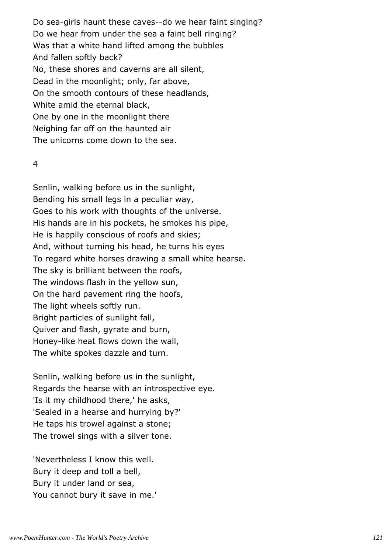Do sea-girls haunt these caves--do we hear faint singing? Do we hear from under the sea a faint bell ringing? Was that a white hand lifted among the bubbles And fallen softly back? No, these shores and caverns are all silent, Dead in the moonlight; only, far above, On the smooth contours of these headlands, White amid the eternal black, One by one in the moonlight there Neighing far off on the haunted air The unicorns come down to the sea.

#### 4

Senlin, walking before us in the sunlight, Bending his small legs in a peculiar way, Goes to his work with thoughts of the universe. His hands are in his pockets, he smokes his pipe, He is happily conscious of roofs and skies; And, without turning his head, he turns his eyes To regard white horses drawing a small white hearse. The sky is brilliant between the roofs, The windows flash in the yellow sun, On the hard pavement ring the hoofs, The light wheels softly run. Bright particles of sunlight fall, Quiver and flash, gyrate and burn, Honey-like heat flows down the wall, The white spokes dazzle and turn.

Senlin, walking before us in the sunlight, Regards the hearse with an introspective eye. 'Is it my childhood there,' he asks, 'Sealed in a hearse and hurrying by?' He taps his trowel against a stone; The trowel sings with a silver tone.

'Nevertheless I know this well. Bury it deep and toll a bell, Bury it under land or sea, You cannot bury it save in me.'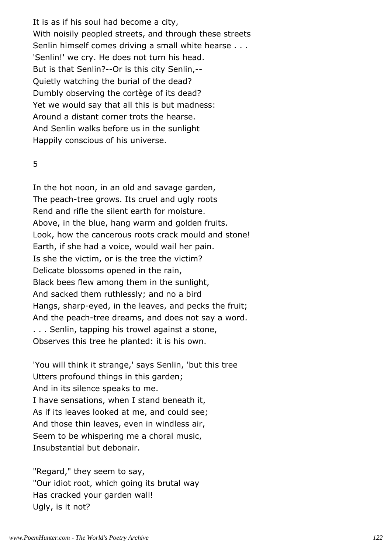It is as if his soul had become a city, With noisily peopled streets, and through these streets Senlin himself comes driving a small white hearse . . . 'Senlin!' we cry. He does not turn his head. But is that Senlin?--Or is this city Senlin,-- Quietly watching the burial of the dead? Dumbly observing the cortège of its dead? Yet we would say that all this is but madness: Around a distant corner trots the hearse. And Senlin walks before us in the sunlight Happily conscious of his universe.

#### 5

In the hot noon, in an old and savage garden, The peach-tree grows. Its cruel and ugly roots Rend and rifle the silent earth for moisture. Above, in the blue, hang warm and golden fruits. Look, how the cancerous roots crack mould and stone! Earth, if she had a voice, would wail her pain. Is she the victim, or is the tree the victim? Delicate blossoms opened in the rain, Black bees flew among them in the sunlight, And sacked them ruthlessly; and no a bird Hangs, sharp-eyed, in the leaves, and pecks the fruit; And the peach-tree dreams, and does not say a word. . . . Senlin, tapping his trowel against a stone, Observes this tree he planted: it is his own.

'You will think it strange,' says Senlin, 'but this tree Utters profound things in this garden; And in its silence speaks to me. I have sensations, when I stand beneath it, As if its leaves looked at me, and could see; And those thin leaves, even in windless air, Seem to be whispering me a choral music, Insubstantial but debonair.

"Regard," they seem to say, "Our idiot root, which going its brutal way Has cracked your garden wall! Ugly, is it not?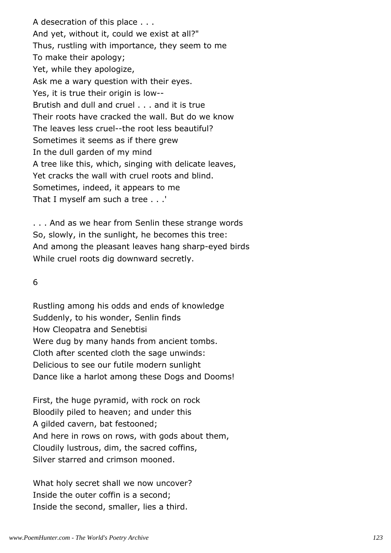A desecration of this place . . . And yet, without it, could we exist at all?" Thus, rustling with importance, they seem to me To make their apology; Yet, while they apologize, Ask me a wary question with their eyes. Yes, it is true their origin is low-- Brutish and dull and cruel . . . and it is true Their roots have cracked the wall. But do we know The leaves less cruel--the root less beautiful? Sometimes it seems as if there grew In the dull garden of my mind A tree like this, which, singing with delicate leaves, Yet cracks the wall with cruel roots and blind. Sometimes, indeed, it appears to me That I myself am such a tree . . .'

. . . And as we hear from Senlin these strange words So, slowly, in the sunlight, he becomes this tree: And among the pleasant leaves hang sharp-eyed birds While cruel roots dig downward secretly.

#### 6

Rustling among his odds and ends of knowledge Suddenly, to his wonder, Senlin finds How Cleopatra and Senebtisi Were dug by many hands from ancient tombs. Cloth after scented cloth the sage unwinds: Delicious to see our futile modern sunlight Dance like a harlot among these Dogs and Dooms!

First, the huge pyramid, with rock on rock Bloodily piled to heaven; and under this A gilded cavern, bat festooned; And here in rows on rows, with gods about them, Cloudily lustrous, dim, the sacred coffins, Silver starred and crimson mooned.

What holy secret shall we now uncover? Inside the outer coffin is a second; Inside the second, smaller, lies a third.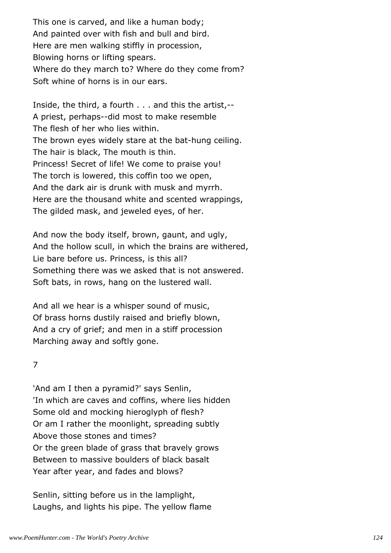This one is carved, and like a human body; And painted over with fish and bull and bird. Here are men walking stiffly in procession, Blowing horns or lifting spears. Where do they march to? Where do they come from? Soft whine of horns is in our ears.

Inside, the third, a fourth . . . and this the artist,-- A priest, perhaps--did most to make resemble The flesh of her who lies within. The brown eyes widely stare at the bat-hung ceiling. The hair is black, The mouth is thin. Princess! Secret of life! We come to praise you! The torch is lowered, this coffin too we open, And the dark air is drunk with musk and myrrh. Here are the thousand white and scented wrappings, The gilded mask, and jeweled eyes, of her.

And now the body itself, brown, gaunt, and ugly, And the hollow scull, in which the brains are withered, Lie bare before us. Princess, is this all? Something there was we asked that is not answered. Soft bats, in rows, hang on the lustered wall.

And all we hear is a whisper sound of music, Of brass horns dustily raised and briefly blown, And a cry of grief; and men in a stiff procession Marching away and softly gone.

7

'And am I then a pyramid?' says Senlin, 'In which are caves and coffins, where lies hidden Some old and mocking hieroglyph of flesh? Or am I rather the moonlight, spreading subtly Above those stones and times? Or the green blade of grass that bravely grows Between to massive boulders of black basalt Year after year, and fades and blows?

Senlin, sitting before us in the lamplight, Laughs, and lights his pipe. The yellow flame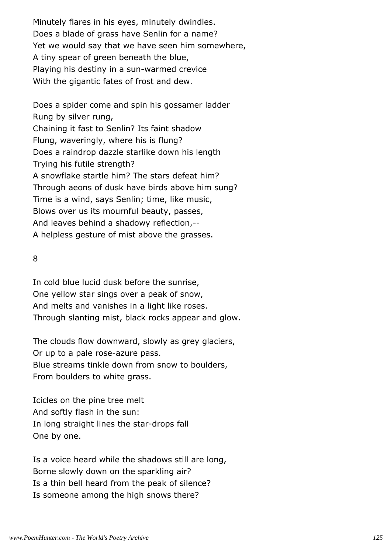Minutely flares in his eyes, minutely dwindles. Does a blade of grass have Senlin for a name? Yet we would say that we have seen him somewhere, A tiny spear of green beneath the blue, Playing his destiny in a sun-warmed crevice With the gigantic fates of frost and dew.

Does a spider come and spin his gossamer ladder Rung by silver rung, Chaining it fast to Senlin? Its faint shadow Flung, waveringly, where his is flung? Does a raindrop dazzle starlike down his length Trying his futile strength? A snowflake startle him? The stars defeat him? Through aeons of dusk have birds above him sung? Time is a wind, says Senlin; time, like music, Blows over us its mournful beauty, passes, And leaves behind a shadowy reflection,-- A helpless gesture of mist above the grasses.

### 8

In cold blue lucid dusk before the sunrise, One yellow star sings over a peak of snow, And melts and vanishes in a light like roses. Through slanting mist, black rocks appear and glow.

The clouds flow downward, slowly as grey glaciers, Or up to a pale rose-azure pass. Blue streams tinkle down from snow to boulders, From boulders to white grass.

Icicles on the pine tree melt And softly flash in the sun: In long straight lines the star-drops fall One by one.

Is a voice heard while the shadows still are long, Borne slowly down on the sparkling air? Is a thin bell heard from the peak of silence? Is someone among the high snows there?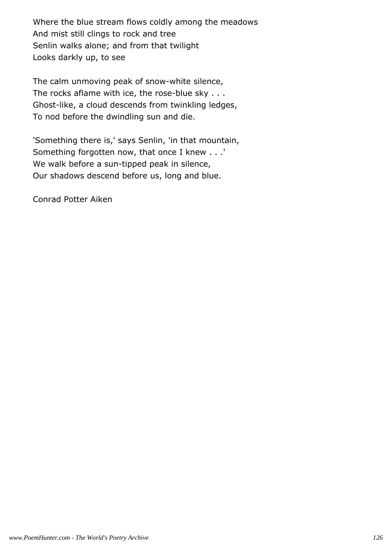Where the blue stream flows coldly among the meadows And mist still clings to rock and tree Senlin walks alone; and from that twilight Looks darkly up, to see

The calm unmoving peak of snow-white silence, The rocks aflame with ice, the rose-blue sky . . . Ghost-like, a cloud descends from twinkling ledges, To nod before the dwindling sun and die.

'Something there is,' says Senlin, 'in that mountain, Something forgotten now, that once I knew . . .' We walk before a sun-tipped peak in silence, Our shadows descend before us, long and blue.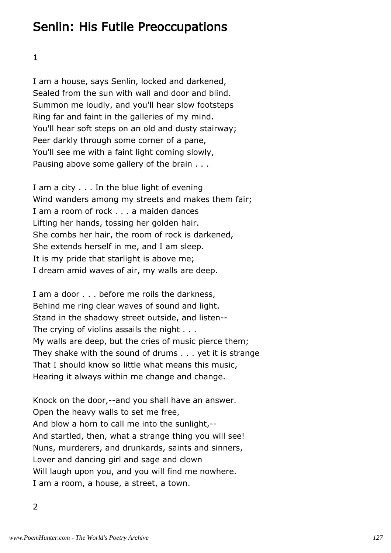## Senlin: His Futile Preoccupations

### 1

I am a house, says Senlin, locked and darkened, Sealed from the sun with wall and door and blind. Summon me loudly, and you'll hear slow footsteps Ring far and faint in the galleries of my mind. You'll hear soft steps on an old and dusty stairway; Peer darkly through some corner of a pane, You'll see me with a faint light coming slowly, Pausing above some gallery of the brain . . .

I am a city . . . In the blue light of evening Wind wanders among my streets and makes them fair; I am a room of rock . . . a maiden dances Lifting her hands, tossing her golden hair. She combs her hair, the room of rock is darkened, She extends herself in me, and I am sleep. It is my pride that starlight is above me; I dream amid waves of air, my walls are deep.

I am a door . . . before me roils the darkness, Behind me ring clear waves of sound and light. Stand in the shadowy street outside, and listen-- The crying of violins assails the night . . . My walls are deep, but the cries of music pierce them; They shake with the sound of drums . . . yet it is strange That I should know so little what means this music, Hearing it always within me change and change.

Knock on the door,--and you shall have an answer. Open the heavy walls to set me free, And blow a horn to call me into the sunlight,-- And startled, then, what a strange thing you will see! Nuns, murderers, and drunkards, saints and sinners, Lover and dancing girl and sage and clown Will laugh upon you, and you will find me nowhere. I am a room, a house, a street, a town.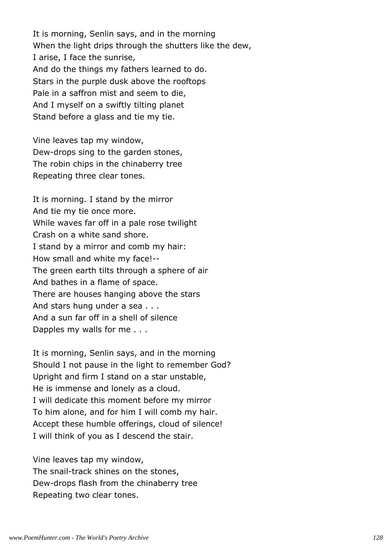It is morning, Senlin says, and in the morning When the light drips through the shutters like the dew, I arise, I face the sunrise, And do the things my fathers learned to do. Stars in the purple dusk above the rooftops Pale in a saffron mist and seem to die, And I myself on a swiftly tilting planet Stand before a glass and tie my tie.

Vine leaves tap my window, Dew-drops sing to the garden stones, The robin chips in the chinaberry tree Repeating three clear tones.

It is morning. I stand by the mirror And tie my tie once more. While waves far off in a pale rose twilight Crash on a white sand shore. I stand by a mirror and comb my hair: How small and white my face!-- The green earth tilts through a sphere of air And bathes in a flame of space. There are houses hanging above the stars And stars hung under a sea . . . And a sun far off in a shell of silence Dapples my walls for me...

It is morning, Senlin says, and in the morning Should I not pause in the light to remember God? Upright and firm I stand on a star unstable, He is immense and lonely as a cloud. I will dedicate this moment before my mirror To him alone, and for him I will comb my hair. Accept these humble offerings, cloud of silence! I will think of you as I descend the stair.

Vine leaves tap my window, The snail-track shines on the stones, Dew-drops flash from the chinaberry tree Repeating two clear tones.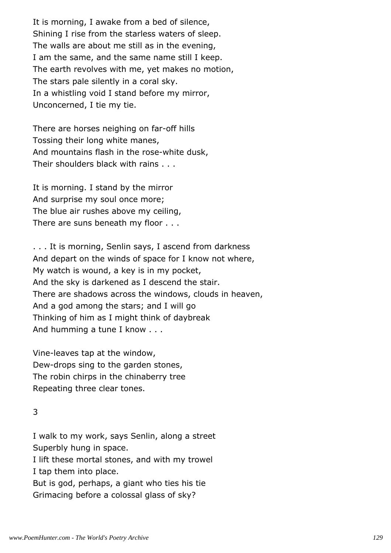It is morning, I awake from a bed of silence, Shining I rise from the starless waters of sleep. The walls are about me still as in the evening, I am the same, and the same name still I keep. The earth revolves with me, yet makes no motion, The stars pale silently in a coral sky. In a whistling void I stand before my mirror, Unconcerned, I tie my tie.

There are horses neighing on far-off hills Tossing their long white manes, And mountains flash in the rose-white dusk, Their shoulders black with rains . . .

It is morning. I stand by the mirror And surprise my soul once more; The blue air rushes above my ceiling, There are suns beneath my floor . . .

. . . It is morning, Senlin says, I ascend from darkness And depart on the winds of space for I know not where, My watch is wound, a key is in my pocket, And the sky is darkened as I descend the stair. There are shadows across the windows, clouds in heaven, And a god among the stars; and I will go Thinking of him as I might think of daybreak And humming a tune I know . . .

Vine-leaves tap at the window, Dew-drops sing to the garden stones, The robin chirps in the chinaberry tree Repeating three clear tones.

#### 3

I walk to my work, says Senlin, along a street Superbly hung in space. I lift these mortal stones, and with my trowel I tap them into place. But is god, perhaps, a giant who ties his tie Grimacing before a colossal glass of sky?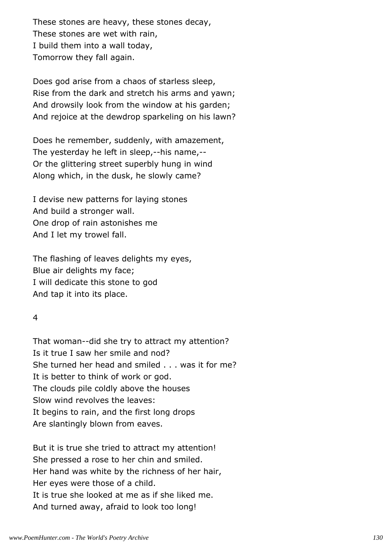These stones are heavy, these stones decay, These stones are wet with rain, I build them into a wall today, Tomorrow they fall again.

Does god arise from a chaos of starless sleep, Rise from the dark and stretch his arms and yawn; And drowsily look from the window at his garden; And rejoice at the dewdrop sparkeling on his lawn?

Does he remember, suddenly, with amazement, The yesterday he left in sleep,--his name,-- Or the glittering street superbly hung in wind Along which, in the dusk, he slowly came?

I devise new patterns for laying stones And build a stronger wall. One drop of rain astonishes me And I let my trowel fall.

The flashing of leaves delights my eyes, Blue air delights my face; I will dedicate this stone to god And tap it into its place.

#### 4

That woman--did she try to attract my attention? Is it true I saw her smile and nod? She turned her head and smiled . . . was it for me? It is better to think of work or god. The clouds pile coldly above the houses Slow wind revolves the leaves: It begins to rain, and the first long drops Are slantingly blown from eaves.

But it is true she tried to attract my attention! She pressed a rose to her chin and smiled. Her hand was white by the richness of her hair, Her eyes were those of a child. It is true she looked at me as if she liked me. And turned away, afraid to look too long!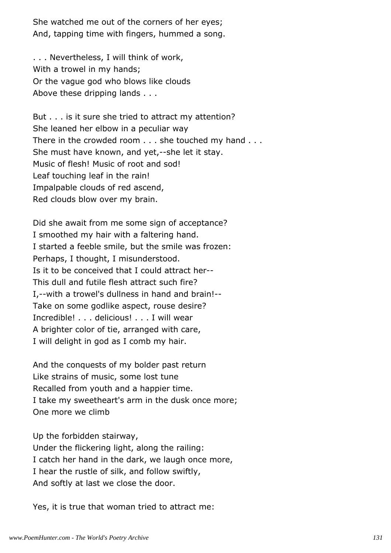She watched me out of the corners of her eyes; And, tapping time with fingers, hummed a song.

. . . Nevertheless, I will think of work, With a trowel in my hands; Or the vague god who blows like clouds Above these dripping lands . . .

But . . . is it sure she tried to attract my attention? She leaned her elbow in a peculiar way There in the crowded room . . . she touched my hand . . . She must have known, and yet,--she let it stay. Music of flesh! Music of root and sod! Leaf touching leaf in the rain! Impalpable clouds of red ascend, Red clouds blow over my brain.

Did she await from me some sign of acceptance? I smoothed my hair with a faltering hand. I started a feeble smile, but the smile was frozen: Perhaps, I thought, I misunderstood. Is it to be conceived that I could attract her-- This dull and futile flesh attract such fire? I,--with a trowel's dullness in hand and brain!-- Take on some godlike aspect, rouse desire? Incredible! . . . delicious! . . . I will wear A brighter color of tie, arranged with care, I will delight in god as I comb my hair.

And the conquests of my bolder past return Like strains of music, some lost tune Recalled from youth and a happier time. I take my sweetheart's arm in the dusk once more; One more we climb

Up the forbidden stairway, Under the flickering light, along the railing: I catch her hand in the dark, we laugh once more, I hear the rustle of silk, and follow swiftly, And softly at last we close the door.

Yes, it is true that woman tried to attract me: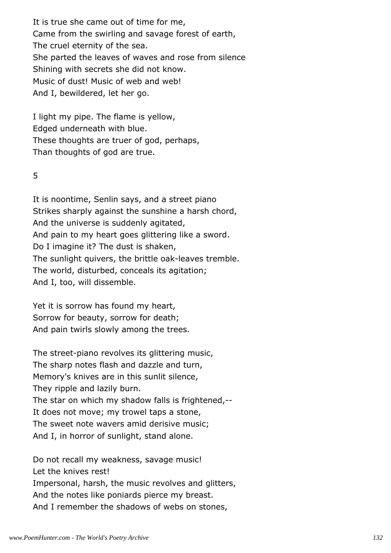It is true she came out of time for me, Came from the swirling and savage forest of earth, The cruel eternity of the sea. She parted the leaves of waves and rose from silence Shining with secrets she did not know. Music of dust! Music of web and web! And I, bewildered, let her go.

I light my pipe. The flame is yellow, Edged underneath with blue. These thoughts are truer of god, perhaps, Than thoughts of god are true.

#### 5

It is noontime, Senlin says, and a street piano Strikes sharply against the sunshine a harsh chord, And the universe is suddenly agitated, And pain to my heart goes glittering like a sword. Do I imagine it? The dust is shaken, The sunlight quivers, the brittle oak-leaves tremble. The world, disturbed, conceals its agitation; And I, too, will dissemble.

Yet it is sorrow has found my heart, Sorrow for beauty, sorrow for death; And pain twirls slowly among the trees.

The street-piano revolves its glittering music, The sharp notes flash and dazzle and turn, Memory's knives are in this sunlit silence, They ripple and lazily burn. The star on which my shadow falls is frightened,-- It does not move; my trowel taps a stone, The sweet note wavers amid derisive music; And I, in horror of sunlight, stand alone.

Do not recall my weakness, savage music! Let the knives rest! Impersonal, harsh, the music revolves and glitters, And the notes like poniards pierce my breast. And I remember the shadows of webs on stones,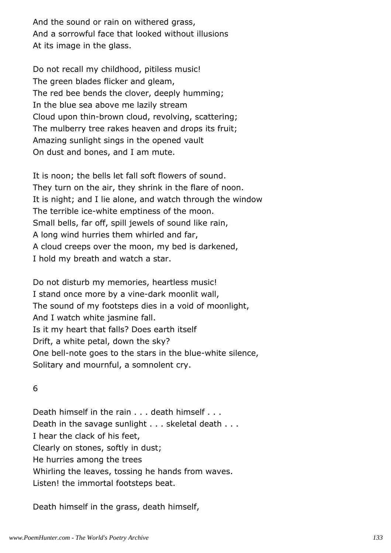And the sound or rain on withered grass, And a sorrowful face that looked without illusions At its image in the glass.

Do not recall my childhood, pitiless music! The green blades flicker and gleam, The red bee bends the clover, deeply humming; In the blue sea above me lazily stream Cloud upon thin-brown cloud, revolving, scattering; The mulberry tree rakes heaven and drops its fruit; Amazing sunlight sings in the opened vault On dust and bones, and I am mute.

It is noon; the bells let fall soft flowers of sound. They turn on the air, they shrink in the flare of noon. It is night; and I lie alone, and watch through the window The terrible ice-white emptiness of the moon. Small bells, far off, spill jewels of sound like rain, A long wind hurries them whirled and far, A cloud creeps over the moon, my bed is darkened, I hold my breath and watch a star.

Do not disturb my memories, heartless music! I stand once more by a vine-dark moonlit wall, The sound of my footsteps dies in a void of moonlight, And I watch white jasmine fall. Is it my heart that falls? Does earth itself Drift, a white petal, down the sky? One bell-note goes to the stars in the blue-white silence, Solitary and mournful, a somnolent cry.

#### 6

Death himself in the rain . . . death himself . . . Death in the savage sunlight . . . skeletal death . . . I hear the clack of his feet, Clearly on stones, softly in dust; He hurries among the trees Whirling the leaves, tossing he hands from waves. Listen! the immortal footsteps beat.

Death himself in the grass, death himself,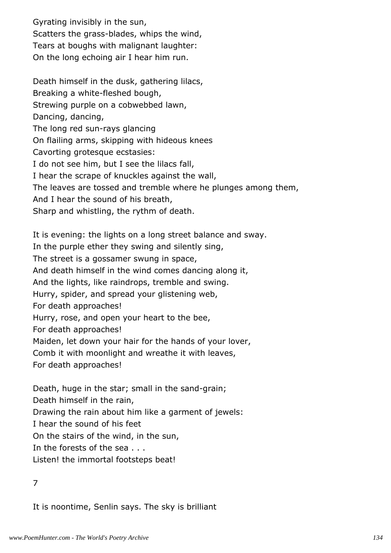Gyrating invisibly in the sun, Scatters the grass-blades, whips the wind, Tears at boughs with malignant laughter: On the long echoing air I hear him run.

Death himself in the dusk, gathering lilacs, Breaking a white-fleshed bough, Strewing purple on a cobwebbed lawn, Dancing, dancing, The long red sun-rays glancing On flailing arms, skipping with hideous knees Cavorting grotesque ecstasies: I do not see him, but I see the lilacs fall, I hear the scrape of knuckles against the wall, The leaves are tossed and tremble where he plunges among them, And I hear the sound of his breath, Sharp and whistling, the rythm of death.

It is evening: the lights on a long street balance and sway. In the purple ether they swing and silently sing, The street is a gossamer swung in space, And death himself in the wind comes dancing along it, And the lights, like raindrops, tremble and swing. Hurry, spider, and spread your glistening web, For death approaches! Hurry, rose, and open your heart to the bee, For death approaches! Maiden, let down your hair for the hands of your lover, Comb it with moonlight and wreathe it with leaves, For death approaches! Death, huge in the star; small in the sand-grain;

Death himself in the rain,

Drawing the rain about him like a garment of jewels:

I hear the sound of his feet

On the stairs of the wind, in the sun,

In the forests of the sea . . .

Listen! the immortal footsteps beat!

### 7

It is noontime, Senlin says. The sky is brilliant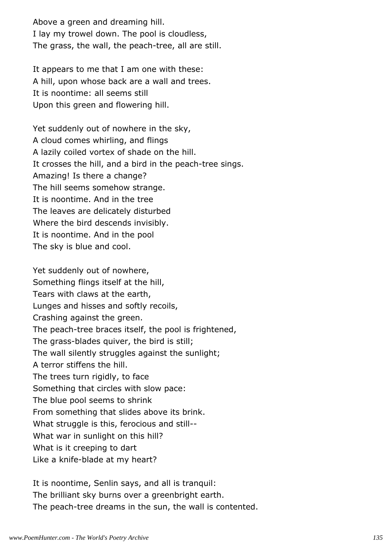Above a green and dreaming hill. I lay my trowel down. The pool is cloudless, The grass, the wall, the peach-tree, all are still.

It appears to me that I am one with these: A hill, upon whose back are a wall and trees. It is noontime: all seems still Upon this green and flowering hill.

Yet suddenly out of nowhere in the sky, A cloud comes whirling, and flings A lazily coiled vortex of shade on the hill. It crosses the hill, and a bird in the peach-tree sings. Amazing! Is there a change? The hill seems somehow strange. It is noontime. And in the tree The leaves are delicately disturbed Where the bird descends invisibly. It is noontime. And in the pool The sky is blue and cool.

Yet suddenly out of nowhere, Something flings itself at the hill, Tears with claws at the earth, Lunges and hisses and softly recoils, Crashing against the green. The peach-tree braces itself, the pool is frightened, The grass-blades quiver, the bird is still; The wall silently struggles against the sunlight; A terror stiffens the hill. The trees turn rigidly, to face Something that circles with slow pace: The blue pool seems to shrink From something that slides above its brink. What struggle is this, ferocious and still-- What war in sunlight on this hill? What is it creeping to dart Like a knife-blade at my heart?

It is noontime, Senlin says, and all is tranquil: The brilliant sky burns over a greenbright earth. The peach-tree dreams in the sun, the wall is contented.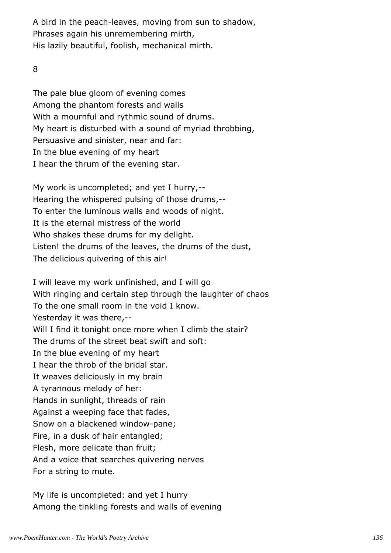A bird in the peach-leaves, moving from sun to shadow, Phrases again his unremembering mirth, His lazily beautiful, foolish, mechanical mirth.

### 8

The pale blue gloom of evening comes Among the phantom forests and walls With a mournful and rythmic sound of drums. My heart is disturbed with a sound of myriad throbbing, Persuasive and sinister, near and far: In the blue evening of my heart I hear the thrum of the evening star.

My work is uncompleted; and yet I hurry,-- Hearing the whispered pulsing of those drums,-- To enter the luminous walls and woods of night. It is the eternal mistress of the world Who shakes these drums for my delight. Listen! the drums of the leaves, the drums of the dust, The delicious quivering of this air!

I will leave my work unfinished, and I will go With ringing and certain step through the laughter of chaos To the one small room in the void I know. Yesterday it was there,-- Will I find it tonight once more when I climb the stair? The drums of the street beat swift and soft: In the blue evening of my heart I hear the throb of the bridal star. It weaves deliciously in my brain A tyrannous melody of her: Hands in sunlight, threads of rain Against a weeping face that fades, Snow on a blackened window-pane; Fire, in a dusk of hair entangled; Flesh, more delicate than fruit; And a voice that searches quivering nerves For a string to mute.

My life is uncompleted: and yet I hurry Among the tinkling forests and walls of evening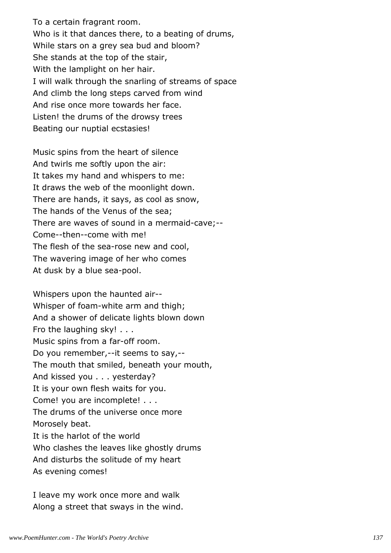To a certain fragrant room. Who is it that dances there, to a beating of drums, While stars on a grey sea bud and bloom? She stands at the top of the stair, With the lamplight on her hair. I will walk through the snarling of streams of space And climb the long steps carved from wind And rise once more towards her face. Listen! the drums of the drowsy trees Beating our nuptial ecstasies!

Music spins from the heart of silence And twirls me softly upon the air: It takes my hand and whispers to me: It draws the web of the moonlight down. There are hands, it says, as cool as snow, The hands of the Venus of the sea; There are waves of sound in a mermaid-cave;-- Come--then--come with me! The flesh of the sea-rose new and cool, The wavering image of her who comes At dusk by a blue sea-pool.

Whispers upon the haunted air-- Whisper of foam-white arm and thigh; And a shower of delicate lights blown down Fro the laughing sky! . . . Music spins from a far-off room. Do you remember,--it seems to say,-- The mouth that smiled, beneath your mouth, And kissed you . . . yesterday? It is your own flesh waits for you. Come! you are incomplete! . . . The drums of the universe once more Morosely beat. It is the harlot of the world Who clashes the leaves like ghostly drums And disturbs the solitude of my heart As evening comes!

I leave my work once more and walk Along a street that sways in the wind.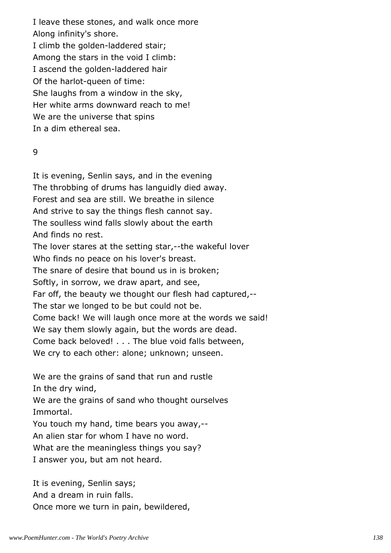I leave these stones, and walk once more Along infinity's shore. I climb the golden-laddered stair; Among the stars in the void I climb: I ascend the golden-laddered hair Of the harlot-queen of time: She laughs from a window in the sky, Her white arms downward reach to me! We are the universe that spins In a dim ethereal sea.

#### 9

It is evening, Senlin says, and in the evening The throbbing of drums has languidly died away. Forest and sea are still. We breathe in silence And strive to say the things flesh cannot say. The soulless wind falls slowly about the earth And finds no rest. The lover stares at the setting star,--the wakeful lover Who finds no peace on his lover's breast. The snare of desire that bound us in is broken; Softly, in sorrow, we draw apart, and see, Far off, the beauty we thought our flesh had captured,-- The star we longed to be but could not be. Come back! We will laugh once more at the words we said! We say them slowly again, but the words are dead. Come back beloved! . . . The blue void falls between, We cry to each other: alone; unknown; unseen. We are the grains of sand that run and rustle In the dry wind, We are the grains of sand who thought ourselves

Immortal.

You touch my hand, time bears you away,--

An alien star for whom I have no word.

What are the meaningless things you say?

I answer you, but am not heard.

It is evening, Senlin says; And a dream in ruin falls. Once more we turn in pain, bewildered,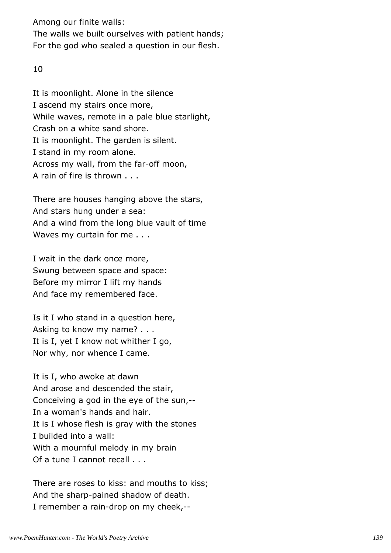Among our finite walls:

The walls we built ourselves with patient hands; For the god who sealed a question in our flesh.

10

It is moonlight. Alone in the silence I ascend my stairs once more, While waves, remote in a pale blue starlight, Crash on a white sand shore. It is moonlight. The garden is silent. I stand in my room alone. Across my wall, from the far-off moon, A rain of fire is thrown . . .

There are houses hanging above the stars, And stars hung under a sea: And a wind from the long blue vault of time Waves my curtain for me . . .

I wait in the dark once more, Swung between space and space: Before my mirror I lift my hands And face my remembered face.

Is it I who stand in a question here, Asking to know my name? . . . It is I, yet I know not whither I go, Nor why, nor whence I came.

It is I, who awoke at dawn And arose and descended the stair, Conceiving a god in the eye of the sun,-- In a woman's hands and hair. It is I whose flesh is gray with the stones I builded into a wall: With a mournful melody in my brain Of a tune I cannot recall . . .

There are roses to kiss: and mouths to kiss; And the sharp-pained shadow of death. I remember a rain-drop on my cheek,--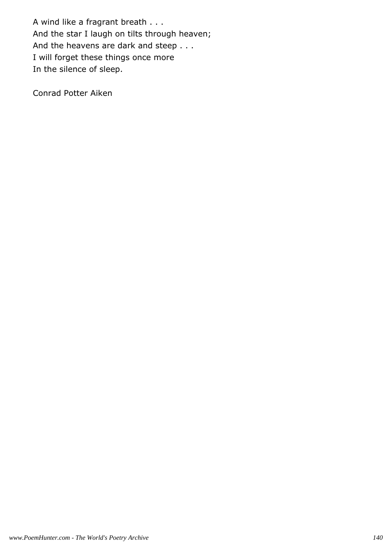A wind like a fragrant breath . . . And the star I laugh on tilts through heaven; And the heavens are dark and steep . . . I will forget these things once more In the silence of sleep.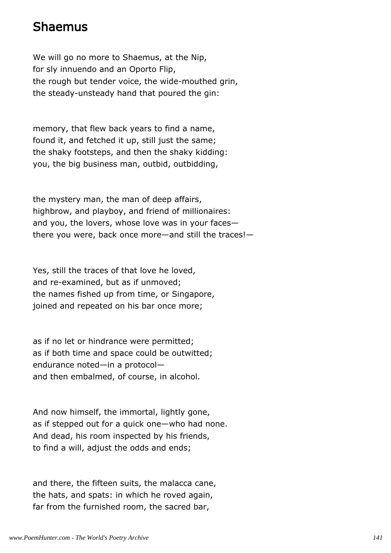### Shaemus

We will go no more to Shaemus, at the Nip, for sly innuendo and an Oporto Flip, the rough but tender voice, the wide-mouthed grin, the steady-unsteady hand that poured the gin:

memory, that flew back years to find a name, found it, and fetched it up, still just the same; the shaky footsteps, and then the shaky kidding: you, the big business man, outbid, outbidding,

the mystery man, the man of deep affairs, highbrow, and playboy, and friend of millionaires: and you, the lovers, whose love was in your faces there you were, back once more—and still the traces!—

Yes, still the traces of that love he loved, and re-examined, but as if unmoved; the names fished up from time, or Singapore, joined and repeated on his bar once more;

as if no let or hindrance were permitted; as if both time and space could be outwitted; endurance noted—in a protocol and then embalmed, of course, in alcohol.

And now himself, the immortal, lightly gone, as if stepped out for a quick one—who had none. And dead, his room inspected by his friends, to find a will, adjust the odds and ends;

and there, the fifteen suits, the malacca cane, the hats, and spats: in which he roved again, far from the furnished room, the sacred bar,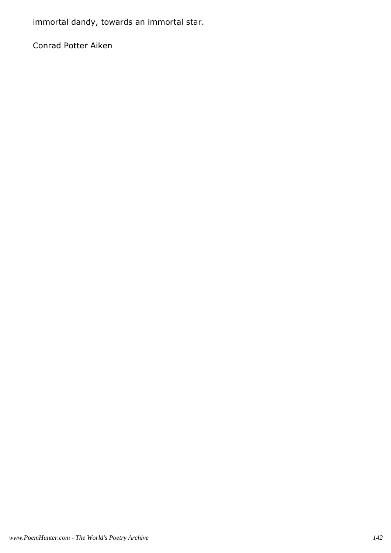immortal dandy, towards an immortal star.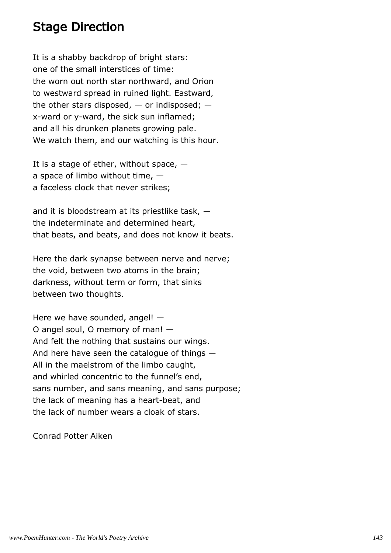## Stage Direction

It is a shabby backdrop of bright stars: one of the small interstices of time: the worn out north star northward, and Orion to westward spread in ruined light. Eastward, the other stars disposed,  $-$  or indisposed;  $$ x-ward or y-ward, the sick sun inflamed; and all his drunken planets growing pale. We watch them, and our watching is this hour.

It is a stage of ether, without space,  $$ a space of limbo without time, a faceless clock that never strikes;

and it is bloodstream at its priestlike task, the indeterminate and determined heart, that beats, and beats, and does not know it beats.

Here the dark synapse between nerve and nerve; the void, between two atoms in the brain; darkness, without term or form, that sinks between two thoughts.

Here we have sounded, angel! — O angel soul, O memory of man! — And felt the nothing that sustains our wings. And here have seen the catalogue of things — All in the maelstrom of the limbo caught, and whirled concentric to the funnel's end, sans number, and sans meaning, and sans purpose; the lack of meaning has a heart-beat, and the lack of number wears a cloak of stars.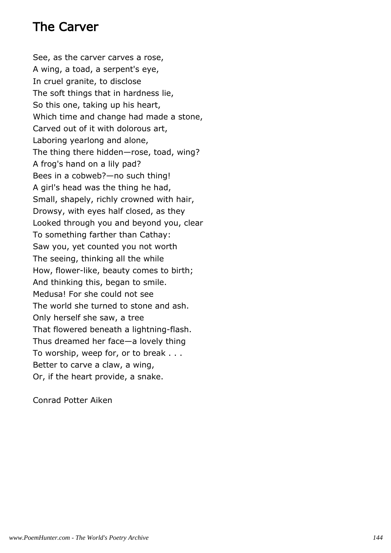# The Carver

See, as the carver carves a rose, A wing, a toad, a serpent's eye, In cruel granite, to disclose The soft things that in hardness lie, So this one, taking up his heart, Which time and change had made a stone, Carved out of it with dolorous art, Laboring yearlong and alone, The thing there hidden—rose, toad, wing? A frog's hand on a lily pad? Bees in a cobweb?—no such thing! A girl's head was the thing he had, Small, shapely, richly crowned with hair, Drowsy, with eyes half closed, as they Looked through you and beyond you, clear To something farther than Cathay: Saw you, yet counted you not worth The seeing, thinking all the while How, flower-like, beauty comes to birth; And thinking this, began to smile. Medusa! For she could not see The world she turned to stone and ash. Only herself she saw, a tree That flowered beneath a lightning-flash. Thus dreamed her face—a lovely thing To worship, weep for, or to break . . . Better to carve a claw, a wing, Or, if the heart provide, a snake.

Conrad Potter Aiken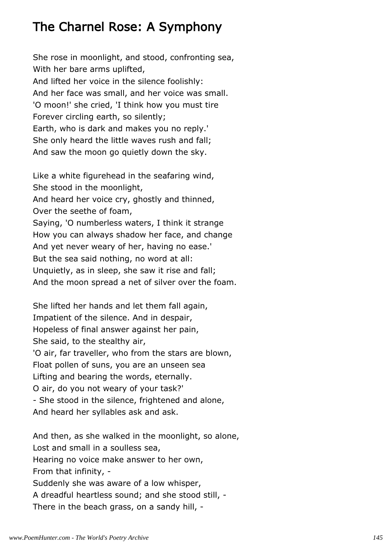# The Charnel Rose: A Symphony

She rose in moonlight, and stood, confronting sea, With her bare arms uplifted, And lifted her voice in the silence foolishly: And her face was small, and her voice was small. 'O moon!' she cried, 'I think how you must tire Forever circling earth, so silently; Earth, who is dark and makes you no reply.' She only heard the little waves rush and fall; And saw the moon go quietly down the sky.

Like a white figurehead in the seafaring wind, She stood in the moonlight, And heard her voice cry, ghostly and thinned, Over the seethe of foam, Saying, 'O numberless waters, I think it strange How you can always shadow her face, and change And yet never weary of her, having no ease.' But the sea said nothing, no word at all: Unquietly, as in sleep, she saw it rise and fall; And the moon spread a net of silver over the foam.

She lifted her hands and let them fall again, Impatient of the silence. And in despair, Hopeless of final answer against her pain, She said, to the stealthy air, 'O air, far traveller, who from the stars are blown, Float pollen of suns, you are an unseen sea Lifting and bearing the words, eternally. O air, do you not weary of your task?' - She stood in the silence, frightened and alone, And heard her syllables ask and ask.

And then, as she walked in the moonlight, so alone, Lost and small in a soulless sea, Hearing no voice make answer to her own, From that infinity, - Suddenly she was aware of a low whisper, A dreadful heartless sound; and she stood still, - There in the beach grass, on a sandy hill, -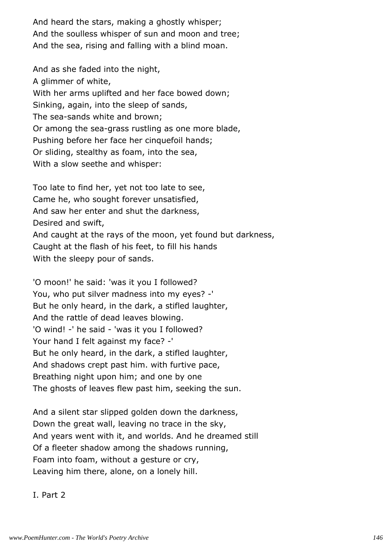And heard the stars, making a ghostly whisper; And the soulless whisper of sun and moon and tree; And the sea, rising and falling with a blind moan.

And as she faded into the night, A glimmer of white, With her arms uplifted and her face bowed down; Sinking, again, into the sleep of sands, The sea-sands white and brown; Or among the sea-grass rustling as one more blade, Pushing before her face her cinquefoil hands; Or sliding, stealthy as foam, into the sea, With a slow seethe and whisper:

Too late to find her, yet not too late to see, Came he, who sought forever unsatisfied, And saw her enter and shut the darkness, Desired and swift, And caught at the rays of the moon, yet found but darkness, Caught at the flash of his feet, to fill his hands With the sleepy pour of sands.

'O moon!' he said: 'was it you I followed? You, who put silver madness into my eyes? -' But he only heard, in the dark, a stifled laughter, And the rattle of dead leaves blowing. 'O wind! -' he said - 'was it you I followed? Your hand I felt against my face? -' But he only heard, in the dark, a stifled laughter, And shadows crept past him. with furtive pace, Breathing night upon him; and one by one The ghosts of leaves flew past him, seeking the sun.

And a silent star slipped golden down the darkness, Down the great wall, leaving no trace in the sky, And years went with it, and worlds. And he dreamed still Of a fleeter shadow among the shadows running, Foam into foam, without a gesture or cry, Leaving him there, alone, on a lonely hill.

#### I. Part 2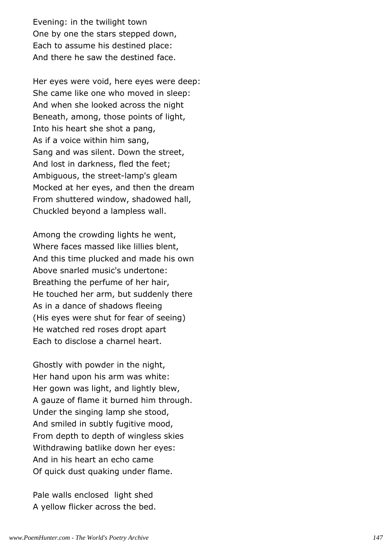Evening: in the twilight town One by one the stars stepped down, Each to assume his destined place: And there he saw the destined face.

Her eyes were void, here eyes were deep: She came like one who moved in sleep: And when she looked across the night Beneath, among, those points of light, Into his heart she shot a pang, As if a voice within him sang, Sang and was silent. Down the street, And lost in darkness, fled the feet; Ambiguous, the street-lamp's gleam Mocked at her eyes, and then the dream From shuttered window, shadowed hall, Chuckled beyond a lampless wall.

Among the crowding lights he went, Where faces massed like lillies blent, And this time plucked and made his own Above snarled music's undertone: Breathing the perfume of her hair, He touched her arm, but suddenly there As in a dance of shadows fleeing (His eyes were shut for fear of seeing) He watched red roses dropt apart Each to disclose a charnel heart.

Ghostly with powder in the night, Her hand upon his arm was white: Her gown was light, and lightly blew, A gauze of flame it burned him through. Under the singing lamp she stood, And smiled in subtly fugitive mood, From depth to depth of wingless skies Withdrawing batlike down her eyes: And in his heart an echo came Of quick dust quaking under flame.

Pale walls enclosed light shed A yellow flicker across the bed.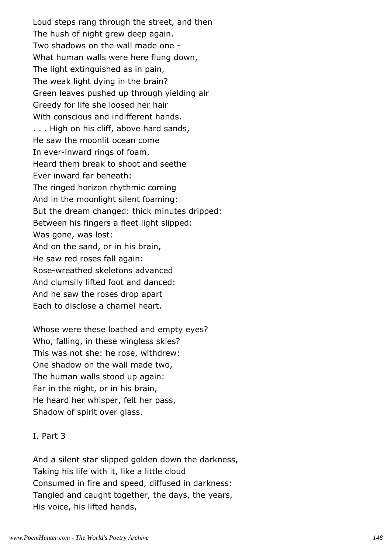Loud steps rang through the street, and then The hush of night grew deep again. Two shadows on the wall made one - What human walls were here flung down, The light extinguished as in pain, The weak light dying in the brain? Green leaves pushed up through yielding air Greedy for life she loosed her hair With conscious and indifferent hands. . . . High on his cliff, above hard sands, He saw the moonlit ocean come In ever-inward rings of foam, Heard them break to shoot and seethe Ever inward far beneath: The ringed horizon rhythmic coming And in the moonlight silent foaming: But the dream changed: thick minutes dripped: Between his fingers a fleet light slipped: Was gone, was lost: And on the sand, or in his brain, He saw red roses fall again: Rose-wreathed skeletons advanced And clumsily lifted foot and danced: And he saw the roses drop apart Each to disclose a charnel heart.

Whose were these loathed and empty eyes? Who, falling, in these wingless skies? This was not she: he rose, withdrew: One shadow on the wall made two, The human walls stood up again: Far in the night, or in his brain, He heard her whisper, felt her pass, Shadow of spirit over glass.

#### I. Part 3

And a silent star slipped golden down the darkness, Taking his life with it, like a little cloud Consumed in fire and speed, diffused in darkness: Tangled and caught together, the days, the years, His voice, his lifted hands,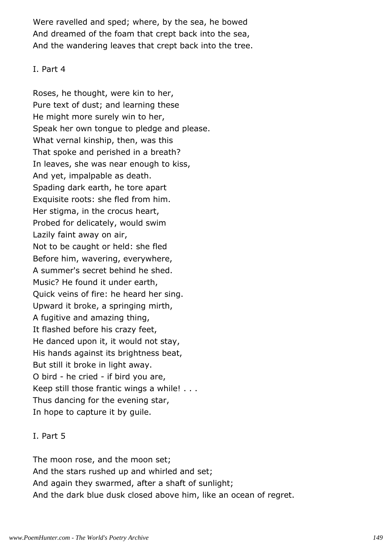Were ravelled and sped; where, by the sea, he bowed And dreamed of the foam that crept back into the sea, And the wandering leaves that crept back into the tree.

## I. Part 4

Roses, he thought, were kin to her, Pure text of dust; and learning these He might more surely win to her, Speak her own tongue to pledge and please. What vernal kinship, then, was this That spoke and perished in a breath? In leaves, she was near enough to kiss, And yet, impalpable as death. Spading dark earth, he tore apart Exquisite roots: she fled from him. Her stigma, in the crocus heart, Probed for delicately, would swim Lazily faint away on air, Not to be caught or held: she fled Before him, wavering, everywhere, A summer's secret behind he shed. Music? He found it under earth, Quick veins of fire: he heard her sing. Upward it broke, a springing mirth, A fugitive and amazing thing, It flashed before his crazy feet, He danced upon it, it would not stay, His hands against its brightness beat, But still it broke in light away. O bird - he cried - if bird you are, Keep still those frantic wings a while! . . . Thus dancing for the evening star, In hope to capture it by guile.

## I. Part 5

The moon rose, and the moon set; And the stars rushed up and whirled and set; And again they swarmed, after a shaft of sunlight; And the dark blue dusk closed above him, like an ocean of regret.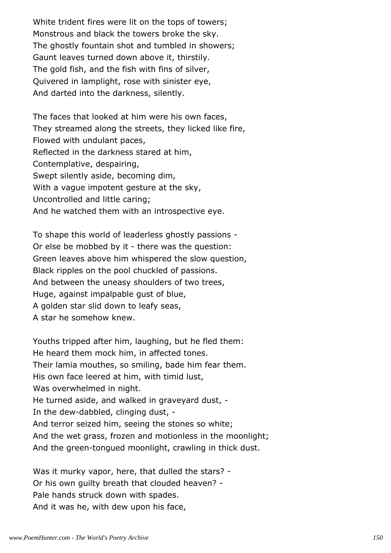White trident fires were lit on the tops of towers; Monstrous and black the towers broke the sky. The ghostly fountain shot and tumbled in showers; Gaunt leaves turned down above it, thirstily. The gold fish, and the fish with fins of silver, Quivered in lamplight, rose with sinister eye, And darted into the darkness, silently.

The faces that looked at him were his own faces, They streamed along the streets, they licked like fire, Flowed with undulant paces, Reflected in the darkness stared at him, Contemplative, despairing, Swept silently aside, becoming dim, With a vague impotent gesture at the sky, Uncontrolled and little caring; And he watched them with an introspective eye.

To shape this world of leaderless ghostly passions - Or else be mobbed by it - there was the question: Green leaves above him whispered the slow question, Black ripples on the pool chuckled of passions. And between the uneasy shoulders of two trees, Huge, against impalpable gust of blue, A golden star slid down to leafy seas, A star he somehow knew.

Youths tripped after him, laughing, but he fled them: He heard them mock him, in affected tones. Their lamia mouthes, so smiling, bade him fear them. His own face leered at him, with timid lust, Was overwhelmed in night. He turned aside, and walked in graveyard dust, - In the dew-dabbled, clinging dust, - And terror seized him, seeing the stones so white; And the wet grass, frozen and motionless in the moonlight; And the green-tongued moonlight, crawling in thick dust.

Was it murky vapor, here, that dulled the stars? - Or his own guilty breath that clouded heaven? - Pale hands struck down with spades. And it was he, with dew upon his face,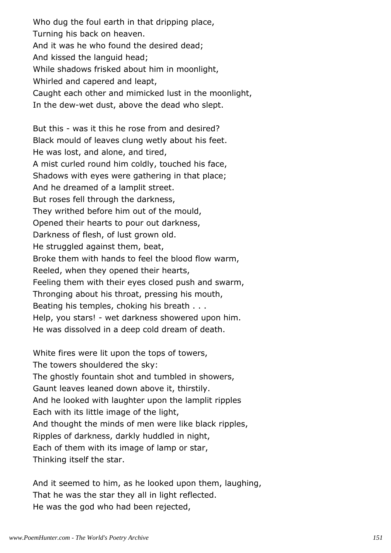Who dug the foul earth in that dripping place, Turning his back on heaven. And it was he who found the desired dead; And kissed the languid head; While shadows frisked about him in moonlight, Whirled and capered and leapt, Caught each other and mimicked lust in the moonlight, In the dew-wet dust, above the dead who slept.

But this - was it this he rose from and desired? Black mould of leaves clung wetly about his feet. He was lost, and alone, and tired, A mist curled round him coldly, touched his face, Shadows with eyes were gathering in that place; And he dreamed of a lamplit street. But roses fell through the darkness, They writhed before him out of the mould, Opened their hearts to pour out darkness, Darkness of flesh, of lust grown old. He struggled against them, beat, Broke them with hands to feel the blood flow warm, Reeled, when they opened their hearts, Feeling them with their eyes closed push and swarm, Thronging about his throat, pressing his mouth, Beating his temples, choking his breath . . . Help, you stars! - wet darkness showered upon him. He was dissolved in a deep cold dream of death.

White fires were lit upon the tops of towers, The towers shouldered the sky: The ghostly fountain shot and tumbled in showers, Gaunt leaves leaned down above it, thirstily. And he looked with laughter upon the lamplit ripples Each with its little image of the light, And thought the minds of men were like black ripples, Ripples of darkness, darkly huddled in night, Each of them with its image of lamp or star, Thinking itself the star.

And it seemed to him, as he looked upon them, laughing, That he was the star they all in light reflected. He was the god who had been rejected,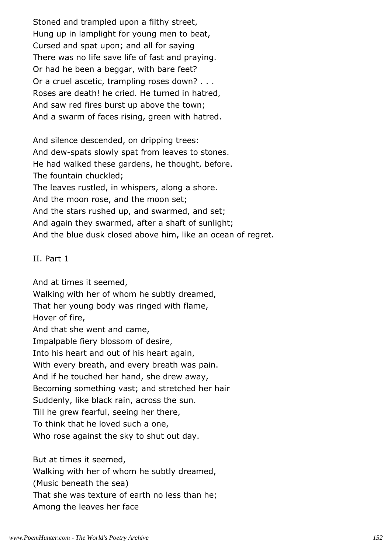Stoned and trampled upon a filthy street, Hung up in lamplight for young men to beat, Cursed and spat upon; and all for saying There was no life save life of fast and praying. Or had he been a beggar, with bare feet? Or a cruel ascetic, trampling roses down? . . . Roses are death! he cried. He turned in hatred, And saw red fires burst up above the town; And a swarm of faces rising, green with hatred.

And silence descended, on dripping trees: And dew-spats slowly spat from leaves to stones. He had walked these gardens, he thought, before. The fountain chuckled; The leaves rustled, in whispers, along a shore. And the moon rose, and the moon set; And the stars rushed up, and swarmed, and set; And again they swarmed, after a shaft of sunlight; And the blue dusk closed above him, like an ocean of regret.

## II. Part 1

And at times it seemed, Walking with her of whom he subtly dreamed, That her young body was ringed with flame, Hover of fire, And that she went and came, Impalpable fiery blossom of desire, Into his heart and out of his heart again, With every breath, and every breath was pain. And if he touched her hand, she drew away, Becoming something vast; and stretched her hair Suddenly, like black rain, across the sun. Till he grew fearful, seeing her there, To think that he loved such a one, Who rose against the sky to shut out day.

But at times it seemed,

Walking with her of whom he subtly dreamed,

(Music beneath the sea)

That she was texture of earth no less than he;

Among the leaves her face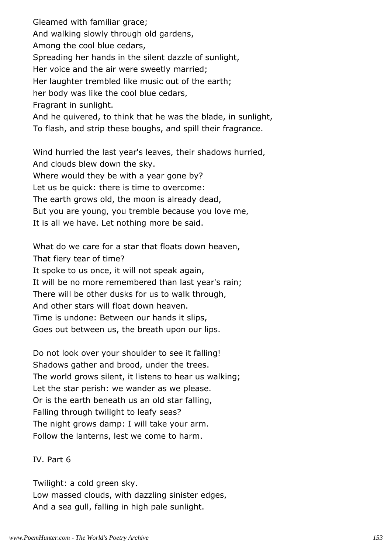Gleamed with familiar grace; And walking slowly through old gardens, Among the cool blue cedars, Spreading her hands in the silent dazzle of sunlight, Her voice and the air were sweetly married; Her laughter trembled like music out of the earth; her body was like the cool blue cedars, Fragrant in sunlight. And he quivered, to think that he was the blade, in sunlight, To flash, and strip these boughs, and spill their fragrance.

Wind hurried the last year's leaves, their shadows hurried, And clouds blew down the sky. Where would they be with a year gone by? Let us be quick: there is time to overcome: The earth grows old, the moon is already dead, But you are young, you tremble because you love me, It is all we have. Let nothing more be said.

What do we care for a star that floats down heaven, That fiery tear of time?

It spoke to us once, it will not speak again, It will be no more remembered than last year's rain; There will be other dusks for us to walk through, And other stars will float down heaven. Time is undone: Between our hands it slips, Goes out between us, the breath upon our lips.

Do not look over your shoulder to see it falling! Shadows gather and brood, under the trees. The world grows silent, it listens to hear us walking; Let the star perish: we wander as we please. Or is the earth beneath us an old star falling, Falling through twilight to leafy seas? The night grows damp: I will take your arm. Follow the lanterns, lest we come to harm.

## IV. Part 6

Twilight: a cold green sky. Low massed clouds, with dazzling sinister edges, And a sea gull, falling in high pale sunlight.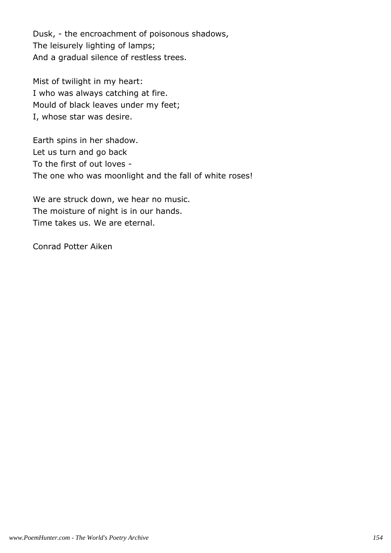Dusk, - the encroachment of poisonous shadows, The leisurely lighting of lamps; And a gradual silence of restless trees.

Mist of twilight in my heart: I who was always catching at fire. Mould of black leaves under my feet; I, whose star was desire.

Earth spins in her shadow. Let us turn and go back To the first of out loves - The one who was moonlight and the fall of white roses!

We are struck down, we hear no music. The moisture of night is in our hands. Time takes us. We are eternal.

Conrad Potter Aiken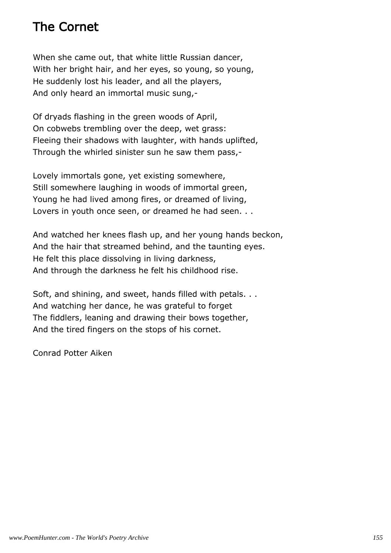# The Cornet

When she came out, that white little Russian dancer, With her bright hair, and her eyes, so young, so young, He suddenly lost his leader, and all the players, And only heard an immortal music sung,-

Of dryads flashing in the green woods of April, On cobwebs trembling over the deep, wet grass: Fleeing their shadows with laughter, with hands uplifted, Through the whirled sinister sun he saw them pass,-

Lovely immortals gone, yet existing somewhere, Still somewhere laughing in woods of immortal green, Young he had lived among fires, or dreamed of living, Lovers in youth once seen, or dreamed he had seen. . .

And watched her knees flash up, and her young hands beckon, And the hair that streamed behind, and the taunting eyes. He felt this place dissolving in living darkness, And through the darkness he felt his childhood rise.

Soft, and shining, and sweet, hands filled with petals. . . And watching her dance, he was grateful to forget The fiddlers, leaning and drawing their bows together, And the tired fingers on the stops of his cornet.

Conrad Potter Aiken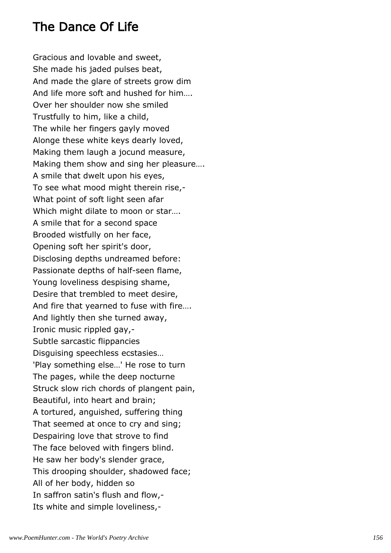# The Dance Of Life

Gracious and lovable and sweet, She made his jaded pulses beat, And made the glare of streets grow dim And life more soft and hushed for him…. Over her shoulder now she smiled Trustfully to him, like a child, The while her fingers gayly moved Alonge these white keys dearly loved, Making them laugh a jocund measure, Making them show and sing her pleasure…. A smile that dwelt upon his eyes, To see what mood might therein rise,- What point of soft light seen afar Which might dilate to moon or star…. A smile that for a second space Brooded wistfully on her face, Opening soft her spirit's door, Disclosing depths undreamed before: Passionate depths of half-seen flame, Young loveliness despising shame, Desire that trembled to meet desire, And fire that yearned to fuse with fire…. And lightly then she turned away, Ironic music rippled gay,- Subtle sarcastic flippancies Disguising speechless ecstasies… 'Play something else…' He rose to turn The pages, while the deep nocturne Struck slow rich chords of plangent pain, Beautiful, into heart and brain; A tortured, anguished, suffering thing That seemed at once to cry and sing; Despairing love that strove to find The face beloved with fingers blind. He saw her body's slender grace, This drooping shoulder, shadowed face; All of her body, hidden so In saffron satin's flush and flow,- Its white and simple loveliness,-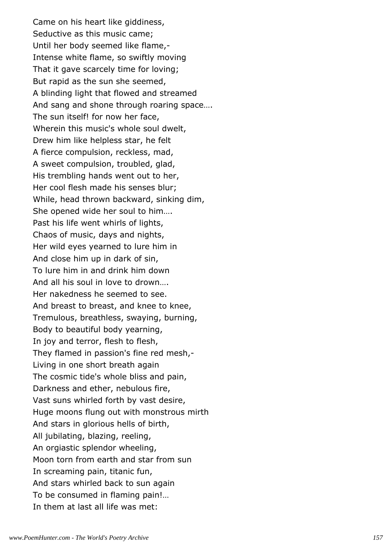Came on his heart like giddiness, Seductive as this music came; Until her body seemed like flame,- Intense white flame, so swiftly moving That it gave scarcely time for loving; But rapid as the sun she seemed, A blinding light that flowed and streamed And sang and shone through roaring space…. The sun itself! for now her face, Wherein this music's whole soul dwelt, Drew him like helpless star, he felt A fierce compulsion, reckless, mad, A sweet compulsion, troubled, glad, His trembling hands went out to her, Her cool flesh made his senses blur; While, head thrown backward, sinking dim, She opened wide her soul to him…. Past his life went whirls of lights, Chaos of music, days and nights, Her wild eyes yearned to lure him in And close him up in dark of sin, To lure him in and drink him down And all his soul in love to drown…. Her nakedness he seemed to see. And breast to breast, and knee to knee, Tremulous, breathless, swaying, burning, Body to beautiful body yearning, In joy and terror, flesh to flesh, They flamed in passion's fine red mesh,- Living in one short breath again The cosmic tide's whole bliss and pain, Darkness and ether, nebulous fire, Vast suns whirled forth by vast desire, Huge moons flung out with monstrous mirth And stars in glorious hells of birth, All jubilating, blazing, reeling, An orgiastic splendor wheeling, Moon torn from earth and star from sun In screaming pain, titanic fun, And stars whirled back to sun again To be consumed in flaming pain!… In them at last all life was met: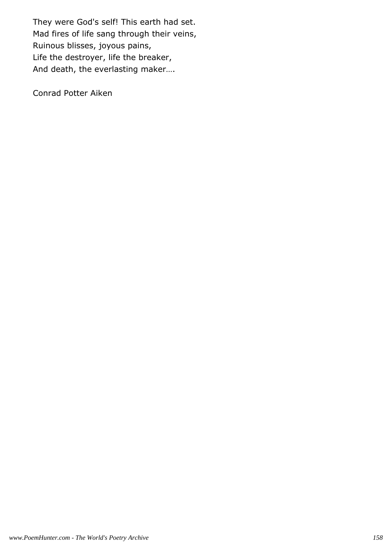They were God's self! This earth had set. Mad fires of life sang through their veins, Ruinous blisses, joyous pains, Life the destroyer, life the breaker, And death, the everlasting maker….

Conrad Potter Aiken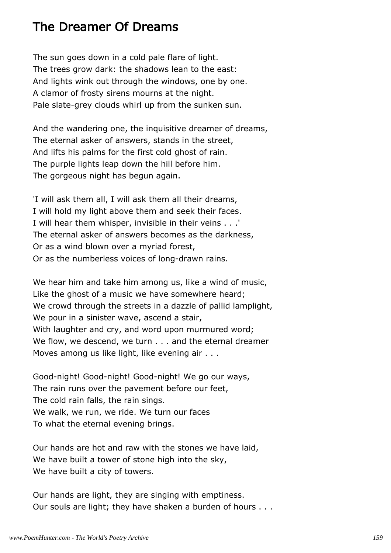## The Dreamer Of Dreams

The sun goes down in a cold pale flare of light. The trees grow dark: the shadows lean to the east: And lights wink out through the windows, one by one. A clamor of frosty sirens mourns at the night. Pale slate-grey clouds whirl up from the sunken sun.

And the wandering one, the inquisitive dreamer of dreams, The eternal asker of answers, stands in the street, And lifts his palms for the first cold ghost of rain. The purple lights leap down the hill before him. The gorgeous night has begun again.

'I will ask them all, I will ask them all their dreams, I will hold my light above them and seek their faces. I will hear them whisper, invisible in their veins . . .' The eternal asker of answers becomes as the darkness, Or as a wind blown over a myriad forest, Or as the numberless voices of long-drawn rains.

We hear him and take him among us, like a wind of music, Like the ghost of a music we have somewhere heard; We crowd through the streets in a dazzle of pallid lamplight, We pour in a sinister wave, ascend a stair, With laughter and cry, and word upon murmured word; We flow, we descend, we turn . . . and the eternal dreamer Moves among us like light, like evening air . . .

Good-night! Good-night! Good-night! We go our ways, The rain runs over the pavement before our feet, The cold rain falls, the rain sings. We walk, we run, we ride. We turn our faces To what the eternal evening brings.

Our hands are hot and raw with the stones we have laid, We have built a tower of stone high into the sky, We have built a city of towers.

Our hands are light, they are singing with emptiness. Our souls are light; they have shaken a burden of hours . . .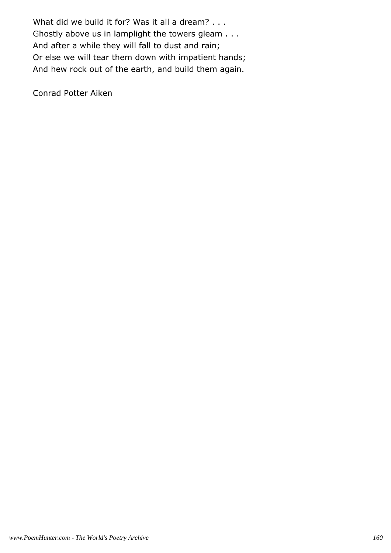What did we build it for? Was it all a dream? . . . Ghostly above us in lamplight the towers gleam . . . And after a while they will fall to dust and rain; Or else we will tear them down with impatient hands; And hew rock out of the earth, and build them again.

Conrad Potter Aiken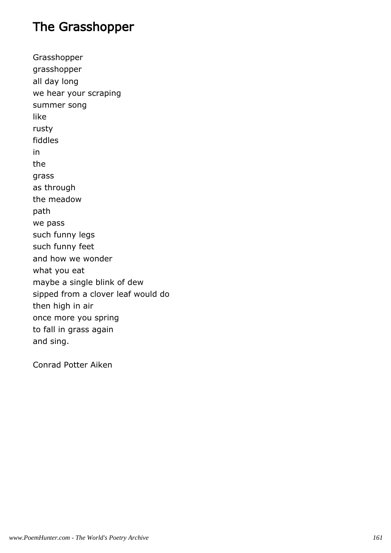# The Grasshopper

Grasshopper grasshopper all day long we hear your scraping summer song like rusty fiddles in the grass as through the meadow path we pass such funny legs such funny feet and how we wonder what you eat maybe a single blink of dew sipped from a clover leaf would do then high in air once more you spring to fall in grass again and sing.

Conrad Potter Aiken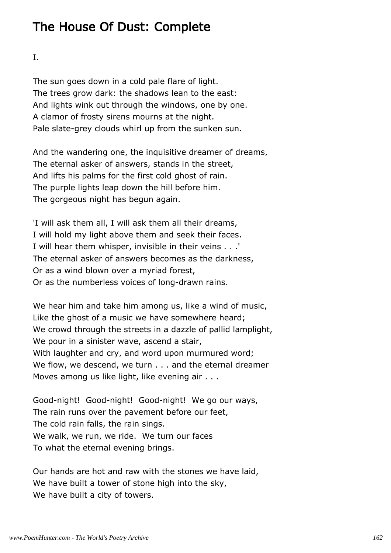# The House Of Dust: Complete

## I.

The sun goes down in a cold pale flare of light. The trees grow dark: the shadows lean to the east: And lights wink out through the windows, one by one. A clamor of frosty sirens mourns at the night. Pale slate-grey clouds whirl up from the sunken sun.

And the wandering one, the inquisitive dreamer of dreams, The eternal asker of answers, stands in the street, And lifts his palms for the first cold ghost of rain. The purple lights leap down the hill before him. The gorgeous night has begun again.

'I will ask them all, I will ask them all their dreams, I will hold my light above them and seek their faces. I will hear them whisper, invisible in their veins . . .' The eternal asker of answers becomes as the darkness, Or as a wind blown over a myriad forest, Or as the numberless voices of long-drawn rains.

We hear him and take him among us, like a wind of music, Like the ghost of a music we have somewhere heard; We crowd through the streets in a dazzle of pallid lamplight, We pour in a sinister wave, ascend a stair, With laughter and cry, and word upon murmured word; We flow, we descend, we turn . . . and the eternal dreamer Moves among us like light, like evening air . . .

Good-night! Good-night! Good-night! We go our ways, The rain runs over the pavement before our feet, The cold rain falls, the rain sings. We walk, we run, we ride. We turn our faces To what the eternal evening brings.

Our hands are hot and raw with the stones we have laid, We have built a tower of stone high into the sky, We have built a city of towers.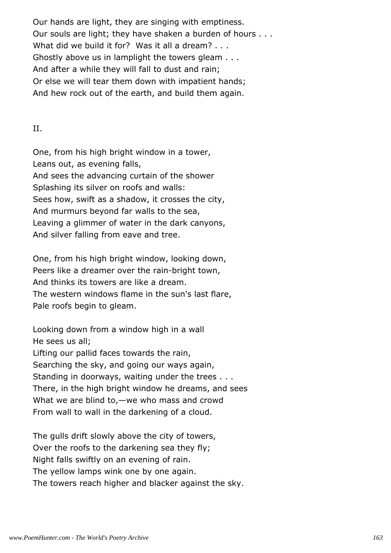Our hands are light, they are singing with emptiness. Our souls are light; they have shaken a burden of hours . . . What did we build it for? Was it all a dream? . . . Ghostly above us in lamplight the towers gleam . . . And after a while they will fall to dust and rain; Or else we will tear them down with impatient hands; And hew rock out of the earth, and build them again.

## II.

One, from his high bright window in a tower, Leans out, as evening falls, And sees the advancing curtain of the shower Splashing its silver on roofs and walls: Sees how, swift as a shadow, it crosses the city, And murmurs beyond far walls to the sea, Leaving a glimmer of water in the dark canyons, And silver falling from eave and tree.

One, from his high bright window, looking down, Peers like a dreamer over the rain-bright town, And thinks its towers are like a dream. The western windows flame in the sun's last flare, Pale roofs begin to gleam.

Looking down from a window high in a wall He sees us all; Lifting our pallid faces towards the rain, Searching the sky, and going our ways again, Standing in doorways, waiting under the trees . . . There, in the high bright window he dreams, and sees What we are blind to,—we who mass and crowd From wall to wall in the darkening of a cloud.

The gulls drift slowly above the city of towers, Over the roofs to the darkening sea they fly; Night falls swiftly on an evening of rain. The yellow lamps wink one by one again. The towers reach higher and blacker against the sky.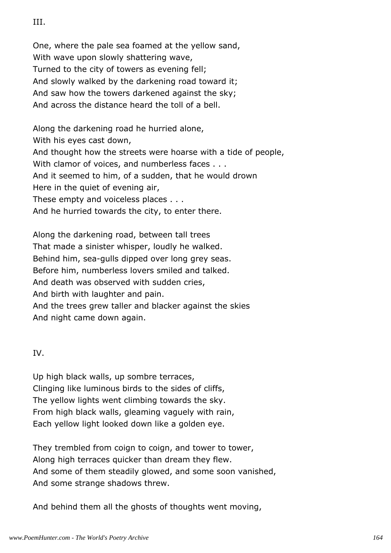III.

One, where the pale sea foamed at the yellow sand, With wave upon slowly shattering wave, Turned to the city of towers as evening fell; And slowly walked by the darkening road toward it; And saw how the towers darkened against the sky; And across the distance heard the toll of a bell.

Along the darkening road he hurried alone, With his eyes cast down, And thought how the streets were hoarse with a tide of people, With clamor of voices, and numberless faces . . . And it seemed to him, of a sudden, that he would drown Here in the quiet of evening air, These empty and voiceless places . . . And he hurried towards the city, to enter there.

Along the darkening road, between tall trees That made a sinister whisper, loudly he walked. Behind him, sea-gulls dipped over long grey seas. Before him, numberless lovers smiled and talked. And death was observed with sudden cries, And birth with laughter and pain. And the trees grew taller and blacker against the skies And night came down again.

## IV.

Up high black walls, up sombre terraces, Clinging like luminous birds to the sides of cliffs, The yellow lights went climbing towards the sky. From high black walls, gleaming vaguely with rain, Each yellow light looked down like a golden eye.

They trembled from coign to coign, and tower to tower, Along high terraces quicker than dream they flew. And some of them steadily glowed, and some soon vanished, And some strange shadows threw.

And behind them all the ghosts of thoughts went moving,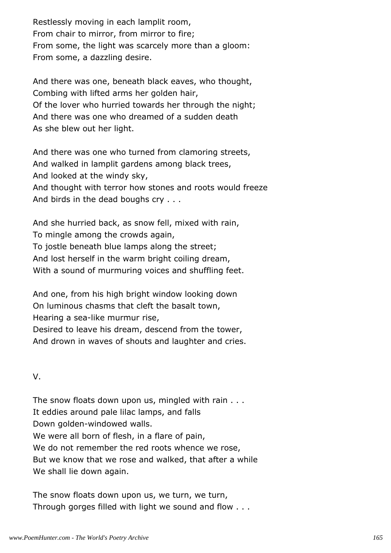Restlessly moving in each lamplit room, From chair to mirror, from mirror to fire; From some, the light was scarcely more than a gloom: From some, a dazzling desire.

And there was one, beneath black eaves, who thought, Combing with lifted arms her golden hair, Of the lover who hurried towards her through the night; And there was one who dreamed of a sudden death As she blew out her light.

And there was one who turned from clamoring streets, And walked in lamplit gardens among black trees, And looked at the windy sky, And thought with terror how stones and roots would freeze And birds in the dead boughs cry . . .

And she hurried back, as snow fell, mixed with rain, To mingle among the crowds again, To jostle beneath blue lamps along the street; And lost herself in the warm bright coiling dream, With a sound of murmuring voices and shuffling feet.

And one, from his high bright window looking down On luminous chasms that cleft the basalt town, Hearing a sea-like murmur rise, Desired to leave his dream, descend from the tower, And drown in waves of shouts and laughter and cries.

V.

The snow floats down upon us, mingled with rain . . . It eddies around pale lilac lamps, and falls Down golden-windowed walls. We were all born of flesh, in a flare of pain, We do not remember the red roots whence we rose, But we know that we rose and walked, that after a while We shall lie down again.

The snow floats down upon us, we turn, we turn, Through gorges filled with light we sound and flow . . .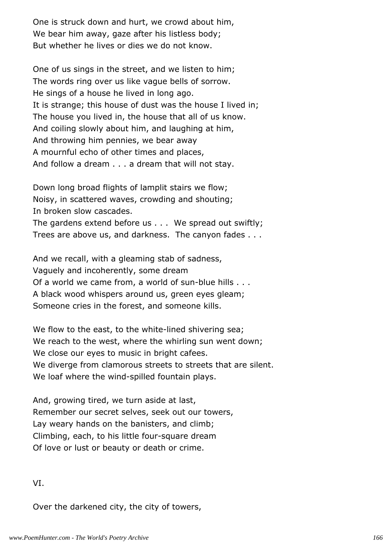One is struck down and hurt, we crowd about him, We bear him away, gaze after his listless body; But whether he lives or dies we do not know.

One of us sings in the street, and we listen to him; The words ring over us like vague bells of sorrow. He sings of a house he lived in long ago. It is strange; this house of dust was the house I lived in; The house you lived in, the house that all of us know. And coiling slowly about him, and laughing at him, And throwing him pennies, we bear away A mournful echo of other times and places, And follow a dream . . . a dream that will not stay.

Down long broad flights of lamplit stairs we flow; Noisy, in scattered waves, crowding and shouting; In broken slow cascades. The gardens extend before us . . . We spread out swiftly; Trees are above us, and darkness. The canyon fades . . .

And we recall, with a gleaming stab of sadness, Vaguely and incoherently, some dream Of a world we came from, a world of sun-blue hills . . . A black wood whispers around us, green eyes gleam; Someone cries in the forest, and someone kills.

We flow to the east, to the white-lined shivering sea; We reach to the west, where the whirling sun went down; We close our eyes to music in bright cafees. We diverge from clamorous streets to streets that are silent. We loaf where the wind-spilled fountain plays.

And, growing tired, we turn aside at last, Remember our secret selves, seek out our towers, Lay weary hands on the banisters, and climb; Climbing, each, to his little four-square dream Of love or lust or beauty or death or crime.

### VI.

Over the darkened city, the city of towers,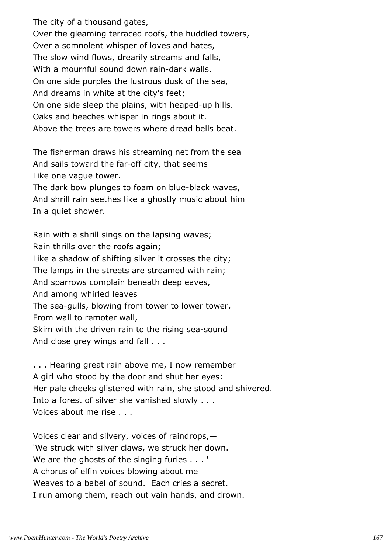The city of a thousand gates, Over the gleaming terraced roofs, the huddled towers, Over a somnolent whisper of loves and hates, The slow wind flows, drearily streams and falls, With a mournful sound down rain-dark walls. On one side purples the lustrous dusk of the sea, And dreams in white at the city's feet; On one side sleep the plains, with heaped-up hills. Oaks and beeches whisper in rings about it. Above the trees are towers where dread bells beat.

The fisherman draws his streaming net from the sea And sails toward the far-off city, that seems Like one vague tower.

The dark bow plunges to foam on blue-black waves, And shrill rain seethes like a ghostly music about him In a quiet shower.

Rain with a shrill sings on the lapsing waves; Rain thrills over the roofs again; Like a shadow of shifting silver it crosses the city; The lamps in the streets are streamed with rain; And sparrows complain beneath deep eaves, And among whirled leaves The sea-gulls, blowing from tower to lower tower, From wall to remoter wall, Skim with the driven rain to the rising sea-sound And close grey wings and fall . . .

. . . Hearing great rain above me, I now remember A girl who stood by the door and shut her eyes: Her pale cheeks glistened with rain, she stood and shivered. Into a forest of silver she vanished slowly . . . Voices about me rise . . .

Voices clear and silvery, voices of raindrops,— 'We struck with silver claws, we struck her down. We are the ghosts of the singing furies . . . ' A chorus of elfin voices blowing about me Weaves to a babel of sound. Each cries a secret. I run among them, reach out vain hands, and drown.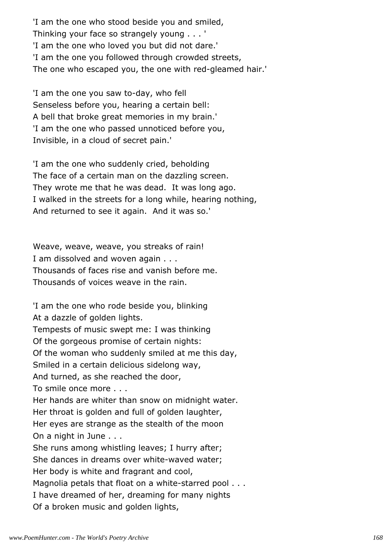'I am the one who stood beside you and smiled, Thinking your face so strangely young . . . ' 'I am the one who loved you but did not dare.' 'I am the one you followed through crowded streets, The one who escaped you, the one with red-gleamed hair.'

'I am the one you saw to-day, who fell Senseless before you, hearing a certain bell: A bell that broke great memories in my brain.' 'I am the one who passed unnoticed before you, Invisible, in a cloud of secret pain.'

'I am the one who suddenly cried, beholding The face of a certain man on the dazzling screen. They wrote me that he was dead. It was long ago. I walked in the streets for a long while, hearing nothing, And returned to see it again. And it was so.'

Weave, weave, weave, you streaks of rain! I am dissolved and woven again . . . Thousands of faces rise and vanish before me. Thousands of voices weave in the rain.

'I am the one who rode beside you, blinking At a dazzle of golden lights. Tempests of music swept me: I was thinking Of the gorgeous promise of certain nights: Of the woman who suddenly smiled at me this day, Smiled in a certain delicious sidelong way, And turned, as she reached the door, To smile once more . . . Her hands are whiter than snow on midnight water. Her throat is golden and full of golden laughter, Her eyes are strange as the stealth of the moon On a night in June . . . She runs among whistling leaves; I hurry after; She dances in dreams over white-waved water; Her body is white and fragrant and cool, Magnolia petals that float on a white-starred pool . . . I have dreamed of her, dreaming for many nights Of a broken music and golden lights,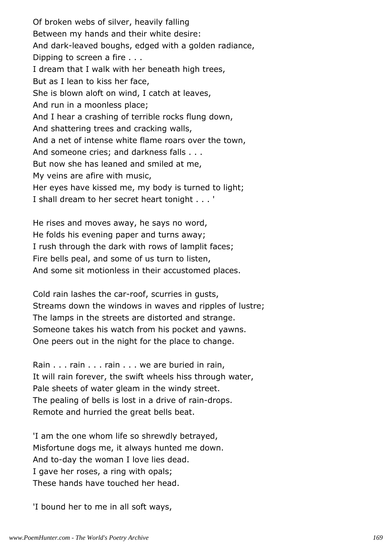Of broken webs of silver, heavily falling Between my hands and their white desire: And dark-leaved boughs, edged with a golden radiance, Dipping to screen a fire . . . I dream that I walk with her beneath high trees, But as I lean to kiss her face, She is blown aloft on wind, I catch at leaves, And run in a moonless place; And I hear a crashing of terrible rocks flung down, And shattering trees and cracking walls, And a net of intense white flame roars over the town, And someone cries; and darkness falls . . . But now she has leaned and smiled at me, My veins are afire with music, Her eyes have kissed me, my body is turned to light; I shall dream to her secret heart tonight . . . '

He rises and moves away, he says no word, He folds his evening paper and turns away; I rush through the dark with rows of lamplit faces; Fire bells peal, and some of us turn to listen, And some sit motionless in their accustomed places.

Cold rain lashes the car-roof, scurries in gusts, Streams down the windows in waves and ripples of lustre; The lamps in the streets are distorted and strange. Someone takes his watch from his pocket and yawns. One peers out in the night for the place to change.

Rain . . . rain . . . rain . . . we are buried in rain, It will rain forever, the swift wheels hiss through water, Pale sheets of water gleam in the windy street. The pealing of bells is lost in a drive of rain-drops. Remote and hurried the great bells beat.

'I am the one whom life so shrewdly betrayed, Misfortune dogs me, it always hunted me down. And to-day the woman I love lies dead. I gave her roses, a ring with opals; These hands have touched her head.

'I bound her to me in all soft ways,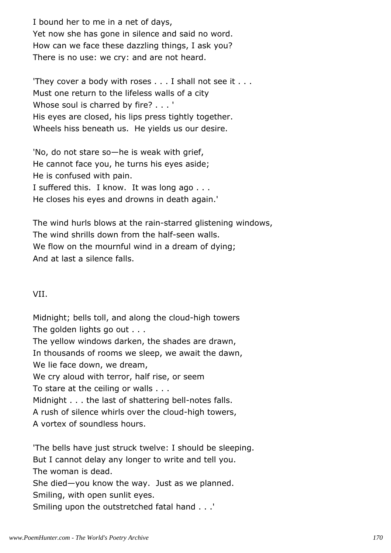I bound her to me in a net of days, Yet now she has gone in silence and said no word. How can we face these dazzling things, I ask you? There is no use: we cry: and are not heard.

'They cover a body with roses . . . I shall not see it . . . Must one return to the lifeless walls of a city Whose soul is charred by fire? . . . ' His eyes are closed, his lips press tightly together. Wheels hiss beneath us. He yields us our desire.

'No, do not stare so—he is weak with grief, He cannot face you, he turns his eyes aside; He is confused with pain. I suffered this. I know. It was long ago . . . He closes his eyes and drowns in death again.'

The wind hurls blows at the rain-starred glistening windows, The wind shrills down from the half-seen walls. We flow on the mournful wind in a dream of dying; And at last a silence falls.

## VII.

Midnight; bells toll, and along the cloud-high towers The golden lights go out . . . The yellow windows darken, the shades are drawn, In thousands of rooms we sleep, we await the dawn, We lie face down, we dream, We cry aloud with terror, half rise, or seem To stare at the ceiling or walls . . . Midnight . . . the last of shattering bell-notes falls. A rush of silence whirls over the cloud-high towers, A vortex of soundless hours.

'The bells have just struck twelve: I should be sleeping. But I cannot delay any longer to write and tell you. The woman is dead. She died—you know the way. Just as we planned. Smiling, with open sunlit eyes. Smiling upon the outstretched fatal hand . . .'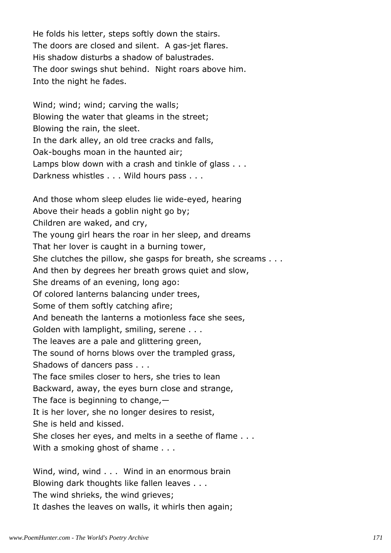He folds his letter, steps softly down the stairs. The doors are closed and silent. A gas-jet flares. His shadow disturbs a shadow of balustrades. The door swings shut behind. Night roars above him. Into the night he fades.

Wind; wind; wind; carving the walls; Blowing the water that gleams in the street; Blowing the rain, the sleet. In the dark alley, an old tree cracks and falls, Oak-boughs moan in the haunted air; Lamps blow down with a crash and tinkle of glass . . . Darkness whistles . . . Wild hours pass . . .

And those whom sleep eludes lie wide-eyed, hearing Above their heads a goblin night go by; Children are waked, and cry, The young girl hears the roar in her sleep, and dreams That her lover is caught in a burning tower, She clutches the pillow, she gasps for breath, she screams . . . And then by degrees her breath grows quiet and slow, She dreams of an evening, long ago: Of colored lanterns balancing under trees, Some of them softly catching afire; And beneath the lanterns a motionless face she sees, Golden with lamplight, smiling, serene . . . The leaves are a pale and glittering green, The sound of horns blows over the trampled grass, Shadows of dancers pass . . . The face smiles closer to hers, she tries to lean Backward, away, the eyes burn close and strange, The face is beginning to change, $-$ It is her lover, she no longer desires to resist, She is held and kissed. She closes her eyes, and melts in a seethe of flame . . . With a smoking ghost of shame . . .

Wind, wind, wind . . . Wind in an enormous brain Blowing dark thoughts like fallen leaves . . . The wind shrieks, the wind grieves; It dashes the leaves on walls, it whirls then again;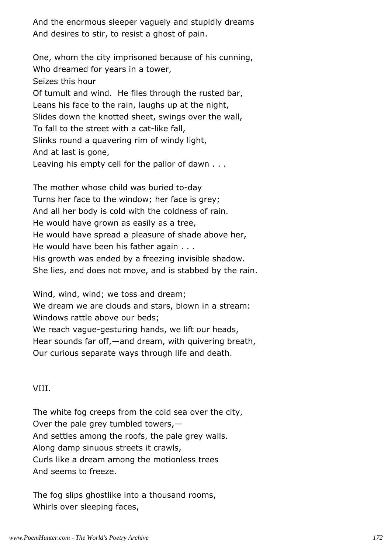And the enormous sleeper vaguely and stupidly dreams And desires to stir, to resist a ghost of pain.

One, whom the city imprisoned because of his cunning, Who dreamed for years in a tower, Seizes this hour Of tumult and wind. He files through the rusted bar, Leans his face to the rain, laughs up at the night, Slides down the knotted sheet, swings over the wall, To fall to the street with a cat-like fall, Slinks round a quavering rim of windy light, And at last is gone, Leaving his empty cell for the pallor of dawn . . .

The mother whose child was buried to-day Turns her face to the window; her face is grey; And all her body is cold with the coldness of rain. He would have grown as easily as a tree, He would have spread a pleasure of shade above her, He would have been his father again . . . His growth was ended by a freezing invisible shadow. She lies, and does not move, and is stabbed by the rain.

Wind, wind, wind; we toss and dream; We dream we are clouds and stars, blown in a stream: Windows rattle above our beds; We reach vague-gesturing hands, we lift our heads, Hear sounds far off,—and dream, with quivering breath, Our curious separate ways through life and death.

VIII.

The white fog creeps from the cold sea over the city, Over the pale grey tumbled towers,— And settles among the roofs, the pale grey walls. Along damp sinuous streets it crawls, Curls like a dream among the motionless trees And seems to freeze.

The fog slips ghostlike into a thousand rooms, Whirls over sleeping faces,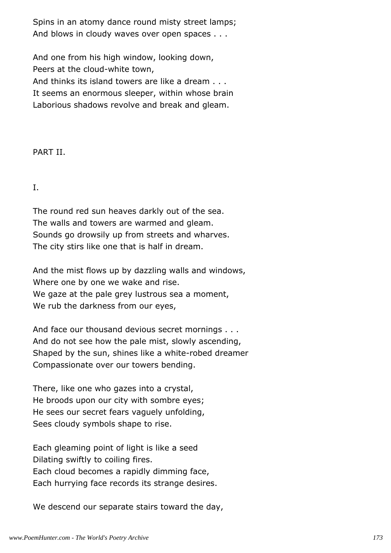Spins in an atomy dance round misty street lamps; And blows in cloudy waves over open spaces . . .

And one from his high window, looking down, Peers at the cloud-white town, And thinks its island towers are like a dream . . . It seems an enormous sleeper, within whose brain Laborious shadows revolve and break and gleam.

### PART II.

## I.

The round red sun heaves darkly out of the sea. The walls and towers are warmed and gleam. Sounds go drowsily up from streets and wharves. The city stirs like one that is half in dream.

And the mist flows up by dazzling walls and windows, Where one by one we wake and rise. We gaze at the pale grey lustrous sea a moment, We rub the darkness from our eyes,

And face our thousand devious secret mornings . . . And do not see how the pale mist, slowly ascending, Shaped by the sun, shines like a white-robed dreamer Compassionate over our towers bending.

There, like one who gazes into a crystal, He broods upon our city with sombre eyes; He sees our secret fears vaguely unfolding, Sees cloudy symbols shape to rise.

Each gleaming point of light is like a seed Dilating swiftly to coiling fires. Each cloud becomes a rapidly dimming face, Each hurrying face records its strange desires.

We descend our separate stairs toward the day,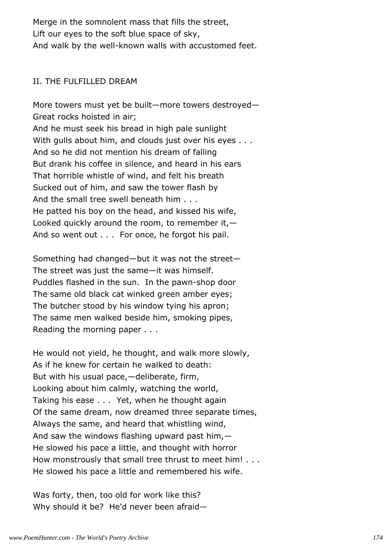Merge in the somnolent mass that fills the street, Lift our eyes to the soft blue space of sky, And walk by the well-known walls with accustomed feet.

### II. THE FULFILLED DREAM

More towers must yet be built—more towers destroyed— Great rocks hoisted in air; And he must seek his bread in high pale sunlight With gulls about him, and clouds just over his eyes . . . And so he did not mention his dream of falling But drank his coffee in silence, and heard in his ears That horrible whistle of wind, and felt his breath Sucked out of him, and saw the tower flash by And the small tree swell beneath him . . . He patted his boy on the head, and kissed his wife, Looked quickly around the room, to remember it, $-$ And so went out . . . For once, he forgot his pail.

Something had changed—but it was not the street— The street was just the same—it was himself. Puddles flashed in the sun. In the pawn-shop door The same old black cat winked green amber eyes; The butcher stood by his window tying his apron; The same men walked beside him, smoking pipes, Reading the morning paper . . .

He would not yield, he thought, and walk more slowly, As if he knew for certain he walked to death: But with his usual pace,—deliberate, firm, Looking about him calmly, watching the world, Taking his ease . . . Yet, when he thought again Of the same dream, now dreamed three separate times, Always the same, and heard that whistling wind, And saw the windows flashing upward past him,— He slowed his pace a little, and thought with horror How monstrously that small tree thrust to meet him! . . . He slowed his pace a little and remembered his wife.

Was forty, then, too old for work like this? Why should it be? He'd never been afraid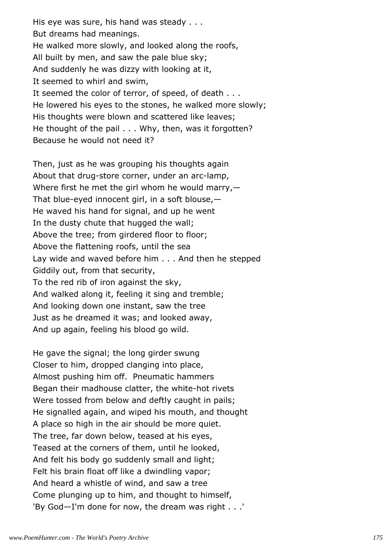His eye was sure, his hand was steady . . . But dreams had meanings. He walked more slowly, and looked along the roofs, All built by men, and saw the pale blue sky; And suddenly he was dizzy with looking at it, It seemed to whirl and swim, It seemed the color of terror, of speed, of death . . . He lowered his eyes to the stones, he walked more slowly; His thoughts were blown and scattered like leaves; He thought of the pail . . . Why, then, was it forgotten? Because he would not need it?

Then, just as he was grouping his thoughts again About that drug-store corner, under an arc-lamp, Where first he met the girl whom he would marry, $-$ That blue-eyed innocent girl, in a soft blouse, $-$ He waved his hand for signal, and up he went In the dusty chute that hugged the wall; Above the tree; from girdered floor to floor; Above the flattening roofs, until the sea Lay wide and waved before him . . . And then he stepped Giddily out, from that security, To the red rib of iron against the sky, And walked along it, feeling it sing and tremble; And looking down one instant, saw the tree Just as he dreamed it was; and looked away, And up again, feeling his blood go wild.

He gave the signal; the long girder swung Closer to him, dropped clanging into place, Almost pushing him off. Pneumatic hammers Began their madhouse clatter, the white-hot rivets Were tossed from below and deftly caught in pails; He signalled again, and wiped his mouth, and thought A place so high in the air should be more quiet. The tree, far down below, teased at his eyes, Teased at the corners of them, until he looked, And felt his body go suddenly small and light; Felt his brain float off like a dwindling vapor; And heard a whistle of wind, and saw a tree Come plunging up to him, and thought to himself, 'By God—I'm done for now, the dream was right . . .'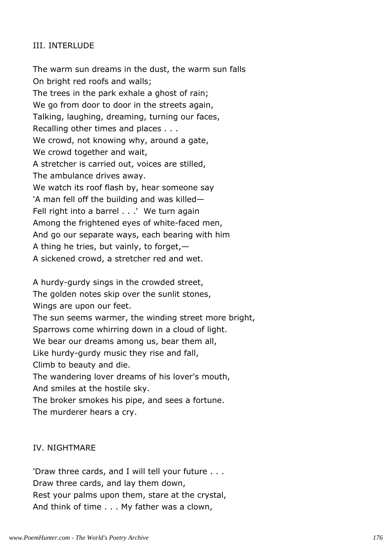## III. INTERLUDE

The warm sun dreams in the dust, the warm sun falls On bright red roofs and walls; The trees in the park exhale a ghost of rain; We go from door to door in the streets again, Talking, laughing, dreaming, turning our faces, Recalling other times and places . . . We crowd, not knowing why, around a gate, We crowd together and wait, A stretcher is carried out, voices are stilled, The ambulance drives away. We watch its roof flash by, hear someone say 'A man fell off the building and was killed— Fell right into a barrel . . .' We turn again Among the frightened eyes of white-faced men, And go our separate ways, each bearing with him A thing he tries, but vainly, to forget, $-$ A sickened crowd, a stretcher red and wet.

A hurdy-gurdy sings in the crowded street, The golden notes skip over the sunlit stones, Wings are upon our feet. The sun seems warmer, the winding street more bright, Sparrows come whirring down in a cloud of light. We bear our dreams among us, bear them all, Like hurdy-gurdy music they rise and fall, Climb to beauty and die. The wandering lover dreams of his lover's mouth, And smiles at the hostile sky. The broker smokes his pipe, and sees a fortune. The murderer hears a cry.

## IV. NIGHTMARE

'Draw three cards, and I will tell your future . . . Draw three cards, and lay them down, Rest your palms upon them, stare at the crystal, And think of time . . . My father was a clown,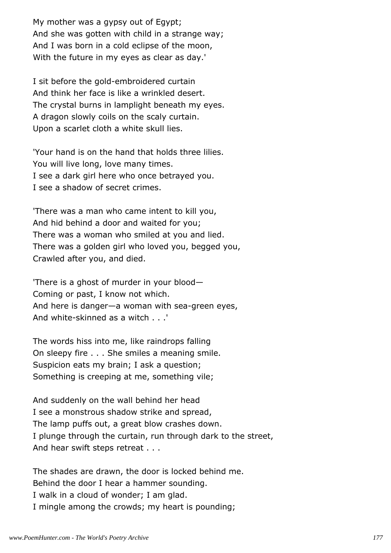My mother was a gypsy out of Egypt; And she was gotten with child in a strange way; And I was born in a cold eclipse of the moon, With the future in my eyes as clear as day.'

I sit before the gold-embroidered curtain And think her face is like a wrinkled desert. The crystal burns in lamplight beneath my eyes. A dragon slowly coils on the scaly curtain. Upon a scarlet cloth a white skull lies.

'Your hand is on the hand that holds three lilies. You will live long, love many times. I see a dark girl here who once betrayed you. I see a shadow of secret crimes.

'There was a man who came intent to kill you, And hid behind a door and waited for you; There was a woman who smiled at you and lied. There was a golden girl who loved you, begged you, Crawled after you, and died.

'There is a ghost of murder in your blood— Coming or past, I know not which. And here is danger—a woman with sea-green eyes, And white-skinned as a witch . . .'

The words hiss into me, like raindrops falling On sleepy fire . . . She smiles a meaning smile. Suspicion eats my brain; I ask a question; Something is creeping at me, something vile;

And suddenly on the wall behind her head I see a monstrous shadow strike and spread, The lamp puffs out, a great blow crashes down. I plunge through the curtain, run through dark to the street, And hear swift steps retreat . . .

The shades are drawn, the door is locked behind me. Behind the door I hear a hammer sounding. I walk in a cloud of wonder; I am glad. I mingle among the crowds; my heart is pounding;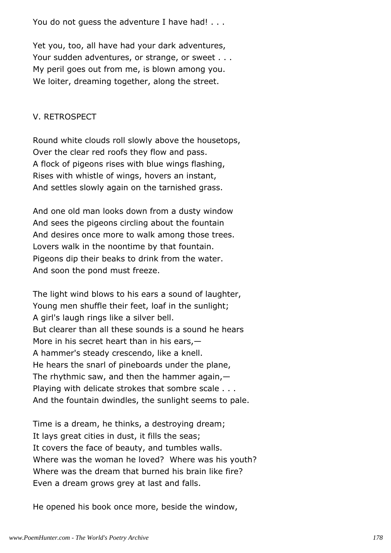You do not guess the adventure I have had! . . .

Yet you, too, all have had your dark adventures, Your sudden adventures, or strange, or sweet . . . My peril goes out from me, is blown among you. We loiter, dreaming together, along the street.

## V. RETROSPECT

Round white clouds roll slowly above the housetops, Over the clear red roofs they flow and pass. A flock of pigeons rises with blue wings flashing, Rises with whistle of wings, hovers an instant, And settles slowly again on the tarnished grass.

And one old man looks down from a dusty window And sees the pigeons circling about the fountain And desires once more to walk among those trees. Lovers walk in the noontime by that fountain. Pigeons dip their beaks to drink from the water. And soon the pond must freeze.

The light wind blows to his ears a sound of laughter, Young men shuffle their feet, loaf in the sunlight; A girl's laugh rings like a silver bell. But clearer than all these sounds is a sound he hears More in his secret heart than in his ears,— A hammer's steady crescendo, like a knell. He hears the snarl of pineboards under the plane, The rhythmic saw, and then the hammer again, $-$ Playing with delicate strokes that sombre scale . . . And the fountain dwindles, the sunlight seems to pale.

Time is a dream, he thinks, a destroying dream; It lays great cities in dust, it fills the seas; It covers the face of beauty, and tumbles walls. Where was the woman he loved? Where was his youth? Where was the dream that burned his brain like fire? Even a dream grows grey at last and falls.

He opened his book once more, beside the window,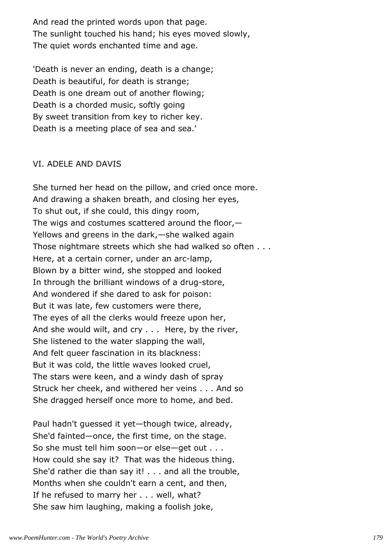And read the printed words upon that page. The sunlight touched his hand; his eyes moved slowly, The quiet words enchanted time and age.

'Death is never an ending, death is a change; Death is beautiful, for death is strange; Death is one dream out of another flowing; Death is a chorded music, softly going By sweet transition from key to richer key. Death is a meeting place of sea and sea.'

## VI. ADELE AND DAVIS

She turned her head on the pillow, and cried once more. And drawing a shaken breath, and closing her eyes, To shut out, if she could, this dingy room, The wigs and costumes scattered around the floor, $-$ Yellows and greens in the dark,—she walked again Those nightmare streets which she had walked so often . . . Here, at a certain corner, under an arc-lamp, Blown by a bitter wind, she stopped and looked In through the brilliant windows of a drug-store, And wondered if she dared to ask for poison: But it was late, few customers were there, The eyes of all the clerks would freeze upon her, And she would wilt, and cry . . . Here, by the river, She listened to the water slapping the wall, And felt queer fascination in its blackness: But it was cold, the little waves looked cruel, The stars were keen, and a windy dash of spray Struck her cheek, and withered her veins . . . And so She dragged herself once more to home, and bed.

Paul hadn't guessed it yet—though twice, already, She'd fainted—once, the first time, on the stage. So she must tell him soon—or else—get out . . . How could she say it? That was the hideous thing. She'd rather die than say it! . . . and all the trouble, Months when she couldn't earn a cent, and then, If he refused to marry her . . . well, what? She saw him laughing, making a foolish joke,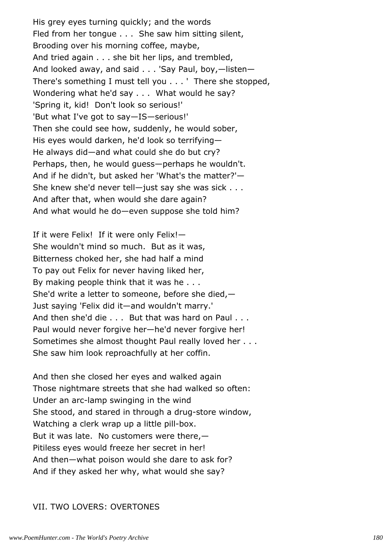His grey eyes turning quickly; and the words Fled from her tongue . . . She saw him sitting silent, Brooding over his morning coffee, maybe, And tried again . . . she bit her lips, and trembled, And looked away, and said . . . 'Say Paul, boy,—listen— There's something I must tell you . . . ' There she stopped, Wondering what he'd say . . . What would he say? 'Spring it, kid! Don't look so serious!' 'But what I've got to say—IS—serious!' Then she could see how, suddenly, he would sober, His eyes would darken, he'd look so terrifying— He always did—and what could she do but cry? Perhaps, then, he would guess—perhaps he wouldn't. And if he didn't, but asked her 'What's the matter?'— She knew she'd never tell—just say she was sick . . . And after that, when would she dare again? And what would he do—even suppose she told him?

If it were Felix! If it were only Felix!— She wouldn't mind so much. But as it was, Bitterness choked her, she had half a mind To pay out Felix for never having liked her, By making people think that it was he . . . She'd write a letter to someone, before she died,— Just saying 'Felix did it—and wouldn't marry.' And then she'd die . . . But that was hard on Paul . . . Paul would never forgive her—he'd never forgive her! Sometimes she almost thought Paul really loved her . . . She saw him look reproachfully at her coffin.

And then she closed her eyes and walked again Those nightmare streets that she had walked so often: Under an arc-lamp swinging in the wind She stood, and stared in through a drug-store window, Watching a clerk wrap up a little pill-box. But it was late. No customers were there,— Pitiless eyes would freeze her secret in her! And then—what poison would she dare to ask for? And if they asked her why, what would she say?

### VII. TWO LOVERS: OVERTONES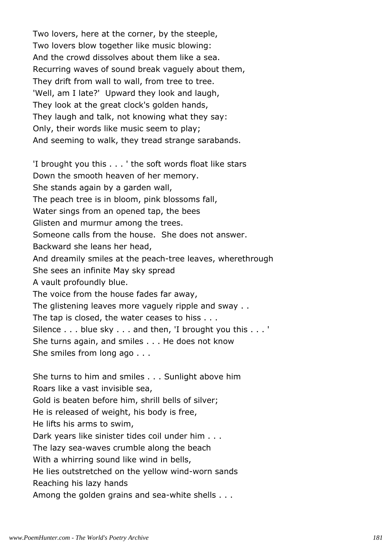Two lovers, here at the corner, by the steeple, Two lovers blow together like music blowing: And the crowd dissolves about them like a sea. Recurring waves of sound break vaguely about them, They drift from wall to wall, from tree to tree. 'Well, am I late?' Upward they look and laugh, They look at the great clock's golden hands, They laugh and talk, not knowing what they say: Only, their words like music seem to play; And seeming to walk, they tread strange sarabands.

'I brought you this . . . ' the soft words float like stars Down the smooth heaven of her memory. She stands again by a garden wall, The peach tree is in bloom, pink blossoms fall, Water sings from an opened tap, the bees Glisten and murmur among the trees. Someone calls from the house. She does not answer. Backward she leans her head, And dreamily smiles at the peach-tree leaves, wherethrough She sees an infinite May sky spread A vault profoundly blue. The voice from the house fades far away, The glistening leaves more vaguely ripple and sway . . The tap is closed, the water ceases to hiss . . . Silence . . . blue sky . . . and then, 'I brought you this . . . ' She turns again, and smiles . . . He does not know She smiles from long ago . . .

She turns to him and smiles . . . Sunlight above him Roars like a vast invisible sea, Gold is beaten before him, shrill bells of silver; He is released of weight, his body is free, He lifts his arms to swim, Dark years like sinister tides coil under him . . . The lazy sea-waves crumble along the beach With a whirring sound like wind in bells, He lies outstretched on the yellow wind-worn sands Reaching his lazy hands Among the golden grains and sea-white shells . . .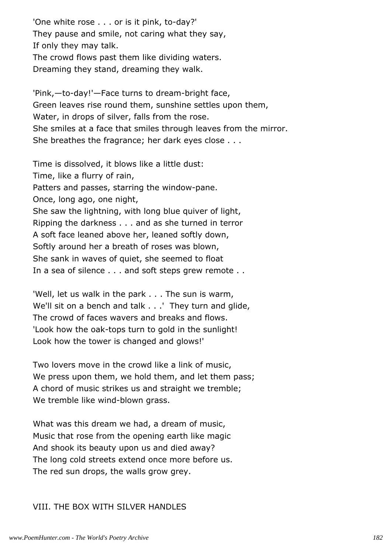'One white rose . . . or is it pink, to-day?' They pause and smile, not caring what they say, If only they may talk. The crowd flows past them like dividing waters. Dreaming they stand, dreaming they walk.

'Pink,—to-day!'—Face turns to dream-bright face, Green leaves rise round them, sunshine settles upon them, Water, in drops of silver, falls from the rose. She smiles at a face that smiles through leaves from the mirror. She breathes the fragrance; her dark eyes close . . .

Time is dissolved, it blows like a little dust: Time, like a flurry of rain, Patters and passes, starring the window-pane. Once, long ago, one night, She saw the lightning, with long blue quiver of light, Ripping the darkness . . . and as she turned in terror A soft face leaned above her, leaned softly down, Softly around her a breath of roses was blown, She sank in waves of quiet, she seemed to float In a sea of silence . . . and soft steps grew remote . .

'Well, let us walk in the park . . . The sun is warm, We'll sit on a bench and talk . . .' They turn and glide, The crowd of faces wavers and breaks and flows. 'Look how the oak-tops turn to gold in the sunlight! Look how the tower is changed and glows!'

Two lovers move in the crowd like a link of music, We press upon them, we hold them, and let them pass; A chord of music strikes us and straight we tremble; We tremble like wind-blown grass.

What was this dream we had, a dream of music, Music that rose from the opening earth like magic And shook its beauty upon us and died away? The long cold streets extend once more before us. The red sun drops, the walls grow grey.

#### VIII. THE BOX WITH SILVER HANDLES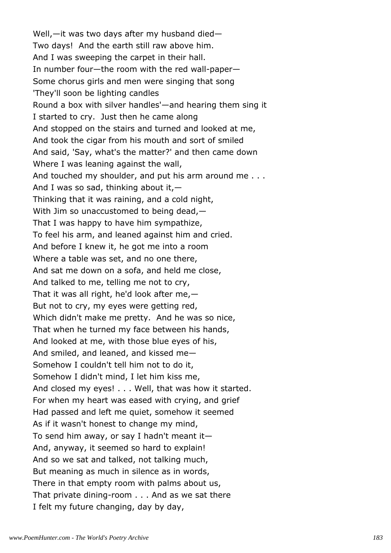Well,—it was two days after my husband died— Two days! And the earth still raw above him. And I was sweeping the carpet in their hall. In number four—the room with the red wall-paper— Some chorus girls and men were singing that song 'They'll soon be lighting candles Round a box with silver handles'—and hearing them sing it I started to cry. Just then he came along And stopped on the stairs and turned and looked at me, And took the cigar from his mouth and sort of smiled And said, 'Say, what's the matter?' and then came down Where I was leaning against the wall, And touched my shoulder, and put his arm around me . . . And I was so sad, thinking about it,— Thinking that it was raining, and a cold night, With Jim so unaccustomed to being dead, -That I was happy to have him sympathize, To feel his arm, and leaned against him and cried. And before I knew it, he got me into a room Where a table was set, and no one there, And sat me down on a sofa, and held me close, And talked to me, telling me not to cry, That it was all right, he'd look after me, $-$ But not to cry, my eyes were getting red, Which didn't make me pretty. And he was so nice, That when he turned my face between his hands, And looked at me, with those blue eyes of his, And smiled, and leaned, and kissed me— Somehow I couldn't tell him not to do it, Somehow I didn't mind, I let him kiss me, And closed my eyes! . . . Well, that was how it started. For when my heart was eased with crying, and grief Had passed and left me quiet, somehow it seemed As if it wasn't honest to change my mind, To send him away, or say I hadn't meant it-And, anyway, it seemed so hard to explain! And so we sat and talked, not talking much, But meaning as much in silence as in words, There in that empty room with palms about us, That private dining-room . . . And as we sat there I felt my future changing, day by day,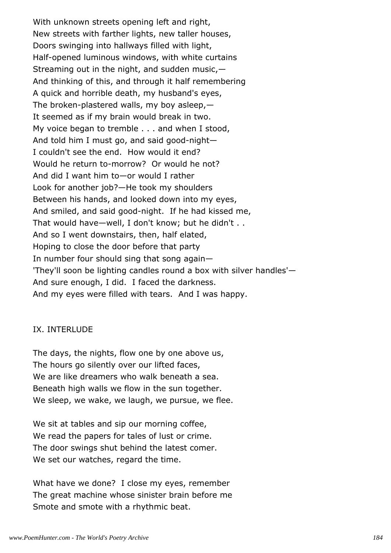With unknown streets opening left and right, New streets with farther lights, new taller houses, Doors swinging into hallways filled with light, Half-opened luminous windows, with white curtains Streaming out in the night, and sudden music,— And thinking of this, and through it half remembering A quick and horrible death, my husband's eyes, The broken-plastered walls, my boy asleep,— It seemed as if my brain would break in two. My voice began to tremble . . . and when I stood, And told him I must go, and said good-night— I couldn't see the end. How would it end? Would he return to-morrow? Or would he not? And did I want him to—or would I rather Look for another job?—He took my shoulders Between his hands, and looked down into my eyes, And smiled, and said good-night. If he had kissed me, That would have—well, I don't know; but he didn't . . And so I went downstairs, then, half elated, Hoping to close the door before that party In number four should sing that song again— 'They'll soon be lighting candles round a box with silver handles'— And sure enough, I did. I faced the darkness. And my eyes were filled with tears. And I was happy.

## IX. INTERLUDE

The days, the nights, flow one by one above us, The hours go silently over our lifted faces, We are like dreamers who walk beneath a sea. Beneath high walls we flow in the sun together. We sleep, we wake, we laugh, we pursue, we flee.

We sit at tables and sip our morning coffee, We read the papers for tales of lust or crime. The door swings shut behind the latest comer. We set our watches, regard the time.

What have we done? I close my eyes, remember The great machine whose sinister brain before me Smote and smote with a rhythmic beat.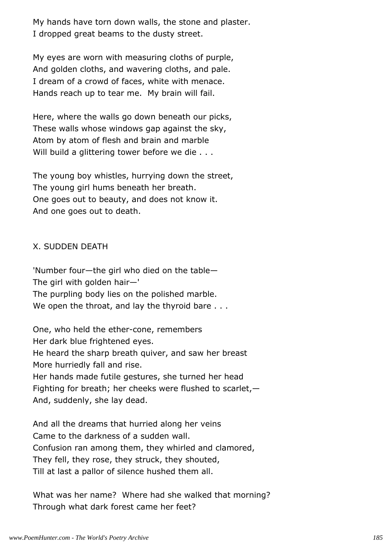My hands have torn down walls, the stone and plaster. I dropped great beams to the dusty street.

My eyes are worn with measuring cloths of purple, And golden cloths, and wavering cloths, and pale. I dream of a crowd of faces, white with menace. Hands reach up to tear me. My brain will fail.

Here, where the walls go down beneath our picks, These walls whose windows gap against the sky, Atom by atom of flesh and brain and marble Will build a glittering tower before we die . . .

The young boy whistles, hurrying down the street, The young girl hums beneath her breath. One goes out to beauty, and does not know it. And one goes out to death.

## X. SUDDEN DEATH

'Number four—the girl who died on the table— The girl with golden hair—' The purpling body lies on the polished marble. We open the throat, and lay the thyroid bare . . .

One, who held the ether-cone, remembers Her dark blue frightened eyes. He heard the sharp breath quiver, and saw her breast More hurriedly fall and rise. Her hands made futile gestures, she turned her head Fighting for breath; her cheeks were flushed to scarlet,—

And, suddenly, she lay dead.

And all the dreams that hurried along her veins Came to the darkness of a sudden wall. Confusion ran among them, they whirled and clamored, They fell, they rose, they struck, they shouted, Till at last a pallor of silence hushed them all.

What was her name? Where had she walked that morning? Through what dark forest came her feet?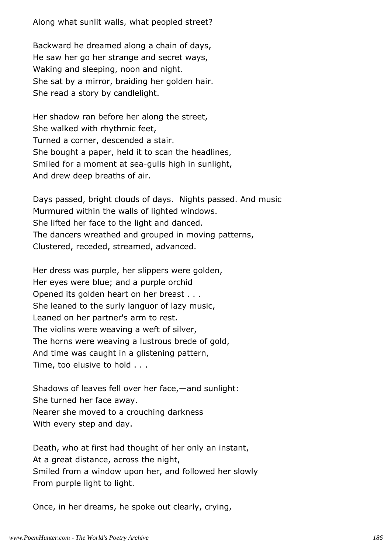Along what sunlit walls, what peopled street?

Backward he dreamed along a chain of days, He saw her go her strange and secret ways, Waking and sleeping, noon and night. She sat by a mirror, braiding her golden hair. She read a story by candlelight.

Her shadow ran before her along the street, She walked with rhythmic feet, Turned a corner, descended a stair. She bought a paper, held it to scan the headlines, Smiled for a moment at sea-gulls high in sunlight, And drew deep breaths of air.

Days passed, bright clouds of days. Nights passed. And music Murmured within the walls of lighted windows. She lifted her face to the light and danced. The dancers wreathed and grouped in moving patterns, Clustered, receded, streamed, advanced.

Her dress was purple, her slippers were golden, Her eyes were blue; and a purple orchid Opened its golden heart on her breast . . . She leaned to the surly languor of lazy music, Leaned on her partner's arm to rest. The violins were weaving a weft of silver, The horns were weaving a lustrous brede of gold, And time was caught in a glistening pattern, Time, too elusive to hold . . .

Shadows of leaves fell over her face,—and sunlight: She turned her face away. Nearer she moved to a crouching darkness With every step and day.

Death, who at first had thought of her only an instant, At a great distance, across the night, Smiled from a window upon her, and followed her slowly From purple light to light.

Once, in her dreams, he spoke out clearly, crying,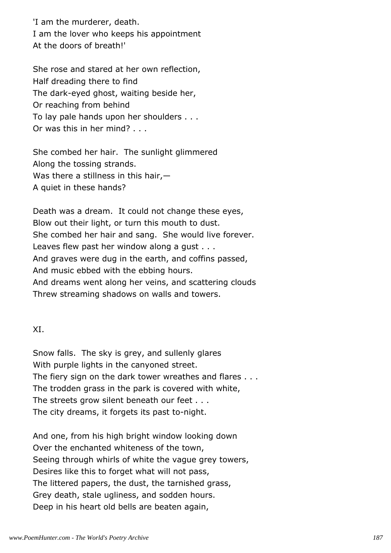'I am the murderer, death. I am the lover who keeps his appointment At the doors of breath!'

She rose and stared at her own reflection, Half dreading there to find The dark-eyed ghost, waiting beside her, Or reaching from behind To lay pale hands upon her shoulders . . . Or was this in her mind? . . .

She combed her hair. The sunlight glimmered Along the tossing strands. Was there a stillness in this hair,-A quiet in these hands?

Death was a dream. It could not change these eyes, Blow out their light, or turn this mouth to dust. She combed her hair and sang. She would live forever. Leaves flew past her window along a gust . . . And graves were dug in the earth, and coffins passed, And music ebbed with the ebbing hours. And dreams went along her veins, and scattering clouds Threw streaming shadows on walls and towers.

XI.

Snow falls. The sky is grey, and sullenly glares With purple lights in the canyoned street. The fiery sign on the dark tower wreathes and flares . . . The trodden grass in the park is covered with white, The streets grow silent beneath our feet . . . The city dreams, it forgets its past to-night.

And one, from his high bright window looking down Over the enchanted whiteness of the town, Seeing through whirls of white the vague grey towers, Desires like this to forget what will not pass, The littered papers, the dust, the tarnished grass, Grey death, stale ugliness, and sodden hours. Deep in his heart old bells are beaten again,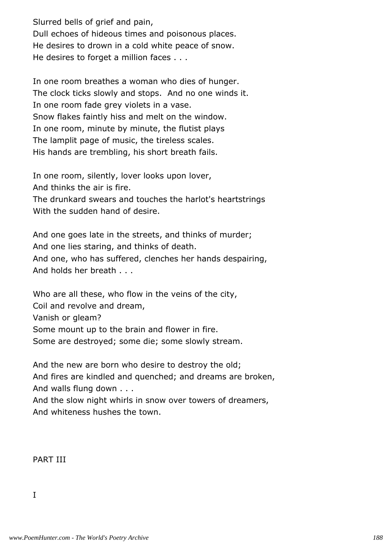Slurred bells of grief and pain, Dull echoes of hideous times and poisonous places. He desires to drown in a cold white peace of snow. He desires to forget a million faces . . .

In one room breathes a woman who dies of hunger. The clock ticks slowly and stops. And no one winds it. In one room fade grey violets in a vase. Snow flakes faintly hiss and melt on the window. In one room, minute by minute, the flutist plays The lamplit page of music, the tireless scales. His hands are trembling, his short breath fails.

In one room, silently, lover looks upon lover, And thinks the air is fire. The drunkard swears and touches the harlot's heartstrings With the sudden hand of desire.

And one goes late in the streets, and thinks of murder; And one lies staring, and thinks of death. And one, who has suffered, clenches her hands despairing, And holds her breath . . .

Who are all these, who flow in the veins of the city, Coil and revolve and dream, Vanish or gleam? Some mount up to the brain and flower in fire. Some are destroyed; some die; some slowly stream.

And the new are born who desire to destroy the old; And fires are kindled and quenched; and dreams are broken, And walls flung down . . . And the slow night whirls in snow over towers of dreamers,

And whiteness hushes the town.

PART III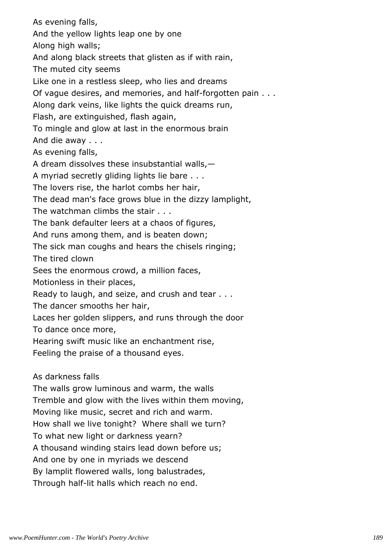As evening falls, And the yellow lights leap one by one Along high walls; And along black streets that glisten as if with rain, The muted city seems Like one in a restless sleep, who lies and dreams Of vague desires, and memories, and half-forgotten pain . . . Along dark veins, like lights the quick dreams run, Flash, are extinguished, flash again, To mingle and glow at last in the enormous brain And die away . . . As evening falls, A dream dissolves these insubstantial walls,— A myriad secretly gliding lights lie bare . . . The lovers rise, the harlot combs her hair, The dead man's face grows blue in the dizzy lamplight, The watchman climbs the stair . . . The bank defaulter leers at a chaos of figures, And runs among them, and is beaten down; The sick man coughs and hears the chisels ringing; The tired clown Sees the enormous crowd, a million faces, Motionless in their places, Ready to laugh, and seize, and crush and tear . . . The dancer smooths her hair, Laces her golden slippers, and runs through the door To dance once more, Hearing swift music like an enchantment rise, Feeling the praise of a thousand eyes.

## As darkness falls

The walls grow luminous and warm, the walls Tremble and glow with the lives within them moving, Moving like music, secret and rich and warm. How shall we live tonight? Where shall we turn? To what new light or darkness yearn? A thousand winding stairs lead down before us; And one by one in myriads we descend By lamplit flowered walls, long balustrades, Through half-lit halls which reach no end.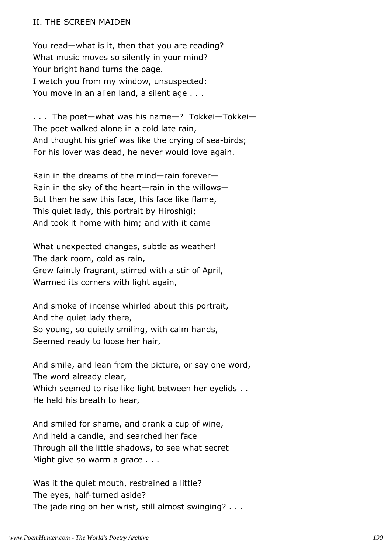#### II. THE SCREEN MAIDEN

You read—what is it, then that you are reading? What music moves so silently in your mind? Your bright hand turns the page. I watch you from my window, unsuspected: You move in an alien land, a silent age . . .

. . . The poet—what was his name—? Tokkei—Tokkei— The poet walked alone in a cold late rain, And thought his grief was like the crying of sea-birds; For his lover was dead, he never would love again.

Rain in the dreams of the mind—rain forever— Rain in the sky of the heart—rain in the willows— But then he saw this face, this face like flame, This quiet lady, this portrait by Hiroshigi; And took it home with him; and with it came

What unexpected changes, subtle as weather! The dark room, cold as rain, Grew faintly fragrant, stirred with a stir of April, Warmed its corners with light again,

And smoke of incense whirled about this portrait, And the quiet lady there, So young, so quietly smiling, with calm hands, Seemed ready to loose her hair,

And smile, and lean from the picture, or say one word, The word already clear, Which seemed to rise like light between her eyelids . . He held his breath to hear,

And smiled for shame, and drank a cup of wine, And held a candle, and searched her face Through all the little shadows, to see what secret Might give so warm a grace . . .

Was it the quiet mouth, restrained a little? The eyes, half-turned aside? The jade ring on her wrist, still almost swinging? . . .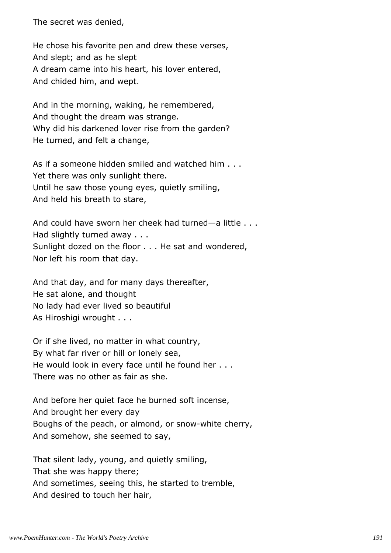The secret was denied,

He chose his favorite pen and drew these verses, And slept; and as he slept A dream came into his heart, his lover entered, And chided him, and wept.

And in the morning, waking, he remembered, And thought the dream was strange. Why did his darkened lover rise from the garden? He turned, and felt a change,

As if a someone hidden smiled and watched him . . . Yet there was only sunlight there. Until he saw those young eyes, quietly smiling, And held his breath to stare,

And could have sworn her cheek had turned—a little . . . Had slightly turned away . . . Sunlight dozed on the floor . . . He sat and wondered, Nor left his room that day.

And that day, and for many days thereafter, He sat alone, and thought No lady had ever lived so beautiful As Hiroshigi wrought . . .

Or if she lived, no matter in what country, By what far river or hill or lonely sea, He would look in every face until he found her . . . There was no other as fair as she.

And before her quiet face he burned soft incense, And brought her every day Boughs of the peach, or almond, or snow-white cherry, And somehow, she seemed to say,

That silent lady, young, and quietly smiling, That she was happy there; And sometimes, seeing this, he started to tremble, And desired to touch her hair,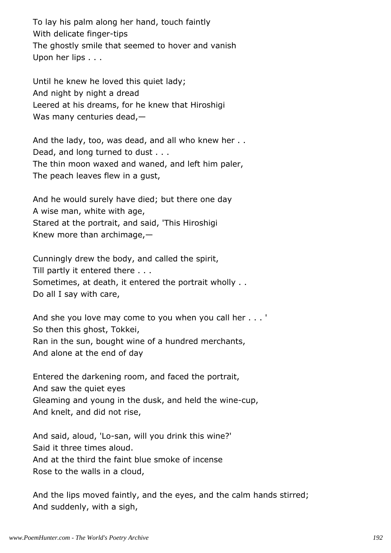To lay his palm along her hand, touch faintly With delicate finger-tips The ghostly smile that seemed to hover and vanish Upon her lips . . .

Until he knew he loved this quiet lady; And night by night a dread Leered at his dreams, for he knew that Hiroshigi Was many centuries dead,—

And the lady, too, was dead, and all who knew her . . Dead, and long turned to dust . . . The thin moon waxed and waned, and left him paler, The peach leaves flew in a gust,

And he would surely have died; but there one day A wise man, white with age, Stared at the portrait, and said, 'This Hiroshigi Knew more than archimage,—

Cunningly drew the body, and called the spirit, Till partly it entered there . . . Sometimes, at death, it entered the portrait wholly . . Do all I say with care,

And she you love may come to you when you call her . . . ' So then this ghost, Tokkei, Ran in the sun, bought wine of a hundred merchants, And alone at the end of day

Entered the darkening room, and faced the portrait, And saw the quiet eyes Gleaming and young in the dusk, and held the wine-cup, And knelt, and did not rise,

And said, aloud, 'Lo-san, will you drink this wine?' Said it three times aloud. And at the third the faint blue smoke of incense Rose to the walls in a cloud,

And the lips moved faintly, and the eyes, and the calm hands stirred; And suddenly, with a sigh,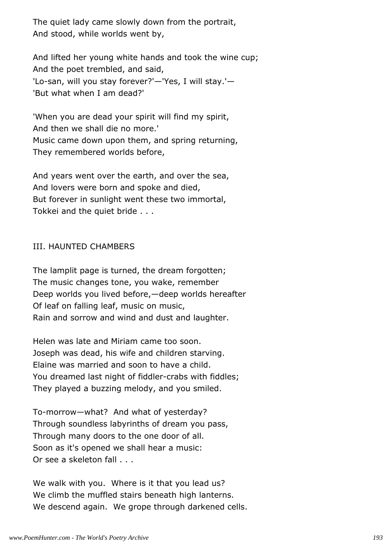The quiet lady came slowly down from the portrait, And stood, while worlds went by,

And lifted her young white hands and took the wine cup; And the poet trembled, and said, 'Lo-san, will you stay forever?'—'Yes, I will stay.'— 'But what when I am dead?'

'When you are dead your spirit will find my spirit, And then we shall die no more.' Music came down upon them, and spring returning, They remembered worlds before,

And years went over the earth, and over the sea, And lovers were born and spoke and died, But forever in sunlight went these two immortal, Tokkei and the quiet bride . . .

## III. HAUNTED CHAMBERS

The lamplit page is turned, the dream forgotten; The music changes tone, you wake, remember Deep worlds you lived before,—deep worlds hereafter Of leaf on falling leaf, music on music, Rain and sorrow and wind and dust and laughter.

Helen was late and Miriam came too soon. Joseph was dead, his wife and children starving. Elaine was married and soon to have a child. You dreamed last night of fiddler-crabs with fiddles; They played a buzzing melody, and you smiled.

To-morrow—what? And what of yesterday? Through soundless labyrinths of dream you pass, Through many doors to the one door of all. Soon as it's opened we shall hear a music: Or see a skeleton fall . . .

We walk with you. Where is it that you lead us? We climb the muffled stairs beneath high lanterns. We descend again. We grope through darkened cells.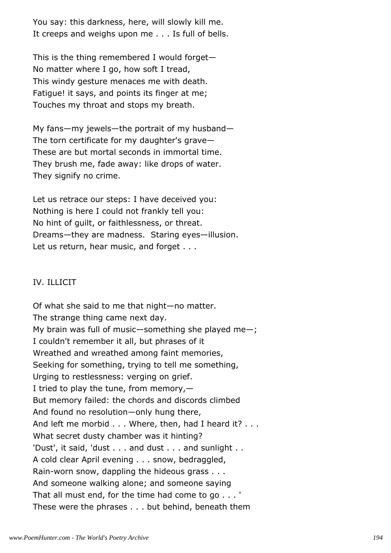You say: this darkness, here, will slowly kill me. It creeps and weighs upon me . . . Is full of bells.

This is the thing remembered I would forget— No matter where I go, how soft I tread, This windy gesture menaces me with death. Fatigue! it says, and points its finger at me; Touches my throat and stops my breath.

My fans—my jewels—the portrait of my husband— The torn certificate for my daughter's grave— These are but mortal seconds in immortal time. They brush me, fade away: like drops of water. They signify no crime.

Let us retrace our steps: I have deceived you: Nothing is here I could not frankly tell you: No hint of guilt, or faithlessness, or threat. Dreams—they are madness. Staring eyes—illusion. Let us return, hear music, and forget . . .

## IV. ILLICIT

Of what she said to me that night—no matter. The strange thing came next day. My brain was full of music—something she played me—; I couldn't remember it all, but phrases of it Wreathed and wreathed among faint memories, Seeking for something, trying to tell me something, Urging to restlessness: verging on grief. I tried to play the tune, from memory, $-$ But memory failed: the chords and discords climbed And found no resolution—only hung there, And left me morbid . . . Where, then, had I heard it? . . . What secret dusty chamber was it hinting? 'Dust', it said, 'dust . . . and dust . . . and sunlight . . A cold clear April evening . . . snow, bedraggled, Rain-worn snow, dappling the hideous grass . . . And someone walking alone; and someone saying That all must end, for the time had come to go . . . ' These were the phrases . . . but behind, beneath them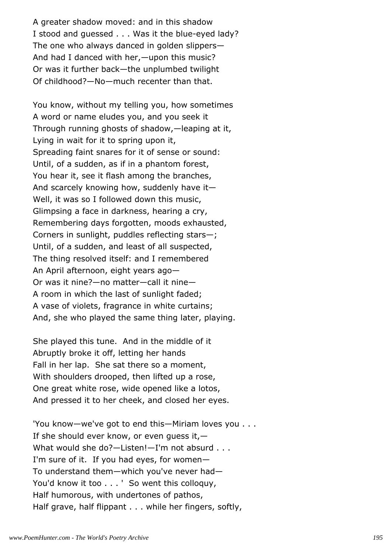A greater shadow moved: and in this shadow I stood and guessed . . . Was it the blue-eyed lady? The one who always danced in golden slippers— And had I danced with her,—upon this music? Or was it further back—the unplumbed twilight Of childhood?—No—much recenter than that.

You know, without my telling you, how sometimes A word or name eludes you, and you seek it Through running ghosts of shadow,—leaping at it, Lying in wait for it to spring upon it, Spreading faint snares for it of sense or sound: Until, of a sudden, as if in a phantom forest, You hear it, see it flash among the branches, And scarcely knowing how, suddenly have it— Well, it was so I followed down this music, Glimpsing a face in darkness, hearing a cry, Remembering days forgotten, moods exhausted, Corners in sunlight, puddles reflecting stars—; Until, of a sudden, and least of all suspected, The thing resolved itself: and I remembered An April afternoon, eight years ago— Or was it nine?—no matter—call it nine— A room in which the last of sunlight faded; A vase of violets, fragrance in white curtains; And, she who played the same thing later, playing.

She played this tune. And in the middle of it Abruptly broke it off, letting her hands Fall in her lap. She sat there so a moment, With shoulders drooped, then lifted up a rose, One great white rose, wide opened like a lotos, And pressed it to her cheek, and closed her eyes.

'You know—we've got to end this—Miriam loves you . . . If she should ever know, or even guess it,— What would she do?—Listen!—I'm not absurd . . . I'm sure of it. If you had eyes, for women— To understand them—which you've never had— You'd know it too . . . ' So went this colloquy, Half humorous, with undertones of pathos, Half grave, half flippant . . . while her fingers, softly,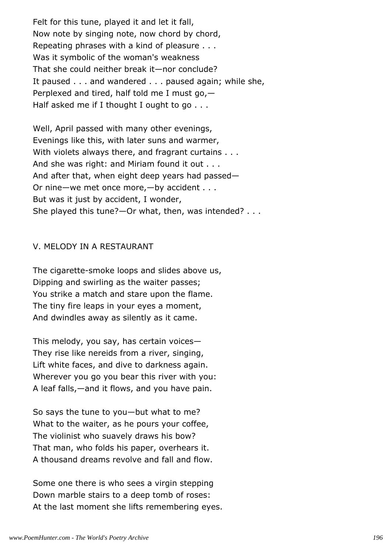Felt for this tune, played it and let it fall, Now note by singing note, now chord by chord, Repeating phrases with a kind of pleasure . . . Was it symbolic of the woman's weakness That she could neither break it—nor conclude? It paused . . . and wandered . . . paused again; while she, Perplexed and tired, half told me I must go,— Half asked me if I thought I ought to go . . .

Well, April passed with many other evenings, Evenings like this, with later suns and warmer, With violets always there, and fragrant curtains . . . And she was right: and Miriam found it out . . . And after that, when eight deep years had passed— Or nine—we met once more,—by accident . . . But was it just by accident, I wonder, She played this tune?—Or what, then, was intended? . . .

## V. MELODY IN A RESTAURANT

The cigarette-smoke loops and slides above us, Dipping and swirling as the waiter passes; You strike a match and stare upon the flame. The tiny fire leaps in your eyes a moment, And dwindles away as silently as it came.

This melody, you say, has certain voices— They rise like nereids from a river, singing, Lift white faces, and dive to darkness again. Wherever you go you bear this river with you: A leaf falls,—and it flows, and you have pain.

So says the tune to you—but what to me? What to the waiter, as he pours your coffee, The violinist who suavely draws his bow? That man, who folds his paper, overhears it. A thousand dreams revolve and fall and flow.

Some one there is who sees a virgin stepping Down marble stairs to a deep tomb of roses: At the last moment she lifts remembering eyes.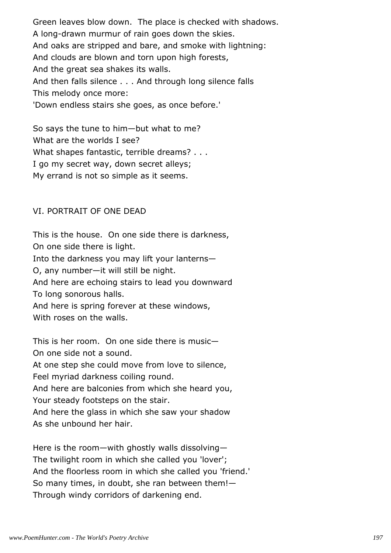Green leaves blow down. The place is checked with shadows. A long-drawn murmur of rain goes down the skies. And oaks are stripped and bare, and smoke with lightning: And clouds are blown and torn upon high forests, And the great sea shakes its walls. And then falls silence . . . And through long silence falls This melody once more: 'Down endless stairs she goes, as once before.'

So says the tune to him—but what to me? What are the worlds I see? What shapes fantastic, terrible dreams? . . . I go my secret way, down secret alleys; My errand is not so simple as it seems.

## VI. PORTRAIT OF ONE DEAD

This is the house. On one side there is darkness, On one side there is light. Into the darkness you may lift your lanterns— O, any number—it will still be night. And here are echoing stairs to lead you downward To long sonorous halls. And here is spring forever at these windows, With roses on the walls.

This is her room. On one side there is music— On one side not a sound.

At one step she could move from love to silence,

Feel myriad darkness coiling round.

And here are balconies from which she heard you,

Your steady footsteps on the stair.

And here the glass in which she saw your shadow As she unbound her hair.

Here is the room—with ghostly walls dissolving— The twilight room in which she called you 'lover'; And the floorless room in which she called you 'friend.' So many times, in doubt, she ran between them!— Through windy corridors of darkening end.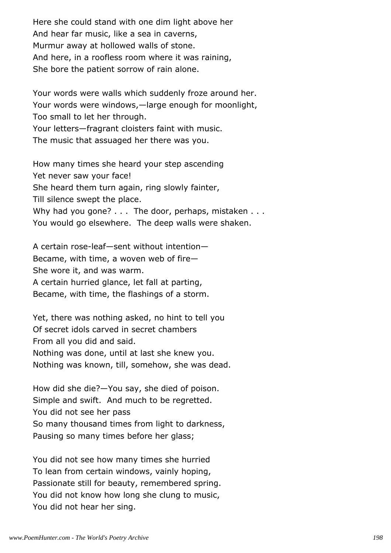Here she could stand with one dim light above her And hear far music, like a sea in caverns, Murmur away at hollowed walls of stone. And here, in a roofless room where it was raining, She bore the patient sorrow of rain alone.

Your words were walls which suddenly froze around her. Your words were windows,—large enough for moonlight, Too small to let her through. Your letters—fragrant cloisters faint with music. The music that assuaged her there was you.

How many times she heard your step ascending Yet never saw your face! She heard them turn again, ring slowly fainter, Till silence swept the place. Why had you gone? . . . The door, perhaps, mistaken . . . You would go elsewhere. The deep walls were shaken.

A certain rose-leaf—sent without intention— Became, with time, a woven web of fire— She wore it, and was warm. A certain hurried glance, let fall at parting, Became, with time, the flashings of a storm.

Yet, there was nothing asked, no hint to tell you Of secret idols carved in secret chambers From all you did and said. Nothing was done, until at last she knew you. Nothing was known, till, somehow, she was dead.

How did she die?—You say, she died of poison. Simple and swift. And much to be regretted. You did not see her pass So many thousand times from light to darkness, Pausing so many times before her glass;

You did not see how many times she hurried To lean from certain windows, vainly hoping, Passionate still for beauty, remembered spring. You did not know how long she clung to music, You did not hear her sing.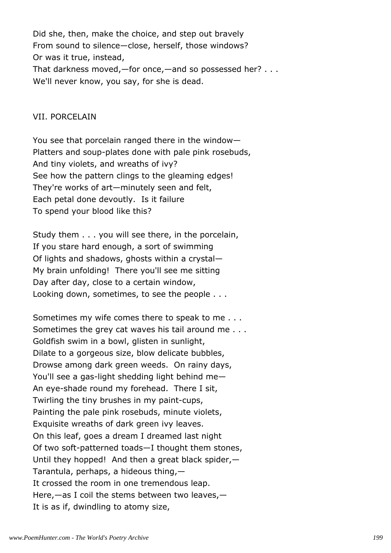Did she, then, make the choice, and step out bravely From sound to silence—close, herself, those windows? Or was it true, instead, That darkness moved,—for once,—and so possessed her? . . . We'll never know, you say, for she is dead.

#### VII. PORCELAIN

You see that porcelain ranged there in the window— Platters and soup-plates done with pale pink rosebuds, And tiny violets, and wreaths of ivy? See how the pattern clings to the gleaming edges! They're works of art—minutely seen and felt, Each petal done devoutly. Is it failure To spend your blood like this?

Study them . . . you will see there, in the porcelain, If you stare hard enough, a sort of swimming Of lights and shadows, ghosts within a crystal— My brain unfolding! There you'll see me sitting Day after day, close to a certain window, Looking down, sometimes, to see the people . . .

Sometimes my wife comes there to speak to me . . . Sometimes the grey cat waves his tail around me . . . Goldfish swim in a bowl, glisten in sunlight, Dilate to a gorgeous size, blow delicate bubbles, Drowse among dark green weeds. On rainy days, You'll see a gas-light shedding light behind me— An eye-shade round my forehead. There I sit, Twirling the tiny brushes in my paint-cups, Painting the pale pink rosebuds, minute violets, Exquisite wreaths of dark green ivy leaves. On this leaf, goes a dream I dreamed last night Of two soft-patterned toads—I thought them stones, Until they hopped! And then a great black spider,— Tarantula, perhaps, a hideous thing,— It crossed the room in one tremendous leap. Here,—as I coil the stems between two leaves,— It is as if, dwindling to atomy size,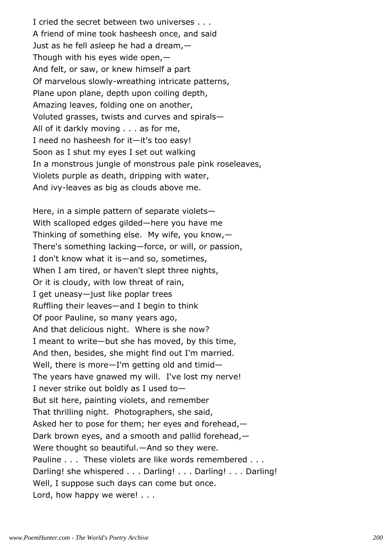I cried the secret between two universes . . . A friend of mine took hasheesh once, and said Just as he fell asleep he had a dream,— Though with his eyes wide open, $-$ And felt, or saw, or knew himself a part Of marvelous slowly-wreathing intricate patterns, Plane upon plane, depth upon coiling depth, Amazing leaves, folding one on another, Voluted grasses, twists and curves and spirals— All of it darkly moving . . . as for me, I need no hasheesh for it—it's too easy! Soon as I shut my eyes I set out walking In a monstrous jungle of monstrous pale pink roseleaves, Violets purple as death, dripping with water, And ivy-leaves as big as clouds above me.

Here, in a simple pattern of separate violets— With scalloped edges gilded—here you have me Thinking of something else. My wife, you know,— There's something lacking—force, or will, or passion, I don't know what it is—and so, sometimes, When I am tired, or haven't slept three nights, Or it is cloudy, with low threat of rain, I get uneasy—just like poplar trees Ruffling their leaves—and I begin to think Of poor Pauline, so many years ago, And that delicious night. Where is she now? I meant to write—but she has moved, by this time, And then, besides, she might find out I'm married. Well, there is more—I'm getting old and timid— The years have gnawed my will. I've lost my nerve! I never strike out boldly as I used to— But sit here, painting violets, and remember That thrilling night. Photographers, she said, Asked her to pose for them; her eyes and forehead,— Dark brown eyes, and a smooth and pallid forehead,— Were thought so beautiful.—And so they were. Pauline . . . These violets are like words remembered . . . Darling! she whispered . . . Darling! . . . Darling! . . . Darling! Well, I suppose such days can come but once. Lord, how happy we were! . . .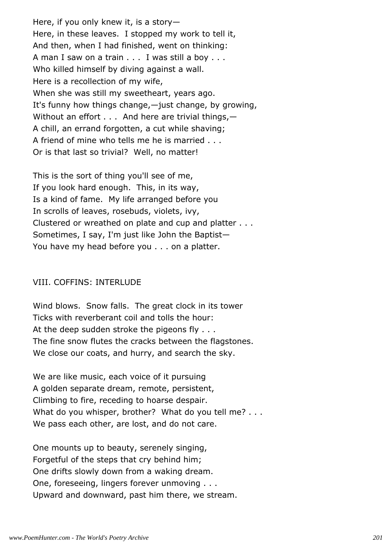Here, if you only knew it, is a story— Here, in these leaves. I stopped my work to tell it, And then, when I had finished, went on thinking: A man I saw on a train . . . I was still a boy . . . Who killed himself by diving against a wall. Here is a recollection of my wife, When she was still my sweetheart, years ago. It's funny how things change,—just change, by growing, Without an effort . . . And here are trivial things, -A chill, an errand forgotten, a cut while shaving; A friend of mine who tells me he is married . . . Or is that last so trivial? Well, no matter!

This is the sort of thing you'll see of me, If you look hard enough. This, in its way, Is a kind of fame. My life arranged before you In scrolls of leaves, rosebuds, violets, ivy, Clustered or wreathed on plate and cup and platter . . . Sometimes, I say, I'm just like John the Baptist— You have my head before you . . . on a platter.

#### VIII. COFFINS: INTERLUDE

Wind blows. Snow falls. The great clock in its tower Ticks with reverberant coil and tolls the hour: At the deep sudden stroke the pigeons fly . . . The fine snow flutes the cracks between the flagstones. We close our coats, and hurry, and search the sky.

We are like music, each voice of it pursuing A golden separate dream, remote, persistent, Climbing to fire, receding to hoarse despair. What do you whisper, brother? What do you tell me? . . . We pass each other, are lost, and do not care.

One mounts up to beauty, serenely singing, Forgetful of the steps that cry behind him; One drifts slowly down from a waking dream. One, foreseeing, lingers forever unmoving . . . Upward and downward, past him there, we stream.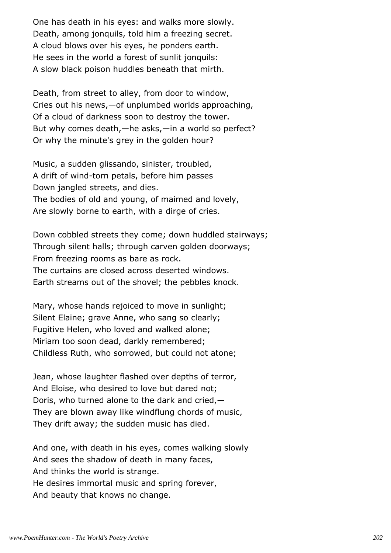One has death in his eyes: and walks more slowly. Death, among jonquils, told him a freezing secret. A cloud blows over his eyes, he ponders earth. He sees in the world a forest of sunlit jonquils: A slow black poison huddles beneath that mirth.

Death, from street to alley, from door to window, Cries out his news,—of unplumbed worlds approaching, Of a cloud of darkness soon to destroy the tower. But why comes death,—he asks,—in a world so perfect? Or why the minute's grey in the golden hour?

Music, a sudden glissando, sinister, troubled, A drift of wind-torn petals, before him passes Down jangled streets, and dies. The bodies of old and young, of maimed and lovely, Are slowly borne to earth, with a dirge of cries.

Down cobbled streets they come; down huddled stairways; Through silent halls; through carven golden doorways; From freezing rooms as bare as rock. The curtains are closed across deserted windows. Earth streams out of the shovel; the pebbles knock.

Mary, whose hands rejoiced to move in sunlight; Silent Elaine; grave Anne, who sang so clearly; Fugitive Helen, who loved and walked alone; Miriam too soon dead, darkly remembered; Childless Ruth, who sorrowed, but could not atone;

Jean, whose laughter flashed over depths of terror, And Eloise, who desired to love but dared not; Doris, who turned alone to the dark and cried,— They are blown away like windflung chords of music, They drift away; the sudden music has died.

And one, with death in his eyes, comes walking slowly And sees the shadow of death in many faces, And thinks the world is strange. He desires immortal music and spring forever, And beauty that knows no change.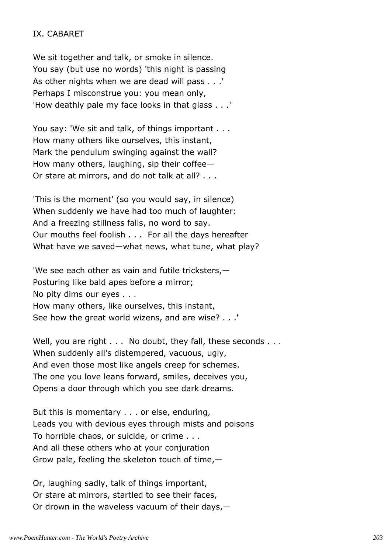### IX. CABARET

We sit together and talk, or smoke in silence. You say (but use no words) 'this night is passing As other nights when we are dead will pass . . .' Perhaps I misconstrue you: you mean only, 'How deathly pale my face looks in that glass . . .'

You say: 'We sit and talk, of things important . . . How many others like ourselves, this instant, Mark the pendulum swinging against the wall? How many others, laughing, sip their coffee— Or stare at mirrors, and do not talk at all? . . .

'This is the moment' (so you would say, in silence) When suddenly we have had too much of laughter: And a freezing stillness falls, no word to say. Our mouths feel foolish . . . For all the days hereafter What have we saved—what news, what tune, what play?

'We see each other as vain and futile tricksters,— Posturing like bald apes before a mirror; No pity dims our eyes . . . How many others, like ourselves, this instant, See how the great world wizens, and are wise? . . .'

Well, you are right . . . No doubt, they fall, these seconds . . . When suddenly all's distempered, vacuous, ugly, And even those most like angels creep for schemes. The one you love leans forward, smiles, deceives you, Opens a door through which you see dark dreams.

But this is momentary . . . or else, enduring, Leads you with devious eyes through mists and poisons To horrible chaos, or suicide, or crime . . . And all these others who at your conjuration Grow pale, feeling the skeleton touch of time,—

Or, laughing sadly, talk of things important, Or stare at mirrors, startled to see their faces, Or drown in the waveless vacuum of their days,—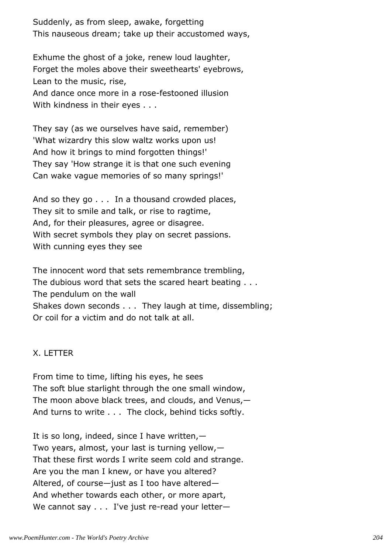Suddenly, as from sleep, awake, forgetting This nauseous dream; take up their accustomed ways,

Exhume the ghost of a joke, renew loud laughter, Forget the moles above their sweethearts' eyebrows, Lean to the music, rise, And dance once more in a rose-festooned illusion With kindness in their eyes . . .

They say (as we ourselves have said, remember) 'What wizardry this slow waltz works upon us! And how it brings to mind forgotten things!' They say 'How strange it is that one such evening Can wake vague memories of so many springs!'

And so they go . . . In a thousand crowded places, They sit to smile and talk, or rise to ragtime, And, for their pleasures, agree or disagree. With secret symbols they play on secret passions. With cunning eyes they see

The innocent word that sets remembrance trembling, The dubious word that sets the scared heart beating . . . The pendulum on the wall Shakes down seconds . . . They laugh at time, dissembling; Or coil for a victim and do not talk at all.

## X. LETTER

From time to time, lifting his eyes, he sees The soft blue starlight through the one small window, The moon above black trees, and clouds, and Venus,— And turns to write . . . The clock, behind ticks softly.

It is so long, indeed, since I have written,— Two years, almost, your last is turning yellow, $-$ That these first words I write seem cold and strange. Are you the man I knew, or have you altered? Altered, of course—just as I too have altered— And whether towards each other, or more apart, We cannot say . . . I've just re-read your letter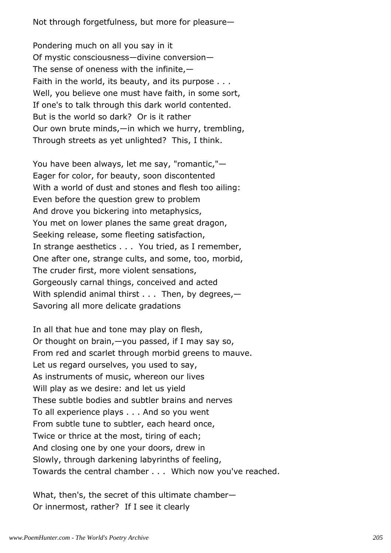Not through forgetfulness, but more for pleasure—

Pondering much on all you say in it Of mystic consciousness—divine conversion— The sense of oneness with the infinite, $-$ Faith in the world, its beauty, and its purpose . . . Well, you believe one must have faith, in some sort, If one's to talk through this dark world contented. But is the world so dark? Or is it rather Our own brute minds,—in which we hurry, trembling, Through streets as yet unlighted? This, I think.

You have been always, let me say, "romantic,"— Eager for color, for beauty, soon discontented With a world of dust and stones and flesh too ailing: Even before the question grew to problem And drove you bickering into metaphysics, You met on lower planes the same great dragon, Seeking release, some fleeting satisfaction, In strange aesthetics . . . You tried, as I remember, One after one, strange cults, and some, too, morbid, The cruder first, more violent sensations, Gorgeously carnal things, conceived and acted With splendid animal thirst . . . Then, by degrees, -Savoring all more delicate gradations

In all that hue and tone may play on flesh, Or thought on brain,—you passed, if I may say so, From red and scarlet through morbid greens to mauve. Let us regard ourselves, you used to say, As instruments of music, whereon our lives Will play as we desire: and let us yield These subtle bodies and subtler brains and nerves To all experience plays . . . And so you went From subtle tune to subtler, each heard once, Twice or thrice at the most, tiring of each; And closing one by one your doors, drew in Slowly, through darkening labyrinths of feeling, Towards the central chamber . . . Which now you've reached.

What, then's, the secret of this ultimate chamber— Or innermost, rather? If I see it clearly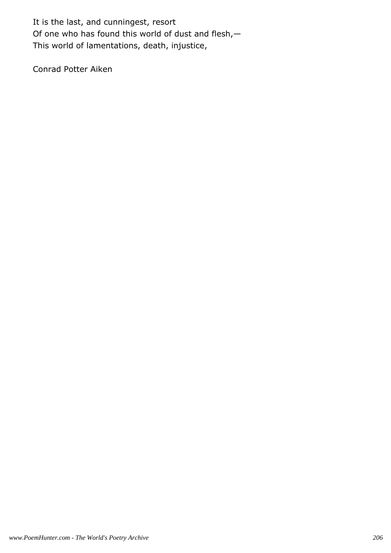It is the last, and cunningest, resort Of one who has found this world of dust and flesh,— This world of lamentations, death, injustice,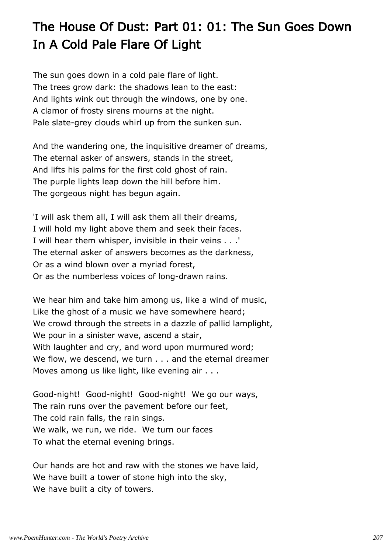# The House Of Dust: Part 01: 01: The Sun Goes Down In A Cold Pale Flare Of Light

The sun goes down in a cold pale flare of light. The trees grow dark: the shadows lean to the east: And lights wink out through the windows, one by one. A clamor of frosty sirens mourns at the night. Pale slate-grey clouds whirl up from the sunken sun.

And the wandering one, the inquisitive dreamer of dreams, The eternal asker of answers, stands in the street, And lifts his palms for the first cold ghost of rain. The purple lights leap down the hill before him. The gorgeous night has begun again.

'I will ask them all, I will ask them all their dreams, I will hold my light above them and seek their faces. I will hear them whisper, invisible in their veins . . .' The eternal asker of answers becomes as the darkness, Or as a wind blown over a myriad forest, Or as the numberless voices of long-drawn rains.

We hear him and take him among us, like a wind of music, Like the ghost of a music we have somewhere heard; We crowd through the streets in a dazzle of pallid lamplight, We pour in a sinister wave, ascend a stair, With laughter and cry, and word upon murmured word; We flow, we descend, we turn . . . and the eternal dreamer Moves among us like light, like evening air . . .

Good-night! Good-night! Good-night! We go our ways, The rain runs over the pavement before our feet, The cold rain falls, the rain sings. We walk, we run, we ride. We turn our faces To what the eternal evening brings.

Our hands are hot and raw with the stones we have laid, We have built a tower of stone high into the sky, We have built a city of towers.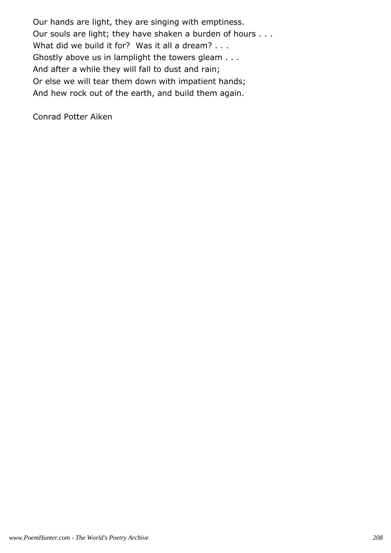Our hands are light, they are singing with emptiness. Our souls are light; they have shaken a burden of hours . . . What did we build it for? Was it all a dream? . . . Ghostly above us in lamplight the towers gleam . . . And after a while they will fall to dust and rain; Or else we will tear them down with impatient hands; And hew rock out of the earth, and build them again.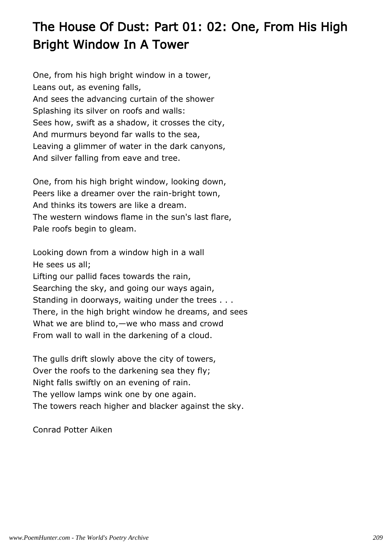## The House Of Dust: Part 01: 02: One, From His High Bright Window In A Tower

One, from his high bright window in a tower, Leans out, as evening falls, And sees the advancing curtain of the shower Splashing its silver on roofs and walls: Sees how, swift as a shadow, it crosses the city, And murmurs beyond far walls to the sea, Leaving a glimmer of water in the dark canyons, And silver falling from eave and tree.

One, from his high bright window, looking down, Peers like a dreamer over the rain-bright town, And thinks its towers are like a dream. The western windows flame in the sun's last flare, Pale roofs begin to gleam.

Looking down from a window high in a wall He sees us all; Lifting our pallid faces towards the rain, Searching the sky, and going our ways again, Standing in doorways, waiting under the trees . . . There, in the high bright window he dreams, and sees What we are blind to,—we who mass and crowd From wall to wall in the darkening of a cloud.

The gulls drift slowly above the city of towers, Over the roofs to the darkening sea they fly; Night falls swiftly on an evening of rain. The yellow lamps wink one by one again. The towers reach higher and blacker against the sky.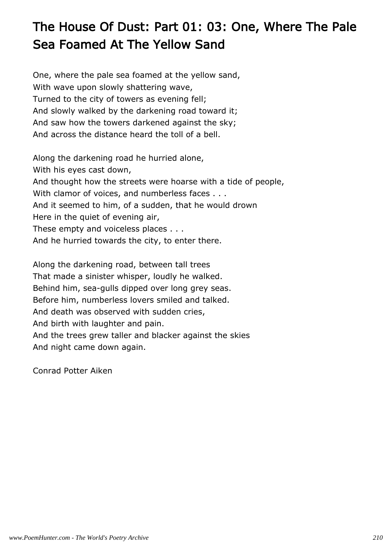# The House Of Dust: Part 01: 03: One, Where The Pale Sea Foamed At The Yellow Sand

One, where the pale sea foamed at the yellow sand, With wave upon slowly shattering wave, Turned to the city of towers as evening fell; And slowly walked by the darkening road toward it; And saw how the towers darkened against the sky; And across the distance heard the toll of a bell.

Along the darkening road he hurried alone, With his eyes cast down, And thought how the streets were hoarse with a tide of people, With clamor of voices, and numberless faces . . . And it seemed to him, of a sudden, that he would drown Here in the quiet of evening air, These empty and voiceless places . . . And he hurried towards the city, to enter there.

Along the darkening road, between tall trees That made a sinister whisper, loudly he walked. Behind him, sea-gulls dipped over long grey seas. Before him, numberless lovers smiled and talked. And death was observed with sudden cries, And birth with laughter and pain. And the trees grew taller and blacker against the skies And night came down again.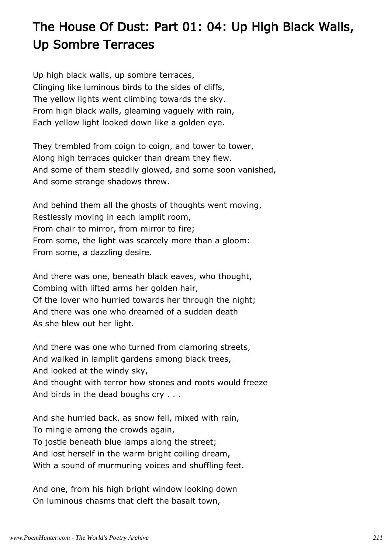# The House Of Dust: Part 01: 04: Up High Black Walls, Up Sombre Terraces

Up high black walls, up sombre terraces, Clinging like luminous birds to the sides of cliffs, The yellow lights went climbing towards the sky. From high black walls, gleaming vaguely with rain, Each yellow light looked down like a golden eye.

They trembled from coign to coign, and tower to tower, Along high terraces quicker than dream they flew. And some of them steadily glowed, and some soon vanished, And some strange shadows threw.

And behind them all the ghosts of thoughts went moving, Restlessly moving in each lamplit room, From chair to mirror, from mirror to fire; From some, the light was scarcely more than a gloom: From some, a dazzling desire.

And there was one, beneath black eaves, who thought, Combing with lifted arms her golden hair, Of the lover who hurried towards her through the night; And there was one who dreamed of a sudden death As she blew out her light.

And there was one who turned from clamoring streets, And walked in lamplit gardens among black trees, And looked at the windy sky, And thought with terror how stones and roots would freeze And birds in the dead boughs cry . . .

And she hurried back, as snow fell, mixed with rain, To mingle among the crowds again, To jostle beneath blue lamps along the street; And lost herself in the warm bright coiling dream, With a sound of murmuring voices and shuffling feet.

And one, from his high bright window looking down On luminous chasms that cleft the basalt town,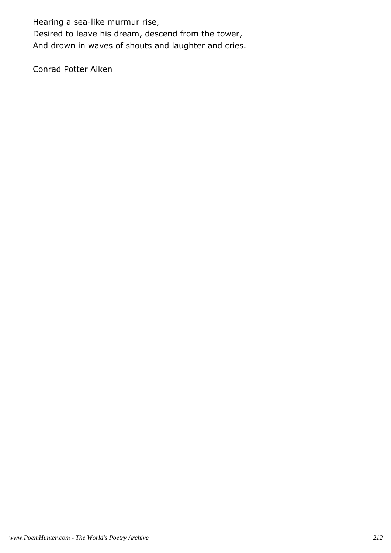Hearing a sea-like murmur rise, Desired to leave his dream, descend from the tower, And drown in waves of shouts and laughter and cries.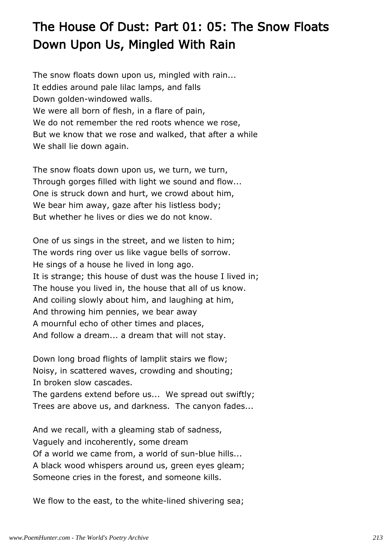# The House Of Dust: Part 01: 05: The Snow Floats Down Upon Us, Mingled With Rain

The snow floats down upon us, mingled with rain... It eddies around pale lilac lamps, and falls Down golden-windowed walls. We were all born of flesh, in a flare of pain, We do not remember the red roots whence we rose, But we know that we rose and walked, that after a while We shall lie down again.

The snow floats down upon us, we turn, we turn, Through gorges filled with light we sound and flow... One is struck down and hurt, we crowd about him, We bear him away, gaze after his listless body; But whether he lives or dies we do not know.

One of us sings in the street, and we listen to him; The words ring over us like vague bells of sorrow. He sings of a house he lived in long ago. It is strange; this house of dust was the house I lived in; The house you lived in, the house that all of us know. And coiling slowly about him, and laughing at him, And throwing him pennies, we bear away A mournful echo of other times and places, And follow a dream... a dream that will not stay.

Down long broad flights of lamplit stairs we flow; Noisy, in scattered waves, crowding and shouting; In broken slow cascades.

The gardens extend before us... We spread out swiftly; Trees are above us, and darkness. The canyon fades...

And we recall, with a gleaming stab of sadness, Vaguely and incoherently, some dream Of a world we came from, a world of sun-blue hills... A black wood whispers around us, green eyes gleam; Someone cries in the forest, and someone kills.

We flow to the east, to the white-lined shivering sea;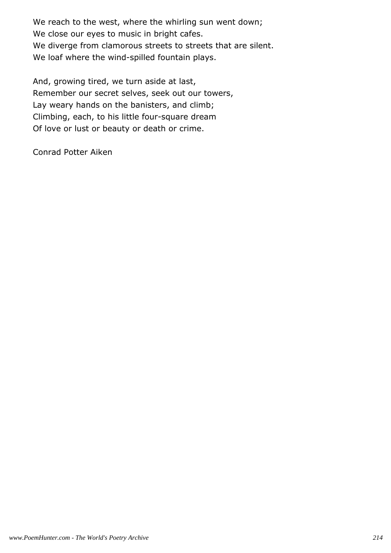We reach to the west, where the whirling sun went down; We close our eyes to music in bright cafes. We diverge from clamorous streets to streets that are silent. We loaf where the wind-spilled fountain plays.

And, growing tired, we turn aside at last, Remember our secret selves, seek out our towers, Lay weary hands on the banisters, and climb; Climbing, each, to his little four-square dream Of love or lust or beauty or death or crime.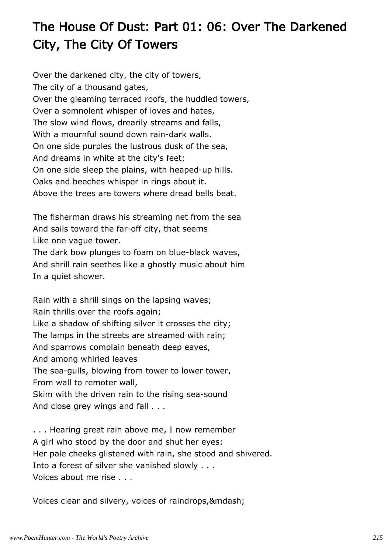# The House Of Dust: Part 01: 06: Over The Darkened City, The City Of Towers

Over the darkened city, the city of towers, The city of a thousand gates, Over the gleaming terraced roofs, the huddled towers, Over a somnolent whisper of loves and hates, The slow wind flows, drearily streams and falls, With a mournful sound down rain-dark walls. On one side purples the lustrous dusk of the sea, And dreams in white at the city's feet; On one side sleep the plains, with heaped-up hills. Oaks and beeches whisper in rings about it. Above the trees are towers where dread bells beat.

The fisherman draws his streaming net from the sea And sails toward the far-off city, that seems Like one vague tower.

The dark bow plunges to foam on blue-black waves, And shrill rain seethes like a ghostly music about him In a quiet shower.

Rain with a shrill sings on the lapsing waves; Rain thrills over the roofs again; Like a shadow of shifting silver it crosses the city; The lamps in the streets are streamed with rain; And sparrows complain beneath deep eaves, And among whirled leaves The sea-gulls, blowing from tower to lower tower, From wall to remoter wall, Skim with the driven rain to the rising sea-sound And close grey wings and fall . . .

. . . Hearing great rain above me, I now remember A girl who stood by the door and shut her eyes: Her pale cheeks glistened with rain, she stood and shivered. Into a forest of silver she vanished slowly . . . Voices about me rise . . .

Voices clear and silvery, voices of raindrops, & mdash;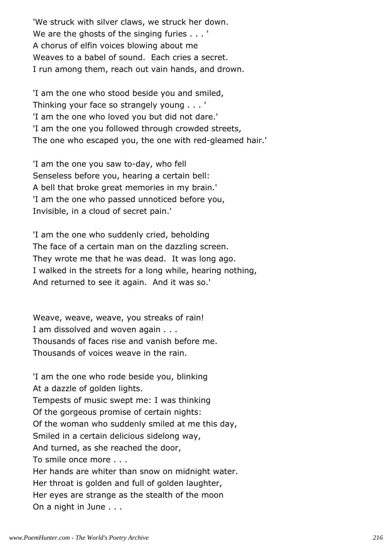'We struck with silver claws, we struck her down. We are the ghosts of the singing furies . . . ' A chorus of elfin voices blowing about me Weaves to a babel of sound. Each cries a secret. I run among them, reach out vain hands, and drown.

'I am the one who stood beside you and smiled, Thinking your face so strangely young . . . ' 'I am the one who loved you but did not dare.' 'I am the one you followed through crowded streets, The one who escaped you, the one with red-gleamed hair.'

'I am the one you saw to-day, who fell Senseless before you, hearing a certain bell: A bell that broke great memories in my brain.' 'I am the one who passed unnoticed before you, Invisible, in a cloud of secret pain.'

'I am the one who suddenly cried, beholding The face of a certain man on the dazzling screen. They wrote me that he was dead. It was long ago. I walked in the streets for a long while, hearing nothing, And returned to see it again. And it was so.'

Weave, weave, weave, you streaks of rain! I am dissolved and woven again . . . Thousands of faces rise and vanish before me. Thousands of voices weave in the rain.

'I am the one who rode beside you, blinking At a dazzle of golden lights. Tempests of music swept me: I was thinking Of the gorgeous promise of certain nights: Of the woman who suddenly smiled at me this day, Smiled in a certain delicious sidelong way, And turned, as she reached the door, To smile once more . . . Her hands are whiter than snow on midnight water. Her throat is golden and full of golden laughter, Her eyes are strange as the stealth of the moon On a night in June . . .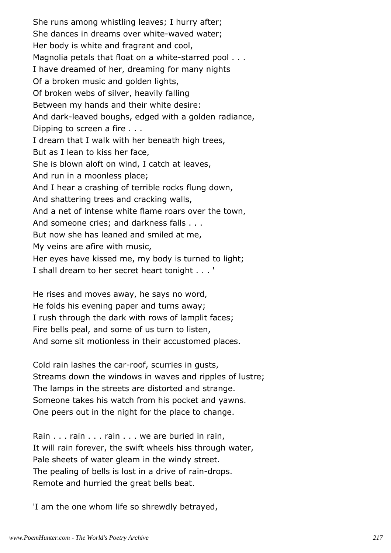She runs among whistling leaves; I hurry after; She dances in dreams over white-waved water; Her body is white and fragrant and cool, Magnolia petals that float on a white-starred pool . . . I have dreamed of her, dreaming for many nights Of a broken music and golden lights, Of broken webs of silver, heavily falling Between my hands and their white desire: And dark-leaved boughs, edged with a golden radiance, Dipping to screen a fire . . . I dream that I walk with her beneath high trees, But as I lean to kiss her face, She is blown aloft on wind, I catch at leaves, And run in a moonless place; And I hear a crashing of terrible rocks flung down, And shattering trees and cracking walls, And a net of intense white flame roars over the town, And someone cries; and darkness falls . . . But now she has leaned and smiled at me, My veins are afire with music, Her eyes have kissed me, my body is turned to light; I shall dream to her secret heart tonight . . . '

He rises and moves away, he says no word, He folds his evening paper and turns away; I rush through the dark with rows of lamplit faces; Fire bells peal, and some of us turn to listen, And some sit motionless in their accustomed places.

Cold rain lashes the car-roof, scurries in gusts, Streams down the windows in waves and ripples of lustre; The lamps in the streets are distorted and strange. Someone takes his watch from his pocket and yawns. One peers out in the night for the place to change.

Rain . . . rain . . . rain . . . we are buried in rain, It will rain forever, the swift wheels hiss through water, Pale sheets of water gleam in the windy street. The pealing of bells is lost in a drive of rain-drops. Remote and hurried the great bells beat.

'I am the one whom life so shrewdly betrayed,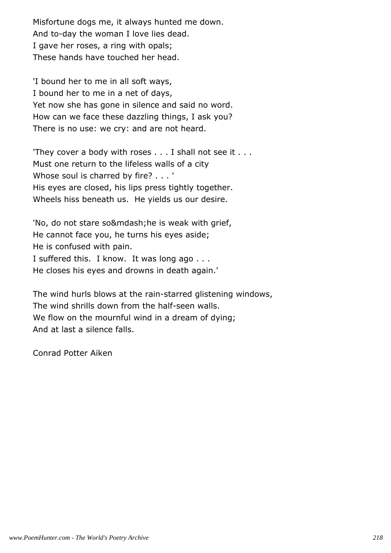Misfortune dogs me, it always hunted me down. And to-day the woman I love lies dead. I gave her roses, a ring with opals; These hands have touched her head.

'I bound her to me in all soft ways, I bound her to me in a net of days, Yet now she has gone in silence and said no word. How can we face these dazzling things, I ask you? There is no use: we cry: and are not heard.

'They cover a body with roses . . . I shall not see it . . . Must one return to the lifeless walls of a city Whose soul is charred by fire? . . . ' His eyes are closed, his lips press tightly together. Wheels hiss beneath us. He yields us our desire.

'No, do not stare so— he is weak with grief, He cannot face you, he turns his eyes aside; He is confused with pain. I suffered this. I know. It was long ago . . . He closes his eyes and drowns in death again.'

The wind hurls blows at the rain-starred glistening windows, The wind shrills down from the half-seen walls. We flow on the mournful wind in a dream of dying; And at last a silence falls.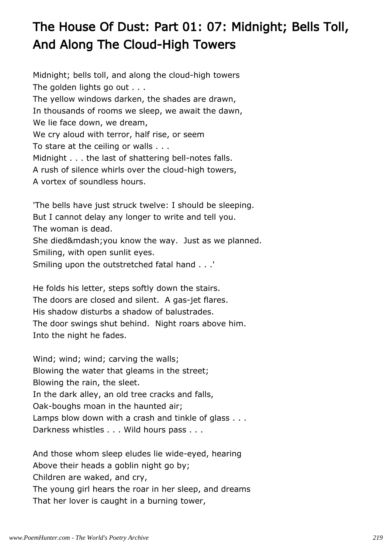# The House Of Dust: Part 01: 07: Midnight; Bells Toll, And Along The Cloud-High Towers

Midnight; bells toll, and along the cloud-high towers The golden lights go out . . . The yellow windows darken, the shades are drawn, In thousands of rooms we sleep, we await the dawn, We lie face down, we dream, We cry aloud with terror, half rise, or seem To stare at the ceiling or walls . . . Midnight . . . the last of shattering bell-notes falls. A rush of silence whirls over the cloud-high towers, A vortex of soundless hours.

'The bells have just struck twelve: I should be sleeping. But I cannot delay any longer to write and tell you. The woman is dead. She died— you know the way. Just as we planned. Smiling, with open sunlit eyes. Smiling upon the outstretched fatal hand . . .'

He folds his letter, steps softly down the stairs. The doors are closed and silent. A gas-jet flares. His shadow disturbs a shadow of balustrades. The door swings shut behind. Night roars above him. Into the night he fades.

Wind; wind; wind; carving the walls; Blowing the water that gleams in the street; Blowing the rain, the sleet. In the dark alley, an old tree cracks and falls, Oak-boughs moan in the haunted air; Lamps blow down with a crash and tinkle of glass . . . Darkness whistles . . . Wild hours pass . . .

And those whom sleep eludes lie wide-eyed, hearing Above their heads a goblin night go by; Children are waked, and cry, The young girl hears the roar in her sleep, and dreams That her lover is caught in a burning tower,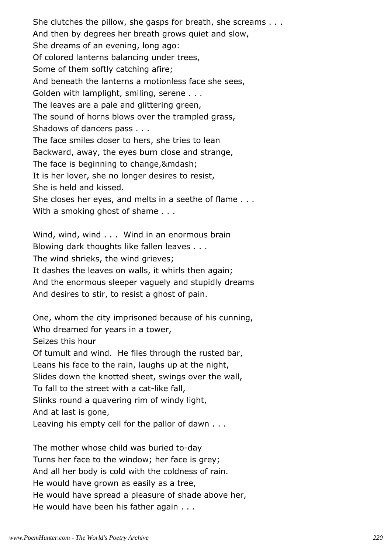She clutches the pillow, she gasps for breath, she screams . . . And then by degrees her breath grows quiet and slow, She dreams of an evening, long ago: Of colored lanterns balancing under trees, Some of them softly catching afire; And beneath the lanterns a motionless face she sees, Golden with lamplight, smiling, serene . . . The leaves are a pale and glittering green, The sound of horns blows over the trampled grass, Shadows of dancers pass . . . The face smiles closer to hers, she tries to lean Backward, away, the eyes burn close and strange, The face is beginning to change, & mdash; It is her lover, she no longer desires to resist, She is held and kissed. She closes her eyes, and melts in a seethe of flame . . . With a smoking ghost of shame . . .

Wind, wind, wind . . . Wind in an enormous brain Blowing dark thoughts like fallen leaves . . . The wind shrieks, the wind grieves; It dashes the leaves on walls, it whirls then again; And the enormous sleeper vaguely and stupidly dreams And desires to stir, to resist a ghost of pain.

One, whom the city imprisoned because of his cunning, Who dreamed for years in a tower, Seizes this hour Of tumult and wind. He files through the rusted bar, Leans his face to the rain, laughs up at the night, Slides down the knotted sheet, swings over the wall, To fall to the street with a cat-like fall, Slinks round a quavering rim of windy light, And at last is gone, Leaving his empty cell for the pallor of dawn . . .

The mother whose child was buried to-day Turns her face to the window; her face is grey; And all her body is cold with the coldness of rain. He would have grown as easily as a tree, He would have spread a pleasure of shade above her, He would have been his father again . . .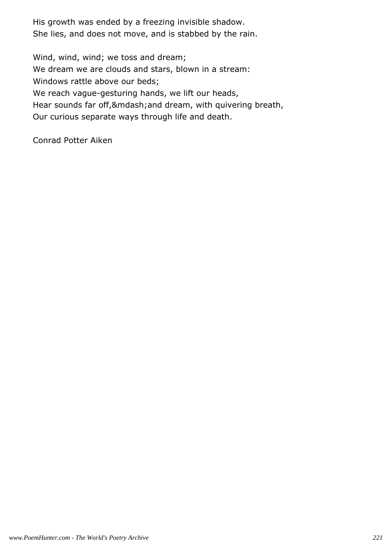His growth was ended by a freezing invisible shadow. She lies, and does not move, and is stabbed by the rain.

Wind, wind, wind; we toss and dream; We dream we are clouds and stars, blown in a stream: Windows rattle above our beds; We reach vague-gesturing hands, we lift our heads, Hear sounds far off,— and dream, with quivering breath, Our curious separate ways through life and death.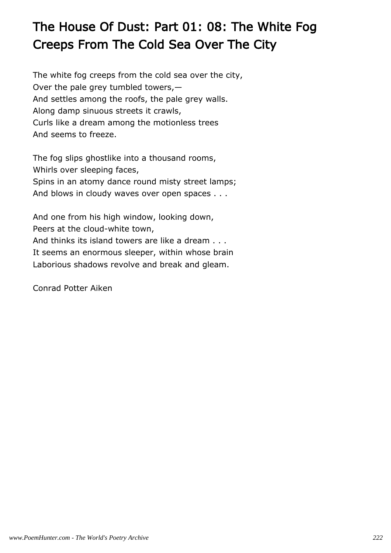# The House Of Dust: Part 01: 08: The White Fog Creeps From The Cold Sea Over The City

The white fog creeps from the cold sea over the city, Over the pale grey tumbled towers,— And settles among the roofs, the pale grey walls. Along damp sinuous streets it crawls, Curls like a dream among the motionless trees And seems to freeze.

The fog slips ghostlike into a thousand rooms, Whirls over sleeping faces, Spins in an atomy dance round misty street lamps; And blows in cloudy waves over open spaces . . .

And one from his high window, looking down, Peers at the cloud-white town, And thinks its island towers are like a dream . . . It seems an enormous sleeper, within whose brain Laborious shadows revolve and break and gleam.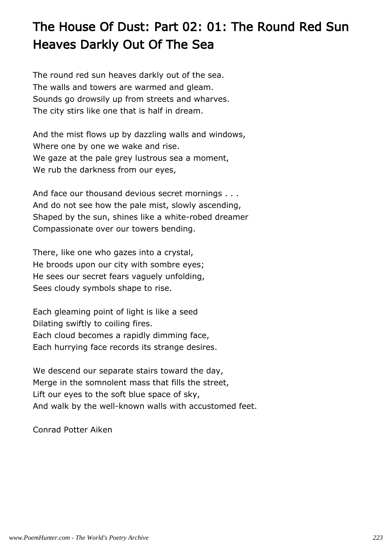# The House Of Dust: Part 02: 01: The Round Red Sun Heaves Darkly Out Of The Sea

The round red sun heaves darkly out of the sea. The walls and towers are warmed and gleam. Sounds go drowsily up from streets and wharves. The city stirs like one that is half in dream.

And the mist flows up by dazzling walls and windows, Where one by one we wake and rise. We gaze at the pale grey lustrous sea a moment, We rub the darkness from our eyes,

And face our thousand devious secret mornings . . . And do not see how the pale mist, slowly ascending, Shaped by the sun, shines like a white-robed dreamer Compassionate over our towers bending.

There, like one who gazes into a crystal, He broods upon our city with sombre eyes; He sees our secret fears vaguely unfolding, Sees cloudy symbols shape to rise.

Each gleaming point of light is like a seed Dilating swiftly to coiling fires. Each cloud becomes a rapidly dimming face, Each hurrying face records its strange desires.

We descend our separate stairs toward the day, Merge in the somnolent mass that fills the street, Lift our eyes to the soft blue space of sky, And walk by the well-known walls with accustomed feet.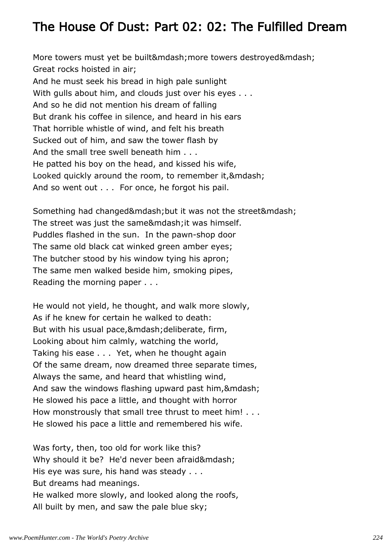## The House Of Dust: Part 02: 02: The Fulfilled Dream

More towers must yet be built— more towers destroyed— Great rocks hoisted in air; And he must seek his bread in high pale sunlight With gulls about him, and clouds just over his eyes . . . And so he did not mention his dream of falling But drank his coffee in silence, and heard in his ears That horrible whistle of wind, and felt his breath Sucked out of him, and saw the tower flash by And the small tree swell beneath him . . . He patted his boy on the head, and kissed his wife, Looked quickly around the room, to remember it,— And so went out . . . For once, he forgot his pail.

Something had changed— but it was not the street— The street was just the same— it was himself. Puddles flashed in the sun. In the pawn-shop door The same old black cat winked green amber eyes; The butcher stood by his window tying his apron; The same men walked beside him, smoking pipes, Reading the morning paper . . .

He would not yield, he thought, and walk more slowly, As if he knew for certain he walked to death: But with his usual pace,— deliberate, firm, Looking about him calmly, watching the world, Taking his ease . . . Yet, when he thought again Of the same dream, now dreamed three separate times, Always the same, and heard that whistling wind, And saw the windows flashing upward past him, & mdash; He slowed his pace a little, and thought with horror How monstrously that small tree thrust to meet him! . . . He slowed his pace a little and remembered his wife.

Was forty, then, too old for work like this? Why should it be? He'd never been afraid— His eye was sure, his hand was steady . . . But dreams had meanings. He walked more slowly, and looked along the roofs, All built by men, and saw the pale blue sky;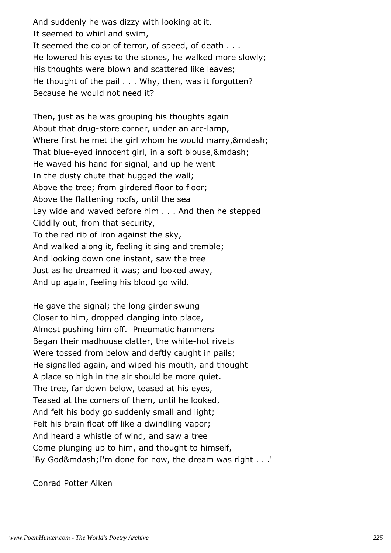And suddenly he was dizzy with looking at it, It seemed to whirl and swim, It seemed the color of terror, of speed, of death . . . He lowered his eyes to the stones, he walked more slowly; His thoughts were blown and scattered like leaves; He thought of the pail . . . Why, then, was it forgotten? Because he would not need it?

Then, just as he was grouping his thoughts again About that drug-store corner, under an arc-lamp, Where first he met the girl whom he would marry, & mdash; That blue-eyed innocent girl, in a soft blouse, & mdash; He waved his hand for signal, and up he went In the dusty chute that hugged the wall; Above the tree; from girdered floor to floor; Above the flattening roofs, until the sea Lay wide and waved before him . . . And then he stepped Giddily out, from that security, To the red rib of iron against the sky, And walked along it, feeling it sing and tremble; And looking down one instant, saw the tree Just as he dreamed it was; and looked away, And up again, feeling his blood go wild.

He gave the signal; the long girder swung Closer to him, dropped clanging into place, Almost pushing him off. Pneumatic hammers Began their madhouse clatter, the white-hot rivets Were tossed from below and deftly caught in pails; He signalled again, and wiped his mouth, and thought A place so high in the air should be more quiet. The tree, far down below, teased at his eyes, Teased at the corners of them, until he looked, And felt his body go suddenly small and light; Felt his brain float off like a dwindling vapor; And heard a whistle of wind, and saw a tree Come plunging up to him, and thought to himself, 'By God— I'm done for now, the dream was right . . .'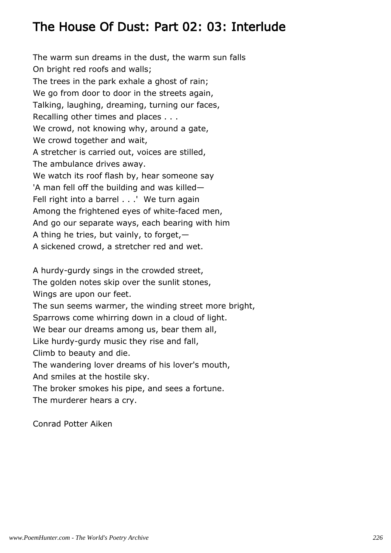## The House Of Dust: Part 02: 03: Interlude

The warm sun dreams in the dust, the warm sun falls On bright red roofs and walls; The trees in the park exhale a ghost of rain; We go from door to door in the streets again, Talking, laughing, dreaming, turning our faces, Recalling other times and places . . . We crowd, not knowing why, around a gate, We crowd together and wait, A stretcher is carried out, voices are stilled, The ambulance drives away. We watch its roof flash by, hear someone say 'A man fell off the building and was killed— Fell right into a barrel . . .' We turn again Among the frightened eyes of white-faced men, And go our separate ways, each bearing with him A thing he tries, but vainly, to forget,— A sickened crowd, a stretcher red and wet.

A hurdy-gurdy sings in the crowded street, The golden notes skip over the sunlit stones, Wings are upon our feet. The sun seems warmer, the winding street more bright, Sparrows come whirring down in a cloud of light. We bear our dreams among us, bear them all, Like hurdy-gurdy music they rise and fall, Climb to beauty and die. The wandering lover dreams of his lover's mouth, And smiles at the hostile sky. The broker smokes his pipe, and sees a fortune. The murderer hears a cry.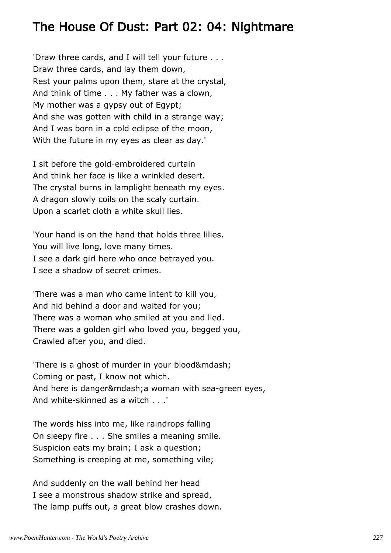### The House Of Dust: Part 02: 04: Nightmare

'Draw three cards, and I will tell your future . . . Draw three cards, and lay them down, Rest your palms upon them, stare at the crystal, And think of time . . . My father was a clown, My mother was a gypsy out of Egypt; And she was gotten with child in a strange way; And I was born in a cold eclipse of the moon, With the future in my eyes as clear as day.'

I sit before the gold-embroidered curtain And think her face is like a wrinkled desert. The crystal burns in lamplight beneath my eyes. A dragon slowly coils on the scaly curtain. Upon a scarlet cloth a white skull lies.

'Your hand is on the hand that holds three lilies. You will live long, love many times. I see a dark girl here who once betrayed you. I see a shadow of secret crimes.

'There was a man who came intent to kill you, And hid behind a door and waited for you; There was a woman who smiled at you and lied. There was a golden girl who loved you, begged you, Crawled after you, and died.

'There is a ghost of murder in your blood— Coming or past, I know not which. And here is danger— a woman with sea-green eyes, And white-skinned as a witch . . .'

The words hiss into me, like raindrops falling On sleepy fire . . . She smiles a meaning smile. Suspicion eats my brain; I ask a question; Something is creeping at me, something vile;

And suddenly on the wall behind her head I see a monstrous shadow strike and spread, The lamp puffs out, a great blow crashes down.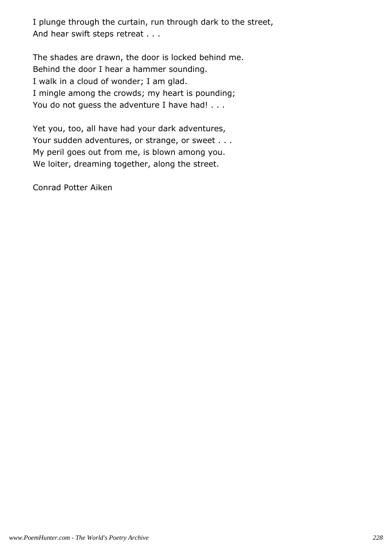I plunge through the curtain, run through dark to the street, And hear swift steps retreat . . .

The shades are drawn, the door is locked behind me. Behind the door I hear a hammer sounding. I walk in a cloud of wonder; I am glad. I mingle among the crowds; my heart is pounding; You do not guess the adventure I have had! . . .

Yet you, too, all have had your dark adventures, Your sudden adventures, or strange, or sweet . . . My peril goes out from me, is blown among you. We loiter, dreaming together, along the street.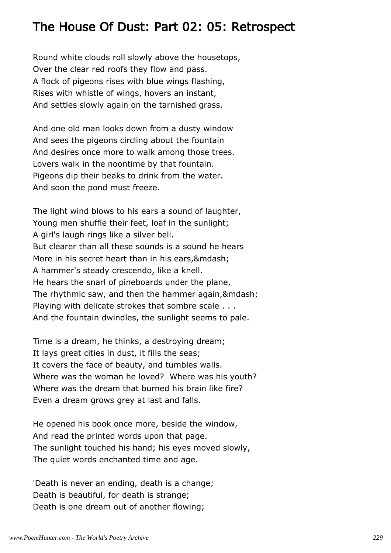### The House Of Dust: Part 02: 05: Retrospect

Round white clouds roll slowly above the housetops, Over the clear red roofs they flow and pass. A flock of pigeons rises with blue wings flashing, Rises with whistle of wings, hovers an instant, And settles slowly again on the tarnished grass.

And one old man looks down from a dusty window And sees the pigeons circling about the fountain And desires once more to walk among those trees. Lovers walk in the noontime by that fountain. Pigeons dip their beaks to drink from the water. And soon the pond must freeze.

The light wind blows to his ears a sound of laughter, Young men shuffle their feet, loaf in the sunlight; A girl's laugh rings like a silver bell. But clearer than all these sounds is a sound he hears More in his secret heart than in his ears, & mdash; A hammer's steady crescendo, like a knell. He hears the snarl of pineboards under the plane, The rhythmic saw, and then the hammer again, & mdash; Playing with delicate strokes that sombre scale . . . And the fountain dwindles, the sunlight seems to pale.

Time is a dream, he thinks, a destroying dream; It lays great cities in dust, it fills the seas; It covers the face of beauty, and tumbles walls. Where was the woman he loved? Where was his youth? Where was the dream that burned his brain like fire? Even a dream grows grey at last and falls.

He opened his book once more, beside the window, And read the printed words upon that page. The sunlight touched his hand; his eyes moved slowly, The quiet words enchanted time and age.

'Death is never an ending, death is a change; Death is beautiful, for death is strange; Death is one dream out of another flowing;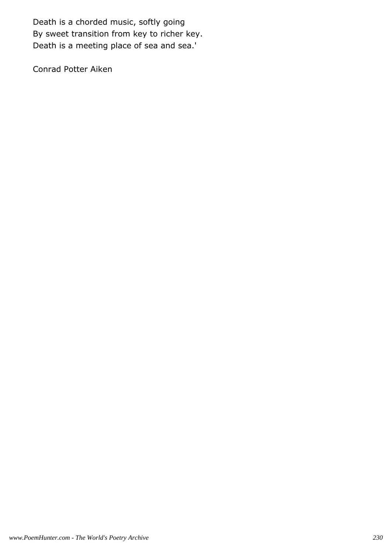Death is a chorded music, softly going By sweet transition from key to richer key. Death is a meeting place of sea and sea.'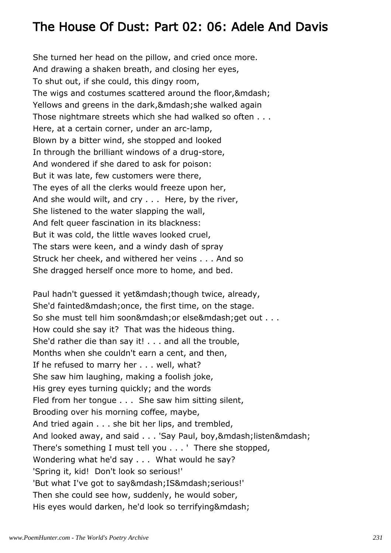### The House Of Dust: Part 02: 06: Adele And Davis

She turned her head on the pillow, and cried once more. And drawing a shaken breath, and closing her eyes, To shut out, if she could, this dingy room, The wigs and costumes scattered around the floor, & mdash; Yellows and greens in the dark,— she walked again Those nightmare streets which she had walked so often . . . Here, at a certain corner, under an arc-lamp, Blown by a bitter wind, she stopped and looked In through the brilliant windows of a drug-store, And wondered if she dared to ask for poison: But it was late, few customers were there, The eyes of all the clerks would freeze upon her, And she would wilt, and cry . . . Here, by the river, She listened to the water slapping the wall, And felt queer fascination in its blackness: But it was cold, the little waves looked cruel, The stars were keen, and a windy dash of spray Struck her cheek, and withered her veins . . . And so She dragged herself once more to home, and bed.

Paul hadn't guessed it yet— though twice, already, She'd fainted— once, the first time, on the stage. So she must tell him soon— or else— get out . . . How could she say it? That was the hideous thing. She'd rather die than say it! . . . and all the trouble, Months when she couldn't earn a cent, and then, If he refused to marry her . . . well, what? She saw him laughing, making a foolish joke, His grey eyes turning quickly; and the words Fled from her tongue . . . She saw him sitting silent, Brooding over his morning coffee, maybe, And tried again . . . she bit her lips, and trembled, And looked away, and said . . . 'Say Paul, boy,— listen— There's something I must tell you . . . ' There she stopped, Wondering what he'd say . . . What would he say? 'Spring it, kid! Don't look so serious!' 'But what I've got to say— IS— serious!' Then she could see how, suddenly, he would sober, His eyes would darken, he'd look so terrifying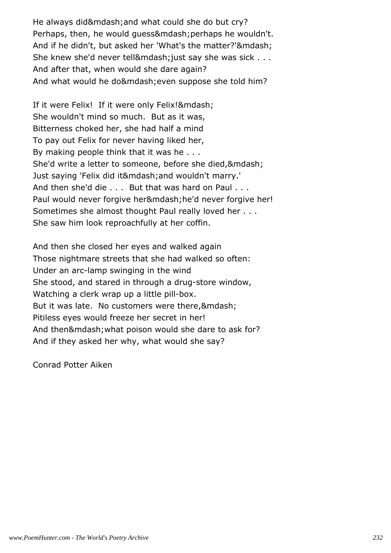He always did— and what could she do but cry? Perhaps, then, he would quess— perhaps he wouldn't. And if he didn't, but asked her 'What's the matter?'— She knew she'd never tell— just say she was sick  $\ldots$ . And after that, when would she dare again? And what would he do— even suppose she told him?

If it were Felix! If it were only Felix!— She wouldn't mind so much. But as it was, Bitterness choked her, she had half a mind To pay out Felix for never having liked her, By making people think that it was he . . . She'd write a letter to someone, before she died,— Just saying 'Felix did it— and wouldn't marry.' And then she'd die . . . But that was hard on Paul . . . Paul would never forgive her— he'd never forgive her! Sometimes she almost thought Paul really loved her . . . She saw him look reproachfully at her coffin.

And then she closed her eyes and walked again Those nightmare streets that she had walked so often: Under an arc-lamp swinging in the wind She stood, and stared in through a drug-store window, Watching a clerk wrap up a little pill-box. But it was late. No customers were there, & mdash; Pitiless eyes would freeze her secret in her! And then— what poison would she dare to ask for? And if they asked her why, what would she say?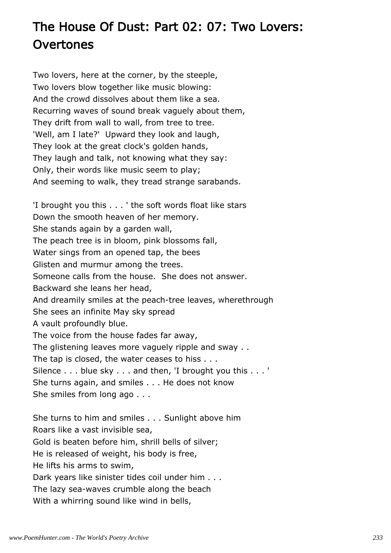# The House Of Dust: Part 02: 07: Two Lovers: **Overtones**

Two lovers, here at the corner, by the steeple, Two lovers blow together like music blowing: And the crowd dissolves about them like a sea. Recurring waves of sound break vaguely about them, They drift from wall to wall, from tree to tree. 'Well, am I late?' Upward they look and laugh, They look at the great clock's golden hands, They laugh and talk, not knowing what they say: Only, their words like music seem to play; And seeming to walk, they tread strange sarabands.

'I brought you this . . . ' the soft words float like stars Down the smooth heaven of her memory. She stands again by a garden wall, The peach tree is in bloom, pink blossoms fall, Water sings from an opened tap, the bees Glisten and murmur among the trees. Someone calls from the house. She does not answer. Backward she leans her head, And dreamily smiles at the peach-tree leaves, wherethrough She sees an infinite May sky spread A vault profoundly blue. The voice from the house fades far away, The glistening leaves more vaguely ripple and sway . . The tap is closed, the water ceases to hiss . . . Silence . . . blue sky . . . and then, 'I brought you this . . . ' She turns again, and smiles . . . He does not know She smiles from long ago . . . She turns to him and smiles . . . Sunlight above him Roars like a vast invisible sea, Gold is beaten before him, shrill bells of silver; He is released of weight, his body is free,

He lifts his arms to swim,

Dark years like sinister tides coil under him . . .

The lazy sea-waves crumble along the beach

With a whirring sound like wind in bells,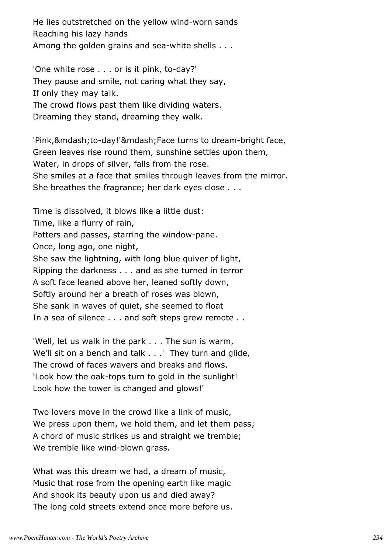He lies outstretched on the yellow wind-worn sands Reaching his lazy hands Among the golden grains and sea-white shells . . .

'One white rose . . . or is it pink, to-day?' They pause and smile, not caring what they say, If only they may talk. The crowd flows past them like dividing waters. Dreaming they stand, dreaming they walk.

'Pink,—to-day!'—Face turns to dream-bright face, Green leaves rise round them, sunshine settles upon them, Water, in drops of silver, falls from the rose. She smiles at a face that smiles through leaves from the mirror. She breathes the fragrance; her dark eyes close . . .

Time is dissolved, it blows like a little dust:

Time, like a flurry of rain,

Patters and passes, starring the window-pane.

Once, long ago, one night,

She saw the lightning, with long blue quiver of light, Ripping the darkness . . . and as she turned in terror A soft face leaned above her, leaned softly down, Softly around her a breath of roses was blown, She sank in waves of quiet, she seemed to float In a sea of silence . . . and soft steps grew remote . .

'Well, let us walk in the park . . . The sun is warm, We'll sit on a bench and talk . . .' They turn and glide, The crowd of faces wavers and breaks and flows. 'Look how the oak-tops turn to gold in the sunlight! Look how the tower is changed and glows!'

Two lovers move in the crowd like a link of music, We press upon them, we hold them, and let them pass; A chord of music strikes us and straight we tremble; We tremble like wind-blown grass.

What was this dream we had, a dream of music, Music that rose from the opening earth like magic And shook its beauty upon us and died away? The long cold streets extend once more before us.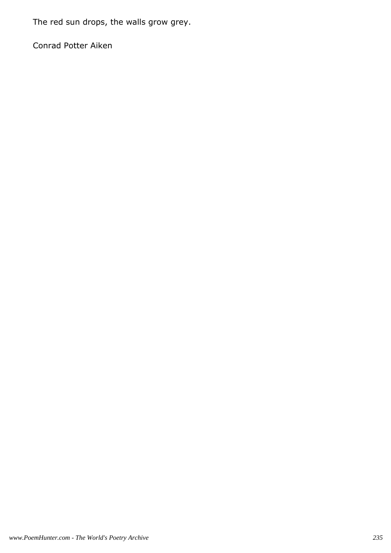The red sun drops, the walls grow grey.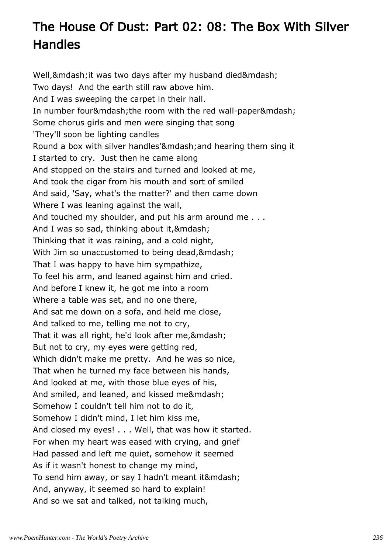# The House Of Dust: Part 02: 08: The Box With Silver Handles

Well,— it was two days after my husband died— Two days! And the earth still raw above him. And I was sweeping the carpet in their hall. In number four— the room with the red wall-paper— Some chorus girls and men were singing that song 'They'll soon be lighting candles Round a box with silver handles'— and hearing them sing it I started to cry. Just then he came along And stopped on the stairs and turned and looked at me, And took the cigar from his mouth and sort of smiled And said, 'Say, what's the matter?' and then came down Where I was leaning against the wall, And touched my shoulder, and put his arm around me . . . And I was so sad, thinking about it,— Thinking that it was raining, and a cold night, With Jim so unaccustomed to being dead, & mdash; That I was happy to have him sympathize, To feel his arm, and leaned against him and cried. And before I knew it, he got me into a room Where a table was set, and no one there, And sat me down on a sofa, and held me close, And talked to me, telling me not to cry, That it was all right, he'd look after me, & mdash; But not to cry, my eyes were getting red, Which didn't make me pretty. And he was so nice, That when he turned my face between his hands, And looked at me, with those blue eyes of his, And smiled, and leaned, and kissed me— Somehow I couldn't tell him not to do it, Somehow I didn't mind, I let him kiss me, And closed my eyes! . . . Well, that was how it started. For when my heart was eased with crying, and grief Had passed and left me quiet, somehow it seemed As if it wasn't honest to change my mind, To send him away, or say I hadn't meant it— And, anyway, it seemed so hard to explain! And so we sat and talked, not talking much,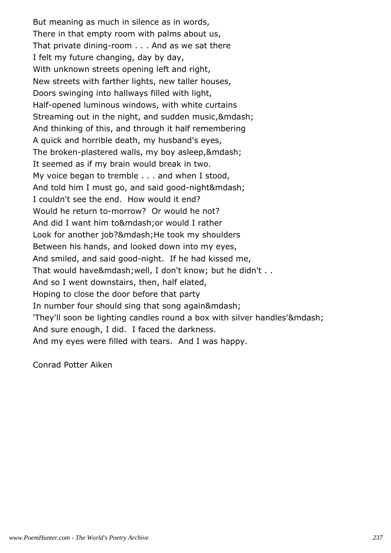But meaning as much in silence as in words, There in that empty room with palms about us, That private dining-room . . . And as we sat there I felt my future changing, day by day, With unknown streets opening left and right, New streets with farther lights, new taller houses, Doors swinging into hallways filled with light, Half-opened luminous windows, with white curtains Streaming out in the night, and sudden music, & mdash; And thinking of this, and through it half remembering A quick and horrible death, my husband's eyes, The broken-plastered walls, my boy asleep,— It seemed as if my brain would break in two. My voice began to tremble . . . and when I stood, And told him I must go, and said good-night— I couldn't see the end. How would it end? Would he return to-morrow? Or would he not? And did I want him to— or would I rather Look for another job?— He took my shoulders Between his hands, and looked down into my eyes, And smiled, and said good-night. If he had kissed me, That would have— well, I don't know; but he didn't . . And so I went downstairs, then, half elated, Hoping to close the door before that party In number four should sing that song again— 'They'll soon be lighting candles round a box with silver handles'— And sure enough, I did. I faced the darkness. And my eyes were filled with tears. And I was happy.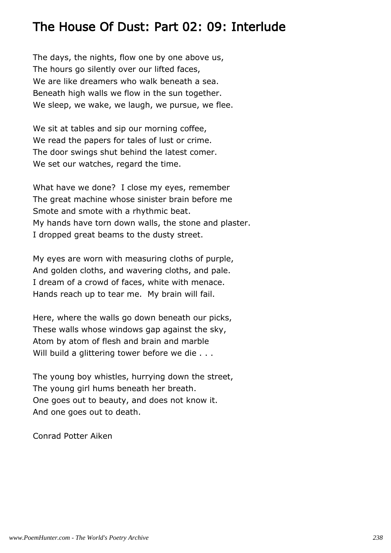### The House Of Dust: Part 02: 09: Interlude

The days, the nights, flow one by one above us, The hours go silently over our lifted faces, We are like dreamers who walk beneath a sea. Beneath high walls we flow in the sun together. We sleep, we wake, we laugh, we pursue, we flee.

We sit at tables and sip our morning coffee, We read the papers for tales of lust or crime. The door swings shut behind the latest comer. We set our watches, regard the time.

What have we done? I close my eyes, remember The great machine whose sinister brain before me Smote and smote with a rhythmic beat. My hands have torn down walls, the stone and plaster. I dropped great beams to the dusty street.

My eyes are worn with measuring cloths of purple, And golden cloths, and wavering cloths, and pale. I dream of a crowd of faces, white with menace. Hands reach up to tear me. My brain will fail.

Here, where the walls go down beneath our picks, These walls whose windows gap against the sky, Atom by atom of flesh and brain and marble Will build a glittering tower before we die . . .

The young boy whistles, hurrying down the street, The young girl hums beneath her breath. One goes out to beauty, and does not know it. And one goes out to death.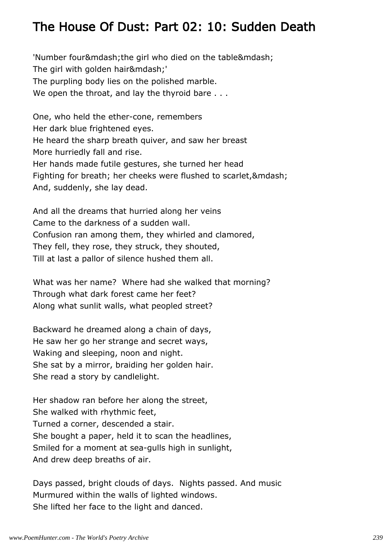## The House Of Dust: Part 02: 10: Sudden Death

'Number four— the girl who died on the table— The girl with golden hair—' The purpling body lies on the polished marble. We open the throat, and lay the thyroid bare . . .

One, who held the ether-cone, remembers Her dark blue frightened eyes. He heard the sharp breath quiver, and saw her breast More hurriedly fall and rise. Her hands made futile gestures, she turned her head Fighting for breath; her cheeks were flushed to scarlet, & mdash; And, suddenly, she lay dead.

And all the dreams that hurried along her veins Came to the darkness of a sudden wall. Confusion ran among them, they whirled and clamored, They fell, they rose, they struck, they shouted, Till at last a pallor of silence hushed them all.

What was her name? Where had she walked that morning? Through what dark forest came her feet? Along what sunlit walls, what peopled street?

Backward he dreamed along a chain of days, He saw her go her strange and secret ways, Waking and sleeping, noon and night. She sat by a mirror, braiding her golden hair. She read a story by candlelight.

Her shadow ran before her along the street, She walked with rhythmic feet, Turned a corner, descended a stair. She bought a paper, held it to scan the headlines, Smiled for a moment at sea-gulls high in sunlight, And drew deep breaths of air.

Days passed, bright clouds of days. Nights passed. And music Murmured within the walls of lighted windows. She lifted her face to the light and danced.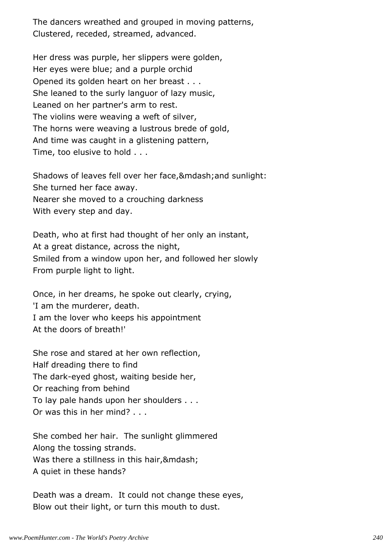The dancers wreathed and grouped in moving patterns, Clustered, receded, streamed, advanced.

Her dress was purple, her slippers were golden, Her eyes were blue; and a purple orchid Opened its golden heart on her breast . . . She leaned to the surly languor of lazy music, Leaned on her partner's arm to rest. The violins were weaving a weft of silver, The horns were weaving a lustrous brede of gold, And time was caught in a glistening pattern, Time, too elusive to hold . . .

Shadows of leaves fell over her face,— and sunlight: She turned her face away. Nearer she moved to a crouching darkness With every step and day.

Death, who at first had thought of her only an instant, At a great distance, across the night, Smiled from a window upon her, and followed her slowly From purple light to light.

Once, in her dreams, he spoke out clearly, crying, 'I am the murderer, death. I am the lover who keeps his appointment At the doors of breath!'

She rose and stared at her own reflection, Half dreading there to find The dark-eyed ghost, waiting beside her, Or reaching from behind To lay pale hands upon her shoulders . . . Or was this in her mind? . . .

She combed her hair. The sunlight glimmered Along the tossing strands. Was there a stillness in this hair, & mdash; A quiet in these hands?

Death was a dream. It could not change these eyes, Blow out their light, or turn this mouth to dust.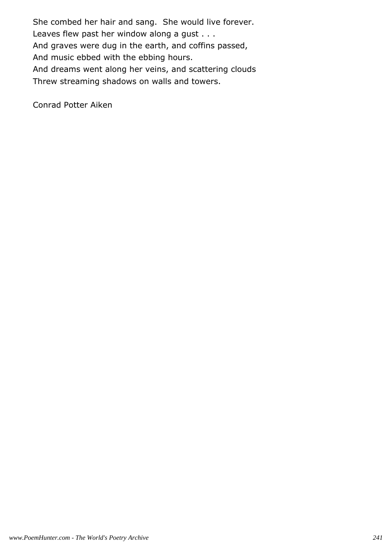She combed her hair and sang. She would live forever. Leaves flew past her window along a gust . . . And graves were dug in the earth, and coffins passed, And music ebbed with the ebbing hours. And dreams went along her veins, and scattering clouds Threw streaming shadows on walls and towers.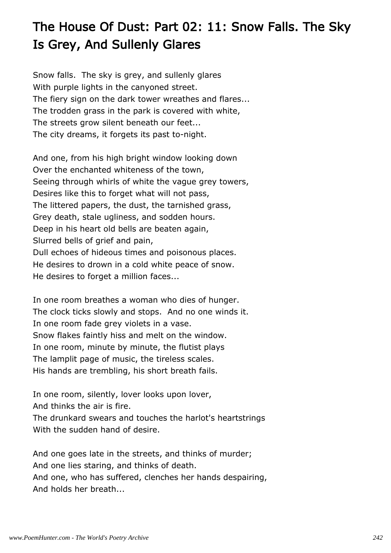# The House Of Dust: Part 02: 11: Snow Falls. The Sky Is Grey, And Sullenly Glares

Snow falls. The sky is grey, and sullenly glares With purple lights in the canyoned street. The fiery sign on the dark tower wreathes and flares... The trodden grass in the park is covered with white, The streets grow silent beneath our feet... The city dreams, it forgets its past to-night.

And one, from his high bright window looking down Over the enchanted whiteness of the town, Seeing through whirls of white the vague grey towers, Desires like this to forget what will not pass, The littered papers, the dust, the tarnished grass, Grey death, stale ugliness, and sodden hours. Deep in his heart old bells are beaten again, Slurred bells of grief and pain, Dull echoes of hideous times and poisonous places. He desires to drown in a cold white peace of snow. He desires to forget a million faces...

In one room breathes a woman who dies of hunger. The clock ticks slowly and stops. And no one winds it. In one room fade grey violets in a vase. Snow flakes faintly hiss and melt on the window. In one room, minute by minute, the flutist plays The lamplit page of music, the tireless scales. His hands are trembling, his short breath fails.

In one room, silently, lover looks upon lover, And thinks the air is fire. The drunkard swears and touches the harlot's heartstrings With the sudden hand of desire.

And one goes late in the streets, and thinks of murder; And one lies staring, and thinks of death. And one, who has suffered, clenches her hands despairing, And holds her breath...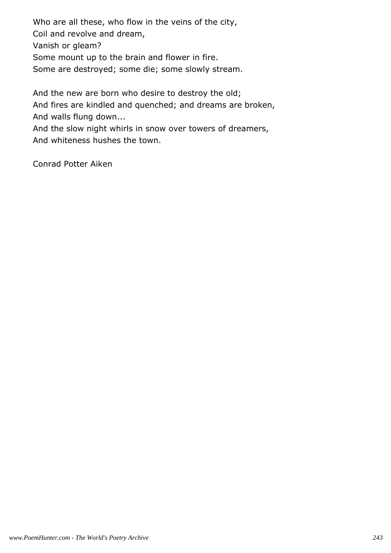Who are all these, who flow in the veins of the city, Coil and revolve and dream, Vanish or gleam? Some mount up to the brain and flower in fire. Some are destroyed; some die; some slowly stream.

And the new are born who desire to destroy the old; And fires are kindled and quenched; and dreams are broken, And walls flung down... And the slow night whirls in snow over towers of dreamers,

And whiteness hushes the town.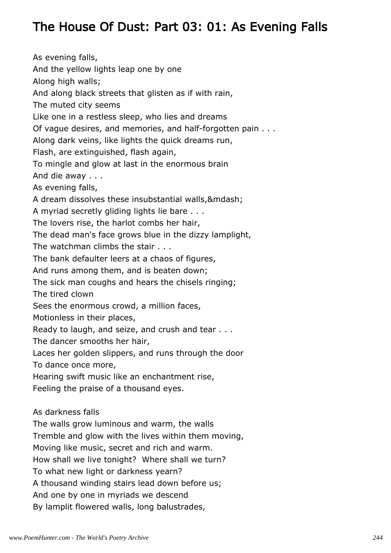## The House Of Dust: Part 03: 01: As Evening Falls

As evening falls, And the yellow lights leap one by one Along high walls; And along black streets that glisten as if with rain, The muted city seems Like one in a restless sleep, who lies and dreams Of vague desires, and memories, and half-forgotten pain . . . Along dark veins, like lights the quick dreams run, Flash, are extinguished, flash again, To mingle and glow at last in the enormous brain And die away . . . As evening falls, A dream dissolves these insubstantial walls, & mdash; A myriad secretly gliding lights lie bare . . . The lovers rise, the harlot combs her hair, The dead man's face grows blue in the dizzy lamplight, The watchman climbs the stair . . . The bank defaulter leers at a chaos of figures, And runs among them, and is beaten down; The sick man coughs and hears the chisels ringing; The tired clown Sees the enormous crowd, a million faces, Motionless in their places, Ready to laugh, and seize, and crush and tear . . . The dancer smooths her hair, Laces her golden slippers, and runs through the door To dance once more, Hearing swift music like an enchantment rise, Feeling the praise of a thousand eyes. As darkness falls The walls grow luminous and warm, the walls Tremble and glow with the lives within them moving, Moving like music, secret and rich and warm. How shall we live tonight? Where shall we turn? To what new light or darkness yearn? A thousand winding stairs lead down before us; And one by one in myriads we descend

By lamplit flowered walls, long balustrades,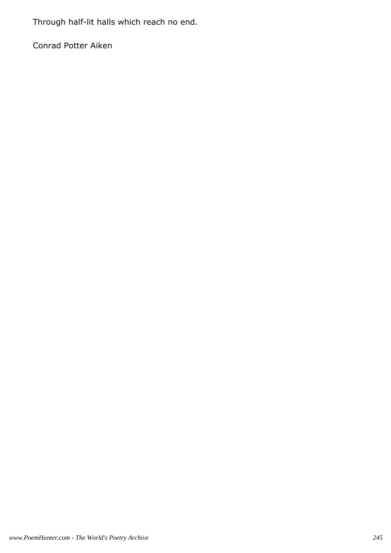Through half-lit halls which reach no end.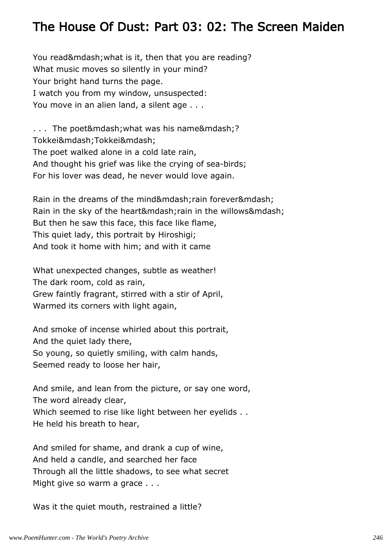### The House Of Dust: Part 03: 02: The Screen Maiden

You read— what is it, then that you are reading? What music moves so silently in your mind? Your bright hand turns the page. I watch you from my window, unsuspected: You move in an alien land, a silent age . . .

... The poet— what was his name—? Tokkei—Tokkei— The poet walked alone in a cold late rain, And thought his grief was like the crying of sea-birds; For his lover was dead, he never would love again.

Rain in the dreams of the mind— rain forever— Rain in the sky of the heart— rain in the willows— But then he saw this face, this face like flame, This quiet lady, this portrait by Hiroshigi; And took it home with him; and with it came

What unexpected changes, subtle as weather! The dark room, cold as rain, Grew faintly fragrant, stirred with a stir of April, Warmed its corners with light again,

And smoke of incense whirled about this portrait, And the quiet lady there, So young, so quietly smiling, with calm hands, Seemed ready to loose her hair,

And smile, and lean from the picture, or say one word, The word already clear, Which seemed to rise like light between her eyelids . . He held his breath to hear,

And smiled for shame, and drank a cup of wine, And held a candle, and searched her face Through all the little shadows, to see what secret Might give so warm a grace . . .

Was it the quiet mouth, restrained a little?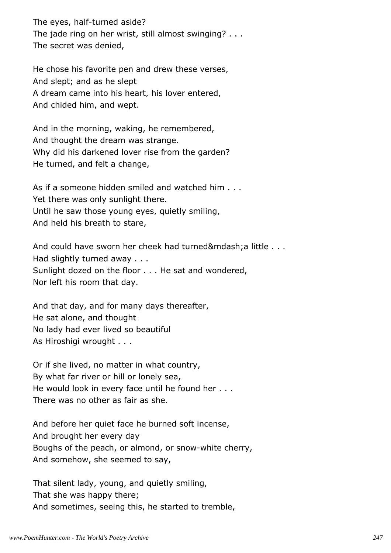The eyes, half-turned aside? The jade ring on her wrist, still almost swinging? . . . The secret was denied,

He chose his favorite pen and drew these verses, And slept; and as he slept A dream came into his heart, his lover entered, And chided him, and wept.

And in the morning, waking, he remembered, And thought the dream was strange. Why did his darkened lover rise from the garden? He turned, and felt a change,

As if a someone hidden smiled and watched him . . . Yet there was only sunlight there. Until he saw those young eyes, quietly smiling, And held his breath to stare,

And could have sworn her cheek had turned— a little . . . Had slightly turned away . . . Sunlight dozed on the floor . . . He sat and wondered, Nor left his room that day.

And that day, and for many days thereafter, He sat alone, and thought No lady had ever lived so beautiful As Hiroshigi wrought . . .

Or if she lived, no matter in what country, By what far river or hill or lonely sea, He would look in every face until he found her . . . There was no other as fair as she.

And before her quiet face he burned soft incense, And brought her every day Boughs of the peach, or almond, or snow-white cherry, And somehow, she seemed to say,

That silent lady, young, and quietly smiling, That she was happy there; And sometimes, seeing this, he started to tremble,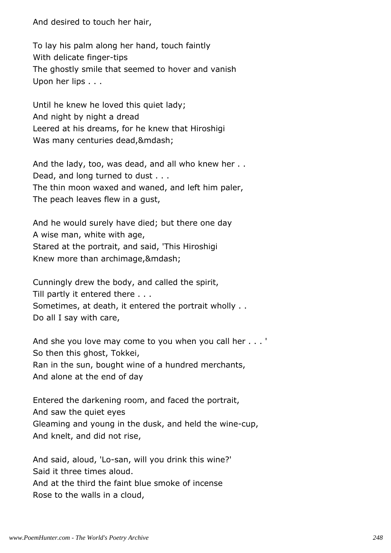And desired to touch her hair,

To lay his palm along her hand, touch faintly With delicate finger-tips The ghostly smile that seemed to hover and vanish Upon her lips . . .

Until he knew he loved this quiet lady; And night by night a dread Leered at his dreams, for he knew that Hiroshigi Was many centuries dead, & mdash;

And the lady, too, was dead, and all who knew her . . Dead, and long turned to dust . . . The thin moon waxed and waned, and left him paler, The peach leaves flew in a gust,

And he would surely have died; but there one day A wise man, white with age, Stared at the portrait, and said, 'This Hiroshigi Knew more than archimage, & mdash;

Cunningly drew the body, and called the spirit, Till partly it entered there . . . Sometimes, at death, it entered the portrait wholly . . Do all I say with care,

And she you love may come to you when you call her . . . ' So then this ghost, Tokkei, Ran in the sun, bought wine of a hundred merchants, And alone at the end of day

Entered the darkening room, and faced the portrait, And saw the quiet eyes Gleaming and young in the dusk, and held the wine-cup, And knelt, and did not rise,

And said, aloud, 'Lo-san, will you drink this wine?' Said it three times aloud. And at the third the faint blue smoke of incense Rose to the walls in a cloud,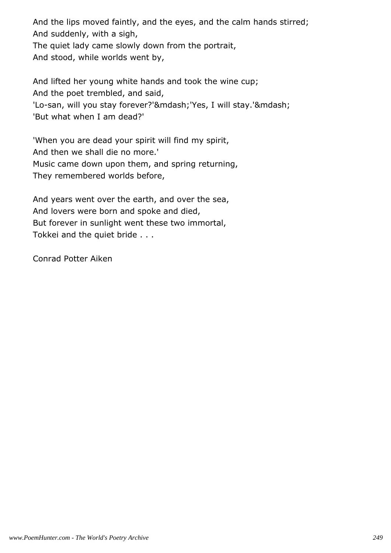And the lips moved faintly, and the eyes, and the calm hands stirred; And suddenly, with a sigh, The quiet lady came slowly down from the portrait, And stood, while worlds went by,

And lifted her young white hands and took the wine cup; And the poet trembled, and said, 'Lo-san, will you stay forever?'—'Yes, I will stay.'— 'But what when I am dead?'

'When you are dead your spirit will find my spirit, And then we shall die no more.' Music came down upon them, and spring returning, They remembered worlds before,

And years went over the earth, and over the sea, And lovers were born and spoke and died, But forever in sunlight went these two immortal, Tokkei and the quiet bride . . .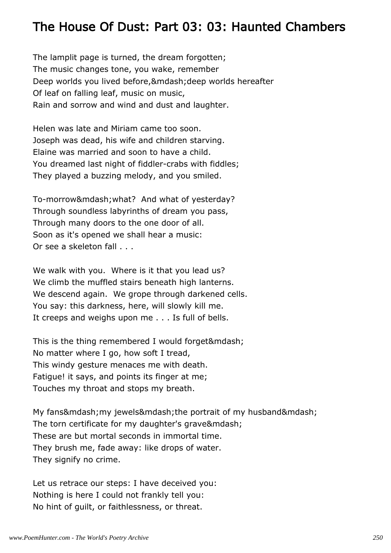### The House Of Dust: Part 03: 03: Haunted Chambers

The lamplit page is turned, the dream forgotten; The music changes tone, you wake, remember Deep worlds you lived before,— deep worlds hereafter Of leaf on falling leaf, music on music, Rain and sorrow and wind and dust and laughter.

Helen was late and Miriam came too soon. Joseph was dead, his wife and children starving. Elaine was married and soon to have a child. You dreamed last night of fiddler-crabs with fiddles; They played a buzzing melody, and you smiled.

To-morrow— what? And what of yesterday? Through soundless labyrinths of dream you pass, Through many doors to the one door of all. Soon as it's opened we shall hear a music: Or see a skeleton fall . . .

We walk with you. Where is it that you lead us? We climb the muffled stairs beneath high lanterns. We descend again. We grope through darkened cells. You say: this darkness, here, will slowly kill me. It creeps and weighs upon me . . . Is full of bells.

This is the thing remembered I would forget— No matter where I go, how soft I tread, This windy gesture menaces me with death. Fatigue! it says, and points its finger at me; Touches my throat and stops my breath.

My fans— my jewels— the portrait of my husband— The torn certificate for my daughter's grave— These are but mortal seconds in immortal time. They brush me, fade away: like drops of water. They signify no crime.

Let us retrace our steps: I have deceived you: Nothing is here I could not frankly tell you: No hint of guilt, or faithlessness, or threat.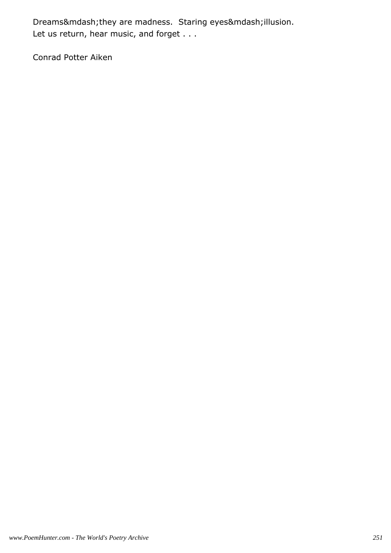Dreams—they are madness. Staring eyes—illusion. Let us return, hear music, and forget . . .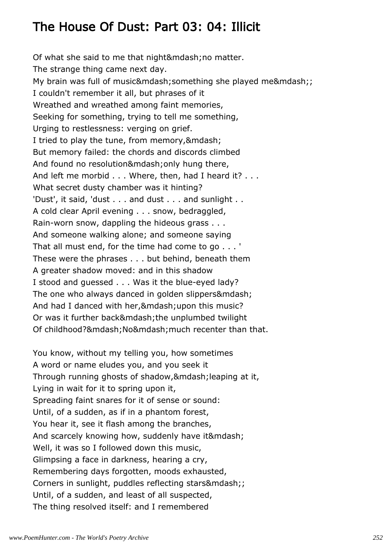### The House Of Dust: Part 03: 04: Illicit

Of what she said to me that night— no matter. The strange thing came next day. My brain was full of music— something she played me—; I couldn't remember it all, but phrases of it Wreathed and wreathed among faint memories, Seeking for something, trying to tell me something, Urging to restlessness: verging on grief. I tried to play the tune, from memory, & mdash; But memory failed: the chords and discords climbed And found no resolution— only hung there, And left me morbid . . . Where, then, had I heard it? . . . What secret dusty chamber was it hinting? 'Dust', it said, 'dust . . . and dust . . . and sunlight . . A cold clear April evening . . . snow, bedraggled, Rain-worn snow, dappling the hideous grass . . . And someone walking alone; and someone saying That all must end, for the time had come to go . . . ' These were the phrases . . . but behind, beneath them A greater shadow moved: and in this shadow I stood and guessed . . . Was it the blue-eyed lady? The one who always danced in golden slippers— And had I danced with her,— upon this music? Or was it further back— the unplumbed twilight Of childhood?—No—much recenter than that.

You know, without my telling you, how sometimes A word or name eludes you, and you seek it Through running ghosts of shadow,— leaping at it, Lying in wait for it to spring upon it, Spreading faint snares for it of sense or sound: Until, of a sudden, as if in a phantom forest, You hear it, see it flash among the branches, And scarcely knowing how, suddenly have it— Well, it was so I followed down this music, Glimpsing a face in darkness, hearing a cry, Remembering days forgotten, moods exhausted, Corners in sunlight, puddles reflecting stars—; Until, of a sudden, and least of all suspected, The thing resolved itself: and I remembered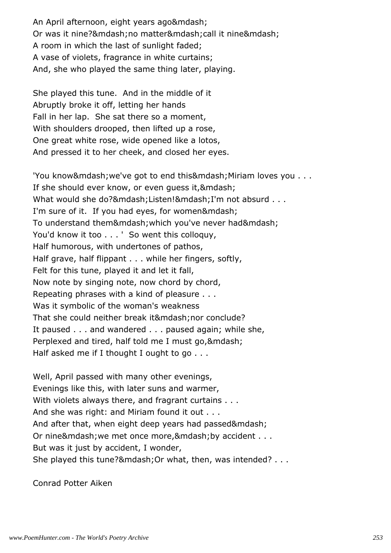An April afternoon, eight years ago— Or was it nine?—no matter—call it nine— A room in which the last of sunlight faded; A vase of violets, fragrance in white curtains; And, she who played the same thing later, playing.

She played this tune. And in the middle of it Abruptly broke it off, letting her hands Fall in her lap. She sat there so a moment, With shoulders drooped, then lifted up a rose, One great white rose, wide opened like a lotos, And pressed it to her cheek, and closed her eyes.

'You know— we've got to end this— Miriam loves you . . . If she should ever know, or even quess it, & mdash; What would she do?—Listen!—I'm not absurd . . . I'm sure of it. If you had eyes, for women— To understand them— which you've never had— You'd know it too . . . ' So went this colloquy, Half humorous, with undertones of pathos, Half grave, half flippant . . . while her fingers, softly, Felt for this tune, played it and let it fall, Now note by singing note, now chord by chord, Repeating phrases with a kind of pleasure . . . Was it symbolic of the woman's weakness That she could neither break it— nor conclude? It paused . . . and wandered . . . paused again; while she, Perplexed and tired, half told me I must go, & mdash; Half asked me if I thought I ought to go . . .

Well, April passed with many other evenings, Evenings like this, with later suns and warmer, With violets always there, and fragrant curtains . . . And she was right: and Miriam found it out . . . And after that, when eight deep years had passed— Or nine— we met once more, & mdash; by accident . . . But was it just by accident, I wonder, She played this tune?— Or what, then, was intended?  $\dots$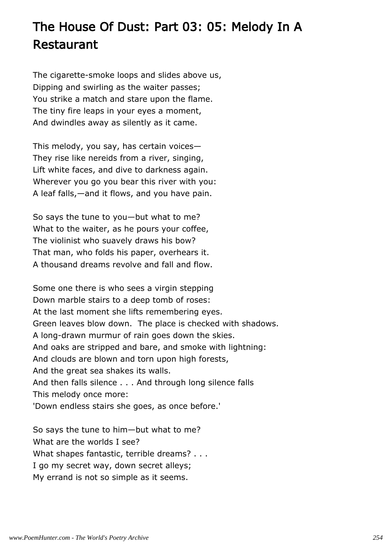# The House Of Dust: Part 03: 05: Melody In A Restaurant

The cigarette-smoke loops and slides above us, Dipping and swirling as the waiter passes; You strike a match and stare upon the flame. The tiny fire leaps in your eyes a moment, And dwindles away as silently as it came.

This melody, you say, has certain voices— They rise like nereids from a river, singing, Lift white faces, and dive to darkness again. Wherever you go you bear this river with you: A leaf falls,—and it flows, and you have pain.

So says the tune to you—but what to me? What to the waiter, as he pours your coffee, The violinist who suavely draws his bow? That man, who folds his paper, overhears it. A thousand dreams revolve and fall and flow.

Some one there is who sees a virgin stepping Down marble stairs to a deep tomb of roses: At the last moment she lifts remembering eyes. Green leaves blow down. The place is checked with shadows. A long-drawn murmur of rain goes down the skies. And oaks are stripped and bare, and smoke with lightning: And clouds are blown and torn upon high forests, And the great sea shakes its walls. And then falls silence . . . And through long silence falls This melody once more: 'Down endless stairs she goes, as once before.'

So says the tune to him—but what to me? What are the worlds I see? What shapes fantastic, terrible dreams? . . . I go my secret way, down secret alleys; My errand is not so simple as it seems.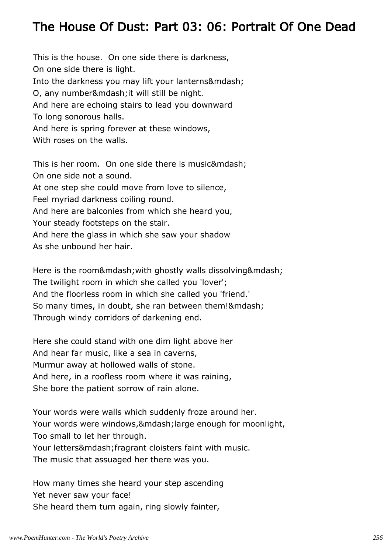### The House Of Dust: Part 03: 06: Portrait Of One Dead

This is the house. On one side there is darkness, On one side there is light. Into the darkness you may lift your lanterns— O, any number— it will still be night. And here are echoing stairs to lead you downward To long sonorous halls. And here is spring forever at these windows, With roses on the walls.

This is her room. On one side there is music— On one side not a sound. At one step she could move from love to silence, Feel myriad darkness coiling round. And here are balconies from which she heard you, Your steady footsteps on the stair. And here the glass in which she saw your shadow As she unbound her hair.

Here is the room— with ghostly walls dissolving— The twilight room in which she called you 'lover'; And the floorless room in which she called you 'friend.' So many times, in doubt, she ran between them!— Through windy corridors of darkening end.

Here she could stand with one dim light above her And hear far music, like a sea in caverns, Murmur away at hollowed walls of stone. And here, in a roofless room where it was raining, She bore the patient sorrow of rain alone.

Your words were walls which suddenly froze around her. Your words were windows,— large enough for moonlight, Too small to let her through. Your letters— fragrant cloisters faint with music. The music that assuaged her there was you.

How many times she heard your step ascending Yet never saw your face! She heard them turn again, ring slowly fainter,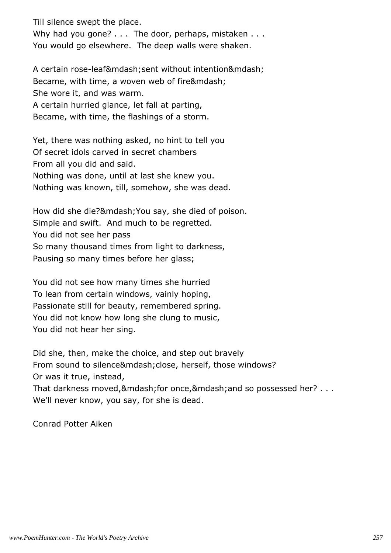Till silence swept the place. Why had you gone? . . . The door, perhaps, mistaken . . . You would go elsewhere. The deep walls were shaken.

A certain rose-leaf— sent without intention— Became, with time, a woven web of fire— She wore it, and was warm. A certain hurried glance, let fall at parting, Became, with time, the flashings of a storm.

Yet, there was nothing asked, no hint to tell you Of secret idols carved in secret chambers From all you did and said. Nothing was done, until at last she knew you. Nothing was known, till, somehow, she was dead.

How did she die?— You say, she died of poison. Simple and swift. And much to be regretted. You did not see her pass So many thousand times from light to darkness, Pausing so many times before her glass;

You did not see how many times she hurried To lean from certain windows, vainly hoping, Passionate still for beauty, remembered spring. You did not know how long she clung to music, You did not hear her sing.

Did she, then, make the choice, and step out bravely From sound to silence— close, herself, those windows? Or was it true, instead, That darkness moved,— for once,— and so possessed her? . . . We'll never know, you say, for she is dead.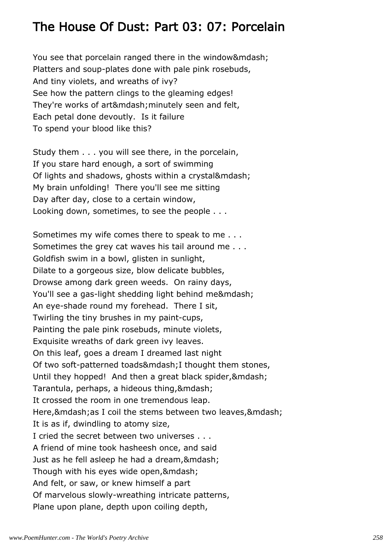### The House Of Dust: Part 03: 07: Porcelain

You see that porcelain ranged there in the window— Platters and soup-plates done with pale pink rosebuds, And tiny violets, and wreaths of ivy? See how the pattern clings to the gleaming edges! They're works of art— minutely seen and felt, Each petal done devoutly. Is it failure To spend your blood like this?

Study them . . . you will see there, in the porcelain, If you stare hard enough, a sort of swimming Of lights and shadows, ghosts within a crystal— My brain unfolding! There you'll see me sitting Day after day, close to a certain window, Looking down, sometimes, to see the people . . .

Sometimes my wife comes there to speak to me . . . Sometimes the grey cat waves his tail around me . . . Goldfish swim in a bowl, glisten in sunlight, Dilate to a gorgeous size, blow delicate bubbles, Drowse among dark green weeds. On rainy days, You'll see a gas-light shedding light behind me— An eye-shade round my forehead. There I sit, Twirling the tiny brushes in my paint-cups, Painting the pale pink rosebuds, minute violets, Exquisite wreaths of dark green ivy leaves. On this leaf, goes a dream I dreamed last night Of two soft-patterned toads— I thought them stones, Until they hopped! And then a great black spider,— Tarantula, perhaps, a hideous thing, & mdash; It crossed the room in one tremendous leap. Here,— as I coil the stems between two leaves,— It is as if, dwindling to atomy size, I cried the secret between two universes . . . A friend of mine took hasheesh once, and said Just as he fell asleep he had a dream, & mdash; Though with his eyes wide open,— And felt, or saw, or knew himself a part Of marvelous slowly-wreathing intricate patterns, Plane upon plane, depth upon coiling depth,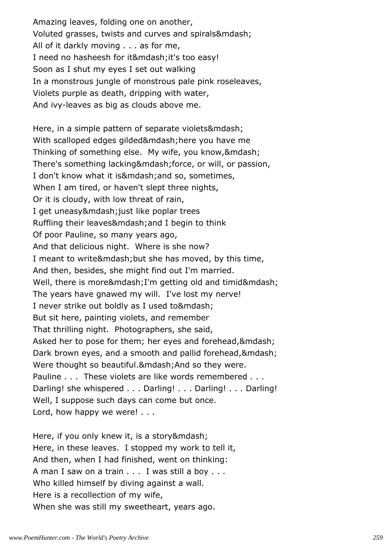Amazing leaves, folding one on another, Voluted grasses, twists and curves and spirals— All of it darkly moving . . . as for me, I need no hasheesh for it— it's too easy! Soon as I shut my eyes I set out walking In a monstrous jungle of monstrous pale pink roseleaves, Violets purple as death, dripping with water, And ivy-leaves as big as clouds above me.

Here, in a simple pattern of separate violets— With scalloped edges gilded— here you have me Thinking of something else. My wife, you know,— There's something lacking— force, or will, or passion, I don't know what it is— and so, sometimes, When I am tired, or haven't slept three nights, Or it is cloudy, with low threat of rain, I get uneasy— just like poplar trees Ruffling their leaves— and I begin to think Of poor Pauline, so many years ago, And that delicious night. Where is she now? I meant to write— but she has moved, by this time, And then, besides, she might find out I'm married. Well, there is more— I'm getting old and timid— The years have gnawed my will. I've lost my nerve! I never strike out boldly as I used to— But sit here, painting violets, and remember That thrilling night. Photographers, she said, Asked her to pose for them; her eyes and forehead,— Dark brown eyes, and a smooth and pallid forehead, & mdash; Were thought so beautiful.— And so they were. Pauline . . . These violets are like words remembered . . . Darling! she whispered . . . Darling! . . . Darling! . . . Darling! Well, I suppose such days can come but once. Lord, how happy we were! . . .

Here, if you only knew it, is a story— Here, in these leaves. I stopped my work to tell it, And then, when I had finished, went on thinking: A man I saw on a train . . . I was still a boy . . . Who killed himself by diving against a wall. Here is a recollection of my wife, When she was still my sweetheart, years ago.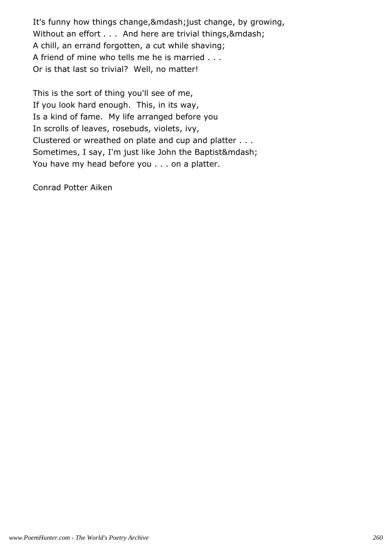It's funny how things change,— just change, by growing, Without an effort . . . And here are trivial things, & mdash; A chill, an errand forgotten, a cut while shaving; A friend of mine who tells me he is married . . . Or is that last so trivial? Well, no matter!

This is the sort of thing you'll see of me, If you look hard enough. This, in its way, Is a kind of fame. My life arranged before you In scrolls of leaves, rosebuds, violets, ivy, Clustered or wreathed on plate and cup and platter . . . Sometimes, I say, I'm just like John the Baptist— You have my head before you . . . on a platter.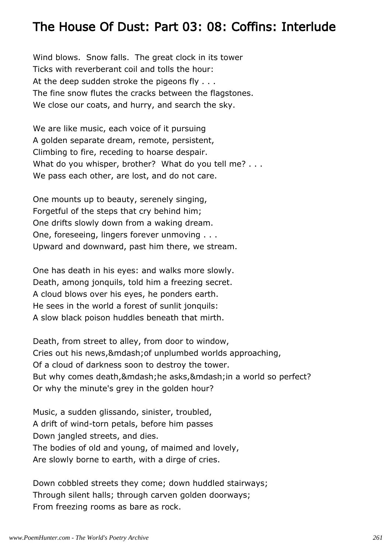#### The House Of Dust: Part 03: 08: Coffins: Interlude

Wind blows. Snow falls. The great clock in its tower Ticks with reverberant coil and tolls the hour: At the deep sudden stroke the pigeons fly . . . The fine snow flutes the cracks between the flagstones. We close our coats, and hurry, and search the sky.

We are like music, each voice of it pursuing A golden separate dream, remote, persistent, Climbing to fire, receding to hoarse despair. What do you whisper, brother? What do you tell me? . . . We pass each other, are lost, and do not care.

One mounts up to beauty, serenely singing, Forgetful of the steps that cry behind him; One drifts slowly down from a waking dream. One, foreseeing, lingers forever unmoving . . . Upward and downward, past him there, we stream.

One has death in his eyes: and walks more slowly. Death, among jonquils, told him a freezing secret. A cloud blows over his eyes, he ponders earth. He sees in the world a forest of sunlit jonquils: A slow black poison huddles beneath that mirth.

Death, from street to alley, from door to window, Cries out his news, & mdash; of unplumbed worlds approaching, Of a cloud of darkness soon to destroy the tower. But why comes death,—he asks,—in a world so perfect? Or why the minute's grey in the golden hour?

Music, a sudden glissando, sinister, troubled, A drift of wind-torn petals, before him passes Down jangled streets, and dies. The bodies of old and young, of maimed and lovely, Are slowly borne to earth, with a dirge of cries.

Down cobbled streets they come; down huddled stairways; Through silent halls; through carven golden doorways; From freezing rooms as bare as rock.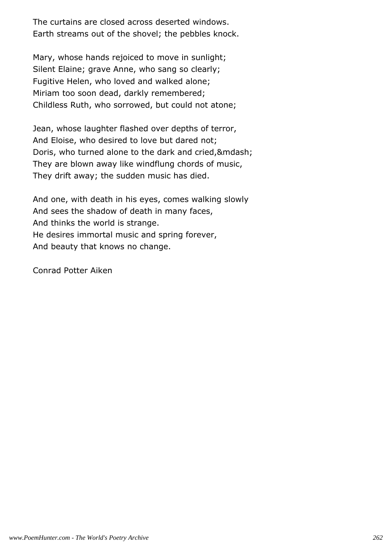The curtains are closed across deserted windows. Earth streams out of the shovel; the pebbles knock.

Mary, whose hands rejoiced to move in sunlight; Silent Elaine; grave Anne, who sang so clearly; Fugitive Helen, who loved and walked alone; Miriam too soon dead, darkly remembered; Childless Ruth, who sorrowed, but could not atone;

Jean, whose laughter flashed over depths of terror, And Eloise, who desired to love but dared not; Doris, who turned alone to the dark and cried, & mdash; They are blown away like windflung chords of music, They drift away; the sudden music has died.

And one, with death in his eyes, comes walking slowly And sees the shadow of death in many faces, And thinks the world is strange. He desires immortal music and spring forever, And beauty that knows no change.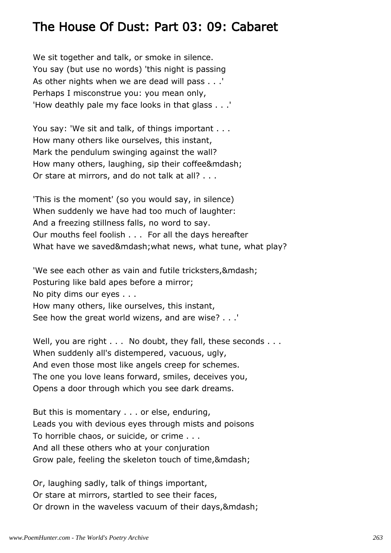### The House Of Dust: Part 03: 09: Cabaret

We sit together and talk, or smoke in silence. You say (but use no words) 'this night is passing As other nights when we are dead will pass . . .' Perhaps I misconstrue you: you mean only, 'How deathly pale my face looks in that glass . . .'

You say: 'We sit and talk, of things important . . . How many others like ourselves, this instant, Mark the pendulum swinging against the wall? How many others, laughing, sip their coffee— Or stare at mirrors, and do not talk at all? . . .

'This is the moment' (so you would say, in silence) When suddenly we have had too much of laughter: And a freezing stillness falls, no word to say. Our mouths feel foolish . . . For all the days hereafter What have we saved— what news, what tune, what play?

'We see each other as vain and futile tricksters, & mdash; Posturing like bald apes before a mirror; No pity dims our eyes . . . How many others, like ourselves, this instant, See how the great world wizens, and are wise? . . .'

Well, you are right . . . No doubt, they fall, these seconds . . . When suddenly all's distempered, vacuous, ugly, And even those most like angels creep for schemes. The one you love leans forward, smiles, deceives you, Opens a door through which you see dark dreams.

But this is momentary . . . or else, enduring, Leads you with devious eyes through mists and poisons To horrible chaos, or suicide, or crime . . . And all these others who at your conjuration Grow pale, feeling the skeleton touch of time,—

Or, laughing sadly, talk of things important, Or stare at mirrors, startled to see their faces, Or drown in the waveless vacuum of their days, & mdash;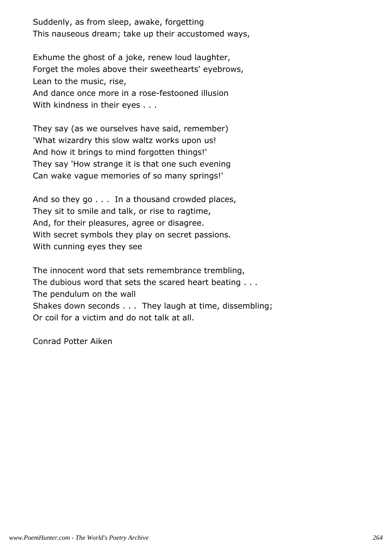Suddenly, as from sleep, awake, forgetting This nauseous dream; take up their accustomed ways,

Exhume the ghost of a joke, renew loud laughter, Forget the moles above their sweethearts' eyebrows, Lean to the music, rise, And dance once more in a rose-festooned illusion With kindness in their eyes . . .

They say (as we ourselves have said, remember) 'What wizardry this slow waltz works upon us! And how it brings to mind forgotten things!' They say 'How strange it is that one such evening Can wake vague memories of so many springs!'

And so they go . . . In a thousand crowded places, They sit to smile and talk, or rise to ragtime, And, for their pleasures, agree or disagree. With secret symbols they play on secret passions. With cunning eyes they see

The innocent word that sets remembrance trembling, The dubious word that sets the scared heart beating . . . The pendulum on the wall Shakes down seconds . . . They laugh at time, dissembling; Or coil for a victim and do not talk at all.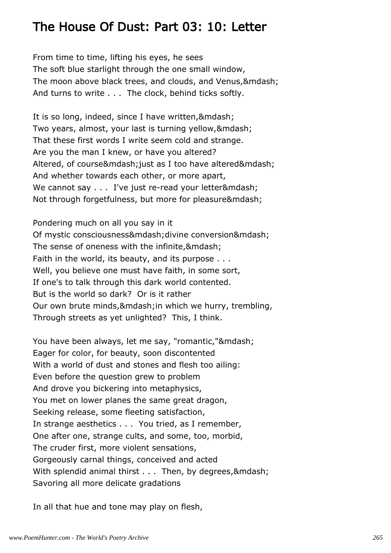### The House Of Dust: Part 03: 10: Letter

From time to time, lifting his eyes, he sees The soft blue starlight through the one small window, The moon above black trees, and clouds, and Venus, & mdash; And turns to write . . . The clock, behind ticks softly.

It is so long, indeed, since I have written,— Two years, almost, your last is turning yellow, & mdash; That these first words I write seem cold and strange. Are you the man I knew, or have you altered? Altered, of course— just as I too have altered— And whether towards each other, or more apart, We cannot say . . . I've just re-read your letter— Not through forgetfulness, but more for pleasure—

Pondering much on all you say in it Of mystic consciousness— divine conversion— The sense of oneness with the infinite, & mdash; Faith in the world, its beauty, and its purpose . . . Well, you believe one must have faith, in some sort, If one's to talk through this dark world contented. But is the world so dark? Or is it rather Our own brute minds,— in which we hurry, trembling, Through streets as yet unlighted? This, I think.

You have been always, let me say, "romantic,"— Eager for color, for beauty, soon discontented With a world of dust and stones and flesh too ailing: Even before the question grew to problem And drove you bickering into metaphysics, You met on lower planes the same great dragon, Seeking release, some fleeting satisfaction, In strange aesthetics . . . You tried, as I remember, One after one, strange cults, and some, too, morbid, The cruder first, more violent sensations, Gorgeously carnal things, conceived and acted With splendid animal thirst . . . Then, by degrees, & mdash; Savoring all more delicate gradations

In all that hue and tone may play on flesh,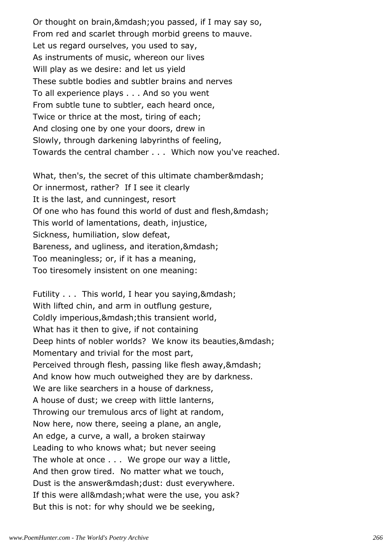Or thought on brain,— you passed, if I may say so, From red and scarlet through morbid greens to mauve. Let us regard ourselves, you used to say, As instruments of music, whereon our lives Will play as we desire: and let us yield These subtle bodies and subtler brains and nerves To all experience plays . . . And so you went From subtle tune to subtler, each heard once, Twice or thrice at the most, tiring of each; And closing one by one your doors, drew in Slowly, through darkening labyrinths of feeling, Towards the central chamber . . . Which now you've reached.

What, then's, the secret of this ultimate chamber— Or innermost, rather? If I see it clearly It is the last, and cunningest, resort Of one who has found this world of dust and flesh, & mdash; This world of lamentations, death, injustice, Sickness, humiliation, slow defeat, Bareness, and ugliness, and iteration, & mdash; Too meaningless; or, if it has a meaning, Too tiresomely insistent on one meaning:

Futility . . . This world, I hear you saying, & mdash; With lifted chin, and arm in outflung gesture, Coldly imperious, & mdash; this transient world, What has it then to give, if not containing Deep hints of nobler worlds? We know its beauties, & mdash; Momentary and trivial for the most part, Perceived through flesh, passing like flesh away, & mdash; And know how much outweighed they are by darkness. We are like searchers in a house of darkness, A house of dust; we creep with little lanterns, Throwing our tremulous arcs of light at random, Now here, now there, seeing a plane, an angle, An edge, a curve, a wall, a broken stairway Leading to who knows what; but never seeing The whole at once . . . We grope our way a little, And then grow tired. No matter what we touch, Dust is the answer— dust: dust everywhere. If this were all— what were the use, you ask? But this is not: for why should we be seeking,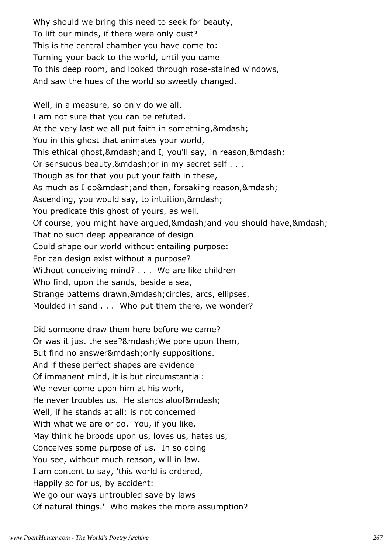Why should we bring this need to seek for beauty, To lift our minds, if there were only dust? This is the central chamber you have come to: Turning your back to the world, until you came To this deep room, and looked through rose-stained windows, And saw the hues of the world so sweetly changed.

Well, in a measure, so only do we all. I am not sure that you can be refuted. At the very last we all put faith in something, & mdash; You in this ghost that animates your world, This ethical ghost, & mdash; and I, you'll say, in reason, & mdash; Or sensuous beauty, & mdash; or in my secret self . . . Though as for that you put your faith in these, As much as I do— and then, forsaking reason, — Ascending, you would say, to intuition, & mdash; You predicate this ghost of yours, as well. Of course, you might have argued,— and you should have,— That no such deep appearance of design Could shape our world without entailing purpose: For can design exist without a purpose? Without conceiving mind? . . . We are like children Who find, upon the sands, beside a sea, Strange patterns drawn,— circles, arcs, ellipses, Moulded in sand . . . Who put them there, we wonder?

Did someone draw them here before we came? Or was it just the sea?— We pore upon them, But find no answer— only suppositions. And if these perfect shapes are evidence Of immanent mind, it is but circumstantial: We never come upon him at his work, He never troubles us. He stands aloof— Well, if he stands at all: is not concerned With what we are or do. You, if you like, May think he broods upon us, loves us, hates us, Conceives some purpose of us. In so doing You see, without much reason, will in law. I am content to say, 'this world is ordered, Happily so for us, by accident: We go our ways untroubled save by laws Of natural things.' Who makes the more assumption?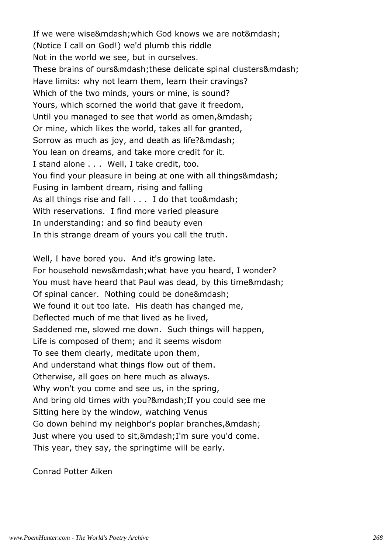If we were wise— which God knows we are not— (Notice I call on God!) we'd plumb this riddle Not in the world we see, but in ourselves. These brains of ours— these delicate spinal clusters— Have limits: why not learn them, learn their cravings? Which of the two minds, yours or mine, is sound? Yours, which scorned the world that gave it freedom, Until you managed to see that world as omen, & mdash; Or mine, which likes the world, takes all for granted, Sorrow as much as joy, and death as life?— You lean on dreams, and take more credit for it. I stand alone . . . Well, I take credit, too. You find your pleasure in being at one with all things— Fusing in lambent dream, rising and falling As all things rise and fall  $\ldots$  I do that too— With reservations. I find more varied pleasure In understanding: and so find beauty even In this strange dream of yours you call the truth.

Well, I have bored you. And it's growing late. For household news— what have you heard, I wonder? You must have heard that Paul was dead, by this time— Of spinal cancer. Nothing could be done— We found it out too late. His death has changed me, Deflected much of me that lived as he lived, Saddened me, slowed me down. Such things will happen, Life is composed of them; and it seems wisdom To see them clearly, meditate upon them, And understand what things flow out of them. Otherwise, all goes on here much as always. Why won't you come and see us, in the spring, And bring old times with you?— If you could see me Sitting here by the window, watching Venus Go down behind my neighbor's poplar branches, & mdash; Just where you used to sit,—I'm sure you'd come. This year, they say, the springtime will be early.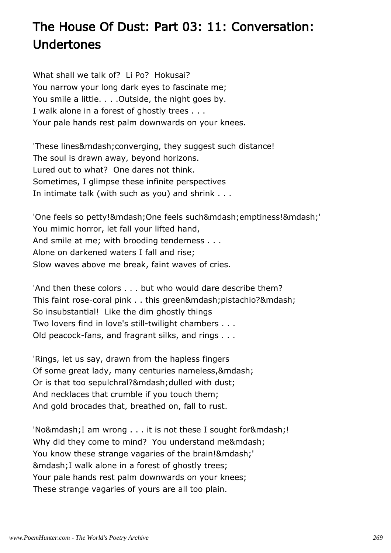## The House Of Dust: Part 03: 11: Conversation: Undertones

What shall we talk of? Li Po? Hokusai? You narrow your long dark eyes to fascinate me; You smile a little. . . . Outside, the night goes by. I walk alone in a forest of ghostly trees . . . Your pale hands rest palm downwards on your knees.

'These lines— converging, they suggest such distance! The soul is drawn away, beyond horizons. Lured out to what? One dares not think. Sometimes, I glimpse these infinite perspectives In intimate talk (with such as you) and shrink . . .

'One feels so petty!—One feels such—emptiness!—' You mimic horror, let fall your lifted hand, And smile at me; with brooding tenderness . . . Alone on darkened waters I fall and rise; Slow waves above me break, faint waves of cries.

'And then these colors . . . but who would dare describe them? This faint rose-coral pink . . this green— pistachio?— So insubstantial! Like the dim ghostly things Two lovers find in love's still-twilight chambers . . . Old peacock-fans, and fragrant silks, and rings . . .

'Rings, let us say, drawn from the hapless fingers Of some great lady, many centuries nameless, & mdash; Or is that too sepulchral?— dulled with dust; And necklaces that crumble if you touch them; And gold brocades that, breathed on, fall to rust.

'No— I am wrong  $\ldots$  it is not these I sought for— ! Why did they come to mind? You understand me— You know these strange vagaries of the brain!—' — I walk alone in a forest of ghostly trees; Your pale hands rest palm downwards on your knees; These strange vagaries of yours are all too plain.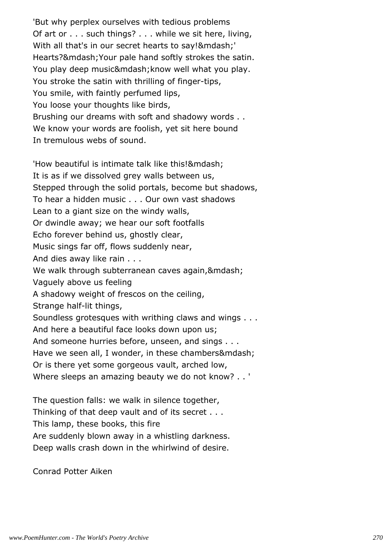'But why perplex ourselves with tedious problems Of art or . . . such things? . . . while we sit here, living, With all that's in our secret hearts to say!—' Hearts?— Your pale hand softly strokes the satin. You play deep music— know well what you play. You stroke the satin with thrilling of finger-tips, You smile, with faintly perfumed lips, You loose your thoughts like birds, Brushing our dreams with soft and shadowy words . . We know your words are foolish, yet sit here bound In tremulous webs of sound.

'How beautiful is intimate talk like this!— It is as if we dissolved grey walls between us, Stepped through the solid portals, become but shadows, To hear a hidden music . . . Our own vast shadows Lean to a giant size on the windy walls, Or dwindle away; we hear our soft footfalls Echo forever behind us, ghostly clear, Music sings far off, flows suddenly near, And dies away like rain . . . We walk through subterranean caves again, & mdash; Vaguely above us feeling A shadowy weight of frescos on the ceiling, Strange half-lit things, Soundless grotesques with writhing claws and wings . . . And here a beautiful face looks down upon us; And someone hurries before, unseen, and sings . . . Have we seen all, I wonder, in these chambers— Or is there yet some gorgeous vault, arched low,

Where sleeps an amazing beauty we do not know? . . '

The question falls: we walk in silence together, Thinking of that deep vault and of its secret . . . This lamp, these books, this fire Are suddenly blown away in a whistling darkness. Deep walls crash down in the whirlwind of desire.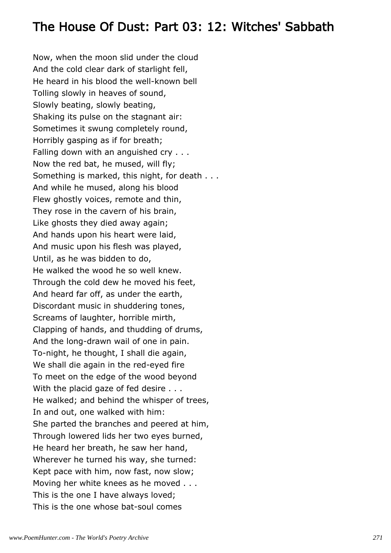#### The House Of Dust: Part 03: 12: Witches' Sabbath

Now, when the moon slid under the cloud And the cold clear dark of starlight fell, He heard in his blood the well-known bell Tolling slowly in heaves of sound, Slowly beating, slowly beating, Shaking its pulse on the stagnant air: Sometimes it swung completely round, Horribly gasping as if for breath; Falling down with an anguished cry . . . Now the red bat, he mused, will fly; Something is marked, this night, for death . . . And while he mused, along his blood Flew ghostly voices, remote and thin, They rose in the cavern of his brain, Like ghosts they died away again; And hands upon his heart were laid, And music upon his flesh was played, Until, as he was bidden to do, He walked the wood he so well knew. Through the cold dew he moved his feet, And heard far off, as under the earth, Discordant music in shuddering tones, Screams of laughter, horrible mirth, Clapping of hands, and thudding of drums, And the long-drawn wail of one in pain. To-night, he thought, I shall die again, We shall die again in the red-eyed fire To meet on the edge of the wood beyond With the placid gaze of fed desire . . . He walked; and behind the whisper of trees, In and out, one walked with him: She parted the branches and peered at him, Through lowered lids her two eyes burned, He heard her breath, he saw her hand, Wherever he turned his way, she turned: Kept pace with him, now fast, now slow; Moving her white knees as he moved . . . This is the one I have always loved; This is the one whose bat-soul comes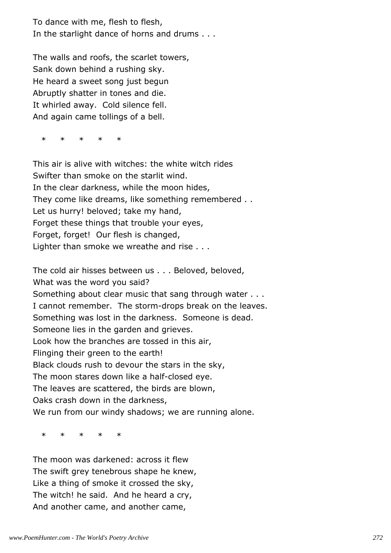To dance with me, flesh to flesh, In the starlight dance of horns and drums . . .

The walls and roofs, the scarlet towers, Sank down behind a rushing sky. He heard a sweet song just begun Abruptly shatter in tones and die. It whirled away. Cold silence fell. And again came tollings of a bell.

\* \* \* \* \*

This air is alive with witches: the white witch rides Swifter than smoke on the starlit wind. In the clear darkness, while the moon hides, They come like dreams, like something remembered . . Let us hurry! beloved; take my hand, Forget these things that trouble your eyes, Forget, forget! Our flesh is changed, Lighter than smoke we wreathe and rise . . .

The cold air hisses between us . . . Beloved, beloved, What was the word you said? Something about clear music that sang through water . . . I cannot remember. The storm-drops break on the leaves. Something was lost in the darkness. Someone is dead. Someone lies in the garden and grieves. Look how the branches are tossed in this air, Flinging their green to the earth! Black clouds rush to devour the stars in the sky, The moon stares down like a half-closed eye. The leaves are scattered, the birds are blown, Oaks crash down in the darkness, We run from our windy shadows; we are running alone.

\* \* \* \* \*

The moon was darkened: across it flew The swift grey tenebrous shape he knew, Like a thing of smoke it crossed the sky, The witch! he said. And he heard a cry, And another came, and another came,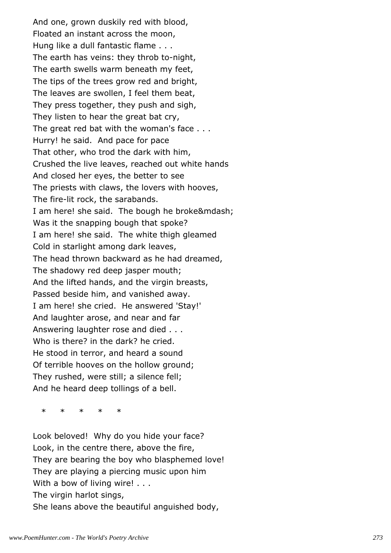And one, grown duskily red with blood, Floated an instant across the moon, Hung like a dull fantastic flame . . . The earth has veins: they throb to-night, The earth swells warm beneath my feet, The tips of the trees grow red and bright, The leaves are swollen, I feel them beat, They press together, they push and sigh, They listen to hear the great bat cry, The great red bat with the woman's face . . . Hurry! he said. And pace for pace That other, who trod the dark with him, Crushed the live leaves, reached out white hands And closed her eyes, the better to see The priests with claws, the lovers with hooves, The fire-lit rock, the sarabands. I am here! she said. The bough he broke— Was it the snapping bough that spoke? I am here! she said. The white thigh gleamed Cold in starlight among dark leaves, The head thrown backward as he had dreamed, The shadowy red deep jasper mouth; And the lifted hands, and the virgin breasts, Passed beside him, and vanished away. I am here! she cried. He answered 'Stay!' And laughter arose, and near and far Answering laughter rose and died . . . Who is there? in the dark? he cried. He stood in terror, and heard a sound Of terrible hooves on the hollow ground; They rushed, were still; a silence fell; And he heard deep tollings of a bell.

\* \* \* \* \*

Look beloved! Why do you hide your face? Look, in the centre there, above the fire, They are bearing the boy who blasphemed love! They are playing a piercing music upon him With a bow of living wire! . . . The virgin harlot sings, She leans above the beautiful anguished body,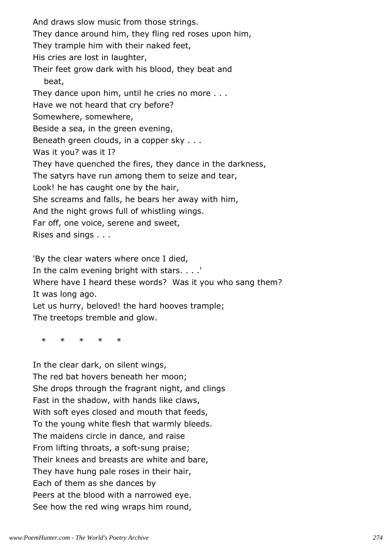And draws slow music from those strings. They dance around him, they fling red roses upon him, They trample him with their naked feet, His cries are lost in laughter, Their feet grow dark with his blood, they beat and beat, They dance upon him, until he cries no more . . . Have we not heard that cry before? Somewhere, somewhere, Beside a sea, in the green evening, Beneath green clouds, in a copper sky . . . Was it you? was it I? They have quenched the fires, they dance in the darkness, The satyrs have run among them to seize and tear, Look! he has caught one by the hair, She screams and falls, he bears her away with him, And the night grows full of whistling wings. Far off, one voice, serene and sweet, Rises and sings . . .

'By the clear waters where once I died, In the calm evening bright with stars. . . .' Where have I heard these words? Was it you who sang them? It was long ago.

Let us hurry, beloved! the hard hooves trample; The treetops tremble and glow.

\* \* \* \* \*

In the clear dark, on silent wings, The red bat hovers beneath her moon; She drops through the fragrant night, and clings Fast in the shadow, with hands like claws, With soft eyes closed and mouth that feeds, To the young white flesh that warmly bleeds. The maidens circle in dance, and raise From lifting throats, a soft-sung praise; Their knees and breasts are white and bare, They have hung pale roses in their hair, Each of them as she dances by Peers at the blood with a narrowed eye. See how the red wing wraps him round,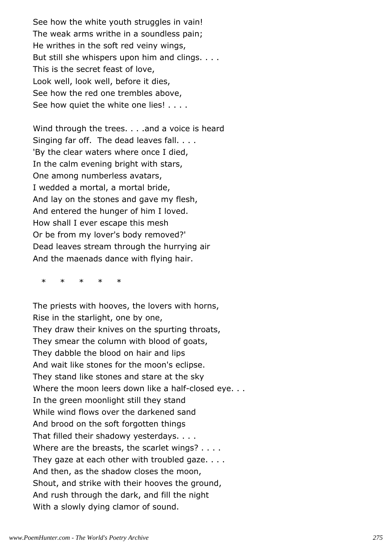See how the white youth struggles in vain! The weak arms writhe in a soundless pain; He writhes in the soft red veiny wings, But still she whispers upon him and clings. . . . This is the secret feast of love, Look well, look well, before it dies, See how the red one trembles above, See how quiet the white one lies! . . . .

Wind through the trees. . . . and a voice is heard Singing far off. The dead leaves fall. . . . 'By the clear waters where once I died, In the calm evening bright with stars, One among numberless avatars, I wedded a mortal, a mortal bride, And lay on the stones and gave my flesh, And entered the hunger of him I loved. How shall I ever escape this mesh Or be from my lover's body removed?' Dead leaves stream through the hurrying air And the maenads dance with flying hair.

\* \* \* \* \*

The priests with hooves, the lovers with horns, Rise in the starlight, one by one, They draw their knives on the spurting throats, They smear the column with blood of goats, They dabble the blood on hair and lips And wait like stones for the moon's eclipse. They stand like stones and stare at the sky Where the moon leers down like a half-closed eye. .. In the green moonlight still they stand While wind flows over the darkened sand And brood on the soft forgotten things That filled their shadowy yesterdays. . . . Where are the breasts, the scarlet wings? . . . . They gaze at each other with troubled gaze. . . . And then, as the shadow closes the moon, Shout, and strike with their hooves the ground, And rush through the dark, and fill the night With a slowly dying clamor of sound.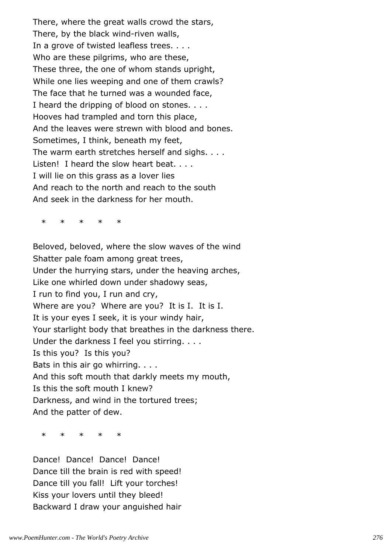There, where the great walls crowd the stars, There, by the black wind-riven walls, In a grove of twisted leafless trees. . . . Who are these pilgrims, who are these, These three, the one of whom stands upright, While one lies weeping and one of them crawls? The face that he turned was a wounded face, I heard the dripping of blood on stones. . . . Hooves had trampled and torn this place, And the leaves were strewn with blood and bones. Sometimes, I think, beneath my feet, The warm earth stretches herself and sighs. . . . Listen! I heard the slow heart beat. . . . I will lie on this grass as a lover lies And reach to the north and reach to the south And seek in the darkness for her mouth.

\* \* \* \* \*

Beloved, beloved, where the slow waves of the wind Shatter pale foam among great trees, Under the hurrying stars, under the heaving arches, Like one whirled down under shadowy seas, I run to find you, I run and cry, Where are you? Where are you? It is I. It is I. It is your eyes I seek, it is your windy hair, Your starlight body that breathes in the darkness there. Under the darkness I feel you stirring. . . . Is this you? Is this you? Bats in this air go whirring. . . . And this soft mouth that darkly meets my mouth, Is this the soft mouth I knew? Darkness, and wind in the tortured trees; And the patter of dew.

\* \* \* \* \*

Dance! Dance! Dance! Dance! Dance till the brain is red with speed! Dance till you fall! Lift your torches! Kiss your lovers until they bleed! Backward I draw your anguished hair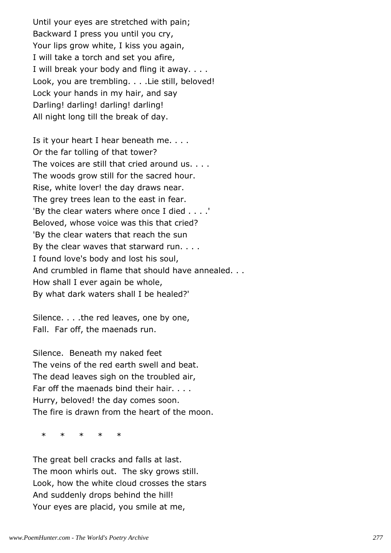Until your eyes are stretched with pain; Backward I press you until you cry, Your lips grow white, I kiss you again, I will take a torch and set you afire, I will break your body and fling it away. . . . Look, you are trembling. . . .Lie still, beloved! Lock your hands in my hair, and say Darling! darling! darling! darling! All night long till the break of day.

Is it your heart I hear beneath me. . . . Or the far tolling of that tower? The voices are still that cried around us. . . . The woods grow still for the sacred hour. Rise, white lover! the day draws near. The grey trees lean to the east in fear. 'By the clear waters where once I died . . . .' Beloved, whose voice was this that cried? 'By the clear waters that reach the sun By the clear waves that starward run. . . . I found love's body and lost his soul, And crumbled in flame that should have annealed. . . How shall I ever again be whole, By what dark waters shall I be healed?'

Silence. . . . the red leaves, one by one, Fall. Far off, the maenads run.

Silence. Beneath my naked feet The veins of the red earth swell and beat. The dead leaves sigh on the troubled air, Far off the maenads bind their hair. . . . Hurry, beloved! the day comes soon. The fire is drawn from the heart of the moon.

\* \* \* \* \*

The great bell cracks and falls at last. The moon whirls out. The sky grows still. Look, how the white cloud crosses the stars And suddenly drops behind the hill! Your eyes are placid, you smile at me,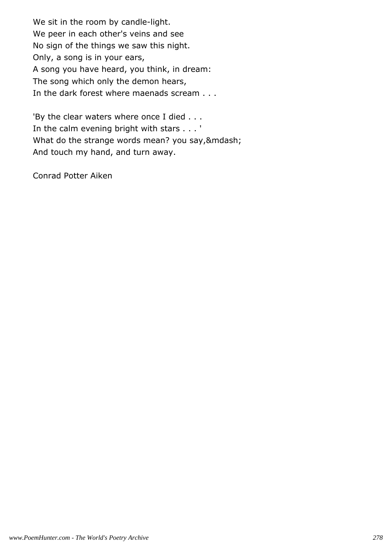We sit in the room by candle-light. We peer in each other's veins and see No sign of the things we saw this night. Only, a song is in your ears, A song you have heard, you think, in dream: The song which only the demon hears, In the dark forest where maenads scream . . .

'By the clear waters where once I died . . . In the calm evening bright with stars . . . ' What do the strange words mean? you say,— And touch my hand, and turn away.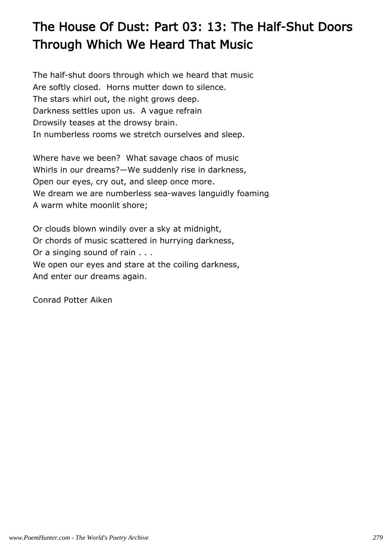# The House Of Dust: Part 03: 13: The Half-Shut Doors Through Which We Heard That Music

The half-shut doors through which we heard that music Are softly closed. Horns mutter down to silence. The stars whirl out, the night grows deep. Darkness settles upon us. A vague refrain Drowsily teases at the drowsy brain. In numberless rooms we stretch ourselves and sleep.

Where have we been? What savage chaos of music Whirls in our dreams?—We suddenly rise in darkness, Open our eyes, cry out, and sleep once more. We dream we are numberless sea-waves languidly foaming A warm white moonlit shore;

Or clouds blown windily over a sky at midnight, Or chords of music scattered in hurrying darkness, Or a singing sound of rain . . . We open our eyes and stare at the coiling darkness, And enter our dreams again.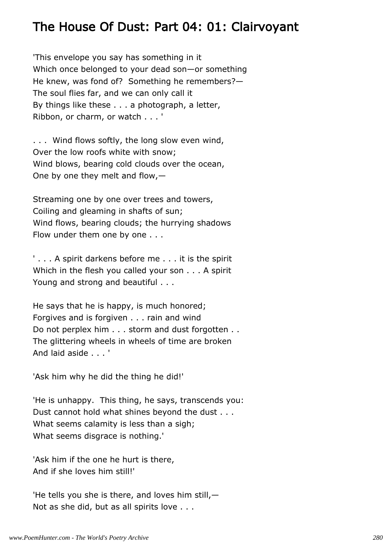#### The House Of Dust: Part 04: 01: Clairvoyant

'This envelope you say has something in it Which once belonged to your dead son—or something He knew, was fond of? Something he remembers?— The soul flies far, and we can only call it By things like these . . . a photograph, a letter, Ribbon, or charm, or watch . . . '

. . . Wind flows softly, the long slow even wind, Over the low roofs white with snow; Wind blows, bearing cold clouds over the ocean, One by one they melt and flow,—

Streaming one by one over trees and towers, Coiling and gleaming in shafts of sun; Wind flows, bearing clouds; the hurrying shadows Flow under them one by one . . .

' . . . A spirit darkens before me . . . it is the spirit Which in the flesh you called your son . . . A spirit Young and strong and beautiful . . .

He says that he is happy, is much honored; Forgives and is forgiven . . . rain and wind Do not perplex him . . . storm and dust forgotten . . The glittering wheels in wheels of time are broken And laid aside . . . '

'Ask him why he did the thing he did!'

'He is unhappy. This thing, he says, transcends you: Dust cannot hold what shines beyond the dust . . . What seems calamity is less than a sigh; What seems disgrace is nothing.'

'Ask him if the one he hurt is there, And if she loves him still!'

'He tells you she is there, and loves him still,— Not as she did, but as all spirits love . . .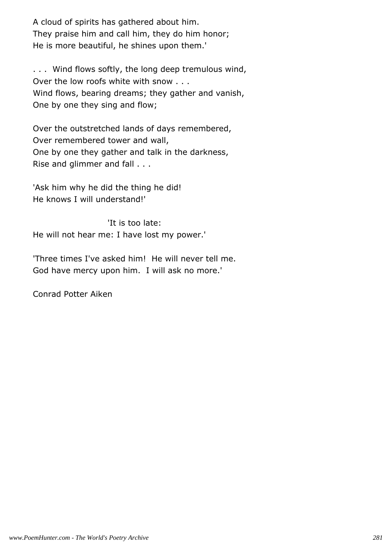A cloud of spirits has gathered about him. They praise him and call him, they do him honor; He is more beautiful, he shines upon them.'

. . . Wind flows softly, the long deep tremulous wind, Over the low roofs white with snow . . . Wind flows, bearing dreams; they gather and vanish, One by one they sing and flow;

Over the outstretched lands of days remembered, Over remembered tower and wall, One by one they gather and talk in the darkness, Rise and glimmer and fall . . .

'Ask him why he did the thing he did! He knows I will understand!'

 'It is too late: He will not hear me: I have lost my power.'

'Three times I've asked him! He will never tell me. God have mercy upon him. I will ask no more.'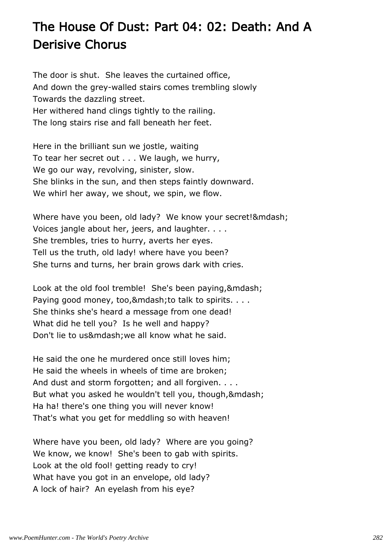## The House Of Dust: Part 04: 02: Death: And A Derisive Chorus

The door is shut. She leaves the curtained office, And down the grey-walled stairs comes trembling slowly Towards the dazzling street. Her withered hand clings tightly to the railing. The long stairs rise and fall beneath her feet.

Here in the brilliant sun we jostle, waiting To tear her secret out . . . We laugh, we hurry, We go our way, revolving, sinister, slow. She blinks in the sun, and then steps faintly downward. We whirl her away, we shout, we spin, we flow.

Where have you been, old lady? We know your secret!— Voices jangle about her, jeers, and laughter. . . . She trembles, tries to hurry, averts her eyes. Tell us the truth, old lady! where have you been? She turns and turns, her brain grows dark with cries.

Look at the old fool tremble! She's been paying,— Paying good money, too,— to talk to spirits. . . . She thinks she's heard a message from one dead! What did he tell you? Is he well and happy? Don't lie to us— we all know what he said.

He said the one he murdered once still loves him; He said the wheels in wheels of time are broken; And dust and storm forgotten; and all forgiven. . . . But what you asked he wouldn't tell you, though, & mdash; Ha ha! there's one thing you will never know! That's what you get for meddling so with heaven!

Where have you been, old lady? Where are you going? We know, we know! She's been to gab with spirits. Look at the old fool! getting ready to cry! What have you got in an envelope, old lady? A lock of hair? An eyelash from his eye?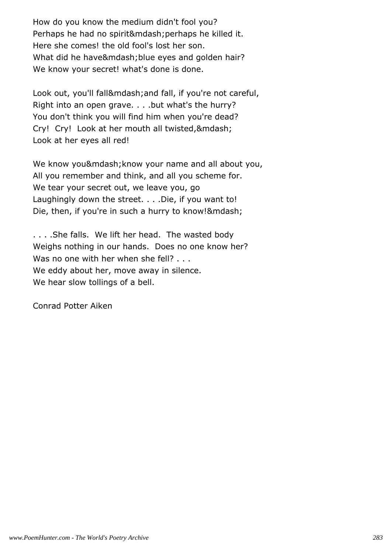How do you know the medium didn't fool you? Perhaps he had no spirit— perhaps he killed it. Here she comes! the old fool's lost her son. What did he have— blue eyes and golden hair? We know your secret! what's done is done.

Look out, you'll fall— and fall, if you're not careful, Right into an open grave. . . .but what's the hurry? You don't think you will find him when you're dead? Cry! Cry! Look at her mouth all twisted, & mdash; Look at her eyes all red!

We know you— know your name and all about you, All you remember and think, and all you scheme for. We tear your secret out, we leave you, go Laughingly down the street. . . .Die, if you want to! Die, then, if you're in such a hurry to know!—

....She falls. We lift her head. The wasted body Weighs nothing in our hands. Does no one know her? Was no one with her when she fell? . . . We eddy about her, move away in silence. We hear slow tollings of a bell.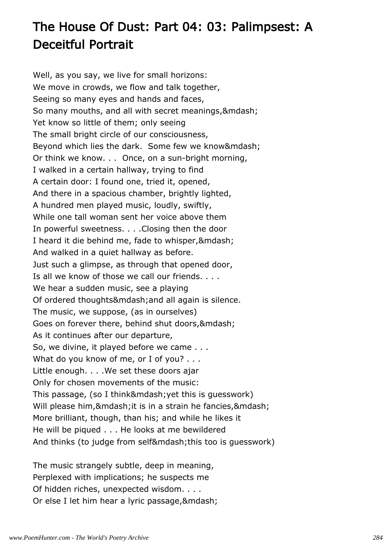## The House Of Dust: Part 04: 03: Palimpsest: A Deceitful Portrait

Well, as you say, we live for small horizons: We move in crowds, we flow and talk together, Seeing so many eyes and hands and faces, So many mouths, and all with secret meanings, & mdash; Yet know so little of them; only seeing The small bright circle of our consciousness, Beyond which lies the dark. Some few we know— Or think we know. . . Once, on a sun-bright morning, I walked in a certain hallway, trying to find A certain door: I found one, tried it, opened, And there in a spacious chamber, brightly lighted, A hundred men played music, loudly, swiftly, While one tall woman sent her voice above them In powerful sweetness. . . .Closing then the door I heard it die behind me, fade to whisper, & mdash; And walked in a quiet hallway as before. Just such a glimpse, as through that opened door, Is all we know of those we call our friends. . . . We hear a sudden music, see a playing Of ordered thoughts— and all again is silence. The music, we suppose, (as in ourselves) Goes on forever there, behind shut doors, & mdash; As it continues after our departure, So, we divine, it played before we came . . . What do you know of me, or I of you? . . . Little enough. . . .We set these doors ajar Only for chosen movements of the music: This passage, (so I think— yet this is guesswork) Will please him,— it is in a strain he fancies,— More brilliant, though, than his; and while he likes it He will be piqued . . . He looks at me bewildered And thinks (to judge from self— this too is quesswork)

The music strangely subtle, deep in meaning, Perplexed with implications; he suspects me Of hidden riches, unexpected wisdom. . . . Or else I let him hear a lyric passage, & mdash;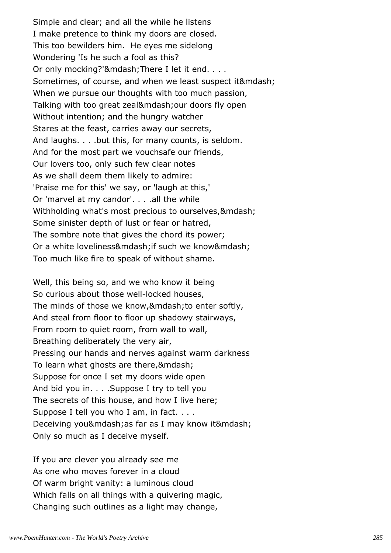Simple and clear; and all the while he listens I make pretence to think my doors are closed. This too bewilders him. He eyes me sidelong Wondering 'Is he such a fool as this? Or only mocking?'— There I let it end.  $\dots$ Sometimes, of course, and when we least suspect it— When we pursue our thoughts with too much passion, Talking with too great zeal— our doors fly open Without intention; and the hungry watcher Stares at the feast, carries away our secrets, And laughs. . . .but this, for many counts, is seldom. And for the most part we vouchsafe our friends, Our lovers too, only such few clear notes As we shall deem them likely to admire: 'Praise me for this' we say, or 'laugh at this,' Or 'marvel at my candor'. . . .all the while Withholding what's most precious to ourselves, & mdash; Some sinister depth of lust or fear or hatred, The sombre note that gives the chord its power; Or a white loveliness— if such we know— Too much like fire to speak of without shame.

Well, this being so, and we who know it being So curious about those well-locked houses, The minds of those we know,— to enter softly, And steal from floor to floor up shadowy stairways, From room to quiet room, from wall to wall, Breathing deliberately the very air, Pressing our hands and nerves against warm darkness To learn what ghosts are there, & mdash; Suppose for once I set my doors wide open And bid you in. . . .Suppose I try to tell you The secrets of this house, and how I live here; Suppose I tell you who I am, in fact. . . . Deceiving you— as far as I may know it— Only so much as I deceive myself.

If you are clever you already see me As one who moves forever in a cloud Of warm bright vanity: a luminous cloud Which falls on all things with a quivering magic, Changing such outlines as a light may change,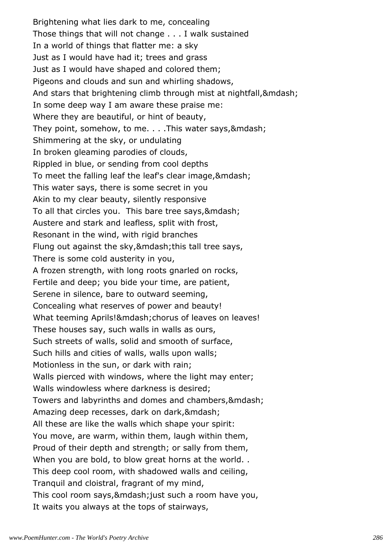Brightening what lies dark to me, concealing Those things that will not change . . . I walk sustained In a world of things that flatter me: a sky Just as I would have had it; trees and grass Just as I would have shaped and colored them; Pigeons and clouds and sun and whirling shadows, And stars that brightening climb through mist at nightfall,— In some deep way I am aware these praise me: Where they are beautiful, or hint of beauty, They point, somehow, to me. . . . This water says, & mdash; Shimmering at the sky, or undulating In broken gleaming parodies of clouds, Rippled in blue, or sending from cool depths To meet the falling leaf the leaf's clear image, & mdash; This water says, there is some secret in you Akin to my clear beauty, silently responsive To all that circles you. This bare tree says, & mdash; Austere and stark and leafless, split with frost, Resonant in the wind, with rigid branches Flung out against the sky,— this tall tree says, There is some cold austerity in you, A frozen strength, with long roots gnarled on rocks, Fertile and deep; you bide your time, are patient, Serene in silence, bare to outward seeming, Concealing what reserves of power and beauty! What teeming Aprils!— chorus of leaves on leaves! These houses say, such walls in walls as ours, Such streets of walls, solid and smooth of surface, Such hills and cities of walls, walls upon walls; Motionless in the sun, or dark with rain; Walls pierced with windows, where the light may enter; Walls windowless where darkness is desired; Towers and labyrinths and domes and chambers, & mdash; Amazing deep recesses, dark on dark,— All these are like the walls which shape your spirit: You move, are warm, within them, laugh within them, Proud of their depth and strength; or sally from them, When you are bold, to blow great horns at the world. . This deep cool room, with shadowed walls and ceiling, Tranquil and cloistral, fragrant of my mind, This cool room says, & mdash; just such a room have you, It waits you always at the tops of stairways,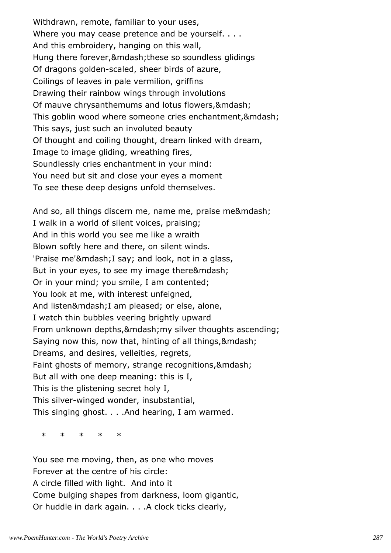Withdrawn, remote, familiar to your uses, Where you may cease pretence and be yourself. . . . And this embroidery, hanging on this wall, Hung there forever, & mdash; these so soundless glidings Of dragons golden-scaled, sheer birds of azure, Coilings of leaves in pale vermilion, griffins Drawing their rainbow wings through involutions Of mauve chrysanthemums and lotus flowers, & mdash; This goblin wood where someone cries enchantment, & mdash; This says, just such an involuted beauty Of thought and coiling thought, dream linked with dream, Image to image gliding, wreathing fires, Soundlessly cries enchantment in your mind: You need but sit and close your eyes a moment To see these deep designs unfold themselves.

And so, all things discern me, name me, praise me— I walk in a world of silent voices, praising; And in this world you see me like a wraith Blown softly here and there, on silent winds. 'Praise me'—I say; and look, not in a glass, But in your eyes, to see my image there— Or in your mind; you smile, I am contented; You look at me, with interest unfeigned, And listen—I am pleased; or else, alone, I watch thin bubbles veering brightly upward From unknown depths,— my silver thoughts ascending; Saying now this, now that, hinting of all things, & mdash; Dreams, and desires, velleities, regrets, Faint ghosts of memory, strange recognitions, & mdash; But all with one deep meaning: this is I, This is the glistening secret holy I, This silver-winged wonder, insubstantial, This singing ghost. . . .And hearing, I am warmed.

\* \* \* \* \*

You see me moving, then, as one who moves Forever at the centre of his circle: A circle filled with light. And into it Come bulging shapes from darkness, loom gigantic, Or huddle in dark again. . . .A clock ticks clearly,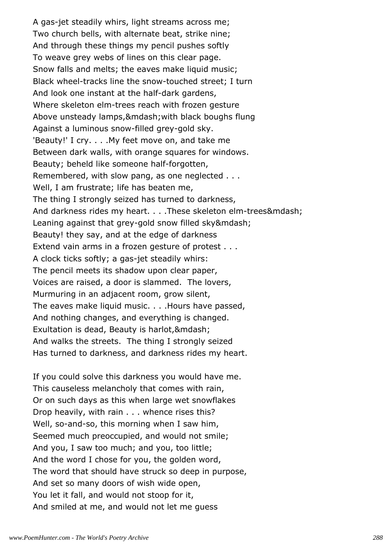A gas-jet steadily whirs, light streams across me; Two church bells, with alternate beat, strike nine; And through these things my pencil pushes softly To weave grey webs of lines on this clear page. Snow falls and melts; the eaves make liquid music; Black wheel-tracks line the snow-touched street; I turn And look one instant at the half-dark gardens, Where skeleton elm-trees reach with frozen gesture Above unsteady lamps,— with black boughs flung Against a luminous snow-filled grey-gold sky. 'Beauty!' I cry. . . . My feet move on, and take me Between dark walls, with orange squares for windows. Beauty; beheld like someone half-forgotten, Remembered, with slow pang, as one neglected . . . Well, I am frustrate; life has beaten me, The thing I strongly seized has turned to darkness, And darkness rides my heart. . . . These skeleton elm-trees— Leaning against that grey-gold snow filled sky— Beauty! they say, and at the edge of darkness Extend vain arms in a frozen gesture of protest . . . A clock ticks softly; a gas-jet steadily whirs: The pencil meets its shadow upon clear paper, Voices are raised, a door is slammed. The lovers, Murmuring in an adjacent room, grow silent, The eaves make liquid music. . . .Hours have passed, And nothing changes, and everything is changed. Exultation is dead, Beauty is harlot, & mdash; And walks the streets. The thing I strongly seized Has turned to darkness, and darkness rides my heart.

If you could solve this darkness you would have me. This causeless melancholy that comes with rain, Or on such days as this when large wet snowflakes Drop heavily, with rain . . . whence rises this? Well, so-and-so, this morning when I saw him, Seemed much preoccupied, and would not smile; And you, I saw too much; and you, too little; And the word I chose for you, the golden word, The word that should have struck so deep in purpose, And set so many doors of wish wide open, You let it fall, and would not stoop for it, And smiled at me, and would not let me guess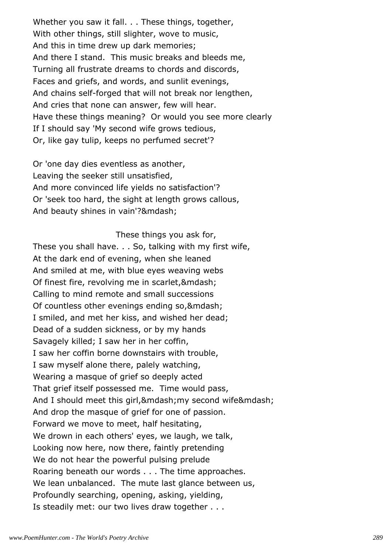Whether you saw it fall. . . These things, together, With other things, still slighter, wove to music, And this in time drew up dark memories; And there I stand. This music breaks and bleeds me, Turning all frustrate dreams to chords and discords, Faces and griefs, and words, and sunlit evenings, And chains self-forged that will not break nor lengthen, And cries that none can answer, few will hear. Have these things meaning? Or would you see more clearly If I should say 'My second wife grows tedious, Or, like gay tulip, keeps no perfumed secret'?

Or 'one day dies eventless as another, Leaving the seeker still unsatisfied, And more convinced life yields no satisfaction'? Or 'seek too hard, the sight at length grows callous, And beauty shines in vain'?—

These things you ask for,

These you shall have. . . So, talking with my first wife, At the dark end of evening, when she leaned And smiled at me, with blue eyes weaving webs Of finest fire, revolving me in scarlet,— Calling to mind remote and small successions Of countless other evenings ending so,— I smiled, and met her kiss, and wished her dead; Dead of a sudden sickness, or by my hands Savagely killed; I saw her in her coffin, I saw her coffin borne downstairs with trouble, I saw myself alone there, palely watching, Wearing a masque of grief so deeply acted That grief itself possessed me. Time would pass, And I should meet this girl,— my second wife— And drop the masque of grief for one of passion. Forward we move to meet, half hesitating, We drown in each others' eyes, we laugh, we talk, Looking now here, now there, faintly pretending We do not hear the powerful pulsing prelude Roaring beneath our words . . . The time approaches. We lean unbalanced. The mute last glance between us, Profoundly searching, opening, asking, yielding, Is steadily met: our two lives draw together . . .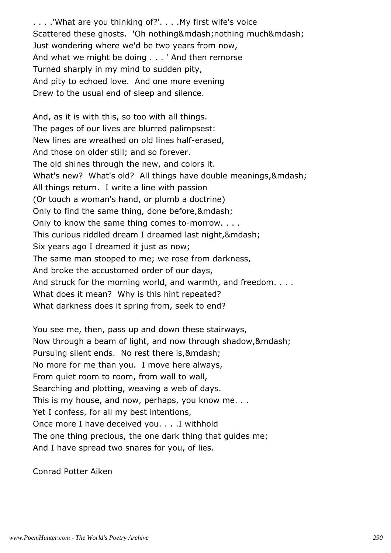. . . .'What are you thinking of?'. . . .My first wife's voice Scattered these ghosts. 'Oh nothing— nothing much— Just wondering where we'd be two years from now, And what we might be doing . . . ' And then remorse Turned sharply in my mind to sudden pity, And pity to echoed love. And one more evening Drew to the usual end of sleep and silence.

And, as it is with this, so too with all things. The pages of our lives are blurred palimpsest: New lines are wreathed on old lines half-erased, And those on older still; and so forever. The old shines through the new, and colors it. What's new? What's old? All things have double meanings, & mdash; All things return. I write a line with passion (Or touch a woman's hand, or plumb a doctrine) Only to find the same thing, done before,— Only to know the same thing comes to-morrow. . . . This curious riddled dream I dreamed last night, & mdash; Six years ago I dreamed it just as now; The same man stooped to me; we rose from darkness, And broke the accustomed order of our days, And struck for the morning world, and warmth, and freedom. . . . What does it mean? Why is this hint repeated? What darkness does it spring from, seek to end?

You see me, then, pass up and down these stairways, Now through a beam of light, and now through shadow,— Pursuing silent ends. No rest there is,— No more for me than you. I move here always, From quiet room to room, from wall to wall, Searching and plotting, weaving a web of days. This is my house, and now, perhaps, you know me. . . Yet I confess, for all my best intentions, Once more I have deceived you. . . .I withhold The one thing precious, the one dark thing that guides me; And I have spread two snares for you, of lies.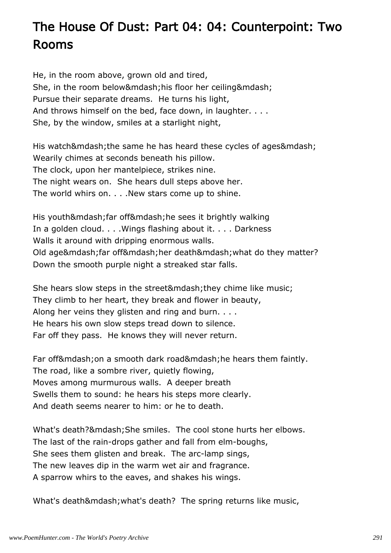# The House Of Dust: Part 04: 04: Counterpoint: Two Rooms

He, in the room above, grown old and tired, She, in the room below— his floor her ceiling— Pursue their separate dreams. He turns his light, And throws himself on the bed, face down, in laughter. . . . She, by the window, smiles at a starlight night,

His watch— the same he has heard these cycles of ages— Wearily chimes at seconds beneath his pillow. The clock, upon her mantelpiece, strikes nine. The night wears on. She hears dull steps above her. The world whirs on. . . . New stars come up to shine.

His youth— far off— he sees it brightly walking In a golden cloud. . . .Wings flashing about it. . . . Darkness Walls it around with dripping enormous walls. Old age— far off— her death— what do they matter? Down the smooth purple night a streaked star falls.

She hears slow steps in the street— they chime like music; They climb to her heart, they break and flower in beauty, Along her veins they glisten and ring and burn. . . . He hears his own slow steps tread down to silence. Far off they pass. He knows they will never return.

Far off— on a smooth dark road— he hears them faintly. The road, like a sombre river, quietly flowing, Moves among murmurous walls. A deeper breath Swells them to sound: he hears his steps more clearly. And death seems nearer to him: or he to death.

What's death?— She smiles. The cool stone hurts her elbows. The last of the rain-drops gather and fall from elm-boughs, She sees them glisten and break. The arc-lamp sings, The new leaves dip in the warm wet air and fragrance. A sparrow whirs to the eaves, and shakes his wings.

What's death— what's death? The spring returns like music,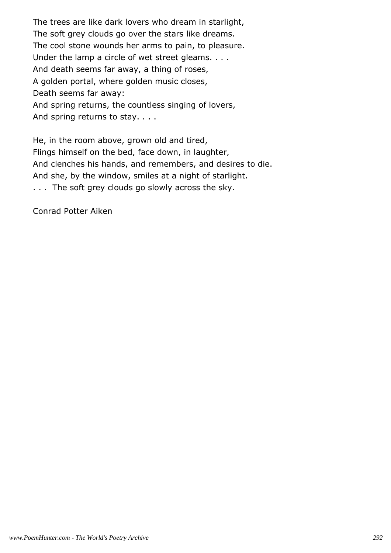The trees are like dark lovers who dream in starlight, The soft grey clouds go over the stars like dreams. The cool stone wounds her arms to pain, to pleasure. Under the lamp a circle of wet street gleams. . . . And death seems far away, a thing of roses, A golden portal, where golden music closes, Death seems far away: And spring returns, the countless singing of lovers, And spring returns to stay. . . .

He, in the room above, grown old and tired, Flings himself on the bed, face down, in laughter, And clenches his hands, and remembers, and desires to die. And she, by the window, smiles at a night of starlight. . . . The soft grey clouds go slowly across the sky.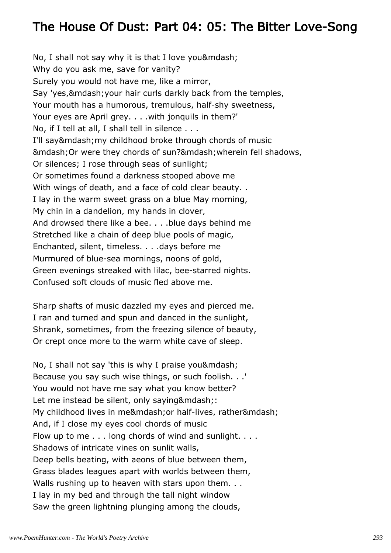### The House Of Dust: Part 04: 05: The Bitter Love-Song

No, I shall not say why it is that I love you& mdash; Why do you ask me, save for vanity? Surely you would not have me, like a mirror, Say 'yes,— your hair curls darkly back from the temples, Your mouth has a humorous, tremulous, half-shy sweetness, Your eyes are April grey. . . .with jonquils in them?' No, if I tell at all, I shall tell in silence . . . I'll say— my childhood broke through chords of music — Or were they chords of sun?— wherein fell shadows, Or silences; I rose through seas of sunlight; Or sometimes found a darkness stooped above me With wings of death, and a face of cold clear beauty.. I lay in the warm sweet grass on a blue May morning, My chin in a dandelion, my hands in clover, And drowsed there like a bee. . . .blue days behind me Stretched like a chain of deep blue pools of magic, Enchanted, silent, timeless. . . .days before me Murmured of blue-sea mornings, noons of gold, Green evenings streaked with lilac, bee-starred nights. Confused soft clouds of music fled above me.

Sharp shafts of music dazzled my eyes and pierced me. I ran and turned and spun and danced in the sunlight, Shrank, sometimes, from the freezing silence of beauty, Or crept once more to the warm white cave of sleep.

No, I shall not say 'this is why I praise you— Because you say such wise things, or such foolish. . .' You would not have me say what you know better? Let me instead be silent, only saying—: My childhood lives in me— or half-lives, rather— And, if I close my eyes cool chords of music Flow up to me . . . long chords of wind and sunlight. . . . Shadows of intricate vines on sunlit walls, Deep bells beating, with aeons of blue between them, Grass blades leagues apart with worlds between them, Walls rushing up to heaven with stars upon them. . . I lay in my bed and through the tall night window Saw the green lightning plunging among the clouds,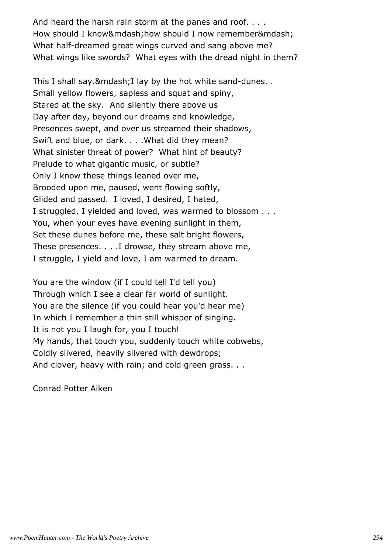And heard the harsh rain storm at the panes and roof. . . . How should I know— how should I now remember— What half-dreamed great wings curved and sang above me? What wings like swords? What eyes with the dread night in them?

This I shall say.— I lay by the hot white sand-dunes.. Small yellow flowers, sapless and squat and spiny, Stared at the sky. And silently there above us Day after day, beyond our dreams and knowledge, Presences swept, and over us streamed their shadows, Swift and blue, or dark. . . .What did they mean? What sinister threat of power? What hint of beauty? Prelude to what gigantic music, or subtle? Only I know these things leaned over me, Brooded upon me, paused, went flowing softly, Glided and passed. I loved, I desired, I hated, I struggled, I yielded and loved, was warmed to blossom . . . You, when your eyes have evening sunlight in them, Set these dunes before me, these salt bright flowers, These presences. . . .I drowse, they stream above me, I struggle, I yield and love, I am warmed to dream.

You are the window (if I could tell I'd tell you) Through which I see a clear far world of sunlight. You are the silence (if you could hear you'd hear me) In which I remember a thin still whisper of singing. It is not you I laugh for, you I touch! My hands, that touch you, suddenly touch white cobwebs, Coldly silvered, heavily silvered with dewdrops; And clover, heavy with rain; and cold green grass. . .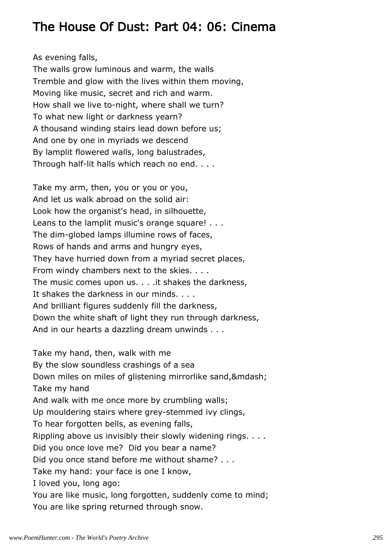## The House Of Dust: Part 04: 06: Cinema

#### As evening falls,

The walls grow luminous and warm, the walls Tremble and glow with the lives within them moving, Moving like music, secret and rich and warm. How shall we live to-night, where shall we turn? To what new light or darkness yearn? A thousand winding stairs lead down before us; And one by one in myriads we descend By lamplit flowered walls, long balustrades, Through half-lit halls which reach no end. . . .

Take my arm, then, you or you or you, And let us walk abroad on the solid air: Look how the organist's head, in silhouette, Leans to the lamplit music's orange square! . . . The dim-globed lamps illumine rows of faces, Rows of hands and arms and hungry eyes, They have hurried down from a myriad secret places, From windy chambers next to the skies. . . . The music comes upon us. . . . it shakes the darkness, It shakes the darkness in our minds. . . . And brilliant figures suddenly fill the darkness, Down the white shaft of light they run through darkness, And in our hearts a dazzling dream unwinds . . .

Take my hand, then, walk with me By the slow soundless crashings of a sea Down miles on miles of glistening mirrorlike sand,— Take my hand And walk with me once more by crumbling walls; Up mouldering stairs where grey-stemmed ivy clings, To hear forgotten bells, as evening falls, Rippling above us invisibly their slowly widening rings. . . . Did you once love me? Did you bear a name? Did you once stand before me without shame? . . . Take my hand: your face is one I know, I loved you, long ago: You are like music, long forgotten, suddenly come to mind; You are like spring returned through snow.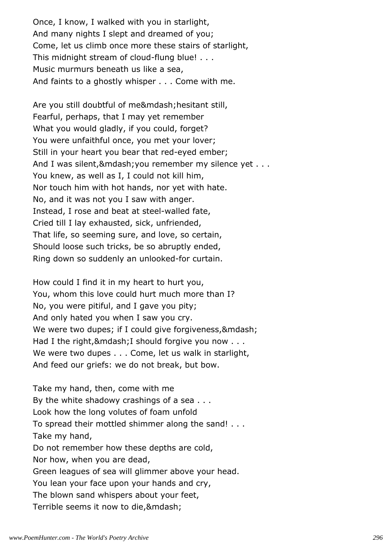Once, I know, I walked with you in starlight, And many nights I slept and dreamed of you; Come, let us climb once more these stairs of starlight, This midnight stream of cloud-flung blue! . . . Music murmurs beneath us like a sea, And faints to a ghostly whisper . . . Come with me.

Are you still doubtful of me— hesitant still, Fearful, perhaps, that I may yet remember What you would gladly, if you could, forget? You were unfaithful once, you met your lover; Still in your heart you bear that red-eyed ember; And I was silent,— you remember my silence yet . . . You knew, as well as I, I could not kill him, Nor touch him with hot hands, nor yet with hate. No, and it was not you I saw with anger. Instead, I rose and beat at steel-walled fate, Cried till I lay exhausted, sick, unfriended, That life, so seeming sure, and love, so certain, Should loose such tricks, be so abruptly ended, Ring down so suddenly an unlooked-for curtain.

How could I find it in my heart to hurt you, You, whom this love could hurt much more than I? No, you were pitiful, and I gave you pity; And only hated you when I saw you cry. We were two dupes; if I could give forgiveness, & mdash; Had I the right, & mdash; I should forgive you now  $\ldots$ We were two dupes . . . Come, let us walk in starlight, And feed our griefs: we do not break, but bow.

Take my hand, then, come with me By the white shadowy crashings of a sea . . . Look how the long volutes of foam unfold To spread their mottled shimmer along the sand! . . . Take my hand, Do not remember how these depths are cold, Nor how, when you are dead, Green leagues of sea will glimmer above your head. You lean your face upon your hands and cry, The blown sand whispers about your feet, Terrible seems it now to die,—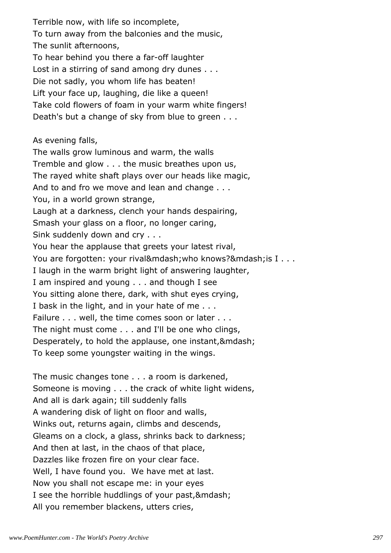Terrible now, with life so incomplete, To turn away from the balconies and the music, The sunlit afternoons, To hear behind you there a far-off laughter Lost in a stirring of sand among dry dunes . . . Die not sadly, you whom life has beaten! Lift your face up, laughing, die like a queen! Take cold flowers of foam in your warm white fingers! Death's but a change of sky from blue to green . . . As evening falls, The walls grow luminous and warm, the walls Tremble and glow . . . the music breathes upon us, The rayed white shaft plays over our heads like magic, And to and fro we move and lean and change . . . You, in a world grown strange, Laugh at a darkness, clench your hands despairing, Smash your glass on a floor, no longer caring, Sink suddenly down and cry . . . You hear the applause that greets your latest rival, You are forgotten: your rival— who knows?— is I . . . I laugh in the warm bright light of answering laughter, I am inspired and young . . . and though I see You sitting alone there, dark, with shut eyes crying, I bask in the light, and in your hate of me . . . Failure . . . well, the time comes soon or later . . . The night must come . . . and I'll be one who clings, Desperately, to hold the applause, one instant, & mdash; To keep some youngster waiting in the wings. The music changes tone . . . a room is darkened,

Someone is moving . . . the crack of white light widens, And all is dark again; till suddenly falls A wandering disk of light on floor and walls, Winks out, returns again, climbs and descends, Gleams on a clock, a glass, shrinks back to darkness; And then at last, in the chaos of that place, Dazzles like frozen fire on your clear face. Well, I have found you. We have met at last. Now you shall not escape me: in your eyes I see the horrible huddlings of your past, & mdash; All you remember blackens, utters cries,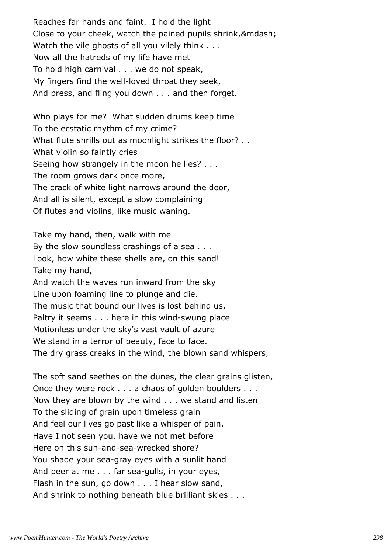Reaches far hands and faint. I hold the light Close to your cheek, watch the pained pupils shrink,— Watch the vile ghosts of all you vilely think . . . Now all the hatreds of my life have met To hold high carnival . . . we do not speak, My fingers find the well-loved throat they seek, And press, and fling you down . . . and then forget.

Who plays for me? What sudden drums keep time To the ecstatic rhythm of my crime? What flute shrills out as moonlight strikes the floor? . . What violin so faintly cries Seeing how strangely in the moon he lies? . . . The room grows dark once more, The crack of white light narrows around the door, And all is silent, except a slow complaining Of flutes and violins, like music waning.

Take my hand, then, walk with me By the slow soundless crashings of a sea . . . Look, how white these shells are, on this sand! Take my hand, And watch the waves run inward from the sky Line upon foaming line to plunge and die. The music that bound our lives is lost behind us, Paltry it seems . . . here in this wind-swung place Motionless under the sky's vast vault of azure We stand in a terror of beauty, face to face. The dry grass creaks in the wind, the blown sand whispers,

The soft sand seethes on the dunes, the clear grains glisten, Once they were rock . . . a chaos of golden boulders . . . Now they are blown by the wind . . . we stand and listen To the sliding of grain upon timeless grain And feel our lives go past like a whisper of pain. Have I not seen you, have we not met before Here on this sun-and-sea-wrecked shore? You shade your sea-gray eyes with a sunlit hand And peer at me . . . far sea-gulls, in your eyes, Flash in the sun, go down . . . I hear slow sand, And shrink to nothing beneath blue brilliant skies . . .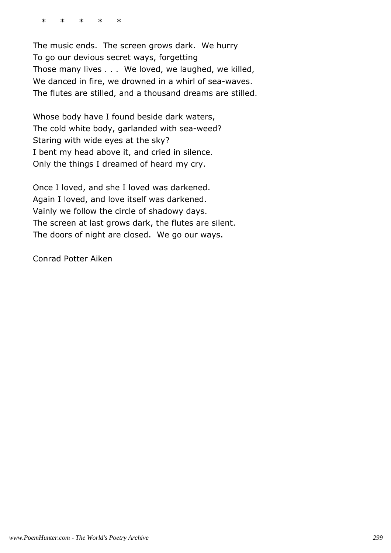The music ends. The screen grows dark. We hurry To go our devious secret ways, forgetting Those many lives . . . We loved, we laughed, we killed, We danced in fire, we drowned in a whirl of sea-waves. The flutes are stilled, and a thousand dreams are stilled.

Whose body have I found beside dark waters, The cold white body, garlanded with sea-weed? Staring with wide eyes at the sky? I bent my head above it, and cried in silence. Only the things I dreamed of heard my cry.

Once I loved, and she I loved was darkened. Again I loved, and love itself was darkened. Vainly we follow the circle of shadowy days. The screen at last grows dark, the flutes are silent. The doors of night are closed. We go our ways.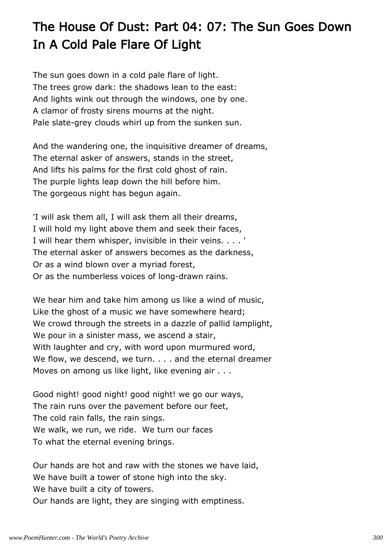# The House Of Dust: Part 04: 07: The Sun Goes Down In A Cold Pale Flare Of Light

The sun goes down in a cold pale flare of light. The trees grow dark: the shadows lean to the east: And lights wink out through the windows, one by one. A clamor of frosty sirens mourns at the night. Pale slate-grey clouds whirl up from the sunken sun.

And the wandering one, the inquisitive dreamer of dreams, The eternal asker of answers, stands in the street, And lifts his palms for the first cold ghost of rain. The purple lights leap down the hill before him. The gorgeous night has begun again.

'I will ask them all, I will ask them all their dreams, I will hold my light above them and seek their faces, I will hear them whisper, invisible in their veins. . . . ' The eternal asker of answers becomes as the darkness, Or as a wind blown over a myriad forest, Or as the numberless voices of long-drawn rains.

We hear him and take him among us like a wind of music, Like the ghost of a music we have somewhere heard; We crowd through the streets in a dazzle of pallid lamplight, We pour in a sinister mass, we ascend a stair, With laughter and cry, with word upon murmured word, We flow, we descend, we turn. . . . and the eternal dreamer Moves on among us like light, like evening air . . .

Good night! good night! good night! we go our ways, The rain runs over the pavement before our feet, The cold rain falls, the rain sings. We walk, we run, we ride. We turn our faces To what the eternal evening brings.

Our hands are hot and raw with the stones we have laid, We have built a tower of stone high into the sky. We have built a city of towers. Our hands are light, they are singing with emptiness.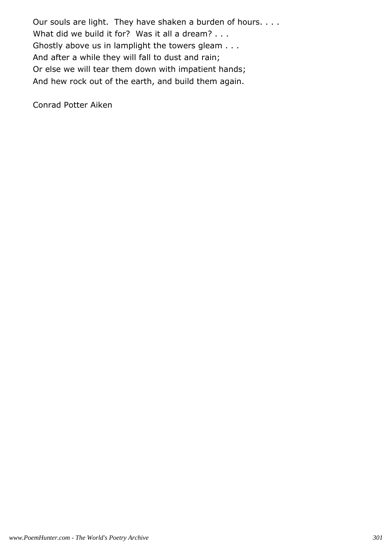Our souls are light. They have shaken a burden of hours. . . . What did we build it for? Was it all a dream? . . . Ghostly above us in lamplight the towers gleam . . . And after a while they will fall to dust and rain; Or else we will tear them down with impatient hands; And hew rock out of the earth, and build them again.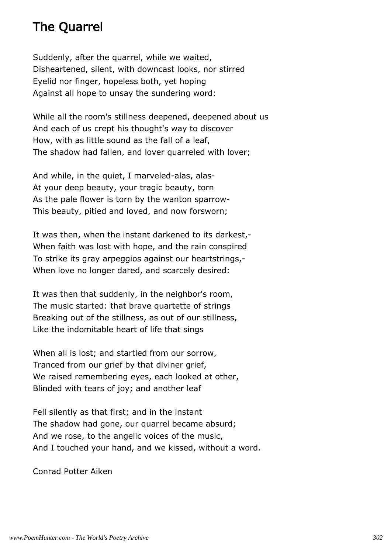## The Quarrel

Suddenly, after the quarrel, while we waited, Disheartened, silent, with downcast looks, nor stirred Eyelid nor finger, hopeless both, yet hoping Against all hope to unsay the sundering word:

While all the room's stillness deepened, deepened about us And each of us crept his thought's way to discover How, with as little sound as the fall of a leaf, The shadow had fallen, and lover quarreled with lover;

And while, in the quiet, I marveled-alas, alas-At your deep beauty, your tragic beauty, torn As the pale flower is torn by the wanton sparrow-This beauty, pitied and loved, and now forsworn;

It was then, when the instant darkened to its darkest,- When faith was lost with hope, and the rain conspired To strike its gray arpeggios against our heartstrings,- When love no longer dared, and scarcely desired:

It was then that suddenly, in the neighbor's room, The music started: that brave quartette of strings Breaking out of the stillness, as out of our stillness, Like the indomitable heart of life that sings

When all is lost; and startled from our sorrow, Tranced from our grief by that diviner grief, We raised remembering eyes, each looked at other, Blinded with tears of joy; and another leaf

Fell silently as that first; and in the instant The shadow had gone, our quarrel became absurd; And we rose, to the angelic voices of the music, And I touched your hand, and we kissed, without a word.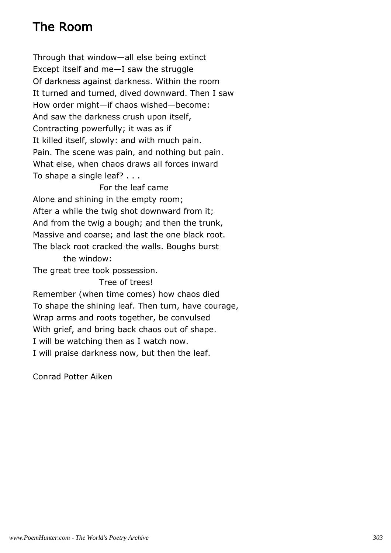## The Room

Through that window—all else being extinct Except itself and me—I saw the struggle Of darkness against darkness. Within the room It turned and turned, dived downward. Then I saw How order might—if chaos wished—become: And saw the darkness crush upon itself, Contracting powerfully; it was as if It killed itself, slowly: and with much pain. Pain. The scene was pain, and nothing but pain. What else, when chaos draws all forces inward To shape a single leaf? . . .

 For the leaf came Alone and shining in the empty room; After a while the twig shot downward from it; And from the twig a bough; and then the trunk, Massive and coarse; and last the one black root. The black root cracked the walls. Boughs burst the window: The great tree took possession. Tree of trees! Remember (when time comes) how chaos died To shape the shining leaf. Then turn, have courage, Wrap arms and roots together, be convulsed With grief, and bring back chaos out of shape. I will be watching then as I watch now.

I will praise darkness now, but then the leaf.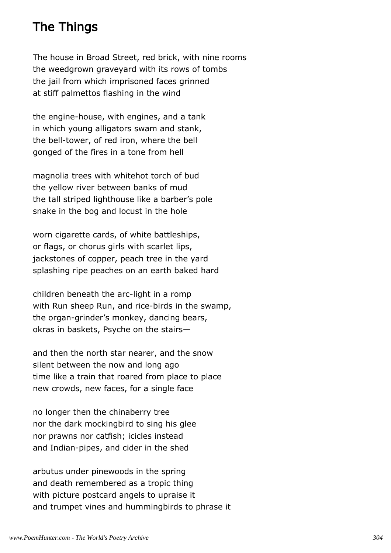## The Things

The house in Broad Street, red brick, with nine rooms the weedgrown graveyard with its rows of tombs the jail from which imprisoned faces grinned at stiff palmettos flashing in the wind

the engine-house, with engines, and a tank in which young alligators swam and stank, the bell-tower, of red iron, where the bell gonged of the fires in a tone from hell

magnolia trees with whitehot torch of bud the yellow river between banks of mud the tall striped lighthouse like a barber's pole snake in the bog and locust in the hole

worn cigarette cards, of white battleships, or flags, or chorus girls with scarlet lips, jackstones of copper, peach tree in the yard splashing ripe peaches on an earth baked hard

children beneath the arc-light in a romp with Run sheep Run, and rice-birds in the swamp, the organ-grinder's monkey, dancing bears, okras in baskets, Psyche on the stairs—

and then the north star nearer, and the snow silent between the now and long ago time like a train that roared from place to place new crowds, new faces, for a single face

no longer then the chinaberry tree nor the dark mockingbird to sing his glee nor prawns nor catfish; icicles instead and Indian-pipes, and cider in the shed

arbutus under pinewoods in the spring and death remembered as a tropic thing with picture postcard angels to upraise it and trumpet vines and hummingbirds to phrase it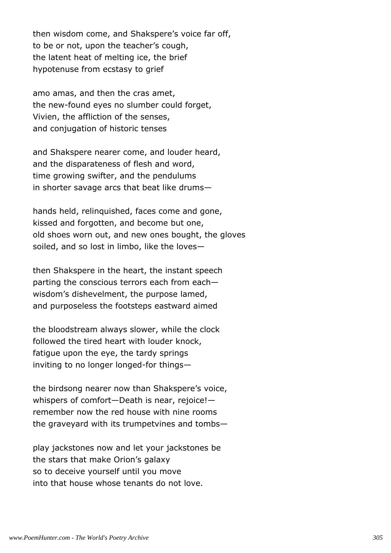then wisdom come, and Shakspere's voice far off, to be or not, upon the teacher's cough, the latent heat of melting ice, the brief hypotenuse from ecstasy to grief

amo amas, and then the cras amet, the new-found eyes no slumber could forget, Vivien, the affliction of the senses, and conjugation of historic tenses

and Shakspere nearer come, and louder heard, and the disparateness of flesh and word, time growing swifter, and the pendulums in shorter savage arcs that beat like drums—

hands held, relinquished, faces come and gone, kissed and forgotten, and become but one, old shoes worn out, and new ones bought, the gloves soiled, and so lost in limbo, like the loves—

then Shakspere in the heart, the instant speech parting the conscious terrors each from each wisdom's dishevelment, the purpose lamed, and purposeless the footsteps eastward aimed

the bloodstream always slower, while the clock followed the tired heart with louder knock, fatigue upon the eye, the tardy springs inviting to no longer longed-for things—

the birdsong nearer now than Shakspere's voice, whispers of comfort—Death is near, rejoice! remember now the red house with nine rooms the graveyard with its trumpetvines and tombs—

play jackstones now and let your jackstones be the stars that make Orion's galaxy so to deceive yourself until you move into that house whose tenants do not love.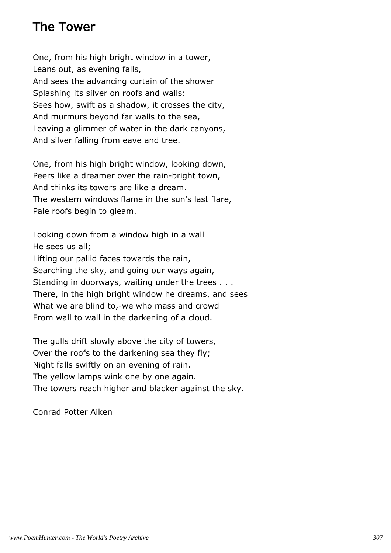### The Tower

One, from his high bright window in a tower, Leans out, as evening falls, And sees the advancing curtain of the shower Splashing its silver on roofs and walls: Sees how, swift as a shadow, it crosses the city, And murmurs beyond far walls to the sea, Leaving a glimmer of water in the dark canyons, And silver falling from eave and tree.

One, from his high bright window, looking down, Peers like a dreamer over the rain-bright town, And thinks its towers are like a dream. The western windows flame in the sun's last flare, Pale roofs begin to gleam.

Looking down from a window high in a wall He sees us all; Lifting our pallid faces towards the rain, Searching the sky, and going our ways again, Standing in doorways, waiting under the trees . . . There, in the high bright window he dreams, and sees What we are blind to,-we who mass and crowd From wall to wall in the darkening of a cloud.

The gulls drift slowly above the city of towers, Over the roofs to the darkening sea they fly; Night falls swiftly on an evening of rain. The yellow lamps wink one by one again. The towers reach higher and blacker against the sky.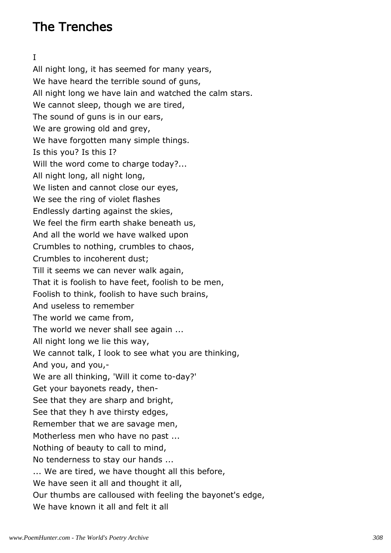## The Trenches

#### I

All night long, it has seemed for many years, We have heard the terrible sound of guns, All night long we have lain and watched the calm stars. We cannot sleep, though we are tired, The sound of guns is in our ears, We are growing old and grey, We have forgotten many simple things. Is this you? Is this I? Will the word come to charge today?... All night long, all night long, We listen and cannot close our eyes, We see the ring of violet flashes Endlessly darting against the skies, We feel the firm earth shake beneath us, And all the world we have walked upon Crumbles to nothing, crumbles to chaos, Crumbles to incoherent dust; Till it seems we can never walk again, That it is foolish to have feet, foolish to be men, Foolish to think, foolish to have such brains, And useless to remember The world we came from, The world we never shall see again ... All night long we lie this way, We cannot talk, I look to see what you are thinking, And you, and you,- We are all thinking, 'Will it come to-day?' Get your bayonets ready, then-See that they are sharp and bright, See that they h ave thirsty edges, Remember that we are savage men, Motherless men who have no past ... Nothing of beauty to call to mind, No tenderness to stay our hands ... ... We are tired, we have thought all this before, We have seen it all and thought it all, Our thumbs are calloused with feeling the bayonet's edge, We have known it all and felt it all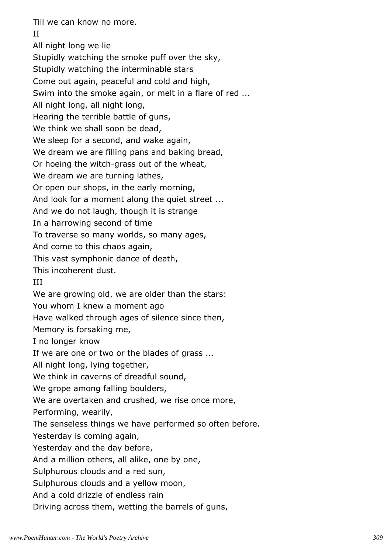Till we can know no more. II All night long we lie Stupidly watching the smoke puff over the sky, Stupidly watching the interminable stars Come out again, peaceful and cold and high, Swim into the smoke again, or melt in a flare of red ... All night long, all night long, Hearing the terrible battle of guns, We think we shall soon be dead, We sleep for a second, and wake again, We dream we are filling pans and baking bread, Or hoeing the witch-grass out of the wheat, We dream we are turning lathes, Or open our shops, in the early morning, And look for a moment along the quiet street ... And we do not laugh, though it is strange In a harrowing second of time To traverse so many worlds, so many ages, And come to this chaos again, This vast symphonic dance of death, This incoherent dust. III We are growing old, we are older than the stars: You whom I knew a moment ago Have walked through ages of silence since then, Memory is forsaking me, I no longer know If we are one or two or the blades of grass ... All night long, lying together, We think in caverns of dreadful sound, We grope among falling boulders, We are overtaken and crushed, we rise once more, Performing, wearily, The senseless things we have performed so often before. Yesterday is coming again, Yesterday and the day before, And a million others, all alike, one by one, Sulphurous clouds and a red sun, Sulphurous clouds and a yellow moon, And a cold drizzle of endless rain Driving across them, wetting the barrels of guns,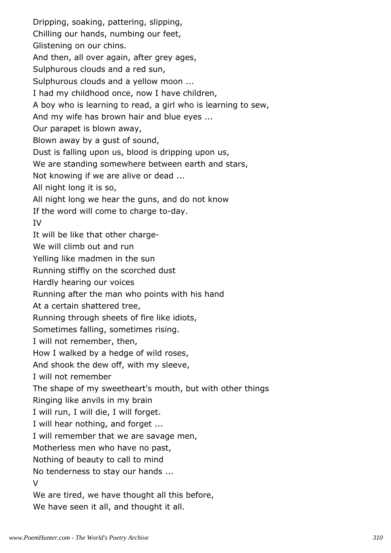Dripping, soaking, pattering, slipping, Chilling our hands, numbing our feet, Glistening on our chins. And then, all over again, after grey ages, Sulphurous clouds and a red sun, Sulphurous clouds and a yellow moon ... I had my childhood once, now I have children, A boy who is learning to read, a girl who is learning to sew, And my wife has brown hair and blue eyes ... Our parapet is blown away, Blown away by a gust of sound, Dust is falling upon us, blood is dripping upon us, We are standing somewhere between earth and stars, Not knowing if we are alive or dead ... All night long it is so, All night long we hear the guns, and do not know If the word will come to charge to-day. IV It will be like that other charge-We will climb out and run Yelling like madmen in the sun Running stiffly on the scorched dust Hardly hearing our voices Running after the man who points with his hand At a certain shattered tree, Running through sheets of fire like idiots, Sometimes falling, sometimes rising. I will not remember, then, How I walked by a hedge of wild roses, And shook the dew off, with my sleeve, I will not remember The shape of my sweetheart's mouth, but with other things Ringing like anvils in my brain I will run, I will die, I will forget. I will hear nothing, and forget ... I will remember that we are savage men, Motherless men who have no past, Nothing of beauty to call to mind No tenderness to stay our hands ... V We are tired, we have thought all this before,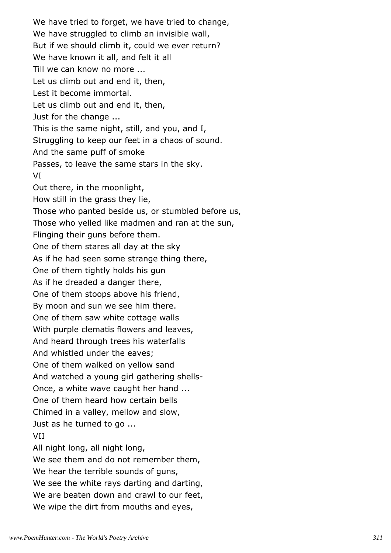We have tried to forget, we have tried to change, We have struggled to climb an invisible wall, But if we should climb it, could we ever return? We have known it all, and felt it all Till we can know no more ... Let us climb out and end it, then, Lest it become immortal. Let us climb out and end it, then, Just for the change ... This is the same night, still, and you, and I, Struggling to keep our feet in a chaos of sound. And the same puff of smoke Passes, to leave the same stars in the sky. VI Out there, in the moonlight, How still in the grass they lie, Those who panted beside us, or stumbled before us, Those who yelled like madmen and ran at the sun, Flinging their guns before them. One of them stares all day at the sky As if he had seen some strange thing there, One of them tightly holds his gun As if he dreaded a danger there, One of them stoops above his friend, By moon and sun we see him there. One of them saw white cottage walls With purple clematis flowers and leaves, And heard through trees his waterfalls And whistled under the eaves; One of them walked on yellow sand And watched a young girl gathering shells-Once, a white wave caught her hand ... One of them heard how certain bells Chimed in a valley, mellow and slow, Just as he turned to go ... VII All night long, all night long, We see them and do not remember them, We hear the terrible sounds of guns, We see the white rays darting and darting, We are beaten down and crawl to our feet, We wipe the dirt from mouths and eyes,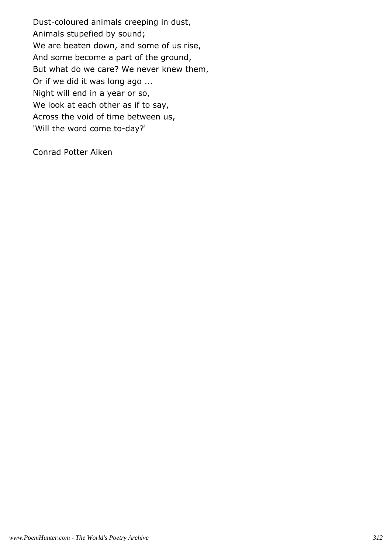Dust-coloured animals creeping in dust, Animals stupefied by sound; We are beaten down, and some of us rise, And some become a part of the ground, But what do we care? We never knew them, Or if we did it was long ago ... Night will end in a year or so, We look at each other as if to say, Across the void of time between us, 'Will the word come to-day?'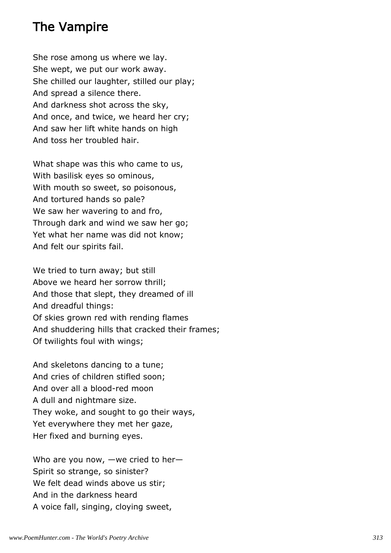#### The Vampire

She rose among us where we lay. She wept, we put our work away. She chilled our laughter, stilled our play; And spread a silence there. And darkness shot across the sky, And once, and twice, we heard her cry; And saw her lift white hands on high And toss her troubled hair.

What shape was this who came to us, With basilisk eyes so ominous, With mouth so sweet, so poisonous, And tortured hands so pale? We saw her wavering to and fro, Through dark and wind we saw her go; Yet what her name was did not know; And felt our spirits fail.

We tried to turn away; but still Above we heard her sorrow thrill; And those that slept, they dreamed of ill And dreadful things: Of skies grown red with rending flames And shuddering hills that cracked their frames; Of twilights foul with wings;

And skeletons dancing to a tune; And cries of children stifled soon; And over all a blood-red moon A dull and nightmare size. They woke, and sought to go their ways, Yet everywhere they met her gaze, Her fixed and burning eyes.

Who are you now, —we cried to her— Spirit so strange, so sinister? We felt dead winds above us stir; And in the darkness heard A voice fall, singing, cloying sweet,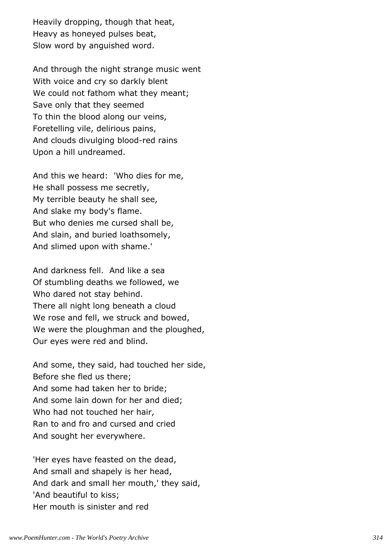Heavily dropping, though that heat, Heavy as honeyed pulses beat, Slow word by anguished word.

And through the night strange music went With voice and cry so darkly blent We could not fathom what they meant; Save only that they seemed To thin the blood along our veins, Foretelling vile, delirious pains, And clouds divulging blood-red rains Upon a hill undreamed.

And this we heard: 'Who dies for me, He shall possess me secretly, My terrible beauty he shall see, And slake my body's flame. But who denies me cursed shall be, And slain, and buried loathsomely, And slimed upon with shame.'

And darkness fell. And like a sea Of stumbling deaths we followed, we Who dared not stay behind. There all night long beneath a cloud We rose and fell, we struck and bowed, We were the ploughman and the ploughed, Our eyes were red and blind.

And some, they said, had touched her side, Before she fled us there; And some had taken her to bride; And some lain down for her and died; Who had not touched her hair, Ran to and fro and cursed and cried And sought her everywhere.

'Her eyes have feasted on the dead, And small and shapely is her head, And dark and small her mouth,' they said, 'And beautiful to kiss; Her mouth is sinister and red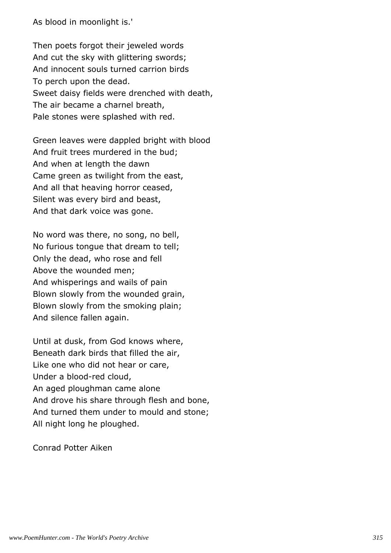As blood in moonlight is.'

Then poets forgot their jeweled words And cut the sky with glittering swords; And innocent souls turned carrion birds To perch upon the dead. Sweet daisy fields were drenched with death, The air became a charnel breath, Pale stones were splashed with red.

Green leaves were dappled bright with blood And fruit trees murdered in the bud; And when at length the dawn Came green as twilight from the east, And all that heaving horror ceased, Silent was every bird and beast, And that dark voice was gone.

No word was there, no song, no bell, No furious tongue that dream to tell; Only the dead, who rose and fell Above the wounded men; And whisperings and wails of pain Blown slowly from the wounded grain, Blown slowly from the smoking plain; And silence fallen again.

Until at dusk, from God knows where, Beneath dark birds that filled the air, Like one who did not hear or care, Under a blood-red cloud, An aged ploughman came alone And drove his share through flesh and bone, And turned them under to mould and stone; All night long he ploughed.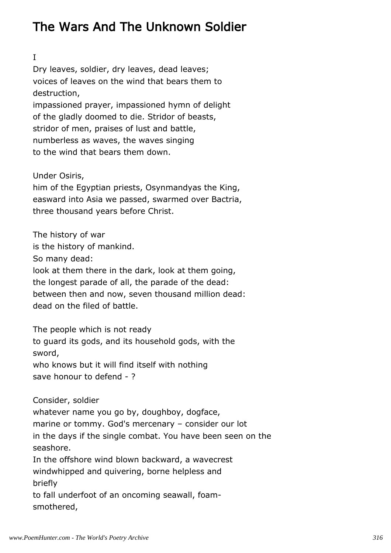# The Wars And The Unknown Soldier

#### I

Dry leaves, soldier, dry leaves, dead leaves; voices of leaves on the wind that bears them to destruction, impassioned prayer, impassioned hymn of delight of the gladly doomed to die. Stridor of beasts, stridor of men, praises of lust and battle, numberless as waves, the waves singing to the wind that bears them down.

Under Osiris,

him of the Egyptian priests, Osynmandyas the King, easward into Asia we passed, swarmed over Bactria, three thousand years before Christ.

The history of war is the history of mankind. So many dead: look at them there in the dark, look at them going, the longest parade of all, the parade of the dead: between then and now, seven thousand million dead: dead on the filed of battle.

The people which is not ready

to guard its gods, and its household gods, with the sword,

who knows but it will find itself with nothing save honour to defend - ?

Consider, soldier

whatever name you go by, doughboy, dogface, marine or tommy. God's mercenary – consider our lot

in the days if the single combat. You have been seen on the seashore.

In the offshore wind blown backward, a wavecrest windwhipped and quivering, borne helpless and briefly

to fall underfoot of an oncoming seawall, foamsmothered,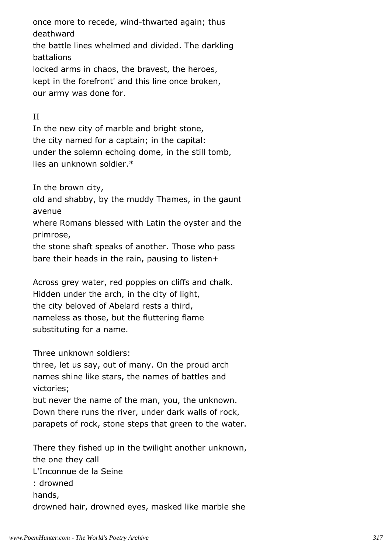once more to recede, wind-thwarted again; thus deathward the battle lines whelmed and divided. The darkling battalions locked arms in chaos, the bravest, the heroes, kept in the forefront' and this line once broken, our army was done for.

#### II

In the new city of marble and bright stone, the city named for a captain; in the capital: under the solemn echoing dome, in the still tomb, lies an unknown soldier.\*

In the brown city,

old and shabby, by the muddy Thames, in the gaunt avenue

where Romans blessed with Latin the oyster and the primrose,

the stone shaft speaks of another. Those who pass bare their heads in the rain, pausing to listen+

Across grey water, red poppies on cliffs and chalk. Hidden under the arch, in the city of light, the city beloved of Abelard rests a third, nameless as those, but the fluttering flame substituting for a name.

Three unknown soldiers:

three, let us say, out of many. On the proud arch names shine like stars, the names of battles and victories;

but never the name of the man, you, the unknown. Down there runs the river, under dark walls of rock, parapets of rock, stone steps that green to the water.

There they fished up in the twilight another unknown, the one they call L'Inconnue de la Seine : drowned hands, drowned hair, drowned eyes, masked like marble she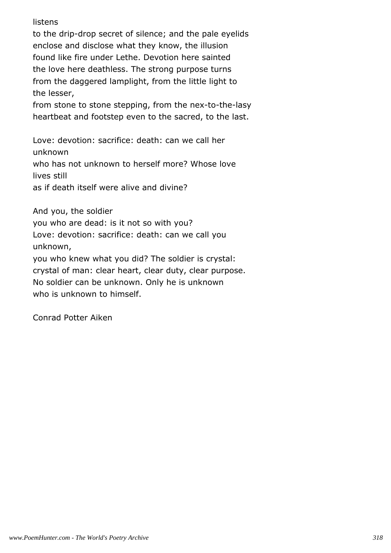listens

to the drip-drop secret of silence; and the pale eyelids enclose and disclose what they know, the illusion found like fire under Lethe. Devotion here sainted the love here deathless. The strong purpose turns from the daggered lamplight, from the little light to the lesser,

from stone to stone stepping, from the nex-to-the-lasy heartbeat and footstep even to the sacred, to the last.

Love: devotion: sacrifice: death: can we call her unknown who has not unknown to herself more? Whose love lives still as if death itself were alive and divine?

And you, the soldier

you who are dead: is it not so with you? Love: devotion: sacrifice: death: can we call you

unknown,

you who knew what you did? The soldier is crystal: crystal of man: clear heart, clear duty, clear purpose. No soldier can be unknown. Only he is unknown who is unknown to himself.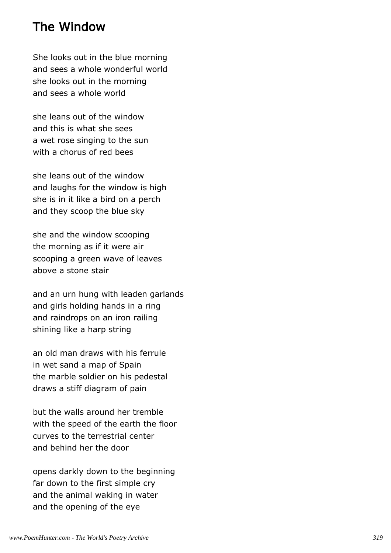#### The Window

She looks out in the blue morning and sees a whole wonderful world she looks out in the morning and sees a whole world

she leans out of the window and this is what she sees a wet rose singing to the sun with a chorus of red bees

she leans out of the window and laughs for the window is high she is in it like a bird on a perch and they scoop the blue sky

she and the window scooping the morning as if it were air scooping a green wave of leaves above a stone stair

and an urn hung with leaden garlands and girls holding hands in a ring and raindrops on an iron railing shining like a harp string

an old man draws with his ferrule in wet sand a map of Spain the marble soldier on his pedestal draws a stiff diagram of pain

but the walls around her tremble with the speed of the earth the floor curves to the terrestrial center and behind her the door

opens darkly down to the beginning far down to the first simple cry and the animal waking in water and the opening of the eye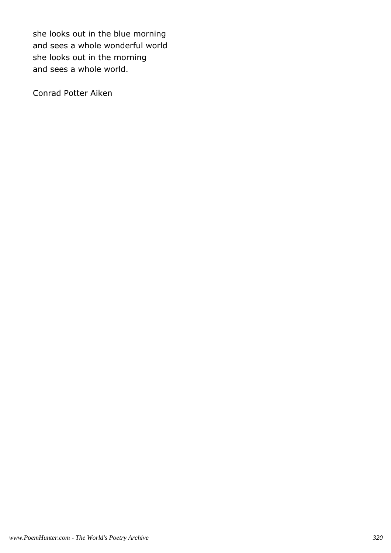she looks out in the blue morning and sees a whole wonderful world she looks out in the morning and sees a whole world.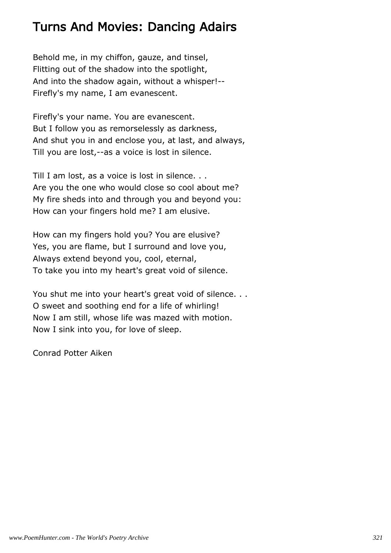### Turns And Movies: Dancing Adairs

Behold me, in my chiffon, gauze, and tinsel, Flitting out of the shadow into the spotlight, And into the shadow again, without a whisper!-- Firefly's my name, I am evanescent.

Firefly's your name. You are evanescent. But I follow you as remorselessly as darkness, And shut you in and enclose you, at last, and always, Till you are lost,--as a voice is lost in silence.

Till I am lost, as a voice is lost in silence. . . Are you the one who would close so cool about me? My fire sheds into and through you and beyond you: How can your fingers hold me? I am elusive.

How can my fingers hold you? You are elusive? Yes, you are flame, but I surround and love you, Always extend beyond you, cool, eternal, To take you into my heart's great void of silence.

You shut me into your heart's great void of silence. . . O sweet and soothing end for a life of whirling! Now I am still, whose life was mazed with motion. Now I sink into you, for love of sleep.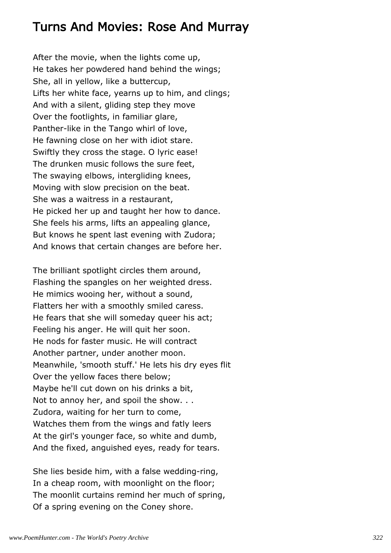#### Turns And Movies: Rose And Murray

After the movie, when the lights come up, He takes her powdered hand behind the wings; She, all in yellow, like a buttercup, Lifts her white face, yearns up to him, and clings; And with a silent, gliding step they move Over the footlights, in familiar glare, Panther-like in the Tango whirl of love, He fawning close on her with idiot stare. Swiftly they cross the stage. O lyric ease! The drunken music follows the sure feet, The swaying elbows, intergliding knees, Moving with slow precision on the beat. She was a waitress in a restaurant, He picked her up and taught her how to dance. She feels his arms, lifts an appealing glance, But knows he spent last evening with Zudora; And knows that certain changes are before her.

The brilliant spotlight circles them around, Flashing the spangles on her weighted dress. He mimics wooing her, without a sound, Flatters her with a smoothly smiled caress. He fears that she will someday queer his act; Feeling his anger. He will quit her soon. He nods for faster music. He will contract Another partner, under another moon. Meanwhile, 'smooth stuff.' He lets his dry eyes flit Over the yellow faces there below; Maybe he'll cut down on his drinks a bit, Not to annoy her, and spoil the show. . . Zudora, waiting for her turn to come, Watches them from the wings and fatly leers At the girl's younger face, so white and dumb, And the fixed, anguished eyes, ready for tears.

She lies beside him, with a false wedding-ring, In a cheap room, with moonlight on the floor; The moonlit curtains remind her much of spring, Of a spring evening on the Coney shore.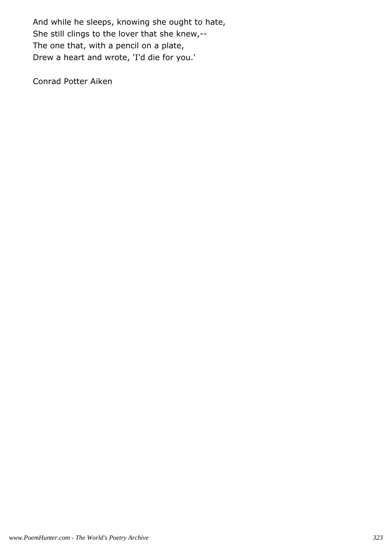And while he sleeps, knowing she ought to hate, She still clings to the lover that she knew,-- The one that, with a pencil on a plate, Drew a heart and wrote, 'I'd die for you.'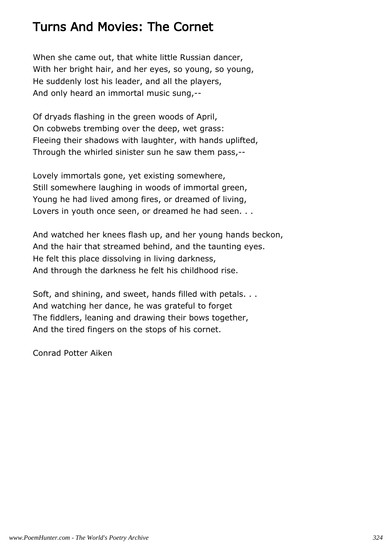# Turns And Movies: The Cornet

When she came out, that white little Russian dancer, With her bright hair, and her eyes, so young, so young, He suddenly lost his leader, and all the players, And only heard an immortal music sung,--

Of dryads flashing in the green woods of April, On cobwebs trembing over the deep, wet grass: Fleeing their shadows with laughter, with hands uplifted, Through the whirled sinister sun he saw them pass,--

Lovely immortals gone, yet existing somewhere, Still somewhere laughing in woods of immortal green, Young he had lived among fires, or dreamed of living, Lovers in youth once seen, or dreamed he had seen. . .

And watched her knees flash up, and her young hands beckon, And the hair that streamed behind, and the taunting eyes. He felt this place dissolving in living darkness, And through the darkness he felt his childhood rise.

Soft, and shining, and sweet, hands filled with petals. . . And watching her dance, he was grateful to forget The fiddlers, leaning and drawing their bows together, And the tired fingers on the stops of his cornet.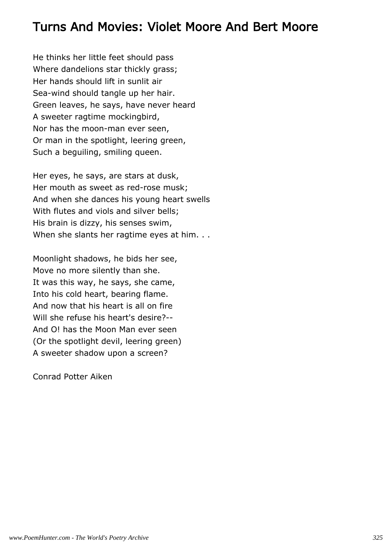# Turns And Movies: Violet Moore And Bert Moore

He thinks her little feet should pass Where dandelions star thickly grass; Her hands should lift in sunlit air Sea-wind should tangle up her hair. Green leaves, he says, have never heard A sweeter ragtime mockingbird, Nor has the moon-man ever seen, Or man in the spotlight, leering green, Such a beguiling, smiling queen.

Her eyes, he says, are stars at dusk, Her mouth as sweet as red-rose musk; And when she dances his young heart swells With flutes and viols and silver bells; His brain is dizzy, his senses swim, When she slants her ragtime eyes at him. . .

Moonlight shadows, he bids her see, Move no more silently than she. It was this way, he says, she came, Into his cold heart, bearing flame. And now that his heart is all on fire Will she refuse his heart's desire?-- And O! has the Moon Man ever seen (Or the spotlight devil, leering green) A sweeter shadow upon a screen?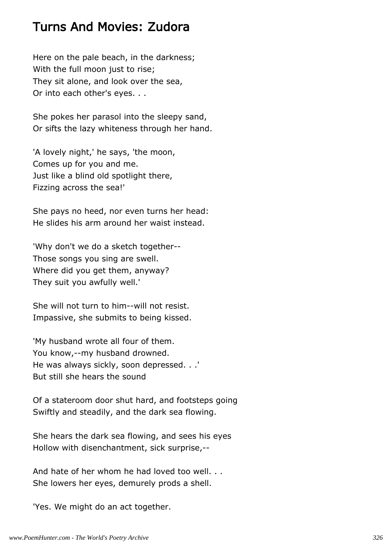# Turns And Movies: Zudora

Here on the pale beach, in the darkness; With the full moon just to rise; They sit alone, and look over the sea, Or into each other's eyes. . .

She pokes her parasol into the sleepy sand, Or sifts the lazy whiteness through her hand.

'A lovely night,' he says, 'the moon, Comes up for you and me. Just like a blind old spotlight there, Fizzing across the sea!'

She pays no heed, nor even turns her head: He slides his arm around her waist instead.

'Why don't we do a sketch together-- Those songs you sing are swell. Where did you get them, anyway? They suit you awfully well.'

She will not turn to him--will not resist. Impassive, she submits to being kissed.

'My husband wrote all four of them. You know,--my husband drowned. He was always sickly, soon depressed. . .' But still she hears the sound

Of a stateroom door shut hard, and footsteps going Swiftly and steadily, and the dark sea flowing.

She hears the dark sea flowing, and sees his eyes Hollow with disenchantment, sick surprise,--

And hate of her whom he had loved too well. . . She lowers her eyes, demurely prods a shell.

'Yes. We might do an act together.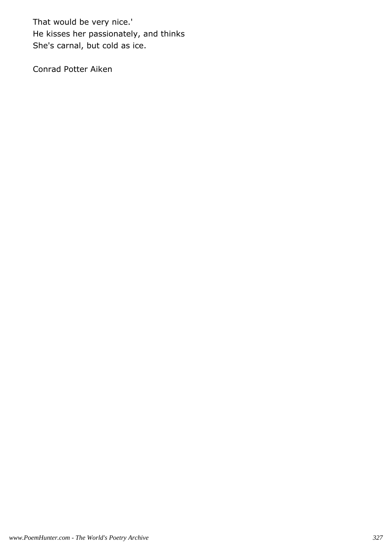That would be very nice.' He kisses her passionately, and thinks She's carnal, but cold as ice.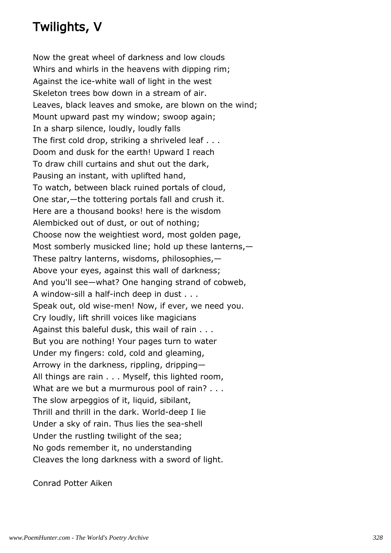# Twilights, V

Now the great wheel of darkness and low clouds Whirs and whirls in the heavens with dipping rim; Against the ice-white wall of light in the west Skeleton trees bow down in a stream of air. Leaves, black leaves and smoke, are blown on the wind; Mount upward past my window; swoop again; In a sharp silence, loudly, loudly falls The first cold drop, striking a shriveled leaf . . . Doom and dusk for the earth! Upward I reach To draw chill curtains and shut out the dark, Pausing an instant, with uplifted hand, To watch, between black ruined portals of cloud, One star,—the tottering portals fall and crush it. Here are a thousand books! here is the wisdom Alembicked out of dust, or out of nothing; Choose now the weightiest word, most golden page, Most somberly musicked line; hold up these lanterns,— These paltry lanterns, wisdoms, philosophies,— Above your eyes, against this wall of darkness; And you'll see—what? One hanging strand of cobweb, A window-sill a half-inch deep in dust . . . Speak out, old wise-men! Now, if ever, we need you. Cry loudly, lift shrill voices like magicians Against this baleful dusk, this wail of rain . . . But you are nothing! Your pages turn to water Under my fingers: cold, cold and gleaming, Arrowy in the darkness, rippling, dripping— All things are rain . . . Myself, this lighted room, What are we but a murmurous pool of rain? . . . The slow arpeggios of it, liquid, sibilant, Thrill and thrill in the dark. World-deep I lie Under a sky of rain. Thus lies the sea-shell Under the rustling twilight of the sea; No gods remember it, no understanding Cleaves the long darkness with a sword of light.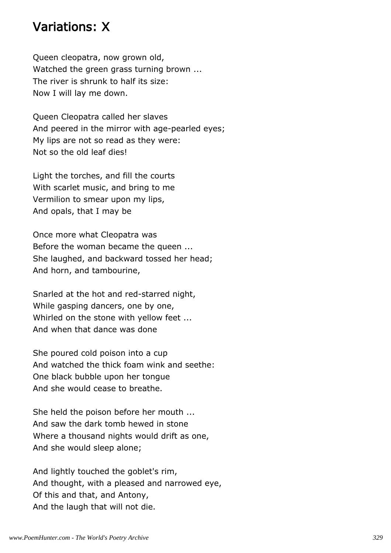# Variations: X

Queen cleopatra, now grown old, Watched the green grass turning brown ... The river is shrunk to half its size: Now I will lay me down.

Queen Cleopatra called her slaves And peered in the mirror with age-pearled eyes; My lips are not so read as they were: Not so the old leaf dies!

Light the torches, and fill the courts With scarlet music, and bring to me Vermilion to smear upon my lips, And opals, that I may be

Once more what Cleopatra was Before the woman became the queen ... She laughed, and backward tossed her head; And horn, and tambourine,

Snarled at the hot and red-starred night, While gasping dancers, one by one, Whirled on the stone with yellow feet ... And when that dance was done

She poured cold poison into a cup And watched the thick foam wink and seethe: One black bubble upon her tongue And she would cease to breathe.

She held the poison before her mouth ... And saw the dark tomb hewed in stone Where a thousand nights would drift as one, And she would sleep alone;

And lightly touched the goblet's rim, And thought, with a pleased and narrowed eye, Of this and that, and Antony, And the laugh that will not die.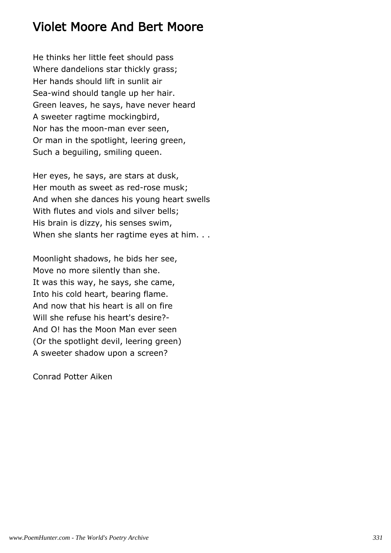# Violet Moore And Bert Moore

He thinks her little feet should pass Where dandelions star thickly grass; Her hands should lift in sunlit air Sea-wind should tangle up her hair. Green leaves, he says, have never heard A sweeter ragtime mockingbird, Nor has the moon-man ever seen, Or man in the spotlight, leering green, Such a beguiling, smiling queen.

Her eyes, he says, are stars at dusk, Her mouth as sweet as red-rose musk; And when she dances his young heart swells With flutes and viols and silver bells; His brain is dizzy, his senses swim, When she slants her ragtime eyes at him. . .

Moonlight shadows, he bids her see, Move no more silently than she. It was this way, he says, she came, Into his cold heart, bearing flame. And now that his heart is all on fire Will she refuse his heart's desire?- And O! has the Moon Man ever seen (Or the spotlight devil, leering green) A sweeter shadow upon a screen?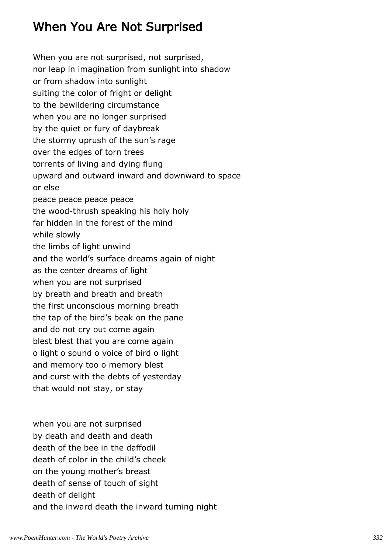# When You Are Not Surprised

When you are not surprised, not surprised, nor leap in imagination from sunlight into shadow or from shadow into sunlight suiting the color of fright or delight to the bewildering circumstance when you are no longer surprised by the quiet or fury of daybreak the stormy uprush of the sun's rage over the edges of torn trees torrents of living and dying flung upward and outward inward and downward to space or else peace peace peace peace the wood-thrush speaking his holy holy far hidden in the forest of the mind while slowly the limbs of light unwind and the world's surface dreams again of night as the center dreams of light when you are not surprised by breath and breath and breath the first unconscious morning breath the tap of the bird's beak on the pane and do not cry out come again blest blest that you are come again o light o sound o voice of bird o light and memory too o memory blest and curst with the debts of yesterday that would not stay, or stay

when you are not surprised by death and death and death death of the bee in the daffodil death of color in the child's cheek on the young mother's breast death of sense of touch of sight death of delight and the inward death the inward turning night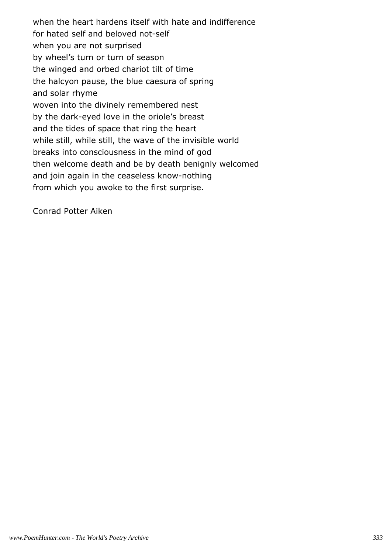when the heart hardens itself with hate and indifference for hated self and beloved not-self when you are not surprised by wheel's turn or turn of season the winged and orbed chariot tilt of time the halcyon pause, the blue caesura of spring and solar rhyme woven into the divinely remembered nest by the dark-eyed love in the oriole's breast and the tides of space that ring the heart while still, while still, the wave of the invisible world breaks into consciousness in the mind of god then welcome death and be by death benignly welcomed and join again in the ceaseless know-nothing from which you awoke to the first surprise.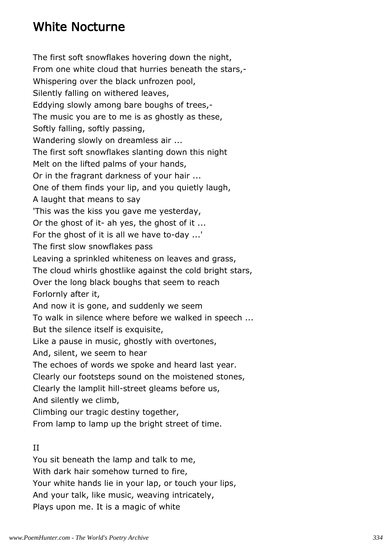# White Nocturne

The first soft snowflakes hovering down the night, From one white cloud that hurries beneath the stars,- Whispering over the black unfrozen pool, Silently falling on withered leaves, Eddying slowly among bare boughs of trees,- The music you are to me is as ghostly as these, Softly falling, softly passing, Wandering slowly on dreamless air ... The first soft snowflakes slanting down this night Melt on the lifted palms of your hands, Or in the fragrant darkness of your hair ... One of them finds your lip, and you quietly laugh, A laught that means to say 'This was the kiss you gave me yesterday, Or the ghost of it- ah yes, the ghost of it ... For the ghost of it is all we have to-day ...' The first slow snowflakes pass Leaving a sprinkled whiteness on leaves and grass, The cloud whirls ghostlike against the cold bright stars, Over the long black boughs that seem to reach Forlornly after it, And now it is gone, and suddenly we seem To walk in silence where before we walked in speech ... But the silence itself is exquisite, Like a pause in music, ghostly with overtones, And, silent, we seem to hear The echoes of words we spoke and heard last year. Clearly our footsteps sound on the moistened stones, Clearly the lamplit hill-street gleams before us, And silently we climb, Climbing our tragic destiny together, From lamp to lamp up the bright street of time.

### II

You sit beneath the lamp and talk to me, With dark hair somehow turned to fire, Your white hands lie in your lap, or touch your lips, And your talk, like music, weaving intricately, Plays upon me. It is a magic of white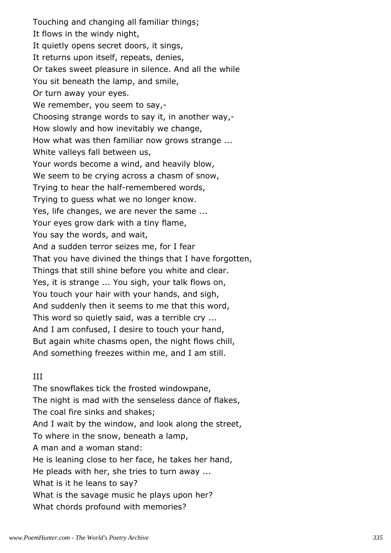Touching and changing all familiar things; It flows in the windy night, It quietly opens secret doors, it sings, It returns upon itself, repeats, denies, Or takes sweet pleasure in silence. And all the while You sit beneath the lamp, and smile, Or turn away your eyes. We remember, you seem to say,-Choosing strange words to say it, in another way,- How slowly and how inevitably we change, How what was then familiar now grows strange ... White valleys fall between us, Your words become a wind, and heavily blow, We seem to be crying across a chasm of snow, Trying to hear the half-remembered words, Trying to guess what we no longer know. Yes, life changes, we are never the same ... Your eyes grow dark with a tiny flame, You say the words, and wait, And a sudden terror seizes me, for I fear That you have divined the things that I have forgotten, Things that still shine before you white and clear. Yes, it is strange ... You sigh, your talk flows on, You touch your hair with your hands, and sigh, And suddenly then it seems to me that this word, This word so quietly said, was a terrible cry ... And I am confused, I desire to touch your hand, But again white chasms open, the night flows chill, And something freezes within me, and I am still.

#### III

The snowflakes tick the frosted windowpane, The night is mad with the senseless dance of flakes, The coal fire sinks and shakes; And I wait by the window, and look along the street, To where in the snow, beneath a lamp, A man and a woman stand: He is leaning close to her face, he takes her hand, He pleads with her, she tries to turn away ... What is it he leans to say? What is the savage music he plays upon her? What chords profound with memories?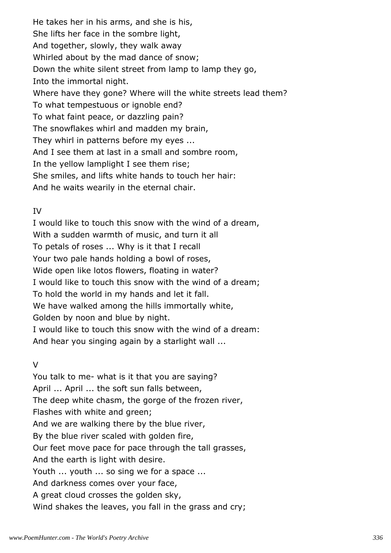He takes her in his arms, and she is his, She lifts her face in the sombre light, And together, slowly, they walk away Whirled about by the mad dance of snow; Down the white silent street from lamp to lamp they go, Into the immortal night. Where have they gone? Where will the white streets lead them? To what tempestuous or ignoble end? To what faint peace, or dazzling pain? The snowflakes whirl and madden my brain, They whirl in patterns before my eyes ... And I see them at last in a small and sombre room, In the yellow lamplight I see them rise; She smiles, and lifts white hands to touch her hair: And he waits wearily in the eternal chair.

### IV

I would like to touch this snow with the wind of a dream, With a sudden warmth of music, and turn it all To petals of roses ... Why is it that I recall Your two pale hands holding a bowl of roses, Wide open like lotos flowers, floating in water? I would like to touch this snow with the wind of a dream; To hold the world in my hands and let it fall. We have walked among the hills immortally white, Golden by noon and blue by night. I would like to touch this snow with the wind of a dream: And hear you singing again by a starlight wall ...

## V

You talk to me- what is it that you are saying? April ... April ... the soft sun falls between, The deep white chasm, the gorge of the frozen river, Flashes with white and green; And we are walking there by the blue river, By the blue river scaled with golden fire, Our feet move pace for pace through the tall grasses, And the earth is light with desire. Youth ... youth ... so sing we for a space ... And darkness comes over your face, A great cloud crosses the golden sky, Wind shakes the leaves, you fall in the grass and cry;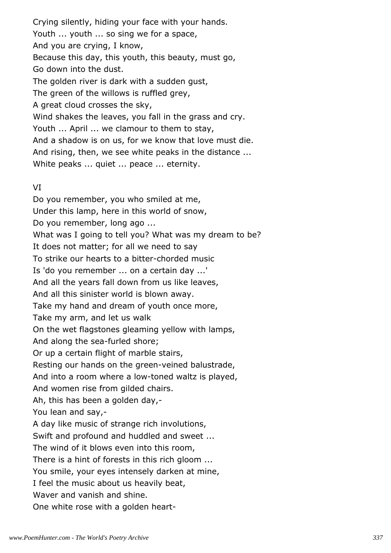Crying silently, hiding your face with your hands. Youth ... youth ... so sing we for a space, And you are crying, I know, Because this day, this youth, this beauty, must go, Go down into the dust. The golden river is dark with a sudden gust, The green of the willows is ruffled grey, A great cloud crosses the sky, Wind shakes the leaves, you fall in the grass and cry. Youth ... April ... we clamour to them to stay, And a shadow is on us, for we know that love must die. And rising, then, we see white peaks in the distance ... White peaks ... quiet ... peace ... eternity.

### VI

Do you remember, you who smiled at me, Under this lamp, here in this world of snow, Do you remember, long ago ... What was I going to tell you? What was my dream to be? It does not matter; for all we need to say To strike our hearts to a bitter-chorded music Is 'do you remember ... on a certain day ...' And all the years fall down from us like leaves, And all this sinister world is blown away. Take my hand and dream of youth once more, Take my arm, and let us walk On the wet flagstones gleaming yellow with lamps, And along the sea-furled shore; Or up a certain flight of marble stairs, Resting our hands on the green-veined balustrade, And into a room where a low-toned waltz is played, And women rise from gilded chairs. Ah, this has been a golden day,- You lean and say,- A day like music of strange rich involutions, Swift and profound and huddled and sweet ... The wind of it blows even into this room, There is a hint of forests in this rich gloom ... You smile, your eyes intensely darken at mine, I feel the music about us heavily beat, Waver and vanish and shine. One white rose with a golden heart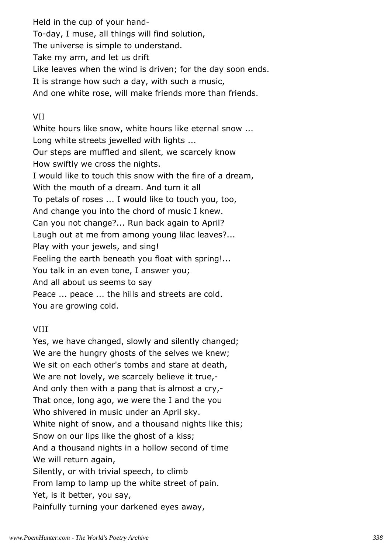Held in the cup of your hand-To-day, I muse, all things will find solution, The universe is simple to understand. Take my arm, and let us drift Like leaves when the wind is driven; for the day soon ends. It is strange how such a day, with such a music, And one white rose, will make friends more than friends.

### VII

White hours like snow, white hours like eternal snow ... Long white streets jewelled with lights ... Our steps are muffled and silent, we scarcely know How swiftly we cross the nights. I would like to touch this snow with the fire of a dream, With the mouth of a dream. And turn it all To petals of roses ... I would like to touch you, too, And change you into the chord of music I knew. Can you not change?... Run back again to April? Laugh out at me from among young lilac leaves?... Play with your jewels, and sing! Feeling the earth beneath you float with spring!... You talk in an even tone, I answer you; And all about us seems to say Peace ... peace ... the hills and streets are cold. You are growing cold.

## VIII

Yes, we have changed, slowly and silently changed; We are the hungry ghosts of the selves we knew; We sit on each other's tombs and stare at death, We are not lovely, we scarcely believe it true,-And only then with a pang that is almost a cry,- That once, long ago, we were the I and the you Who shivered in music under an April sky. White night of snow, and a thousand nights like this; Snow on our lips like the ghost of a kiss; And a thousand nights in a hollow second of time We will return again, Silently, or with trivial speech, to climb From lamp to lamp up the white street of pain. Yet, is it better, you say, Painfully turning your darkened eyes away,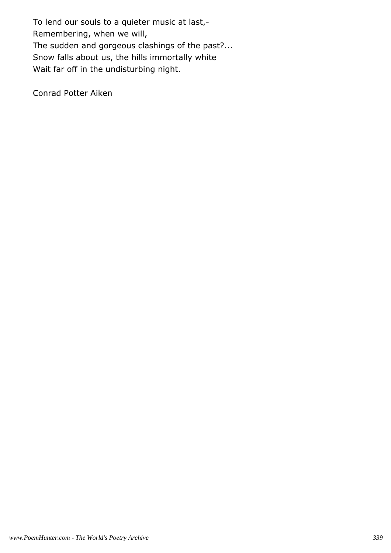To lend our souls to a quieter music at last,- Remembering, when we will, The sudden and gorgeous clashings of the past?... Snow falls about us, the hills immortally white Wait far off in the undisturbing night.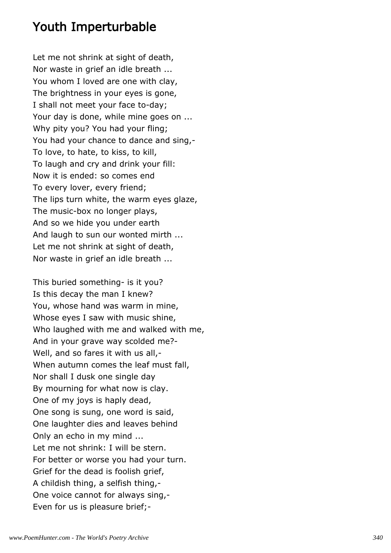# Youth Imperturbable

Let me not shrink at sight of death, Nor waste in grief an idle breath ... You whom I loved are one with clay, The brightness in your eyes is gone, I shall not meet your face to-day; Your day is done, while mine goes on ... Why pity you? You had your fling; You had your chance to dance and sing,-To love, to hate, to kiss, to kill, To laugh and cry and drink your fill: Now it is ended: so comes end To every lover, every friend; The lips turn white, the warm eyes glaze, The music-box no longer plays, And so we hide you under earth And laugh to sun our wonted mirth ... Let me not shrink at sight of death, Nor waste in grief an idle breath ...

This buried something- is it you? Is this decay the man I knew? You, whose hand was warm in mine, Whose eyes I saw with music shine, Who laughed with me and walked with me, And in your grave way scolded me?- Well, and so fares it with us all,-When autumn comes the leaf must fall, Nor shall I dusk one single day By mourning for what now is clay. One of my joys is haply dead, One song is sung, one word is said, One laughter dies and leaves behind Only an echo in my mind ... Let me not shrink: I will be stern. For better or worse you had your turn. Grief for the dead is foolish grief, A childish thing, a selfish thing,- One voice cannot for always sing,- Even for us is pleasure brief;-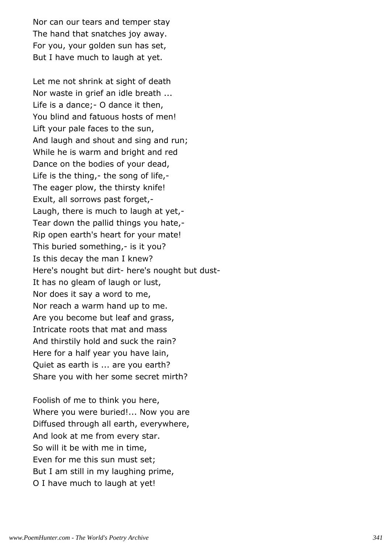Nor can our tears and temper stay The hand that snatches joy away. For you, your golden sun has set, But I have much to laugh at yet.

Let me not shrink at sight of death Nor waste in grief an idle breath ... Life is a dance;- O dance it then, You blind and fatuous hosts of men! Lift your pale faces to the sun, And laugh and shout and sing and run; While he is warm and bright and red Dance on the bodies of your dead, Life is the thing,- the song of life,- The eager plow, the thirsty knife! Exult, all sorrows past forget,- Laugh, there is much to laugh at yet,- Tear down the pallid things you hate,- Rip open earth's heart for your mate! This buried something,- is it you? Is this decay the man I knew? Here's nought but dirt- here's nought but dust-It has no gleam of laugh or lust, Nor does it say a word to me, Nor reach a warm hand up to me. Are you become but leaf and grass, Intricate roots that mat and mass And thirstily hold and suck the rain? Here for a half year you have lain, Quiet as earth is ... are you earth? Share you with her some secret mirth?

Foolish of me to think you here, Where you were buried!... Now you are Diffused through all earth, everywhere, And look at me from every star. So will it be with me in time, Even for me this sun must set; But I am still in my laughing prime, O I have much to laugh at yet!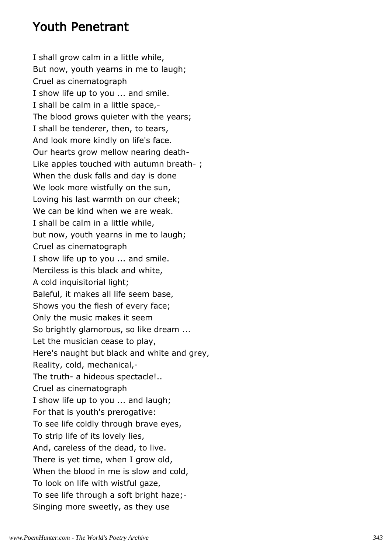# Youth Penetrant

I shall grow calm in a little while, But now, youth yearns in me to laugh; Cruel as cinematograph I show life up to you ... and smile. I shall be calm in a little space,- The blood grows quieter with the years; I shall be tenderer, then, to tears, And look more kindly on life's face. Our hearts grow mellow nearing death-Like apples touched with autumn breath- ; When the dusk falls and day is done We look more wistfully on the sun, Loving his last warmth on our cheek; We can be kind when we are weak. I shall be calm in a little while, but now, youth yearns in me to laugh; Cruel as cinematograph I show life up to you ... and smile. Merciless is this black and white, A cold inquisitorial light; Baleful, it makes all life seem base, Shows you the flesh of every face; Only the music makes it seem So brightly glamorous, so like dream ... Let the musician cease to play, Here's naught but black and white and grey, Reality, cold, mechanical,- The truth- a hideous spectacle!.. Cruel as cinematograph I show life up to you ... and laugh; For that is youth's prerogative: To see life coldly through brave eyes, To strip life of its lovely lies, And, careless of the dead, to live. There is yet time, when I grow old, When the blood in me is slow and cold, To look on life with wistful gaze, To see life through a soft bright haze;- Singing more sweetly, as they use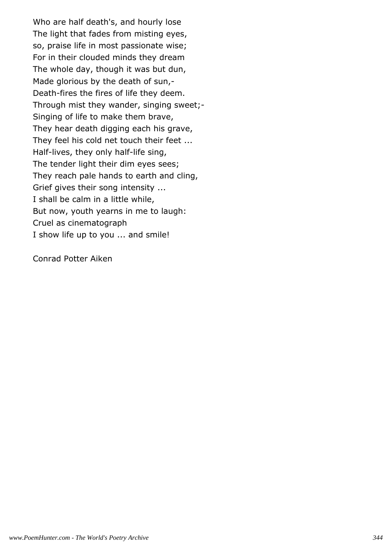Who are half death's, and hourly lose The light that fades from misting eyes, so, praise life in most passionate wise; For in their clouded minds they dream The whole day, though it was but dun, Made glorious by the death of sun,-Death-fires the fires of life they deem. Through mist they wander, singing sweet;- Singing of life to make them brave, They hear death digging each his grave, They feel his cold net touch their feet ... Half-lives, they only half-life sing, The tender light their dim eyes sees; They reach pale hands to earth and cling, Grief gives their song intensity ... I shall be calm in a little while, But now, youth yearns in me to laugh: Cruel as cinematograph I show life up to you ... and smile!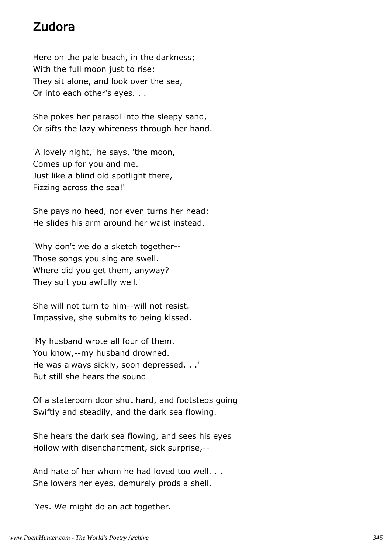# Zudora

Here on the pale beach, in the darkness; With the full moon just to rise; They sit alone, and look over the sea, Or into each other's eyes. . .

She pokes her parasol into the sleepy sand, Or sifts the lazy whiteness through her hand.

'A lovely night,' he says, 'the moon, Comes up for you and me. Just like a blind old spotlight there, Fizzing across the sea!'

She pays no heed, nor even turns her head: He slides his arm around her waist instead.

'Why don't we do a sketch together-- Those songs you sing are swell. Where did you get them, anyway? They suit you awfully well.'

She will not turn to him--will not resist. Impassive, she submits to being kissed.

'My husband wrote all four of them. You know,--my husband drowned. He was always sickly, soon depressed. . .' But still she hears the sound

Of a stateroom door shut hard, and footsteps going Swiftly and steadily, and the dark sea flowing.

She hears the dark sea flowing, and sees his eyes Hollow with disenchantment, sick surprise,--

And hate of her whom he had loved too well. . . She lowers her eyes, demurely prods a shell.

'Yes. We might do an act together.